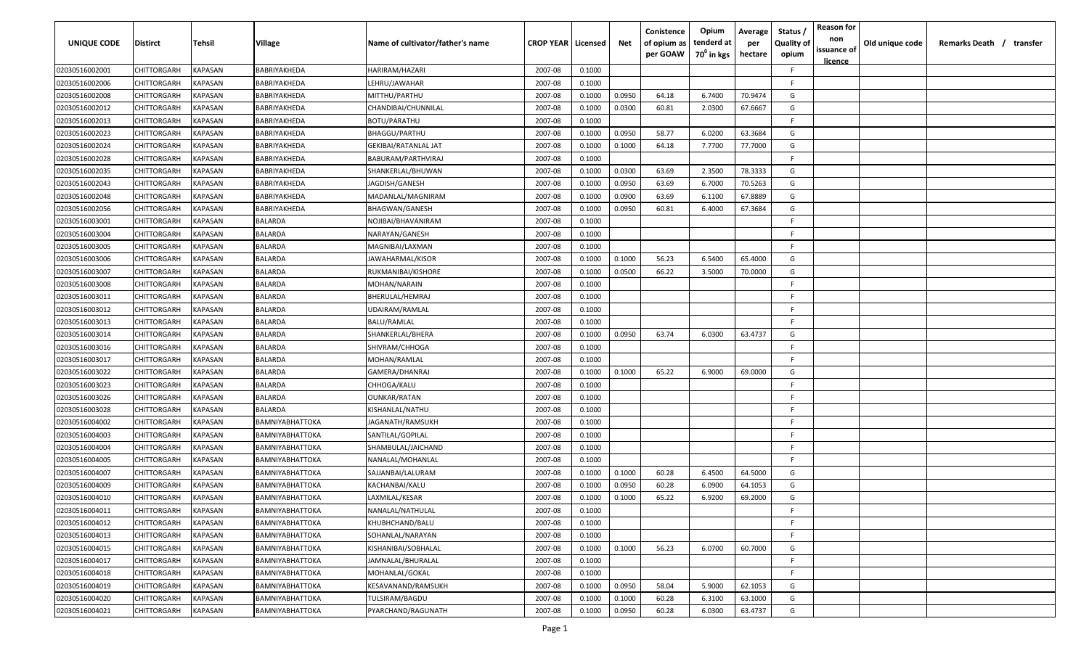| <b>UNIQUE CODE</b> | Distirct           | Tehsil         | Village                | Name of cultivator/father's name | <b>CROP YEAR   Licensed</b> |        | Net    | Conistence<br>of opium as<br>per GOAW | Opium<br>tenderd at<br>70 <sup>0</sup> in kgs | Average<br>per<br>hectare | Status /<br><b>Quality of</b><br>opium | <b>Reason for</b><br>non<br>issuance of | Old unique code | Remarks Death / transfer |
|--------------------|--------------------|----------------|------------------------|----------------------------------|-----------------------------|--------|--------|---------------------------------------|-----------------------------------------------|---------------------------|----------------------------------------|-----------------------------------------|-----------------|--------------------------|
|                    |                    |                |                        |                                  |                             |        |        |                                       |                                               |                           |                                        | <u>licence</u>                          |                 |                          |
| 02030516002001     | CHITTORGARH        | <b>KAPASAN</b> | BABRIYAKHEDA           | HARIRAM/HAZARI                   | 2007-08                     | 0.1000 |        |                                       |                                               |                           | F.                                     |                                         |                 |                          |
| 02030516002006     | CHITTORGARH        | KAPASAN        | BABRIYAKHEDA           | LEHRU/JAWAHAR                    | 2007-08                     | 0.1000 |        |                                       |                                               |                           | -F.                                    |                                         |                 |                          |
| 02030516002008     | CHITTORGARH        | KAPASAN        | BABRIYAKHEDA           | MITTHU/PARTHU                    | 2007-08                     | 0.1000 | 0.0950 | 64.18                                 | 6.7400                                        | 70.9474                   | G                                      |                                         |                 |                          |
| 02030516002012     | CHITTORGARH        | KAPASAN        | BABRIYAKHEDA           | CHANDIBAI/CHUNNILAL              | 2007-08                     | 0.1000 | 0.0300 | 60.81                                 | 2.0300                                        | 67.6667                   | G                                      |                                         |                 |                          |
| 02030516002013     | CHITTORGARH        | KAPASAN        | BABRIYAKHEDA           | <b>BOTU/PARATHU</b>              | 2007-08                     | 0.1000 |        |                                       |                                               |                           | -F.                                    |                                         |                 |                          |
| 02030516002023     | CHITTORGARH        | KAPASAN        | BABRIYAKHEDA           | BHAGGU/PARTHU                    | 2007-08                     | 0.1000 | 0.0950 | 58.77                                 | 6.0200                                        | 63.3684                   | G                                      |                                         |                 |                          |
| 02030516002024     | CHITTORGARH        | KAPASAN        | BABRIYAKHEDA           | GEKIBAI/RATANLAL JAT             | 2007-08                     | 0.1000 | 0.1000 | 64.18                                 | 7.7700                                        | 77.7000                   | G                                      |                                         |                 |                          |
| 02030516002028     | CHITTORGARH        | KAPASAN        | BABRIYAKHEDA           | BABURAM/PARTHVIRAJ               | 2007-08                     | 0.1000 |        |                                       |                                               |                           | -F.                                    |                                         |                 |                          |
| 02030516002035     | CHITTORGARH        | KAPASAN        | BABRIYAKHEDA           | SHANKERLAL/BHUWAN                | 2007-08                     | 0.1000 | 0.0300 | 63.69                                 | 2.3500                                        | 78.3333                   | G                                      |                                         |                 |                          |
| 02030516002043     | CHITTORGARH        | KAPASAN        | BABRIYAKHEDA           | JAGDISH/GANESH                   | 2007-08                     | 0.1000 | 0.0950 | 63.69                                 | 6.7000                                        | 70.5263                   | G                                      |                                         |                 |                          |
| 02030516002048     | CHITTORGARH        | KAPASAN        | BABRIYAKHEDA           | MADANLAL/MAGNIRAM                | 2007-08                     | 0.1000 | 0.0900 | 63.69                                 | 6.1100                                        | 67.8889                   | G                                      |                                         |                 |                          |
| 02030516002056     | CHITTORGARH        | KAPASAN        | BABRIYAKHEDA           | BHAGWAN/GANESH                   | 2007-08                     | 0.1000 | 0.0950 | 60.81                                 | 6.4000                                        | 67.3684                   | G                                      |                                         |                 |                          |
| 02030516003001     | CHITTORGARH        | KAPASAN        | BALARDA                | NOJIBAI/BHAVANIRAM               | 2007-08                     | 0.1000 |        |                                       |                                               |                           | -F.                                    |                                         |                 |                          |
| 02030516003004     | CHITTORGARH        | KAPASAN        | BALARDA                | NARAYAN/GANESH                   | 2007-08                     | 0.1000 |        |                                       |                                               |                           | F.                                     |                                         |                 |                          |
| 02030516003005     | CHITTORGARH        | KAPASAN        | BALARDA                | MAGNIBAI/LAXMAN                  | 2007-08                     | 0.1000 |        |                                       |                                               |                           | -F.                                    |                                         |                 |                          |
| 02030516003006     | CHITTORGARH        | KAPASAN        | BALARDA                | JAWAHARMAL/KISOR                 | 2007-08                     | 0.1000 | 0.1000 | 56.23                                 | 6.5400                                        | 65.4000                   | G                                      |                                         |                 |                          |
| 02030516003007     | CHITTORGARH        | KAPASAN        | BALARDA                | RUKMANIBAI/KISHORE               | 2007-08                     | 0.1000 | 0.0500 | 66.22                                 | 3.5000                                        | 70.0000                   | G                                      |                                         |                 |                          |
| 02030516003008     | CHITTORGARH        | KAPASAN        | BALARDA                | MOHAN/NARAIN                     | 2007-08                     | 0.1000 |        |                                       |                                               |                           | F                                      |                                         |                 |                          |
| 02030516003011     | CHITTORGARH        | KAPASAN        | BALARDA                | BHERULAL/HEMRAJ                  | 2007-08                     | 0.1000 |        |                                       |                                               |                           | F.                                     |                                         |                 |                          |
| 02030516003012     | CHITTORGARH        | KAPASAN        | BALARDA                | UDAIRAM/RAMLAL                   | 2007-08                     | 0.1000 |        |                                       |                                               |                           | -F.                                    |                                         |                 |                          |
| 02030516003013     | CHITTORGARH        | KAPASAN        | BALARDA                | <b>BALU/RAMLAL</b>               | 2007-08                     | 0.1000 |        |                                       |                                               |                           | -F.                                    |                                         |                 |                          |
| 02030516003014     | CHITTORGARH        | KAPASAN        | BALARDA                | SHANKERLAL/BHERA                 | 2007-08                     | 0.1000 | 0.0950 | 63.74                                 | 6.0300                                        | 63.4737                   | G                                      |                                         |                 |                          |
| 02030516003016     | CHITTORGARH        | KAPASAN        | BALARDA                | SHIVRAM/CHHOGA                   | 2007-08                     | 0.1000 |        |                                       |                                               |                           | -F.                                    |                                         |                 |                          |
| 02030516003017     | CHITTORGARH        | KAPASAN        | BALARDA                | MOHAN/RAMLAL                     | 2007-08                     | 0.1000 |        |                                       |                                               |                           | -F.                                    |                                         |                 |                          |
| 02030516003022     | CHITTORGARH        | KAPASAN        | BALARDA                | GAMERA/DHANRAJ                   | 2007-08                     | 0.1000 | 0.1000 | 65.22                                 | 6.9000                                        | 69.0000                   | G                                      |                                         |                 |                          |
| 02030516003023     | CHITTORGARH        | KAPASAN        | BALARDA                | CHHOGA/KALU                      | 2007-08                     | 0.1000 |        |                                       |                                               |                           | -F.                                    |                                         |                 |                          |
| 02030516003026     | CHITTORGARH        | KAPASAN        | BALARDA                | OUNKAR/RATAN                     | 2007-08                     | 0.1000 |        |                                       |                                               |                           | -F.                                    |                                         |                 |                          |
| 02030516003028     | CHITTORGARH        | KAPASAN        | BALARDA                | KISHANLAL/NATHU                  | 2007-08                     | 0.1000 |        |                                       |                                               |                           | -F.                                    |                                         |                 |                          |
| 02030516004002     | CHITTORGARH        | KAPASAN        | BAMNIYABHATTOKA        | IAGANATH/RAMSUKH                 | 2007-08                     | 0.1000 |        |                                       |                                               |                           | -F.                                    |                                         |                 |                          |
| 02030516004003     | CHITTORGARH        | KAPASAN        | BAMNIYABHATTOKA        | SANTILAL/GOPILAL                 | 2007-08                     | 0.1000 |        |                                       |                                               |                           | -F.                                    |                                         |                 |                          |
| 02030516004004     | CHITTORGARH        | KAPASAN        | BAMNIYABHATTOKA        | SHAMBULAL/JAICHAND               | 2007-08                     | 0.1000 |        |                                       |                                               |                           | -F.                                    |                                         |                 |                          |
| 02030516004005     | CHITTORGARH        | KAPASAN        | BAMNIYABHATTOKA        | NANALAL/MOHANLAL                 | 2007-08                     | 0.1000 |        |                                       |                                               |                           | -F.                                    |                                         |                 |                          |
| 02030516004007     | CHITTORGARH        | KAPASAN        | BAMNIYABHATTOKA        | SAJJANBAI/LALURAM                | 2007-08                     | 0.1000 | 0.1000 | 60.28                                 | 6.4500                                        | 64.5000                   | G                                      |                                         |                 |                          |
| 02030516004009     | CHITTORGARH        | KAPASAN        | BAMNIYABHATTOKA        | KACHANBAI/KALU                   | 2007-08                     | 0.1000 | 0.0950 | 60.28                                 | 6.0900                                        | 64.1053                   | G                                      |                                         |                 |                          |
| 02030516004010     | <b>CHITTORGARH</b> | KAPASAN        | BAMNIYABHATTOKA        | LAXMILAL/KESAR                   | 2007-08                     | 0.1000 | 0.1000 | 65.22                                 | 6.9200                                        | 69.2000                   | G                                      |                                         |                 |                          |
| 02030516004011     | <b>CHITTORGARH</b> | KAPASAN        | BAMNIYABHATTOKA        | NANALAL/NATHULAL                 | 2007-08                     | 0.1000 |        |                                       |                                               |                           | F.                                     |                                         |                 |                          |
| 02030516004012     | CHITTORGARH        | <b>KAPASAN</b> | <b>BAMNIYABHATTOKA</b> | KHUBHCHAND/BALU                  | 2007-08                     | 0.1000 |        |                                       |                                               |                           | F                                      |                                         |                 |                          |
| 02030516004013     | CHITTORGARH        | <b>KAPASAN</b> | BAMNIYABHATTOKA        | SOHANLAL/NARAYAN                 | 2007-08                     | 0.1000 |        |                                       |                                               |                           | F.                                     |                                         |                 |                          |
| 02030516004015     | <b>CHITTORGARH</b> | <b>KAPASAN</b> | BAMNIYABHATTOKA        | KISHANIBAI/SOBHALAL              | 2007-08                     | 0.1000 | 0.1000 | 56.23                                 | 6.0700                                        | 60.7000                   | G                                      |                                         |                 |                          |
| 02030516004017     | CHITTORGARH        | KAPASAN        | <b>BAMNIYABHATTOKA</b> | JAMNALAL/BHURALAL                | 2007-08                     | 0.1000 |        |                                       |                                               |                           | F.                                     |                                         |                 |                          |
| 02030516004018     | CHITTORGARH        | KAPASAN        | <b>BAMNIYABHATTOKA</b> | MOHANLAL/GOKAL                   | 2007-08                     | 0.1000 |        |                                       |                                               |                           | F                                      |                                         |                 |                          |
| 02030516004019     | CHITTORGARH        | KAPASAN        | <b>BAMNIYABHATTOKA</b> | KESAVANAND/RAMSUKH               | 2007-08                     | 0.1000 | 0.0950 | 58.04                                 | 5.9000                                        | 62.1053                   | G                                      |                                         |                 |                          |
| 02030516004020     | CHITTORGARH        | KAPASAN        | BAMNIYABHATTOKA        | TULSIRAM/BAGDU                   | 2007-08                     | 0.1000 | 0.1000 | 60.28                                 | 6.3100                                        | 63.1000                   | G                                      |                                         |                 |                          |
| 02030516004021     | CHITTORGARH        | KAPASAN        | BAMNIYABHATTOKA        | PYARCHAND/RAGUNATH               | 2007-08                     | 0.1000 | 0.0950 | 60.28                                 | 6.0300                                        | 63.4737                   | G                                      |                                         |                 |                          |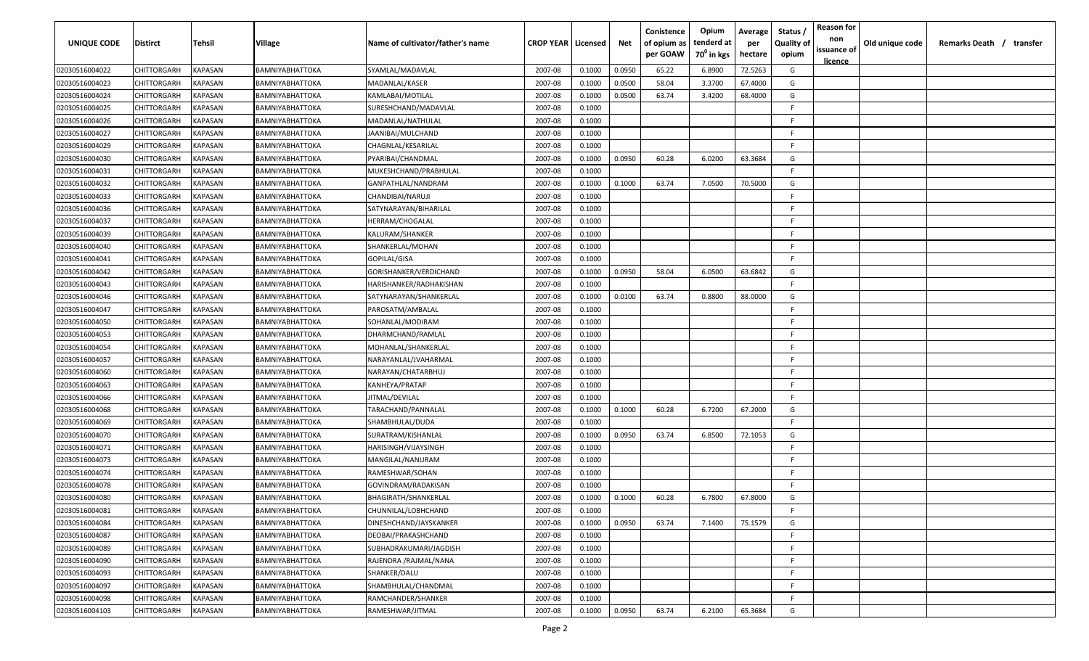| UNIQUE CODE    | <b>Distirct</b> | Tehsil                | Village                | Name of cultivator/father's name | <b>CROP YEAR   Licensed</b> |        | Net    | Conistence<br>of opium as<br>per GOAW | Opium<br>tenderd at<br>70 <sup>0</sup> in kgs | Average<br>per<br>hectare | Status<br><b>Quality of</b><br>opium | <b>Reason for</b><br>non<br>issuance of<br><u>licence</u> | Old unique code | Remarks Death / transfer |
|----------------|-----------------|-----------------------|------------------------|----------------------------------|-----------------------------|--------|--------|---------------------------------------|-----------------------------------------------|---------------------------|--------------------------------------|-----------------------------------------------------------|-----------------|--------------------------|
| 02030516004022 | CHITTORGARH     | KAPASAN               | <b>BAMNIYABHATTOKA</b> | SYAMLAL/MADAVLAL                 | 2007-08                     | 0.1000 | 0.0950 | 65.22                                 | 6.8900                                        | 72.5263                   | G                                    |                                                           |                 |                          |
| 02030516004023 | CHITTORGARH     | KAPASAN               | BAMNIYABHATTOKA        | MADANLAL/KASER                   | 2007-08                     | 0.1000 | 0.0500 | 58.04                                 | 3.3700                                        | 67.4000                   | G                                    |                                                           |                 |                          |
| 02030516004024 | CHITTORGARH     | KAPASAN               | BAMNIYABHATTOKA        | KAMLABAI/MOTILAL                 | 2007-08                     | 0.1000 | 0.0500 | 63.74                                 | 3.4200                                        | 68.4000                   | G                                    |                                                           |                 |                          |
| 02030516004025 | CHITTORGARH     | KAPASAN               | BAMNIYABHATTOKA        | SURESHCHAND/MADAVLAL             | 2007-08                     | 0.1000 |        |                                       |                                               |                           | -F                                   |                                                           |                 |                          |
| 02030516004026 | CHITTORGARH     | KAPASAN               | <b>BAMNIYABHATTOKA</b> | MADANLAL/NATHULAL                | 2007-08                     | 0.1000 |        |                                       |                                               |                           | -F                                   |                                                           |                 |                          |
| 02030516004027 | CHITTORGARH     | KAPASAN               | BAMNIYABHATTOKA        | JAANIBAI/MULCHAND                | 2007-08                     | 0.1000 |        |                                       |                                               |                           | -F                                   |                                                           |                 |                          |
| 02030516004029 | CHITTORGARH     | KAPASAN               | <b>BAMNIYABHATTOKA</b> | CHAGNLAL/KESARILAL               | 2007-08                     | 0.1000 |        |                                       |                                               |                           | -F                                   |                                                           |                 |                          |
| 02030516004030 | CHITTORGARH     | KAPASAN               | <b>BAMNIYABHATTOKA</b> | PYARIBAI/CHANDMAL                | 2007-08                     | 0.1000 | 0.0950 | 60.28                                 | 6.0200                                        | 63.3684                   | G                                    |                                                           |                 |                          |
| 02030516004031 | CHITTORGARH     | KAPASAN               | BAMNIYABHATTOKA        | MUKESHCHAND/PRABHULAL            | 2007-08                     | 0.1000 |        |                                       |                                               |                           | F.                                   |                                                           |                 |                          |
| 02030516004032 | CHITTORGARH     | KAPASAN               | BAMNIYABHATTOKA        | GANPATHLAL/NANDRAM               | 2007-08                     | 0.1000 | 0.1000 | 63.74                                 | 7.0500                                        | 70.5000                   | G                                    |                                                           |                 |                          |
| 02030516004033 | CHITTORGARH     | KAPASAN               | BAMNIYABHATTOKA        | CHANDIBAI/NARUJI                 | 2007-08                     | 0.1000 |        |                                       |                                               |                           | F.                                   |                                                           |                 |                          |
| 02030516004036 | CHITTORGARH     | KAPASAN               | BAMNIYABHATTOKA        | SATYNARAYAN/BIHARILAL            | 2007-08                     | 0.1000 |        |                                       |                                               |                           | -F                                   |                                                           |                 |                          |
| 02030516004037 | CHITTORGARH     | KAPASAN               | BAMNIYABHATTOKA        | HERRAM/CHOGALAL                  | 2007-08                     | 0.1000 |        |                                       |                                               |                           | F.                                   |                                                           |                 |                          |
| 02030516004039 | CHITTORGARH     | KAPASAN               | BAMNIYABHATTOKA        | KALURAM/SHANKER                  | 2007-08                     | 0.1000 |        |                                       |                                               |                           | F                                    |                                                           |                 |                          |
| 02030516004040 | CHITTORGARH     | KAPASAN               | BAMNIYABHATTOKA        | SHANKERLAL/MOHAN                 | 2007-08                     | 0.1000 |        |                                       |                                               |                           | -F                                   |                                                           |                 |                          |
| 02030516004041 | CHITTORGARH     | KAPASAN               | <b>BAMNIYABHATTOKA</b> | GOPILAL/GISA                     | 2007-08                     | 0.1000 |        |                                       |                                               |                           | F.                                   |                                                           |                 |                          |
| 02030516004042 | CHITTORGARH     | KAPASAN               | BAMNIYABHATTOKA        | GORISHANKER/VERDICHAND           | 2007-08                     | 0.1000 | 0.0950 | 58.04                                 | 6.0500                                        | 63.6842                   | G                                    |                                                           |                 |                          |
| 02030516004043 | CHITTORGARH     | KAPASAN               | <b>BAMNIYABHATTOKA</b> | HARISHANKER/RADHAKISHAN          | 2007-08                     | 0.1000 |        |                                       |                                               |                           | F.                                   |                                                           |                 |                          |
| 02030516004046 | CHITTORGARH     | KAPASAN               | BAMNIYABHATTOKA        | SATYNARAYAN/SHANKERLAL           | 2007-08                     | 0.1000 | 0.0100 | 63.74                                 | 0.8800                                        | 88.0000                   | G                                    |                                                           |                 |                          |
| 02030516004047 | CHITTORGARH     | KAPASAN               | BAMNIYABHATTOKA        | PAROSATM/AMBALAL                 | 2007-08                     | 0.1000 |        |                                       |                                               |                           | F                                    |                                                           |                 |                          |
| 02030516004050 | CHITTORGARH     | KAPASAN               | BAMNIYABHATTOKA        | SOHANLAL/MODIRAM                 | 2007-08                     | 0.1000 |        |                                       |                                               |                           | -F                                   |                                                           |                 |                          |
| 02030516004053 | CHITTORGARH     | KAPASAN               | <b>BAMNIYABHATTOKA</b> | DHARMCHAND/RAMLAL                | 2007-08                     | 0.1000 |        |                                       |                                               |                           | F                                    |                                                           |                 |                          |
| 02030516004054 | CHITTORGARH     | KAPASAN               | BAMNIYABHATTOKA        | MOHANLAL/SHANKERLAL              | 2007-08                     | 0.1000 |        |                                       |                                               |                           | F                                    |                                                           |                 |                          |
| 02030516004057 | CHITTORGARH     | KAPASAN               | <b>BAMNIYABHATTOKA</b> | NARAYANLAL/JVAHARMAL             | 2007-08                     | 0.1000 |        |                                       |                                               |                           | F                                    |                                                           |                 |                          |
| 02030516004060 | CHITTORGARH     | KAPASAN               | <b>BAMNIYABHATTOKA</b> | NARAYAN/CHATARBHUJ               | 2007-08                     | 0.1000 |        |                                       |                                               |                           | F.                                   |                                                           |                 |                          |
| 02030516004063 | CHITTORGARH     | KAPASAN               | <b>BAMNIYABHATTOKA</b> | KANHEYA/PRATAP                   | 2007-08                     | 0.1000 |        |                                       |                                               |                           | F.                                   |                                                           |                 |                          |
| 02030516004066 | CHITTORGARH     | KAPASAN               | BAMNIYABHATTOKA        | ITMAL/DEVILAL                    | 2007-08                     | 0.1000 |        |                                       |                                               |                           | -F                                   |                                                           |                 |                          |
| 02030516004068 | CHITTORGARH     | KAPASAN               | BAMNIYABHATTOKA        | TARACHAND/PANNALAL               | 2007-08                     | 0.1000 | 0.1000 | 60.28                                 | 6.7200                                        | 67.2000                   | G                                    |                                                           |                 |                          |
| 02030516004069 | CHITTORGARH     | KAPASAN               | BAMNIYABHATTOKA        | SHAMBHULAL/DUDA                  | 2007-08                     | 0.1000 |        |                                       |                                               |                           | -F                                   |                                                           |                 |                          |
| 02030516004070 | CHITTORGARH     | KAPASAN               | BAMNIYABHATTOKA        | SURATRAM/KISHANLAL               | 2007-08                     | 0.1000 | 0.0950 | 63.74                                 | 6.8500                                        | 72.1053                   | G                                    |                                                           |                 |                          |
| 02030516004071 | CHITTORGARH     | KAPASAN               | BAMNIYABHATTOKA        | HARISINGH/VIJAYSINGH             | 2007-08                     | 0.1000 |        |                                       |                                               |                           | -F                                   |                                                           |                 |                          |
| 02030516004073 | CHITTORGARH     | <b><i>KAPASAN</i></b> | BAMNIYABHATTOKA        | MANGILAL/NANURAM                 | 2007-08                     | 0.1000 |        |                                       |                                               |                           | -F                                   |                                                           |                 |                          |
| 02030516004074 | CHITTORGARH     | KAPASAN               | <b>BAMNIYABHATTOKA</b> | RAMESHWAR/SOHAN                  | 2007-08                     | 0.1000 |        |                                       |                                               |                           | -F                                   |                                                           |                 |                          |
| 02030516004078 | CHITTORGARH     | KAPASAN               | BAMNIYABHATTOKA        | GOVINDRAM/RADAKISAN              | 2007-08                     | 0.1000 |        |                                       |                                               |                           | -F                                   |                                                           |                 |                          |
| 02030516004080 | CHITTORGARH     | KAPASAN               | <b>BAMNIYABHATTOKA</b> | BHAGIRATH/SHANKERLAL             | 2007-08                     | 0.1000 | 0.1000 | 60.28                                 | 6.7800                                        | 67.8000                   | G                                    |                                                           |                 |                          |
| 02030516004081 | CHITTORGARH     | <b>KAPASAN</b>        | <b>BAMNIYABHATTOKA</b> | CHUNNILAL/LOBHCHAND              | 2007-08                     | 0.1000 |        |                                       |                                               |                           | -F                                   |                                                           |                 |                          |
| 02030516004084 | CHITTORGARH     | <b>KAPASAN</b>        | <b>BAMNIYABHATTOKA</b> | DINESHCHAND/JAYSKANKER           | 2007-08                     | 0.1000 | 0.0950 | 63.74                                 | 7.1400                                        | 75.1579                   | G                                    |                                                           |                 |                          |
| 02030516004087 | CHITTORGARH     | <b>KAPASAN</b>        | BAMNIYABHATTOKA        | DEOBAI/PRAKASHCHAND              | 2007-08                     | 0.1000 |        |                                       |                                               |                           | -F.                                  |                                                           |                 |                          |
| 02030516004089 | CHITTORGARH     | KAPASAN               | BAMNIYABHATTOKA        | SUBHADRAKUMARI/JAGDISH           | 2007-08                     | 0.1000 |        |                                       |                                               |                           | -F.                                  |                                                           |                 |                          |
| 02030516004090 | CHITTORGARH     | KAPASAN               | <b>BAMNIYABHATTOKA</b> | RAJENDRA / RAJMAL/NANA           | 2007-08                     | 0.1000 |        |                                       |                                               |                           | -F                                   |                                                           |                 |                          |
| 02030516004093 | CHITTORGARH     | KAPASAN               | <b>BAMNIYABHATTOKA</b> | SHANKER/DALU                     | 2007-08                     | 0.1000 |        |                                       |                                               |                           | F.                                   |                                                           |                 |                          |
| 02030516004097 | CHITTORGARH     | KAPASAN               | <b>BAMNIYABHATTOKA</b> | SHAMBHULAL/CHANDMAL              | 2007-08                     | 0.1000 |        |                                       |                                               |                           | -F.                                  |                                                           |                 |                          |
| 02030516004098 | CHITTORGARH     | KAPASAN               | <b>BAMNIYABHATTOKA</b> | RAMCHANDER/SHANKER               | 2007-08                     | 0.1000 |        |                                       |                                               |                           | -F.                                  |                                                           |                 |                          |
| 02030516004103 | CHITTORGARH     | <b>KAPASAN</b>        | <b>BAMNIYABHATTOKA</b> | RAMESHWAR/JITMAL                 | 2007-08                     | 0.1000 | 0.0950 | 63.74                                 | 6.2100                                        | 65.3684                   | G                                    |                                                           |                 |                          |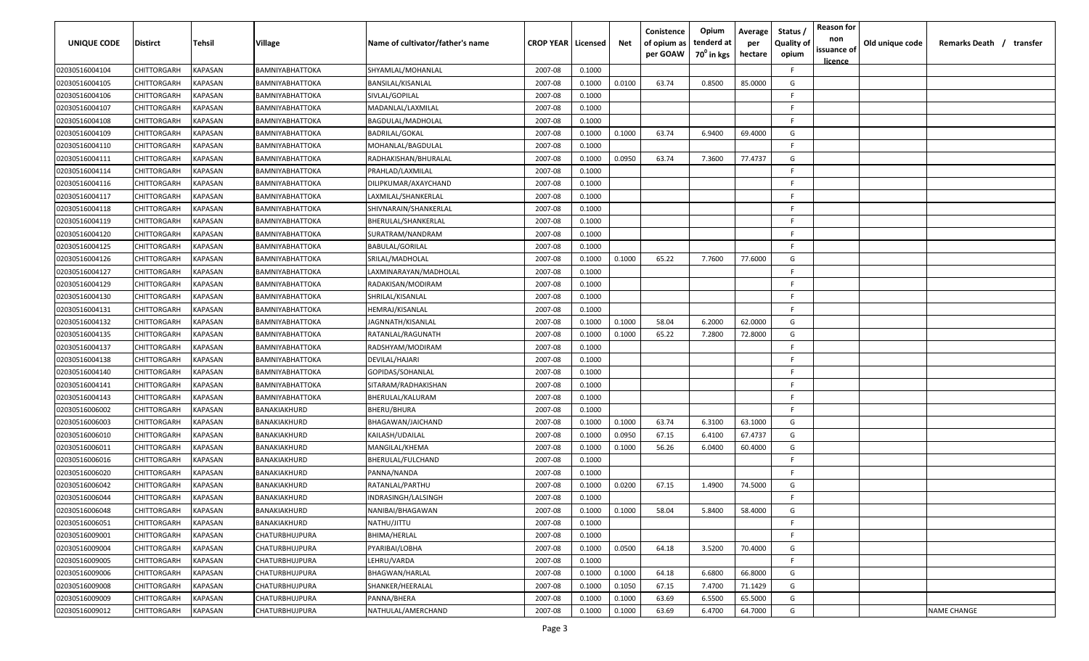| UNIQUE CODE    | <b>Distirct</b>    | Tehsil                | <b>Village</b>         | Name of cultivator/father's name | <b>CROP YEAR   Licensed</b> |        | Net    | Conistence<br>of opium as<br>per GOAW | Opium<br>tenderd at<br>70 <sup>°</sup> in kgs | Average<br>per<br>hectare | Status<br><b>Quality of</b><br>opium | <b>Reason for</b><br>non<br>issuance of<br><u>licence</u> | Old unique code | Remarks Death / transfer |
|----------------|--------------------|-----------------------|------------------------|----------------------------------|-----------------------------|--------|--------|---------------------------------------|-----------------------------------------------|---------------------------|--------------------------------------|-----------------------------------------------------------|-----------------|--------------------------|
| 02030516004104 | CHITTORGARH        | KAPASAN               | BAMNIYABHATTOKA        | SHYAMLAL/MOHANLAL                | 2007-08                     | 0.1000 |        |                                       |                                               |                           | -F.                                  |                                                           |                 |                          |
| 02030516004105 | CHITTORGARH        | KAPASAN               | <b>BAMNIYABHATTOKA</b> | BANSILAL/KISANLAL                | 2007-08                     | 0.1000 | 0.0100 | 63.74                                 | 0.8500                                        | 85.0000                   | G                                    |                                                           |                 |                          |
| 02030516004106 | CHITTORGARH        | KAPASAN               | <b>BAMNIYABHATTOKA</b> | SIVLAL/GOPILAL                   | 2007-08                     | 0.1000 |        |                                       |                                               |                           | -F                                   |                                                           |                 |                          |
| 02030516004107 | CHITTORGARH        | KAPASAN               | BAMNIYABHATTOKA        | MADANLAL/LAXMILAL                | 2007-08                     | 0.1000 |        |                                       |                                               |                           | F.                                   |                                                           |                 |                          |
| 02030516004108 | CHITTORGARH        | KAPASAN               | BAMNIYABHATTOKA        | BAGDULAL/MADHOLAL                | 2007-08                     | 0.1000 |        |                                       |                                               |                           | -F                                   |                                                           |                 |                          |
| 02030516004109 | CHITTORGARH        | KAPASAN               | BAMNIYABHATTOKA        | <b>BADRILAL/GOKAL</b>            | 2007-08                     | 0.1000 | 0.1000 | 63.74                                 | 6.9400                                        | 69.4000                   | G                                    |                                                           |                 |                          |
| 02030516004110 | CHITTORGARH        | KAPASAN               | BAMNIYABHATTOKA        | MOHANLAL/BAGDULAL                | 2007-08                     | 0.1000 |        |                                       |                                               |                           | F.                                   |                                                           |                 |                          |
| 02030516004111 | CHITTORGARH        | KAPASAN               | BAMNIYABHATTOKA        | RADHAKISHAN/BHURALAL             | 2007-08                     | 0.1000 | 0.0950 | 63.74                                 | 7.3600                                        | 77.4737                   | G                                    |                                                           |                 |                          |
| 02030516004114 | CHITTORGARH        | KAPASAN               | <b>BAMNIYABHATTOKA</b> | PRAHLAD/LAXMILAL                 | 2007-08                     | 0.1000 |        |                                       |                                               |                           | F.                                   |                                                           |                 |                          |
| 02030516004116 | CHITTORGARH        | KAPASAN               | BAMNIYABHATTOKA        | DILIPKUMAR/AXAYCHAND             | 2007-08                     | 0.1000 |        |                                       |                                               |                           | F.                                   |                                                           |                 |                          |
| 02030516004117 | CHITTORGARH        | KAPASAN               | <b>BAMNIYABHATTOKA</b> | LAXMILAL/SHANKERLAL              | 2007-08                     | 0.1000 |        |                                       |                                               |                           | E                                    |                                                           |                 |                          |
| 02030516004118 | CHITTORGARH        | KAPASAN               | BAMNIYABHATTOKA        | SHIVNARAIN/SHANKERLAL            | 2007-08                     | 0.1000 |        |                                       |                                               |                           | F.                                   |                                                           |                 |                          |
| 02030516004119 | CHITTORGARH        | KAPASAN               | <b>BAMNIYABHATTOKA</b> | BHERULAL/SHANKERLAL              | 2007-08                     | 0.1000 |        |                                       |                                               |                           | F.                                   |                                                           |                 |                          |
| 02030516004120 | CHITTORGARH        | KAPASAN               | BAMNIYABHATTOKA        | SURATRAM/NANDRAM                 | 2007-08                     | 0.1000 |        |                                       |                                               |                           | F                                    |                                                           |                 |                          |
| 02030516004125 | CHITTORGARH        | KAPASAN               | <b>BAMNIYABHATTOKA</b> | BABULAL/GORILAL                  | 2007-08                     | 0.1000 |        |                                       |                                               |                           | -F                                   |                                                           |                 |                          |
| 02030516004126 | CHITTORGARH        | KAPASAN               | <b>BAMNIYABHATTOKA</b> | SRILAL/MADHOLAL                  | 2007-08                     | 0.1000 | 0.1000 | 65.22                                 | 7.7600                                        | 77.6000                   | G                                    |                                                           |                 |                          |
| 02030516004127 | CHITTORGARH        | KAPASAN               | <b>BAMNIYABHATTOKA</b> | LAXMINARAYAN/MADHOLAL            | 2007-08                     | 0.1000 |        |                                       |                                               |                           | E.                                   |                                                           |                 |                          |
| 02030516004129 | CHITTORGARH        | KAPASAN               | <b>BAMNIYABHATTOKA</b> | RADAKISAN/MODIRAM                | 2007-08                     | 0.1000 |        |                                       |                                               |                           | F                                    |                                                           |                 |                          |
| 02030516004130 | CHITTORGARH        | KAPASAN               | BAMNIYABHATTOKA        | SHRILAL/KISANLAL                 | 2007-08                     | 0.1000 |        |                                       |                                               |                           | -F                                   |                                                           |                 |                          |
| 02030516004131 | CHITTORGARH        | KAPASAN               | BAMNIYABHATTOKA        | HEMRAJ/KISANLAL                  | 2007-08                     | 0.1000 |        |                                       |                                               |                           | F.                                   |                                                           |                 |                          |
| 02030516004132 | CHITTORGARH        | KAPASAN               | BAMNIYABHATTOKA        | JAGNNATH/KISANLAL                | 2007-08                     | 0.1000 | 0.1000 | 58.04                                 | 6.2000                                        | 62.0000                   | G                                    |                                                           |                 |                          |
| 02030516004135 | CHITTORGARH        | KAPASAN               | <b>BAMNIYABHATTOKA</b> | RATANLAL/RAGUNATH                | 2007-08                     | 0.1000 | 0.1000 | 65.22                                 | 7.2800                                        | 72.8000                   | G                                    |                                                           |                 |                          |
| 02030516004137 | CHITTORGARH        | KAPASAN               | BAMNIYABHATTOKA        | RADSHYAM/MODIRAM                 | 2007-08                     | 0.1000 |        |                                       |                                               |                           | F                                    |                                                           |                 |                          |
| 02030516004138 | CHITTORGARH        | KAPASAN               | <b>BAMNIYABHATTOKA</b> | DEVILAL/HAJARI                   | 2007-08                     | 0.1000 |        |                                       |                                               |                           | F                                    |                                                           |                 |                          |
| 02030516004140 | CHITTORGARH        | KAPASAN               | BAMNIYABHATTOKA        | GOPIDAS/SOHANLAL                 | 2007-08                     | 0.1000 |        |                                       |                                               |                           | F.                                   |                                                           |                 |                          |
| 02030516004141 | CHITTORGARH        | KAPASAN               | <b>BAMNIYABHATTOKA</b> | SITARAM/RADHAKISHAN              | 2007-08                     | 0.1000 |        |                                       |                                               |                           | F.                                   |                                                           |                 |                          |
| 02030516004143 | CHITTORGARH        | KAPASAN               | BAMNIYABHATTOKA        | BHERULAL/KALURAM                 | 2007-08                     | 0.1000 |        |                                       |                                               |                           | E                                    |                                                           |                 |                          |
| 02030516006002 | CHITTORGARH        | KAPASAN               | BANAKIAKHURD           | BHERU/BHURA                      | 2007-08                     | 0.1000 |        |                                       |                                               |                           | -F.                                  |                                                           |                 |                          |
| 02030516006003 | <b>CHITTORGARH</b> | KAPASAN               | BANAKIAKHURD           | BHAGAWAN/JAICHAND                | 2007-08                     | 0.1000 | 0.1000 | 63.74                                 | 6.3100                                        | 63.1000                   | G                                    |                                                           |                 |                          |
| 02030516006010 | CHITTORGARH        | KAPASAN               | BANAKIAKHURD           | KAILASH/UDAILAL                  | 2007-08                     | 0.1000 | 0.0950 | 67.15                                 | 6.4100                                        | 67.4737                   | G                                    |                                                           |                 |                          |
| 02030516006011 | CHITTORGARH        | KAPASAN               | BANAKIAKHURD           | MANGILAL/KHEMA                   | 2007-08                     | 0.1000 | 0.1000 | 56.26                                 | 6.0400                                        | 60.4000                   | G                                    |                                                           |                 |                          |
| 02030516006016 | CHITTORGARH        | <b><i>KAPASAN</i></b> | BANAKIAKHURD           | BHERULAL/FULCHAND                | 2007-08                     | 0.1000 |        |                                       |                                               |                           | -F                                   |                                                           |                 |                          |
| 02030516006020 | CHITTORGARH        | KAPASAN               | BANAKIAKHURD           | PANNA/NANDA                      | 2007-08                     | 0.1000 |        |                                       |                                               |                           | -F                                   |                                                           |                 |                          |
| 02030516006042 | CHITTORGARH        | KAPASAN               | BANAKIAKHURD           | RATANLAL/PARTHU                  | 2007-08                     | 0.1000 | 0.0200 | 67.15                                 | 1.4900                                        | 74.5000                   | G                                    |                                                           |                 |                          |
| 02030516006044 | CHITTORGARH        | KAPASAN               | BANAKIAKHURD           | INDRASINGH/LALSINGH              | 2007-08                     | 0.1000 |        |                                       |                                               |                           | -F                                   |                                                           |                 |                          |
| 02030516006048 | CHITTORGARH        | <b>KAPASAN</b>        | BANAKIAKHURD           | NANIBAI/BHAGAWAN                 | 2007-08                     | 0.1000 | 0.1000 | 58.04                                 | 5.8400                                        | 58.4000                   | G                                    |                                                           |                 |                          |
| 02030516006051 | CHITTORGARH        | <b>KAPASAN</b>        | BANAKIAKHURD           | NATHU/JITTU                      | 2007-08                     | 0.1000 |        |                                       |                                               |                           | F.                                   |                                                           |                 |                          |
| 02030516009001 | CHITTORGARH        | <b>KAPASAN</b>        | <b>CHATURBHUJPURA</b>  | BHIMA/HERLAL                     | 2007-08                     | 0.1000 |        |                                       |                                               |                           | -F.                                  |                                                           |                 |                          |
| 02030516009004 | CHITTORGARH        | KAPASAN               | <b>CHATURBHUJPURA</b>  | PYARIBAI/LOBHA                   | 2007-08                     | 0.1000 | 0.0500 | 64.18                                 | 3.5200                                        | 70.4000                   | G                                    |                                                           |                 |                          |
| 02030516009005 | CHITTORGARH        | KAPASAN               | CHATURBHUJPURA         | LEHRU/VARDA                      | 2007-08                     | 0.1000 |        |                                       |                                               |                           | F.                                   |                                                           |                 |                          |
| 02030516009006 | CHITTORGARH        | KAPASAN               | <b>CHATURBHUJPURA</b>  | BHAGWAN/HARLAL                   | 2007-08                     | 0.1000 | 0.1000 | 64.18                                 | 6.6800                                        | 66.8000                   | G                                    |                                                           |                 |                          |
| 02030516009008 | CHITTORGARH        | KAPASAN               | <b>CHATURBHUJPURA</b>  | SHANKER/HEERALAL                 | 2007-08                     | 0.1000 | 0.1050 | 67.15                                 | 7.4700                                        | 71.1429                   | G                                    |                                                           |                 |                          |
| 02030516009009 | CHITTORGARH        | KAPASAN               | <b>CHATURBHUJPURA</b>  | PANNA/BHERA                      | 2007-08                     | 0.1000 | 0.1000 | 63.69                                 | 6.5500                                        | 65.5000                   | G                                    |                                                           |                 |                          |
| 02030516009012 | CHITTORGARH        | KAPASAN               | CHATURBHUJPURA         | NATHULAL/AMERCHAND               | 2007-08                     | 0.1000 | 0.1000 | 63.69                                 | 6.4700                                        | 64.7000                   | G                                    |                                                           |                 | <b>NAME CHANGE</b>       |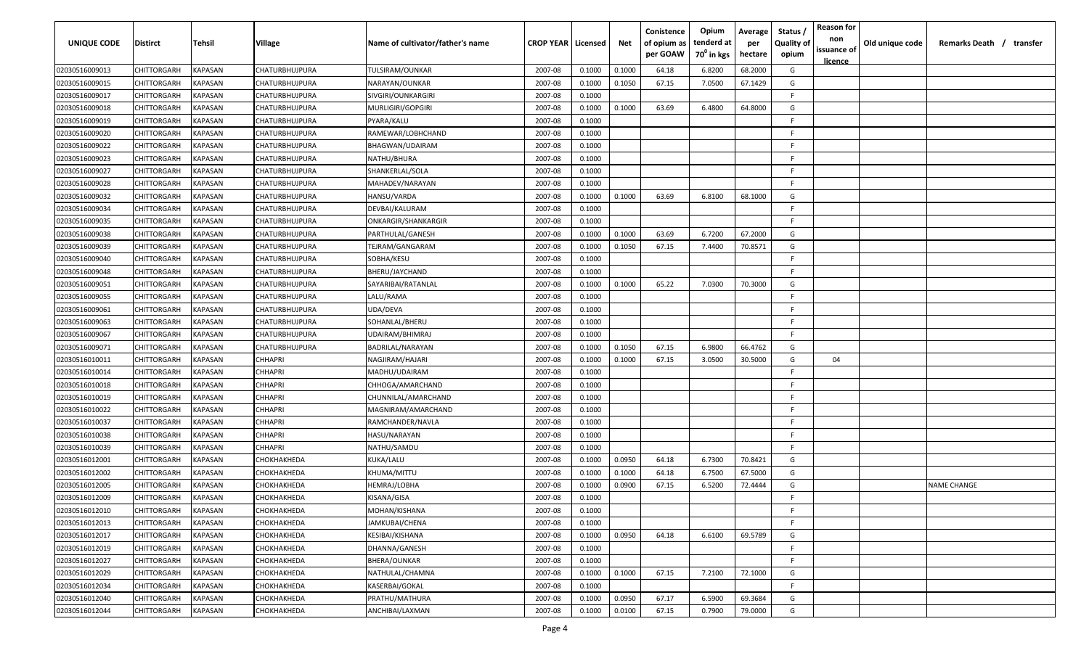| UNIQUE CODE    | <b>Distirct</b>    | Tehsil                | <b>Village</b>        | Name of cultivator/father's name | <b>CROP YEAR   Licensed</b> |        | Net    | Conistence<br>of opium as<br>per GOAW | Opium<br>tenderd at<br>70 <sup>°</sup> in kgs | Average<br>per<br>hectare | Status<br><b>Quality of</b><br>opium | <b>Reason for</b><br>non<br>issuance of<br><u>licence</u> | Old unique code | Remarks Death / transfer |
|----------------|--------------------|-----------------------|-----------------------|----------------------------------|-----------------------------|--------|--------|---------------------------------------|-----------------------------------------------|---------------------------|--------------------------------------|-----------------------------------------------------------|-----------------|--------------------------|
| 02030516009013 | CHITTORGARH        | KAPASAN               | <b>CHATURBHUJPURA</b> | TULSIRAM/OUNKAR                  | 2007-08                     | 0.1000 | 0.1000 | 64.18                                 | 6.8200                                        | 68.2000                   | G                                    |                                                           |                 |                          |
| 02030516009015 | CHITTORGARH        | KAPASAN               | CHATURBHUJPURA        | NARAYAN/OUNKAR                   | 2007-08                     | 0.1000 | 0.1050 | 67.15                                 | 7.0500                                        | 67.1429                   | G                                    |                                                           |                 |                          |
| 02030516009017 | CHITTORGARH        | KAPASAN               | CHATURBHUJPURA        | SIVGIRI/OUNKARGIRI               | 2007-08                     | 0.1000 |        |                                       |                                               |                           | -F                                   |                                                           |                 |                          |
| 02030516009018 | CHITTORGARH        | KAPASAN               | CHATURBHUJPURA        | MURLIGIRI/GOPGIRI                | 2007-08                     | 0.1000 | 0.1000 | 63.69                                 | 6.4800                                        | 64.8000                   | G                                    |                                                           |                 |                          |
| 02030516009019 | CHITTORGARH        | KAPASAN               | CHATURBHUJPURA        | PYARA/KALU                       | 2007-08                     | 0.1000 |        |                                       |                                               |                           | F                                    |                                                           |                 |                          |
| 02030516009020 | CHITTORGARH        | KAPASAN               | CHATURBHUJPURA        | RAMEWAR/LOBHCHAND                | 2007-08                     | 0.1000 |        |                                       |                                               |                           | F                                    |                                                           |                 |                          |
| 02030516009022 | CHITTORGARH        | KAPASAN               | CHATURBHUJPURA        | BHAGWAN/UDAIRAM                  | 2007-08                     | 0.1000 |        |                                       |                                               |                           | -F                                   |                                                           |                 |                          |
| 02030516009023 | CHITTORGARH        | KAPASAN               | <b>CHATURBHUJPURA</b> | NATHU/BHURA                      | 2007-08                     | 0.1000 |        |                                       |                                               |                           | E.                                   |                                                           |                 |                          |
| 02030516009027 | CHITTORGARH        | KAPASAN               | CHATURBHUJPURA        | SHANKERLAL/SOLA                  | 2007-08                     | 0.1000 |        |                                       |                                               |                           | F.                                   |                                                           |                 |                          |
| 02030516009028 | CHITTORGARH        | KAPASAN               | CHATURBHUJPURA        | MAHADEV/NARAYAN                  | 2007-08                     | 0.1000 |        |                                       |                                               |                           | F.                                   |                                                           |                 |                          |
| 02030516009032 | CHITTORGARH        | KAPASAN               | CHATURBHUJPURA        | HANSU/VARDA                      | 2007-08                     | 0.1000 | 0.1000 | 63.69                                 | 6.8100                                        | 68.1000                   | G                                    |                                                           |                 |                          |
| 02030516009034 | CHITTORGARH        | KAPASAN               | CHATURBHUJPURA        | DEVBAI/KALURAM                   | 2007-08                     | 0.1000 |        |                                       |                                               |                           | F.                                   |                                                           |                 |                          |
| 02030516009035 | CHITTORGARH        | KAPASAN               | CHATURBHUJPURA        | ONKARGIR/SHANKARGIR              | 2007-08                     | 0.1000 |        |                                       |                                               |                           | F.                                   |                                                           |                 |                          |
| 02030516009038 | CHITTORGARH        | KAPASAN               | CHATURBHUJPURA        | PARTHULAL/GANESH                 | 2007-08                     | 0.1000 | 0.1000 | 63.69                                 | 6.7200                                        | 67.2000                   | G                                    |                                                           |                 |                          |
| 02030516009039 | CHITTORGARH        | KAPASAN               | CHATURBHUJPURA        | TEJRAM/GANGARAM                  | 2007-08                     | 0.1000 | 0.1050 | 67.15                                 | 7.4400                                        | 70.8571                   | G                                    |                                                           |                 |                          |
| 02030516009040 | CHITTORGARH        | KAPASAN               | CHATURBHUJPURA        | SOBHA/KESU                       | 2007-08                     | 0.1000 |        |                                       |                                               |                           | F                                    |                                                           |                 |                          |
| 02030516009048 | CHITTORGARH        | KAPASAN               | CHATURBHUJPURA        | BHERU/JAYCHAND                   | 2007-08                     | 0.1000 |        |                                       |                                               |                           | E.                                   |                                                           |                 |                          |
| 02030516009051 | CHITTORGARH        | KAPASAN               | CHATURBHUJPURA        | SAYARIBAI/RATANLAL               | 2007-08                     | 0.1000 | 0.1000 | 65.22                                 | 7.0300                                        | 70.3000                   | G                                    |                                                           |                 |                          |
| 02030516009055 | CHITTORGARH        | KAPASAN               | CHATURBHUJPURA        | LALU/RAMA                        | 2007-08                     | 0.1000 |        |                                       |                                               |                           | -F                                   |                                                           |                 |                          |
| 02030516009061 | CHITTORGARH        | KAPASAN               | CHATURBHUJPURA        | UDA/DEVA                         | 2007-08                     | 0.1000 |        |                                       |                                               |                           | F                                    |                                                           |                 |                          |
| 02030516009063 | CHITTORGARH        | KAPASAN               | CHATURBHUJPURA        | SOHANLAL/BHERU                   | 2007-08                     | 0.1000 |        |                                       |                                               |                           | -F                                   |                                                           |                 |                          |
| 02030516009067 | CHITTORGARH        | KAPASAN               | CHATURBHUJPURA        | UDAIRAM/BHIMRAJ                  | 2007-08                     | 0.1000 |        |                                       |                                               |                           | -F                                   |                                                           |                 |                          |
| 02030516009071 | CHITTORGARH        | KAPASAN               | CHATURBHUJPURA        | BADRILAL/NARAYAN                 | 2007-08                     | 0.1000 | 0.1050 | 67.15                                 | 6.9800                                        | 66.4762                   | G                                    |                                                           |                 |                          |
| 02030516010011 | CHITTORGARH        | KAPASAN               | <b>CHHAPRI</b>        | NAGJIRAM/HAJARI                  | 2007-08                     | 0.1000 | 0.1000 | 67.15                                 | 3.0500                                        | 30.5000                   | G                                    | 04                                                        |                 |                          |
| 02030516010014 | CHITTORGARH        | KAPASAN               | <b>CHHAPRI</b>        | MADHU/UDAIRAM                    | 2007-08                     | 0.1000 |        |                                       |                                               |                           | F.                                   |                                                           |                 |                          |
| 02030516010018 | CHITTORGARH        | KAPASAN               | <b>CHHAPRI</b>        | CHHOGA/AMARCHAND                 | 2007-08                     | 0.1000 |        |                                       |                                               |                           | F.                                   |                                                           |                 |                          |
| 02030516010019 | CHITTORGARH        | KAPASAN               | CHHAPRI               | CHUNNILAL/AMARCHAND              | 2007-08                     | 0.1000 |        |                                       |                                               |                           | F.                                   |                                                           |                 |                          |
| 02030516010022 | CHITTORGARH        | KAPASAN               | CHHAPRI               | MAGNIRAM/AMARCHAND               | 2007-08                     | 0.1000 |        |                                       |                                               |                           | -F                                   |                                                           |                 |                          |
| 02030516010037 | <b>CHITTORGARH</b> | KAPASAN               | CHHAPRI               | RAMCHANDER/NAVLA                 | 2007-08                     | 0.1000 |        |                                       |                                               |                           | -F                                   |                                                           |                 |                          |
| 02030516010038 | CHITTORGARH        | KAPASAN               | CHHAPRI               | HASU/NARAYAN                     | 2007-08                     | 0.1000 |        |                                       |                                               |                           | - F                                  |                                                           |                 |                          |
| 02030516010039 | CHITTORGARH        | KAPASAN               | CHHAPRI               | <b>NATHU/SAMDU</b>               | 2007-08                     | 0.1000 |        |                                       |                                               |                           | -F                                   |                                                           |                 |                          |
| 02030516012001 | CHITTORGARH        | <b><i>KAPASAN</i></b> | <b>СНОКНАКНЕ DA</b>   | KUKA/LALU                        | 2007-08                     | 0.1000 | 0.0950 | 64.18                                 | 6.7300                                        | 70.8421                   | G                                    |                                                           |                 |                          |
| 02030516012002 | CHITTORGARH        | KAPASAN               | СНОКНАКНЕDА           | KHUMA/MITTU                      | 2007-08                     | 0.1000 | 0.1000 | 64.18                                 | 6.7500                                        | 67.5000                   | G                                    |                                                           |                 |                          |
| 02030516012005 | CHITTORGARH        | KAPASAN               | СНОКНАКНЕДА           | <b>IEMRAJ/LOBHA</b>              | 2007-08                     | 0.1000 | 0.0900 | 67.15                                 | 6.5200                                        | 72.4444                   | G                                    |                                                           |                 | <b>NAME CHANGE</b>       |
| 02030516012009 | CHITTORGARH        | KAPASAN               | СНОКНАКНЕDА           | KISANA/GISA                      | 2007-08                     | 0.1000 |        |                                       |                                               |                           | -F                                   |                                                           |                 |                          |
| 02030516012010 | CHITTORGARH        | <b>KAPASAN</b>        | СНОКНАКНЕДА           | MOHAN/KISHANA                    | 2007-08                     | 0.1000 |        |                                       |                                               |                           | -F                                   |                                                           |                 |                          |
| 02030516012013 | CHITTORGARH        | <b>KAPASAN</b>        | СНОКНАКНЕDА           | JAMKUBAI/CHENA                   | 2007-08                     | 0.1000 |        |                                       |                                               |                           | F.                                   |                                                           |                 |                          |
| 02030516012017 | CHITTORGARH        | <b>KAPASAN</b>        | СНОКНАКНЕДА           | KESIBAI/KISHANA                  | 2007-08                     | 0.1000 | 0.0950 | 64.18                                 | 6.6100                                        | 69.5789                   | G                                    |                                                           |                 |                          |
| 02030516012019 | CHITTORGARH        | KAPASAN               | <b>СНОКНАКНЕDA</b>    | DHANNA/GANESH                    | 2007-08                     | 0.1000 |        |                                       |                                               |                           | -F.                                  |                                                           |                 |                          |
| 02030516012027 | CHITTORGARH        | KAPASAN               | СНОКНАКНЕДА           | BHERA/OUNKAR                     | 2007-08                     | 0.1000 |        |                                       |                                               |                           | -F                                   |                                                           |                 |                          |
| 02030516012029 | CHITTORGARH        | KAPASAN               | <b>СНОКНАКНЕDA</b>    | NATHULAL/CHAMNA                  | 2007-08                     | 0.1000 | 0.1000 | 67.15                                 | 7.2100                                        | 72.1000                   | G                                    |                                                           |                 |                          |
| 02030516012034 | CHITTORGARH        | KAPASAN               | СНОКНАКНЕDА           | KASERBAI/GOKAL                   | 2007-08                     | 0.1000 |        |                                       |                                               |                           | -F.                                  |                                                           |                 |                          |
| 02030516012040 | CHITTORGARH        | KAPASAN               | <b>СНОКНАКНЕDA</b>    | PRATHU/MATHURA                   | 2007-08                     | 0.1000 | 0.0950 | 67.17                                 | 6.5900                                        | 69.3684                   | G                                    |                                                           |                 |                          |
| 02030516012044 | CHITTORGARH        | KAPASAN               | СНОКНАКНЕDА           | ANCHIBAI/LAXMAN                  | 2007-08                     | 0.1000 | 0.0100 | 67.15                                 | 0.7900                                        | 79.0000                   | G                                    |                                                           |                 |                          |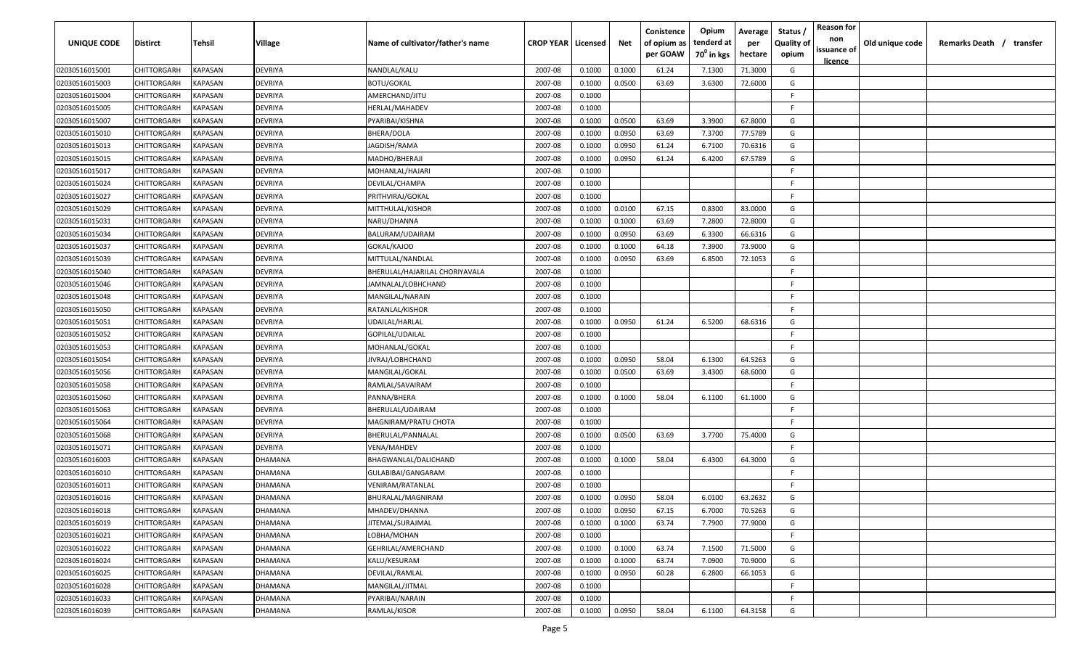| <b>UNIQUE CODE</b> | <b>Distirct</b>    | <b>Tehsil</b>      | Village | Name of cultivator/father's name | <b>CROP YEAR</b> | Licensed | Net    | Conistence<br>of opium as<br>per GOAW | Opium<br>tenderd at<br>70 <sup>0</sup> in kgs | Average<br>per<br>hectare | Status /<br><b>Quality of</b><br>opium | <b>Reason for</b><br>non<br>issuance of | Old unique code | Remarks Death /<br>transfer |
|--------------------|--------------------|--------------------|---------|----------------------------------|------------------|----------|--------|---------------------------------------|-----------------------------------------------|---------------------------|----------------------------------------|-----------------------------------------|-----------------|-----------------------------|
|                    |                    |                    |         |                                  |                  |          |        |                                       |                                               |                           |                                        | <u>licence</u>                          |                 |                             |
| 02030516015001     | CHITTORGARH        | KAPASAN            | DEVRIYA | NANDLAL/KALU                     | 2007-08          | 0.1000   | 0.1000 | 61.24                                 | 7.1300                                        | 71.3000                   | G                                      |                                         |                 |                             |
| 02030516015003     | CHITTORGARH        | KAPASAN            | DEVRIYA | <b>BOTU/GOKAL</b>                | 2007-08          | 0.1000   | 0.0500 | 63.69                                 | 3.6300                                        | 72.6000                   | G<br>-F.                               |                                         |                 |                             |
| 02030516015004     | CHITTORGARH        | KAPASAN            | DEVRIYA | AMERCHAND/JITU                   | 2007-08          | 0.1000   |        |                                       |                                               |                           | -F.                                    |                                         |                 |                             |
| 02030516015005     | CHITTORGARH        | KAPASAN<br>KAPASAN | DEVRIYA | HERLAL/MAHADEV                   | 2007-08          | 0.1000   |        | 63.69                                 |                                               |                           | G                                      |                                         |                 |                             |
| 02030516015007     | CHITTORGARH        |                    | DEVRIYA | PYARIBAI/KISHNA                  | 2007-08          | 0.1000   | 0.0500 |                                       | 3.3900                                        | 67.8000                   |                                        |                                         |                 |                             |
| 02030516015010     | CHITTORGARH        | KAPASAN            | DEVRIYA | BHERA/DOLA                       | 2007-08          | 0.1000   | 0.0950 | 63.69                                 | 7.3700                                        | 77.5789                   | G                                      |                                         |                 |                             |
| 02030516015013     | CHITTORGARH        | KAPASAN            | DEVRIYA | JAGDISH/RAMA                     | 2007-08          | 0.1000   | 0.0950 | 61.24                                 | 6.7100                                        | 70.6316                   | G                                      |                                         |                 |                             |
| 02030516015015     | CHITTORGARH        | KAPASAN            | DEVRIYA | MADHO/BHERAJI                    | 2007-08          | 0.1000   | 0.0950 | 61.24                                 | 6.4200                                        | 67.5789                   | G<br>-F.                               |                                         |                 |                             |
| 02030516015017     | CHITTORGARH        | KAPASAN            | DEVRIYA | MOHANLAL/HAJARI                  | 2007-08          | 0.1000   |        |                                       |                                               |                           | -F.                                    |                                         |                 |                             |
| 02030516015024     | CHITTORGARH        | KAPASAN            | DEVRIYA | DEVILAL/CHAMPA                   | 2007-08          | 0.1000   |        |                                       |                                               |                           | -F.                                    |                                         |                 |                             |
| 02030516015027     | CHITTORGARH        | KAPASAN            | DEVRIYA | PRITHVIRAJ/GOKAL                 | 2007-08          | 0.1000   |        |                                       |                                               |                           |                                        |                                         |                 |                             |
| 02030516015029     | CHITTORGARH        | KAPASAN            | DEVRIYA | MITTHULAL/KISHOR                 | 2007-08          | 0.1000   | 0.0100 | 67.15                                 | 0.8300                                        | 83.0000                   | G                                      |                                         |                 |                             |
| 02030516015031     | CHITTORGARH        | KAPASAN            | DEVRIYA | NARU/DHANNA                      | 2007-08          | 0.1000   | 0.1000 | 63.69                                 | 7.2800                                        | 72.8000                   | G                                      |                                         |                 |                             |
| 02030516015034     | CHITTORGARH        | KAPASAN            | DEVRIYA | BALURAM/UDAIRAM                  | 2007-08          | 0.1000   | 0.0950 | 63.69                                 | 6.3300                                        | 66.6316                   | G                                      |                                         |                 |                             |
| 02030516015037     | CHITTORGARH        | KAPASAN            | DEVRIYA | GOKAL/KAJOD                      | 2007-08          | 0.1000   | 0.1000 | 64.18                                 | 7.3900                                        | 73.9000                   | G                                      |                                         |                 |                             |
| 02030516015039     | CHITTORGARH        | KAPASAN            | DEVRIYA | MITTULAL/NANDLAL                 | 2007-08          | 0.1000   | 0.0950 | 63.69                                 | 6.8500                                        | 72.1053                   | G                                      |                                         |                 |                             |
| 02030516015040     | CHITTORGARH        | KAPASAN            | DEVRIYA | BHERULAL/HAJARILAL CHORIYAVALA   | 2007-08          | 0.1000   |        |                                       |                                               |                           | -F.                                    |                                         |                 |                             |
| 02030516015046     | CHITTORGARH        | KAPASAN            | DEVRIYA | JAMNALAL/LOBHCHAND               | 2007-08          | 0.1000   |        |                                       |                                               |                           | -F.                                    |                                         |                 |                             |
| 02030516015048     | CHITTORGARH        | KAPASAN            | DEVRIYA | MANGILAL/NARAIN                  | 2007-08          | 0.1000   |        |                                       |                                               |                           | -F.                                    |                                         |                 |                             |
| 02030516015050     | CHITTORGARH        | KAPASAN            | DEVRIYA | RATANLAL/KISHOR                  | 2007-08          | 0.1000   |        |                                       |                                               |                           | -F                                     |                                         |                 |                             |
| 02030516015051     | CHITTORGARH        | KAPASAN            | DEVRIYA | UDAILAL/HARLAL                   | 2007-08          | 0.1000   | 0.0950 | 61.24                                 | 6.5200                                        | 68.6316                   | G                                      |                                         |                 |                             |
| 02030516015052     | CHITTORGARH        | KAPASAN            | DEVRIYA | GOPILAL/UDAILAL                  | 2007-08          | 0.1000   |        |                                       |                                               |                           | -F.                                    |                                         |                 |                             |
| 02030516015053     | CHITTORGARH        | KAPASAN            | DEVRIYA | MOHANLAL/GOKAL                   | 2007-08          | 0.1000   |        |                                       |                                               |                           | -F.                                    |                                         |                 |                             |
| 02030516015054     | CHITTORGARH        | KAPASAN            | DEVRIYA | JIVRAJ/LOBHCHAND                 | 2007-08          | 0.1000   | 0.0950 | 58.04                                 | 6.1300                                        | 64.5263                   | G                                      |                                         |                 |                             |
| 02030516015056     | CHITTORGARH        | KAPASAN            | DEVRIYA | MANGILAL/GOKAL                   | 2007-08          | 0.1000   | 0.0500 | 63.69                                 | 3.4300                                        | 68.6000                   | G                                      |                                         |                 |                             |
| 02030516015058     | CHITTORGARH        | KAPASAN            | DEVRIYA | RAMLAL/SAVAIRAM                  | 2007-08          | 0.1000   |        |                                       |                                               |                           | F.                                     |                                         |                 |                             |
| 02030516015060     | CHITTORGARH        | KAPASAN            | DEVRIYA | PANNA/BHERA                      | 2007-08          | 0.1000   | 0.1000 | 58.04                                 | 6.1100                                        | 61.1000                   | G                                      |                                         |                 |                             |
| 02030516015063     | CHITTORGARH        | KAPASAN            | DEVRIYA | BHERULAL/UDAIRAM                 | 2007-08          | 0.1000   |        |                                       |                                               |                           | -F.                                    |                                         |                 |                             |
| 02030516015064     | CHITTORGARH        | KAPASAN            | DEVRIYA | MAGNIRAM/PRATU CHOTA             | 2007-08          | 0.1000   |        |                                       |                                               |                           | -F.                                    |                                         |                 |                             |
| 02030516015068     | CHITTORGARH        | KAPASAN            | DEVRIYA | BHERULAL/PANNALAL                | 2007-08          | 0.1000   | 0.0500 | 63.69                                 | 3.7700                                        | 75.4000                   | G                                      |                                         |                 |                             |
| 02030516015071     | CHITTORGARH        | KAPASAN            | DEVRIYA | VENA/MAHDEV                      | 2007-08          | 0.1000   |        |                                       |                                               |                           | -F.                                    |                                         |                 |                             |
| 02030516016003     | CHITTORGARH        | KAPASAN            | DHAMANA | BHAGWANLAL/DALICHAND             | 2007-08          | 0.1000   | 0.1000 | 58.04                                 | 6.4300                                        | 64.3000                   | G                                      |                                         |                 |                             |
| 02030516016010     | CHITTORGARH        | KAPASAN            | DHAMANA | GULABIBAI/GANGARAM               | 2007-08          | 0.1000   |        |                                       |                                               |                           | -F.                                    |                                         |                 |                             |
| 02030516016011     | CHITTORGARH        | KAPASAN            | DHAMANA | VENIRAM/RATANLAL                 | 2007-08          | 0.1000   |        |                                       |                                               |                           | F                                      |                                         |                 |                             |
| 02030516016016     | CHITTORGARH        | KAPASAN            | DHAMANA | BHURALAL/MAGNIRAM                | 2007-08          | 0.1000   | 0.0950 | 58.04                                 | 6.0100                                        | 63.2632                   | G                                      |                                         |                 |                             |
| 02030516016018     | <b>CHITTORGARH</b> | <b>KAPASAN</b>     | DHAMANA | MHADEV/DHANNA                    | 2007-08          | 0.1000   | 0.0950 | 67.15                                 | 6.7000                                        | 70.5263                   | G                                      |                                         |                 |                             |
| 02030516016019     | <b>CHITTORGARH</b> | KAPASAN            | DHAMANA | JITEMAL/SURAJMAL                 | 2007-08          | 0.1000   | 0.1000 | 63.74                                 | 7.7900                                        | 77.9000                   | G                                      |                                         |                 |                             |
| 02030516016021     | CHITTORGARH        | <b>KAPASAN</b>     | DHAMANA | LOBHA/MOHAN                      | 2007-08          | 0.1000   |        |                                       |                                               |                           | F                                      |                                         |                 |                             |
| 02030516016022     | CHITTORGARH        | KAPASAN            | DHAMANA | GEHRILAL/AMERCHAND               | 2007-08          | 0.1000   | 0.1000 | 63.74                                 | 7.1500                                        | 71.5000                   | G                                      |                                         |                 |                             |
| 02030516016024     | CHITTORGARH        | KAPASAN            | DHAMANA | KALU/KESURAM                     | 2007-08          | 0.1000   | 0.1000 | 63.74                                 | 7.0900                                        | 70.9000                   | G                                      |                                         |                 |                             |
| 02030516016025     | CHITTORGARH        | KAPASAN            | DHAMANA | DEVILAL/RAMLAL                   | 2007-08          | 0.1000   | 0.0950 | 60.28                                 | 6.2800                                        | 66.1053                   | G                                      |                                         |                 |                             |
| 02030516016028     | CHITTORGARH        | KAPASAN            | DHAMANA | MANGILAL/JITMAL                  | 2007-08          | 0.1000   |        |                                       |                                               |                           | F                                      |                                         |                 |                             |
| 02030516016033     | CHITTORGARH        | KAPASAN            | DHAMANA | PYARIBAI/NARAIN                  | 2007-08          | 0.1000   |        |                                       |                                               |                           | F.                                     |                                         |                 |                             |
| 02030516016039     | CHITTORGARH        | KAPASAN            | DHAMANA | RAMLAL/KISOR                     | 2007-08          | 0.1000   | 0.0950 | 58.04                                 | 6.1100                                        | 64.3158                   | G                                      |                                         |                 |                             |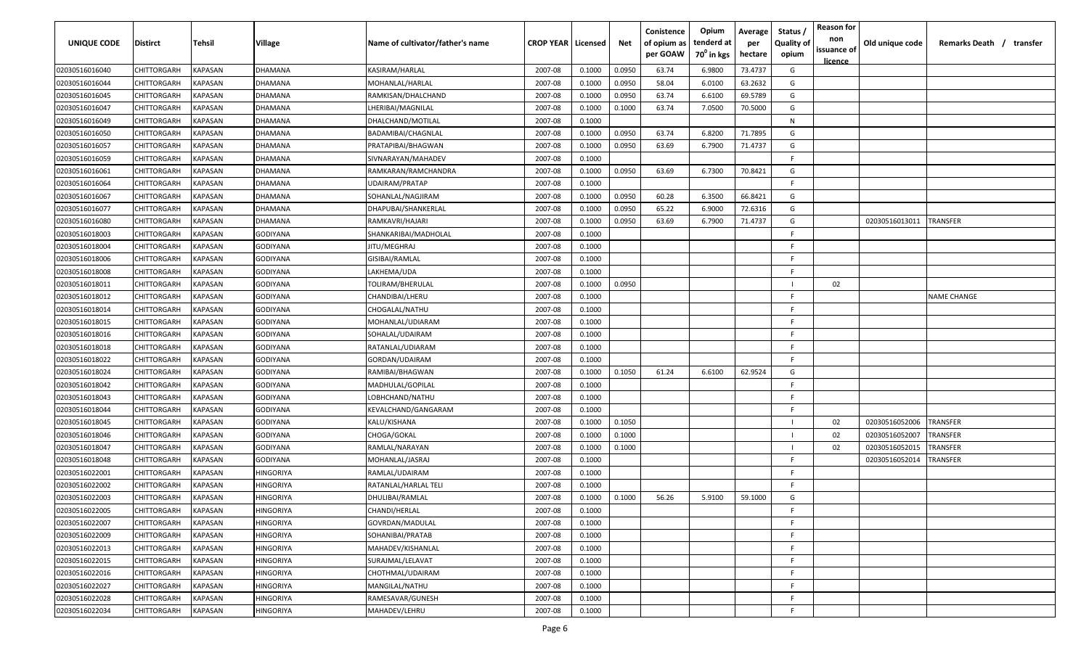| <b>UNIQUE CODE</b> | Distirct           | Tehsil         | Village         | Name of cultivator/father's name | <b>CROP YEAR   Licensed</b> |        | Net    | Conistence<br>of opium as<br>per GOAW | Opium<br>tenderd at<br>70 <sup>0</sup> in kgs | Average<br>per<br>hectare | Status /<br><b>Quality of</b><br>opium | <b>Reason for</b><br>non<br>issuance of | Old unique code | Remarks Death / transfer |
|--------------------|--------------------|----------------|-----------------|----------------------------------|-----------------------------|--------|--------|---------------------------------------|-----------------------------------------------|---------------------------|----------------------------------------|-----------------------------------------|-----------------|--------------------------|
|                    |                    |                |                 |                                  |                             |        |        |                                       |                                               |                           |                                        | <u>licence</u>                          |                 |                          |
| 02030516016040     | CHITTORGARH        | <b>KAPASAN</b> | DHAMANA         | KASIRAM/HARLAL                   | 2007-08                     | 0.1000 | 0.0950 | 63.74                                 | 6.9800                                        | 73.4737                   | G                                      |                                         |                 |                          |
| 02030516016044     | CHITTORGARH        | KAPASAN        | DHAMANA         | MOHANLAL/HARLAL                  | 2007-08                     | 0.1000 | 0.0950 | 58.04                                 | 6.0100                                        | 63.2632                   | G                                      |                                         |                 |                          |
| 02030516016045     | CHITTORGARH        | KAPASAN        | DHAMANA         | RAMKISAN/DHALCHAND               | 2007-08                     | 0.1000 | 0.0950 | 63.74                                 | 6.6100                                        | 69.5789                   | G                                      |                                         |                 |                          |
| 02030516016047     | CHITTORGARH        | KAPASAN        | DHAMANA         | LHERIBAI/MAGNILAL                | 2007-08                     | 0.1000 | 0.1000 | 63.74                                 | 7.0500                                        | 70.5000                   | G                                      |                                         |                 |                          |
| 02030516016049     | CHITTORGARH        | KAPASAN        | DHAMANA         | DHALCHAND/MOTILAL                | 2007-08                     | 0.1000 |        |                                       |                                               |                           | N                                      |                                         |                 |                          |
| 02030516016050     | CHITTORGARH        | KAPASAN        | DHAMANA         | BADAMIBAI/CHAGNLAL               | 2007-08                     | 0.1000 | 0.0950 | 63.74                                 | 6.8200                                        | 71.7895                   | G                                      |                                         |                 |                          |
| 02030516016057     | CHITTORGARH        | KAPASAN        | DHAMANA         | PRATAPIBAI/BHAGWAN               | 2007-08                     | 0.1000 | 0.0950 | 63.69                                 | 6.7900                                        | 71.4737                   | G                                      |                                         |                 |                          |
| 02030516016059     | CHITTORGARH        | KAPASAN        | DHAMANA         | SIVNARAYAN/MAHADEV               | 2007-08                     | 0.1000 |        |                                       |                                               |                           | -F.                                    |                                         |                 |                          |
| 02030516016061     | CHITTORGARH        | KAPASAN        | DHAMANA         | RAMKARAN/RAMCHANDRA              | 2007-08                     | 0.1000 | 0.0950 | 63.69                                 | 6.7300                                        | 70.8421                   | G                                      |                                         |                 |                          |
| 02030516016064     | CHITTORGARH        | KAPASAN        | DHAMANA         | UDAIRAM/PRATAP                   | 2007-08                     | 0.1000 |        |                                       |                                               |                           | F                                      |                                         |                 |                          |
| 02030516016067     | CHITTORGARH        | KAPASAN        | DHAMANA         | SOHANLAL/NAGJIRAM                | 2007-08                     | 0.1000 | 0.0950 | 60.28                                 | 6.3500                                        | 66.8421                   | G                                      |                                         |                 |                          |
| 02030516016077     | CHITTORGARH        | KAPASAN        | DHAMANA         | DHAPUBAI/SHANKERLAL              | 2007-08                     | 0.1000 | 0.0950 | 65.22                                 | 6.9000                                        | 72.6316                   | G                                      |                                         |                 |                          |
| 02030516016080     | CHITTORGARH        | KAPASAN        | DHAMANA         | RAMKAVRI/HAJARI                  | 2007-08                     | 0.1000 | 0.0950 | 63.69                                 | 6.7900                                        | 71.4737                   | G                                      |                                         | 02030516013011  | <b>TRANSFER</b>          |
| 02030516018003     | CHITTORGARH        | KAPASAN        | GODIYANA        | SHANKARIBAI/MADHOLAL             | 2007-08                     | 0.1000 |        |                                       |                                               |                           | F                                      |                                         |                 |                          |
| 02030516018004     | CHITTORGARH        | KAPASAN        | GODIYANA        | JITU/MEGHRAJ                     | 2007-08                     | 0.1000 |        |                                       |                                               |                           | -F.                                    |                                         |                 |                          |
| 02030516018006     | CHITTORGARH        | KAPASAN        | GODIYANA        | GISIBAI/RAMLAL                   | 2007-08                     | 0.1000 |        |                                       |                                               |                           | E                                      |                                         |                 |                          |
| 02030516018008     | CHITTORGARH        | KAPASAN        | GODIYANA        | LAKHEMA/UDA                      | 2007-08                     | 0.1000 |        |                                       |                                               |                           | F.                                     |                                         |                 |                          |
| 02030516018011     | CHITTORGARH        | KAPASAN        | <b>GODIYANA</b> | <b>TOLIRAM/BHERULAL</b>          | 2007-08                     | 0.1000 | 0.0950 |                                       |                                               |                           |                                        | 02                                      |                 |                          |
| 02030516018012     | CHITTORGARH        | KAPASAN        | GODIYANA        | CHANDIBAI/LHERU                  | 2007-08                     | 0.1000 |        |                                       |                                               |                           | -F.                                    |                                         |                 | <b>NAME CHANGE</b>       |
| 02030516018014     | CHITTORGARH        | KAPASAN        | GODIYANA        | CHOGALAL/NATHU                   | 2007-08                     | 0.1000 |        |                                       |                                               |                           | -F.                                    |                                         |                 |                          |
| 02030516018015     | CHITTORGARH        | KAPASAN        | GODIYANA        | MOHANLAL/UDIARAM                 | 2007-08                     | 0.1000 |        |                                       |                                               |                           | -F.                                    |                                         |                 |                          |
| 02030516018016     | CHITTORGARH        | KAPASAN        | GODIYANA        | SOHALAL/UDAIRAM                  | 2007-08                     | 0.1000 |        |                                       |                                               |                           | -F.                                    |                                         |                 |                          |
| 02030516018018     | CHITTORGARH        | KAPASAN        | GODIYANA        | RATANLAL/UDIARAM                 | 2007-08                     | 0.1000 |        |                                       |                                               |                           | -F.                                    |                                         |                 |                          |
| 02030516018022     | CHITTORGARH        | KAPASAN        | GODIYANA        | GORDAN/UDAIRAM                   | 2007-08                     | 0.1000 |        |                                       |                                               |                           | -F.                                    |                                         |                 |                          |
| 02030516018024     | CHITTORGARH        | KAPASAN        | GODIYANA        | RAMIBAI/BHAGWAN                  | 2007-08                     | 0.1000 | 0.1050 | 61.24                                 | 6.6100                                        | 62.9524                   | G                                      |                                         |                 |                          |
| 02030516018042     | CHITTORGARH        | KAPASAN        | GODIYANA        | MADHULAL/GOPILAL                 | 2007-08                     | 0.1000 |        |                                       |                                               |                           | -F.                                    |                                         |                 |                          |
| 02030516018043     | CHITTORGARH        | KAPASAN        | GODIYANA        | LOBHCHAND/NATHU                  | 2007-08                     | 0.1000 |        |                                       |                                               |                           | -F.                                    |                                         |                 |                          |
| 02030516018044     | CHITTORGARH        | KAPASAN        | GODIYANA        | KEVALCHAND/GANGARAM              | 2007-08                     | 0.1000 |        |                                       |                                               |                           | -F.                                    |                                         |                 |                          |
| 02030516018045     | CHITTORGARH        | KAPASAN        | GODIYANA        | KALU/KISHANA                     | 2007-08                     | 0.1000 | 0.1050 |                                       |                                               |                           |                                        | 02                                      | 02030516052006  | <b>TRANSFER</b>          |
| 02030516018046     | CHITTORGARH        | KAPASAN        | GODIYANA        | CHOGA/GOKAL                      | 2007-08                     | 0.1000 | 0.1000 |                                       |                                               |                           |                                        | 02                                      | 02030516052007  | TRANSFER                 |
| 02030516018047     | CHITTORGARH        | KAPASAN        | GODIYANA        | RAMLAL/NARAYAN                   | 2007-08                     | 0.1000 | 0.1000 |                                       |                                               |                           |                                        | 02                                      | 02030516052015  | TRANSFER                 |
| 02030516018048     | CHITTORGARH        | KAPASAN        | GODIYANA        | MOHANLAL/JASRAJ                  | 2007-08                     | 0.1000 |        |                                       |                                               |                           | -F.                                    |                                         | 02030516052014  | <b>RANSFER</b>           |
| 02030516022001     | CHITTORGARH        | KAPASAN        | HINGORIYA       | RAMLAL/UDAIRAM                   | 2007-08                     | 0.1000 |        |                                       |                                               |                           | -F.                                    |                                         |                 |                          |
| 02030516022002     | CHITTORGARH        | KAPASAN        | HINGORIYA       | RATANLAL/HARLAL TELI             | 2007-08                     | 0.1000 |        |                                       |                                               |                           | -F.                                    |                                         |                 |                          |
| 02030516022003     | <b>CHITTORGARH</b> | KAPASAN        | HINGORIYA       | DHULIBAI/RAMLAL                  | 2007-08                     | 0.1000 | 0.1000 | 56.26                                 | 5.9100                                        | 59.1000                   | G                                      |                                         |                 |                          |
| 02030516022005     | CHITTORGARH        | <b>KAPASAN</b> | HINGORIYA       | CHANDI/HERLAL                    | 2007-08                     | 0.1000 |        |                                       |                                               |                           | -F                                     |                                         |                 |                          |
| 02030516022007     | CHITTORGARH        | <b>KAPASAN</b> | HINGORIYA       | GOVRDAN/MADULAL                  | 2007-08                     | 0.1000 |        |                                       |                                               |                           | F                                      |                                         |                 |                          |
| 02030516022009     | CHITTORGARH        | <b>KAPASAN</b> | HINGORIYA       | SOHANIBAI/PRATAB                 | 2007-08                     | 0.1000 |        |                                       |                                               |                           | F.                                     |                                         |                 |                          |
| 02030516022013     | <b>CHITTORGARH</b> | <b>KAPASAN</b> | HINGORIYA       | MAHADEV/KISHANLAL                | 2007-08                     | 0.1000 |        |                                       |                                               |                           | F.                                     |                                         |                 |                          |
| 02030516022015     | <b>CHITTORGARH</b> | KAPASAN        | HINGORIYA       | SURAJMAL/LELAVAT                 | 2007-08                     | 0.1000 |        |                                       |                                               |                           | F.                                     |                                         |                 |                          |
| 02030516022016     | CHITTORGARH        | KAPASAN        | HINGORIYA       | CHOTHMAL/UDAIRAM                 | 2007-08                     | 0.1000 |        |                                       |                                               |                           | F                                      |                                         |                 |                          |
| 02030516022027     | CHITTORGARH        | KAPASAN        | HINGORIYA       | MANGILAL/NATHU                   | 2007-08                     | 0.1000 |        |                                       |                                               |                           | F.                                     |                                         |                 |                          |
| 02030516022028     | CHITTORGARH        | KAPASAN        | HINGORIYA       | RAMESAVAR/GUNESH                 | 2007-08                     | 0.1000 |        |                                       |                                               |                           | -F                                     |                                         |                 |                          |
| 02030516022034     | CHITTORGARH        | KAPASAN        | HINGORIYA       | MAHADEV/LEHRU                    | 2007-08                     | 0.1000 |        |                                       |                                               |                           | F                                      |                                         |                 |                          |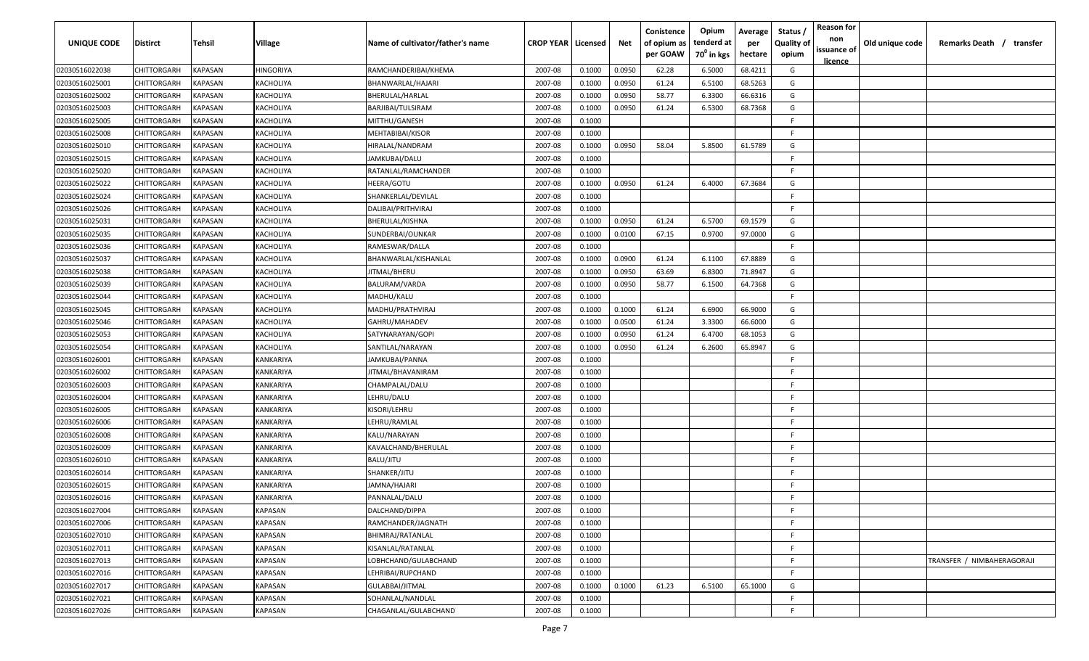| UNIQUE CODE    | Distirct           | Tehsil         | Village        | Name of cultivator/father's name                                                                                                         | <b>CROP YEAR   Licensed</b> |        | Net    | Conistence<br>of opium as<br>per GOAW | Opium<br>tenderd at<br>70 <sup>0</sup> in kgs | Average<br>per<br>hectare | Status,<br><b>Quality of</b><br>opium | <b>Reason for</b><br>non<br>issuance of<br>licence | Old unique code | Remarks Death / transfer   |
|----------------|--------------------|----------------|----------------|------------------------------------------------------------------------------------------------------------------------------------------|-----------------------------|--------|--------|---------------------------------------|-----------------------------------------------|---------------------------|---------------------------------------|----------------------------------------------------|-----------------|----------------------------|
| 02030516022038 | CHITTORGARH        | KAPASAN        | HINGORIYA      | RAMCHANDERIBAI/KHEMA                                                                                                                     | 2007-08                     | 0.1000 | 0.0950 | 62.28                                 | 6.5000                                        | 68.4211                   | G                                     |                                                    |                 |                            |
| 02030516025001 | CHITTORGARH        | KAPASAN        | KACHOLIYA      | BHANWARLAL/HAJARI                                                                                                                        | 2007-08                     | 0.1000 | 0.0950 | 61.24                                 | 6.5100                                        | 68.5263                   | G                                     |                                                    |                 |                            |
| 02030516025002 | CHITTORGARH        | <b>KAPASAN</b> | KACHOLIYA      | BHERULAL/HARLAL                                                                                                                          | 2007-08                     | 0.1000 | 0.0950 | 58.77                                 | 6.3300                                        | 66.6316                   | G                                     |                                                    |                 |                            |
| 02030516025003 | CHITTORGARH        | <b>KAPASAN</b> | KACHOLIYA      | BARJIBAI/TULSIRAM                                                                                                                        | 2007-08                     | 0.1000 | 0.0950 | 61.24                                 | 6.5300                                        | 68.7368                   | G                                     |                                                    |                 |                            |
| 02030516025005 | CHITTORGARH        | KAPASAN        | KACHOLIYA      | MITTHU/GANESH                                                                                                                            | 2007-08                     | 0.1000 |        |                                       |                                               |                           | E                                     |                                                    |                 |                            |
| 02030516025008 | CHITTORGARH        | KAPASAN        | KACHOLIYA      | MEHTABIBAI/KISOR                                                                                                                         | 2007-08                     | 0.1000 |        |                                       |                                               |                           | F                                     |                                                    |                 |                            |
| 02030516025010 | CHITTORGARH        | KAPASAN        | KACHOLIYA      | HIRALAL/NANDRAM                                                                                                                          | 2007-08                     | 0.1000 | 0.0950 | 58.04                                 | 5.8500                                        | 61.5789                   | G                                     |                                                    |                 |                            |
| 02030516025015 | CHITTORGARH        | KAPASAN        | KACHOLIYA      | JAMKUBAI/DALU                                                                                                                            | 2007-08                     | 0.1000 |        |                                       |                                               |                           | E                                     |                                                    |                 |                            |
| 02030516025020 | CHITTORGARH        | KAPASAN        | KACHOLIYA      | RATANLAL/RAMCHANDER                                                                                                                      | 2007-08                     | 0.1000 |        |                                       |                                               |                           | E                                     |                                                    |                 |                            |
| 02030516025022 | CHITTORGARH        | KAPASAN        | KACHOLIYA      | HEERA/GOTU                                                                                                                               | 2007-08                     | 0.1000 | 0.0950 | 61.24                                 | 6.4000                                        | 67.3684                   | G                                     |                                                    |                 |                            |
| 02030516025024 | CHITTORGARH        | KAPASAN        | KACHOLIYA      | SHANKERLAL/DEVILAL                                                                                                                       | 2007-08                     | 0.1000 |        |                                       |                                               |                           | E                                     |                                                    |                 |                            |
| 02030516025026 | CHITTORGARH        | KAPASAN        | KACHOLIYA      | DALIBAI/PRITHVIRAJ                                                                                                                       | 2007-08                     | 0.1000 |        |                                       |                                               |                           | F                                     |                                                    |                 |                            |
| 02030516025031 | CHITTORGARH        | KAPASAN        | KACHOLIYA      | BHERULAL/KISHNA                                                                                                                          | 2007-08                     | 0.1000 | 0.0950 | 61.24                                 | 6.5700                                        | 69.1579                   | G                                     |                                                    |                 |                            |
| 02030516025035 | CHITTORGARH        | KAPASAN        | KACHOLIYA      | SUNDERBAI/OUNKAR                                                                                                                         | 2007-08                     | 0.1000 | 0.0100 | 67.15                                 | 0.9700                                        | 97.0000                   | G                                     |                                                    |                 |                            |
| 02030516025036 | CHITTORGARH        | KAPASAN        | KACHOLIYA      | RAMESWAR/DALLA                                                                                                                           | 2007-08                     | 0.1000 |        |                                       |                                               |                           | F                                     |                                                    |                 |                            |
| 02030516025037 | CHITTORGARH        | <b>KAPASAN</b> | KACHOLIYA      | BHANWARLAL/KISHANLAL                                                                                                                     | 2007-08                     | 0.1000 | 0.0900 | 61.24                                 | 6.1100                                        | 67.8889                   | G                                     |                                                    |                 |                            |
| 02030516025038 | CHITTORGARH        | KAPASAN        | KACHOLIYA      | JITMAL/BHERU                                                                                                                             | 2007-08                     | 0.1000 | 0.0950 | 63.69                                 | 6.8300                                        | 71.8947                   | G                                     |                                                    |                 |                            |
| 02030516025039 | CHITTORGARH        | KAPASAN        | KACHOLIYA      | BALURAM/VARDA                                                                                                                            | 2007-08                     | 0.1000 | 0.0950 | 58.77                                 | 6.1500                                        | 64.7368                   | G                                     |                                                    |                 |                            |
| 02030516025044 | CHITTORGARH        | KAPASAN        | KACHOLIYA      | MADHU/KALU                                                                                                                               | 2007-08                     | 0.1000 |        |                                       |                                               |                           | F                                     |                                                    |                 |                            |
| 02030516025045 | CHITTORGARH        | <b>KAPASAN</b> | KACHOLIYA      | MADHU/PRATHVIRAJ                                                                                                                         | 2007-08                     | 0.1000 | 0.1000 | 61.24                                 | 6.6900                                        | 66.9000                   | G                                     |                                                    |                 |                            |
| 02030516025046 | CHITTORGARH        | KAPASAN        | KACHOLIYA      | GAHRU/MAHADEV                                                                                                                            | 2007-08                     | 0.1000 | 0.0500 | 61.24                                 | 3.3300                                        | 66.6000                   | G                                     |                                                    |                 |                            |
| 02030516025053 | CHITTORGARH        | KAPASAN        | KACHOLIYA      | SATYNARAYAN/GOPI                                                                                                                         | 2007-08                     | 0.1000 | 0.0950 | 61.24                                 | 6.4700                                        | 68.1053                   | G                                     |                                                    |                 |                            |
| 02030516025054 | CHITTORGARH        | KAPASAN        | KACHOLIYA      | SANTILAL/NARAYAN                                                                                                                         | 2007-08                     | 0.1000 | 0.0950 | 61.24                                 | 6.2600                                        | 65.8947                   | G                                     |                                                    |                 |                            |
| 02030516026001 | CHITTORGARH        | KAPASAN        | KANKARIYA      | JAMKUBAI/PANNA                                                                                                                           | 2007-08                     | 0.1000 |        |                                       |                                               |                           | F                                     |                                                    |                 |                            |
| 02030516026002 | CHITTORGARH        | KAPASAN        | KANKARIYA      | IITMAL/BHAVANIRAM                                                                                                                        | 2007-08                     | 0.1000 |        |                                       |                                               |                           | E                                     |                                                    |                 |                            |
| 02030516026003 | CHITTORGARH        | KAPASAN        | KANKARIYA      | CHAMPALAL/DALU                                                                                                                           | 2007-08                     | 0.1000 |        |                                       |                                               |                           | E                                     |                                                    |                 |                            |
| 02030516026004 | CHITTORGARH        | KAPASAN        | KANKARIYA      | LEHRU/DALU                                                                                                                               | 2007-08                     | 0.1000 |        |                                       |                                               |                           | E                                     |                                                    |                 |                            |
| 02030516026005 | CHITTORGARH        | KAPASAN        | KANKARIYA      | <isori lehru<="" td=""><td>2007-08</td><td>0.1000</td><td></td><td></td><td></td><td></td><td>F.</td><td></td><td></td><td></td></isori> | 2007-08                     | 0.1000 |        |                                       |                                               |                           | F.                                    |                                                    |                 |                            |
| 02030516026006 | CHITTORGARH        | KAPASAN        | KANKARIYA      | LEHRU/RAMLAL                                                                                                                             | 2007-08                     | 0.1000 |        |                                       |                                               |                           | E                                     |                                                    |                 |                            |
| 02030516026008 | CHITTORGARH        | KAPASAN        | KANKARIYA      | KALU/NARAYAN                                                                                                                             | 2007-08                     | 0.1000 |        |                                       |                                               |                           | E                                     |                                                    |                 |                            |
| 02030516026009 | CHITTORGARH        | KAPASAN        | KANKARIYA      | KAVALCHAND/BHERULAL                                                                                                                      | 2007-08                     | 0.1000 |        |                                       |                                               |                           | E                                     |                                                    |                 |                            |
| 02030516026010 | CHITTORGARH        | KAPASAN        | KANKARIYA      | BALU/JITU                                                                                                                                | 2007-08                     | 0.1000 |        |                                       |                                               |                           | F                                     |                                                    |                 |                            |
| 02030516026014 | CHITTORGARH        | KAPASAN        | KANKARIYA      | SHANKER/JITU                                                                                                                             | 2007-08                     | 0.1000 |        |                                       |                                               |                           | E                                     |                                                    |                 |                            |
| 02030516026015 | CHITTORGARH        | KAPASAN        | KANKARIYA      | JAMNA/HAJARI                                                                                                                             | 2007-08                     | 0.1000 |        |                                       |                                               |                           | E                                     |                                                    |                 |                            |
| 02030516026016 | <b>CHITTORGARH</b> | <b>KAPASAN</b> | KANKARIYA      | PANNALAL/DALU                                                                                                                            | 2007-08                     | 0.1000 |        |                                       |                                               |                           | E                                     |                                                    |                 |                            |
| 02030516027004 | CHITTORGARH        | <b>KAPASAN</b> | <b>KAPASAN</b> | DALCHAND/DIPPA                                                                                                                           | 2007-08                     | 0.1000 |        |                                       |                                               |                           | F                                     |                                                    |                 |                            |
| 02030516027006 | <b>CHITTORGARH</b> | <b>KAPASAN</b> | KAPASAN        | RAMCHANDER/JAGNATH                                                                                                                       | 2007-08                     | 0.1000 |        |                                       |                                               |                           | F                                     |                                                    |                 |                            |
| 02030516027010 | <b>CHITTORGARH</b> | <b>KAPASAN</b> | KAPASAN        | BHIMRAJ/RATANLAL                                                                                                                         | 2007-08                     | 0.1000 |        |                                       |                                               |                           | F                                     |                                                    |                 |                            |
| 02030516027011 | CHITTORGARH        | <b>KAPASAN</b> | KAPASAN        | KISANLAL/RATANLAL                                                                                                                        | 2007-08                     | 0.1000 |        |                                       |                                               |                           | E                                     |                                                    |                 |                            |
| 02030516027013 | CHITTORGARH        | KAPASAN        | KAPASAN        | LOBHCHAND/GULABCHAND                                                                                                                     | 2007-08                     | 0.1000 |        |                                       |                                               |                           | E                                     |                                                    |                 | TRANSFER / NIMBAHERAGORAJI |
| 02030516027016 | CHITTORGARH        | KAPASAN        | KAPASAN        | LEHRIBAI/RUPCHAND                                                                                                                        | 2007-08                     | 0.1000 |        |                                       |                                               |                           | E.                                    |                                                    |                 |                            |
| 02030516027017 | CHITTORGARH        | KAPASAN        | KAPASAN        | GULABBAI/JITMAL                                                                                                                          | 2007-08                     | 0.1000 | 0.1000 | 61.23                                 | 6.5100                                        | 65.1000                   | G                                     |                                                    |                 |                            |
| 02030516027021 | CHITTORGARH        | KAPASAN        | KAPASAN        | SOHANLAL/NANDLAL                                                                                                                         | 2007-08                     | 0.1000 |        |                                       |                                               |                           | F.                                    |                                                    |                 |                            |
| 02030516027026 | CHITTORGARH        | <b>KAPASAN</b> | KAPASAN        | CHAGANLAL/GULABCHAND                                                                                                                     | 2007-08                     | 0.1000 |        |                                       |                                               |                           | E                                     |                                                    |                 |                            |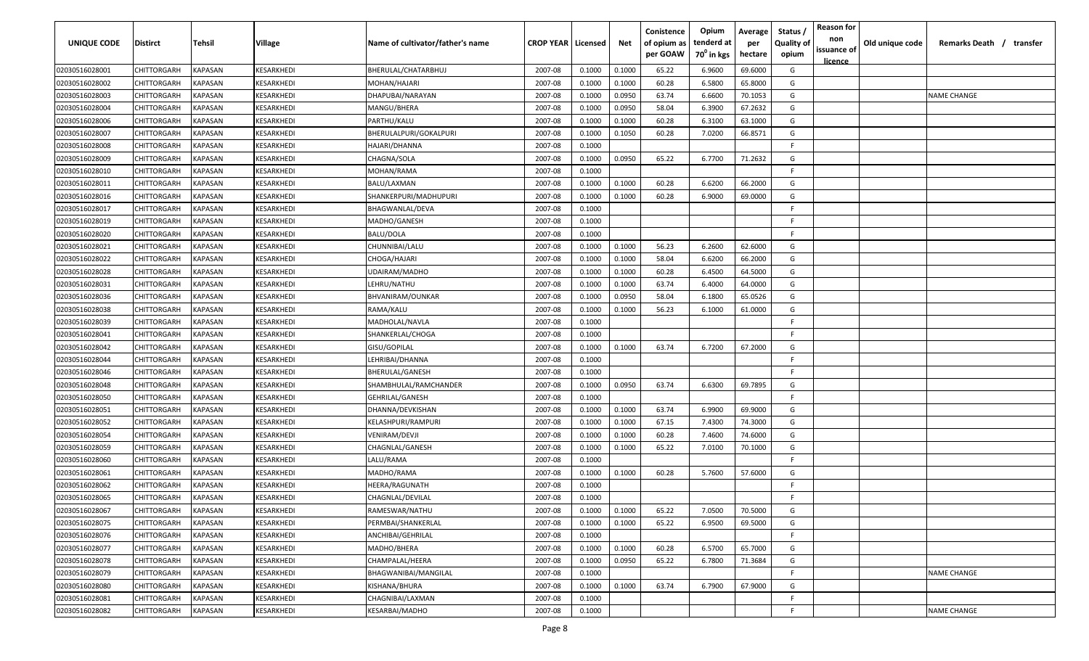| UNIQUE CODE    | <b>Distirct</b>    | Tehsil                | <b>Village</b>    | Name of cultivator/father's name | <b>CROP YEAR   Licensed</b> |        | Net    | Conistence<br>of opium as<br>per GOAW | Opium<br>tenderd at<br>70 <sup>°</sup> in kgs | Average<br>per<br>hectare | Status<br><b>Quality of</b><br>opium | <b>Reason for</b><br>non<br>issuance of<br><u>licence</u> | Old unique code | Remarks Death / transfer |
|----------------|--------------------|-----------------------|-------------------|----------------------------------|-----------------------------|--------|--------|---------------------------------------|-----------------------------------------------|---------------------------|--------------------------------------|-----------------------------------------------------------|-----------------|--------------------------|
| 02030516028001 | CHITTORGARH        | KAPASAN               | KESARKHEDI        | BHERULAL/CHATARBHUJ              | 2007-08                     | 0.1000 | 0.1000 | 65.22                                 | 6.9600                                        | 69.6000                   | G                                    |                                                           |                 |                          |
| 02030516028002 | CHITTORGARH        | KAPASAN               | KESARKHEDI        | MOHAN/HAJARI                     | 2007-08                     | 0.1000 | 0.1000 | 60.28                                 | 6.5800                                        | 65.8000                   | G                                    |                                                           |                 |                          |
| 02030516028003 | CHITTORGARH        | KAPASAN               | KESARKHEDI        | DHAPUBAI/NARAYAN                 | 2007-08                     | 0.1000 | 0.0950 | 63.74                                 | 6.6600                                        | 70.1053                   | G                                    |                                                           |                 | <b>NAME CHANGE</b>       |
| 02030516028004 | CHITTORGARH        | KAPASAN               | KESARKHEDI        | MANGU/BHERA                      | 2007-08                     | 0.1000 | 0.0950 | 58.04                                 | 6.3900                                        | 67.2632                   | G                                    |                                                           |                 |                          |
| 02030516028006 | CHITTORGARH        | KAPASAN               | KESARKHEDI        | PARTHU/KALU                      | 2007-08                     | 0.1000 | 0.1000 | 60.28                                 | 6.3100                                        | 63.1000                   | G                                    |                                                           |                 |                          |
| 02030516028007 | CHITTORGARH        | KAPASAN               | KESARKHEDI        | BHERULALPURI/GOKALPURI           | 2007-08                     | 0.1000 | 0.1050 | 60.28                                 | 7.0200                                        | 66.8571                   | G                                    |                                                           |                 |                          |
| 02030516028008 | CHITTORGARH        | KAPASAN               | KESARKHEDI        | HAJARI/DHANNA                    | 2007-08                     | 0.1000 |        |                                       |                                               |                           | F.                                   |                                                           |                 |                          |
| 02030516028009 | CHITTORGARH        | KAPASAN               | KESARKHEDI        | CHAGNA/SOLA                      | 2007-08                     | 0.1000 | 0.0950 | 65.22                                 | 6.7700                                        | 71.2632                   | G                                    |                                                           |                 |                          |
| 02030516028010 | CHITTORGARH        | KAPASAN               | KESARKHEDI        | MOHAN/RAMA                       | 2007-08                     | 0.1000 |        |                                       |                                               |                           | F.                                   |                                                           |                 |                          |
| 02030516028011 | CHITTORGARH        | KAPASAN               | KESARKHEDI        | BALU/LAXMAN                      | 2007-08                     | 0.1000 | 0.1000 | 60.28                                 | 6.6200                                        | 66.2000                   | G                                    |                                                           |                 |                          |
| 02030516028016 | CHITTORGARH        | KAPASAN               | KESARKHEDI        | SHANKERPURI/MADHUPURI            | 2007-08                     | 0.1000 | 0.1000 | 60.28                                 | 6.9000                                        | 69.0000                   | G                                    |                                                           |                 |                          |
| 02030516028017 | CHITTORGARH        | KAPASAN               | KESARKHEDI        | BHAGWANLAL/DEVA                  | 2007-08                     | 0.1000 |        |                                       |                                               |                           | F.                                   |                                                           |                 |                          |
| 02030516028019 | CHITTORGARH        | KAPASAN               | KESARKHEDI        | MADHO/GANESH                     | 2007-08                     | 0.1000 |        |                                       |                                               |                           | F.                                   |                                                           |                 |                          |
| 02030516028020 | CHITTORGARH        | KAPASAN               | KESARKHEDI        | BALU/DOLA                        | 2007-08                     | 0.1000 |        |                                       |                                               |                           | F.                                   |                                                           |                 |                          |
| 02030516028021 | CHITTORGARH        | KAPASAN               | KESARKHEDI        | CHUNNIBAI/LALU                   | 2007-08                     | 0.1000 | 0.1000 | 56.23                                 | 6.2600                                        | 62.6000                   | G                                    |                                                           |                 |                          |
| 02030516028022 | CHITTORGARH        | KAPASAN               | KESARKHEDI        | CHOGA/HAJARI                     | 2007-08                     | 0.1000 | 0.1000 | 58.04                                 | 6.6200                                        | 66.2000                   | G                                    |                                                           |                 |                          |
| 02030516028028 | CHITTORGARH        | KAPASAN               | KESARKHEDI        | UDAIRAM/MADHO                    | 2007-08                     | 0.1000 | 0.1000 | 60.28                                 | 6.4500                                        | 64.5000                   | G                                    |                                                           |                 |                          |
| 02030516028031 | CHITTORGARH        | KAPASAN               | KESARKHEDI        | LEHRU/NATHU                      | 2007-08                     | 0.1000 | 0.1000 | 63.74                                 | 6.4000                                        | 64.0000                   | G                                    |                                                           |                 |                          |
| 02030516028036 | CHITTORGARH        | KAPASAN               | KESARKHEDI        | BHVANIRAM/OUNKAR                 | 2007-08                     | 0.1000 | 0.0950 | 58.04                                 | 6.1800                                        | 65.0526                   | G                                    |                                                           |                 |                          |
| 02030516028038 | CHITTORGARH        | KAPASAN               | KESARKHEDI        | RAMA/KALU                        | 2007-08                     | 0.1000 | 0.1000 | 56.23                                 | 6.1000                                        | 61.0000                   | G                                    |                                                           |                 |                          |
| 02030516028039 | CHITTORGARH        | KAPASAN               | KESARKHEDI        | MADHOLAL/NAVLA                   | 2007-08                     | 0.1000 |        |                                       |                                               |                           | E                                    |                                                           |                 |                          |
| 02030516028041 | CHITTORGARH        | KAPASAN               | KESARKHEDI        | SHANKERLAL/CHOGA                 | 2007-08                     | 0.1000 |        |                                       |                                               |                           | F                                    |                                                           |                 |                          |
| 02030516028042 | CHITTORGARH        | KAPASAN               | KESARKHEDI        | GISU/GOPILAL                     | 2007-08                     | 0.1000 | 0.1000 | 63.74                                 | 6.7200                                        | 67.2000                   | G                                    |                                                           |                 |                          |
| 02030516028044 | CHITTORGARH        | KAPASAN               | KESARKHEDI        | LEHRIBAI/DHANNA                  | 2007-08                     | 0.1000 |        |                                       |                                               |                           | F                                    |                                                           |                 |                          |
| 02030516028046 | CHITTORGARH        | KAPASAN               | KESARKHEDI        | BHERULAL/GANESH                  | 2007-08                     | 0.1000 |        |                                       |                                               |                           | F.                                   |                                                           |                 |                          |
| 02030516028048 | CHITTORGARH        | KAPASAN               | KESARKHEDI        | SHAMBHULAL/RAMCHANDER            | 2007-08                     | 0.1000 | 0.0950 | 63.74                                 | 6.6300                                        | 69.7895                   | G                                    |                                                           |                 |                          |
| 02030516028050 | CHITTORGARH        | KAPASAN               | KESARKHEDI        | GEHRILAL/GANESH                  | 2007-08                     | 0.1000 |        |                                       |                                               |                           | E                                    |                                                           |                 |                          |
| 02030516028051 | CHITTORGARH        | KAPASAN               | KESARKHEDI        | DHANNA/DEVKISHAN                 | 2007-08                     | 0.1000 | 0.1000 | 63.74                                 | 6.9900                                        | 69.9000                   | G                                    |                                                           |                 |                          |
| 02030516028052 | <b>CHITTORGARH</b> | KAPASAN               | KESARKHEDI        | KELASHPURI/RAMPURI               | 2007-08                     | 0.1000 | 0.1000 | 67.15                                 | 7.4300                                        | 74.3000                   | G                                    |                                                           |                 |                          |
| 02030516028054 | CHITTORGARH        | KAPASAN               | KESARKHEDI        | VENIRAM/DEVJI                    | 2007-08                     | 0.1000 | 0.1000 | 60.28                                 | 7.4600                                        | 74.6000                   | G                                    |                                                           |                 |                          |
| 02030516028059 | CHITTORGARH        | <b><i>KAPASAN</i></b> | KESARKHEDI        | CHAGNLAL/GANESH                  | 2007-08                     | 0.1000 | 0.1000 | 65.22                                 | 7.0100                                        | 70.1000                   | G                                    |                                                           |                 |                          |
| 02030516028060 | CHITTORGARH        | <b><i>KAPASAN</i></b> | KESARKHEDI        | LALU/RAMA                        | 2007-08                     | 0.1000 |        |                                       |                                               |                           | -F                                   |                                                           |                 |                          |
| 02030516028061 | CHITTORGARH        | KAPASAN               | KESARKHEDI        | MADHO/RAMA                       | 2007-08                     | 0.1000 | 0.1000 | 60.28                                 | 5.7600                                        | 57.6000                   | G                                    |                                                           |                 |                          |
| 02030516028062 | CHITTORGARH        | KAPASAN               | KESARKHEDI        | HEERA/RAGUNATH                   | 2007-08                     | 0.1000 |        |                                       |                                               |                           | -F                                   |                                                           |                 |                          |
| 02030516028065 | CHITTORGARH        | KAPASAN               | <b>KESARKHEDI</b> | CHAGNLAL/DEVILAL                 | 2007-08                     | 0.1000 |        |                                       |                                               |                           | F                                    |                                                           |                 |                          |
| 02030516028067 | CHITTORGARH        | <b>KAPASAN</b>        | <b>KESARKHEDI</b> | RAMESWAR/NATHU                   | 2007-08                     | 0.1000 | 0.1000 | 65.22                                 | 7.0500                                        | 70.5000                   | G                                    |                                                           |                 |                          |
| 02030516028075 | CHITTORGARH        | KAPASAN               | KESARKHEDI        | PERMBAI/SHANKERLAL               | 2007-08                     | 0.1000 | 0.1000 | 65.22                                 | 6.9500                                        | 69.5000                   | G                                    |                                                           |                 |                          |
| 02030516028076 | CHITTORGARH        | <b>KAPASAN</b>        | KESARKHEDI        | ANCHIBAI/GEHRILAL                | 2007-08                     | 0.1000 |        |                                       |                                               |                           | -F.                                  |                                                           |                 |                          |
| 02030516028077 | CHITTORGARH        | KAPASAN               | KESARKHEDI        | MADHO/BHERA                      | 2007-08                     | 0.1000 | 0.1000 | 60.28                                 | 6.5700                                        | 65.7000                   | G                                    |                                                           |                 |                          |
| 02030516028078 | CHITTORGARH        | KAPASAN               | KESARKHEDI        | CHAMPALAL/HEERA                  | 2007-08                     | 0.1000 | 0.0950 | 65.22                                 | 6.7800                                        | 71.3684                   | G                                    |                                                           |                 |                          |
| 02030516028079 | CHITTORGARH        | KAPASAN               | KESARKHEDI        | BHAGWANIBAI/MANGILAL             | 2007-08                     | 0.1000 |        |                                       |                                               |                           | F.                                   |                                                           |                 | <b>NAME CHANGE</b>       |
| 02030516028080 | CHITTORGARH        | KAPASAN               | KESARKHEDI        | KISHANA/BHURA                    | 2007-08                     | 0.1000 | 0.1000 | 63.74                                 | 6.7900                                        | 67.9000                   | G                                    |                                                           |                 |                          |
| 02030516028081 | CHITTORGARH        | KAPASAN               | KESARKHEDI        | CHAGNIBAI/LAXMAN                 | 2007-08                     | 0.1000 |        |                                       |                                               |                           | -F.                                  |                                                           |                 |                          |
| 02030516028082 | CHITTORGARH        | KAPASAN               | <b>KESARKHEDI</b> | KESARBAI/MADHO                   | 2007-08                     | 0.1000 |        |                                       |                                               |                           | F.                                   |                                                           |                 | NAME CHANGE              |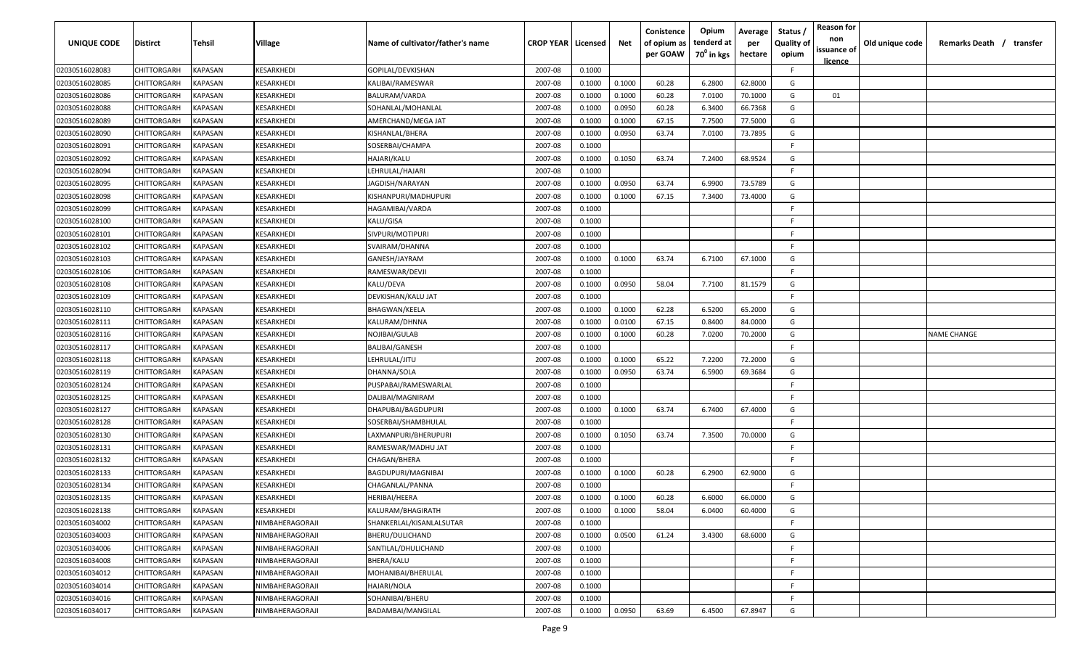| <b>UNIQUE CODE</b> | Distirct           | Tehsil         | Village          | Name of cultivator/father's name | <b>CROP YEAR   Licensed</b> |        | Net    | Conistence<br>of opium as | Opium<br>tenderd at    | Average<br>per | Status /<br><b>Quality of</b> | <b>Reason for</b><br>non      | Old unique code | Remarks Death / transfer |
|--------------------|--------------------|----------------|------------------|----------------------------------|-----------------------------|--------|--------|---------------------------|------------------------|----------------|-------------------------------|-------------------------------|-----------------|--------------------------|
|                    |                    |                |                  |                                  |                             |        |        | per GOAW                  | 70 <sup>0</sup> in kgs | hectare        | opium                         | issuance of<br><u>licence</u> |                 |                          |
| 02030516028083     | CHITTORGARH        | <b>KAPASAN</b> | KESARKHEDI       | GOPILAL/DEVKISHAN                | 2007-08                     | 0.1000 |        |                           |                        |                | F.                            |                               |                 |                          |
| 02030516028085     | CHITTORGARH        | KAPASAN        | KESARKHEDI       | KALIBAI/RAMESWAR                 | 2007-08                     | 0.1000 | 0.1000 | 60.28                     | 6.2800                 | 62.8000        | G                             |                               |                 |                          |
| 02030516028086     | CHITTORGARH        | KAPASAN        | KESARKHEDI       | BALURAM/VARDA                    | 2007-08                     | 0.1000 | 0.1000 | 60.28                     | 7.0100                 | 70.1000        | G                             | 01                            |                 |                          |
| 02030516028088     | CHITTORGARH        | KAPASAN        | KESARKHEDI       | SOHANLAL/MOHANLAL                | 2007-08                     | 0.1000 | 0.0950 | 60.28                     | 6.3400                 | 66.7368        | G                             |                               |                 |                          |
| 02030516028089     | CHITTORGARH        | KAPASAN        | KESARKHEDI       | AMERCHAND/MEGA JAT               | 2007-08                     | 0.1000 | 0.1000 | 67.15                     | 7.7500                 | 77.5000        | G                             |                               |                 |                          |
| 02030516028090     | CHITTORGARH        | KAPASAN        | KESARKHEDI       | KISHANLAL/BHERA                  | 2007-08                     | 0.1000 | 0.0950 | 63.74                     | 7.0100                 | 73.7895        | G                             |                               |                 |                          |
| 02030516028091     | CHITTORGARH        | KAPASAN        | KESARKHEDI       | SOSERBAI/CHAMPA                  | 2007-08                     | 0.1000 |        |                           |                        |                | -F.                           |                               |                 |                          |
| 02030516028092     | CHITTORGARH        | KAPASAN        | KESARKHEDI       | HAJARI/KALU                      | 2007-08                     | 0.1000 | 0.1050 | 63.74                     | 7.2400                 | 68.9524        | G                             |                               |                 |                          |
| 02030516028094     | CHITTORGARH        | KAPASAN        | KESARKHEDI       | LEHRULAL/HAJARI                  | 2007-08                     | 0.1000 |        |                           |                        |                | -F.                           |                               |                 |                          |
| 02030516028095     | CHITTORGARH        | KAPASAN        | KESARKHEDI       | JAGDISH/NARAYAN                  | 2007-08                     | 0.1000 | 0.0950 | 63.74                     | 6.9900                 | 73.5789        | G                             |                               |                 |                          |
| 02030516028098     | CHITTORGARH        | KAPASAN        | <b>ESARKHEDI</b> | KISHANPURI/MADHUPURI             | 2007-08                     | 0.1000 | 0.1000 | 67.15                     | 7.3400                 | 73.4000        | G                             |                               |                 |                          |
| 02030516028099     | CHITTORGARH        | KAPASAN        | KESARKHEDI       | HAGAMIBAI/VARDA                  | 2007-08                     | 0.1000 |        |                           |                        |                | F.                            |                               |                 |                          |
| 02030516028100     | CHITTORGARH        | KAPASAN        | KESARKHEDI       | KALU/GISA                        | 2007-08                     | 0.1000 |        |                           |                        |                | F.                            |                               |                 |                          |
| 02030516028101     | CHITTORGARH        | KAPASAN        | KESARKHEDI       | SIVPURI/MOTIPURI                 | 2007-08                     | 0.1000 |        |                           |                        |                | F.                            |                               |                 |                          |
| 02030516028102     | CHITTORGARH        | KAPASAN        | KESARKHEDI       | SVAIRAM/DHANNA                   | 2007-08                     | 0.1000 |        |                           |                        |                | -F.                           |                               |                 |                          |
| 02030516028103     | CHITTORGARH        | KAPASAN        | KESARKHEDI       | GANESH/JAYRAM                    | 2007-08                     | 0.1000 | 0.1000 | 63.74                     | 6.7100                 | 67.1000        | G                             |                               |                 |                          |
| 02030516028106     | CHITTORGARH        | KAPASAN        | KESARKHEDI       | RAMESWAR/DEVJI                   | 2007-08                     | 0.1000 |        |                           |                        |                | -F.                           |                               |                 |                          |
| 02030516028108     | CHITTORGARH        | KAPASAN        | KESARKHEDI       | KALU/DEVA                        | 2007-08                     | 0.1000 | 0.0950 | 58.04                     | 7.7100                 | 81.1579        | G                             |                               |                 |                          |
| 02030516028109     | CHITTORGARH        | KAPASAN        | KESARKHEDI       | DEVKISHAN/KALU JAT               | 2007-08                     | 0.1000 |        |                           |                        |                | E                             |                               |                 |                          |
| 02030516028110     | CHITTORGARH        | KAPASAN        | KESARKHEDI       | BHAGWAN/KEELA                    | 2007-08                     | 0.1000 | 0.1000 | 62.28                     | 6.5200                 | 65.2000        | G                             |                               |                 |                          |
| 02030516028111     | CHITTORGARH        | KAPASAN        | KESARKHEDI       | KALURAM/DHNNA                    | 2007-08                     | 0.1000 | 0.0100 | 67.15                     | 0.8400                 | 84.0000        | G                             |                               |                 |                          |
| 02030516028116     | CHITTORGARH        | KAPASAN        | KESARKHEDI       | NOJIBAI/GULAB                    | 2007-08                     | 0.1000 | 0.1000 | 60.28                     | 7.0200                 | 70.2000        | G                             |                               |                 | <b>NAME CHANGE</b>       |
| 02030516028117     | CHITTORGARH        | KAPASAN        | KESARKHEDI       | BALIBAI/GANESH                   | 2007-08                     | 0.1000 |        |                           |                        |                | -F.                           |                               |                 |                          |
| 02030516028118     | CHITTORGARH        | KAPASAN        | KESARKHEDI       | LEHRULAL/JITU                    | 2007-08                     | 0.1000 | 0.1000 | 65.22                     | 7.2200                 | 72.2000        | G                             |                               |                 |                          |
| 02030516028119     | CHITTORGARH        | KAPASAN        | KESARKHEDI       | DHANNA/SOLA                      | 2007-08                     | 0.1000 | 0.0950 | 63.74                     | 6.5900                 | 69.3684        | G                             |                               |                 |                          |
| 02030516028124     | CHITTORGARH        | KAPASAN        | KESARKHEDI       | PUSPABAI/RAMESWARLAL             | 2007-08                     | 0.1000 |        |                           |                        |                | -F.                           |                               |                 |                          |
| 02030516028125     | CHITTORGARH        | KAPASAN        | KESARKHEDI       | DALIBAI/MAGNIRAM                 | 2007-08                     | 0.1000 |        |                           |                        |                | F.                            |                               |                 |                          |
| 02030516028127     | CHITTORGARH        | KAPASAN        | <b>ESARKHEDI</b> | DHAPUBAI/BAGDUPURI               | 2007-08                     | 0.1000 | 0.1000 | 63.74                     | 6.7400                 | 67.4000        | G                             |                               |                 |                          |
| 02030516028128     | CHITTORGARH        | KAPASAN        | KESARKHEDI       | SOSERBAI/SHAMBHULAL              | 2007-08                     | 0.1000 |        |                           |                        |                | -F.                           |                               |                 |                          |
| 02030516028130     | CHITTORGARH        | KAPASAN        | KESARKHEDI       | LAXMANPURI/BHERUPURI             | 2007-08                     | 0.1000 | 0.1050 | 63.74                     | 7.3500                 | 70.0000        | G                             |                               |                 |                          |
| 02030516028131     | CHITTORGARH        | KAPASAN        | KESARKHEDI       | RAMESWAR/MADHU JAT               | 2007-08                     | 0.1000 |        |                           |                        |                | -F.                           |                               |                 |                          |
| 02030516028132     | CHITTORGARH        | KAPASAN        | KESARKHEDI       | CHAGAN/BHERA                     | 2007-08                     | 0.1000 |        |                           |                        |                | -F.                           |                               |                 |                          |
| 02030516028133     | CHITTORGARH        | KAPASAN        | KESARKHEDI       | <b>BAGDUPURI/MAGNIBAI</b>        | 2007-08                     | 0.1000 | 0.1000 | 60.28                     | 6.2900                 | 62.9000        | G                             |                               |                 |                          |
| 02030516028134     | CHITTORGARH        | KAPASAN        | KESARKHEDI       | CHAGANLAL/PANNA                  | 2007-08                     | 0.1000 |        |                           |                        |                | -F.                           |                               |                 |                          |
| 02030516028135     | <b>CHITTORGARH</b> | KAPASAN        | KESARKHEDI       | HERIBAI/HEERA                    | 2007-08                     | 0.1000 | 0.1000 | 60.28                     | 6.6000                 | 66.0000        | G                             |                               |                 |                          |
| 02030516028138     | <b>CHITTORGARH</b> | <b>KAPASAN</b> | KESARKHEDI       | KALURAM/BHAGIRATH                | 2007-08                     | 0.1000 | 0.1000 | 58.04                     | 6.0400                 | 60.4000        | G                             |                               |                 |                          |
| 02030516034002     | CHITTORGARH        | <b>KAPASAN</b> | NIMBAHERAGORAJI  | SHANKERLAL/KISANLALSUTAR         | 2007-08                     | 0.1000 |        |                           |                        |                | F.                            |                               |                 |                          |
| 02030516034003     | <b>CHITTORGARH</b> | <b>KAPASAN</b> | NIMBAHERAGORAJI  | BHERU/DULICHAND                  | 2007-08                     | 0.1000 | 0.0500 | 61.24                     | 3.4300                 | 68.6000        | G                             |                               |                 |                          |
| 02030516034006     | <b>CHITTORGARH</b> | <b>KAPASAN</b> | NIMBAHERAGORAJI  | SANTILAL/DHULICHAND              | 2007-08                     | 0.1000 |        |                           |                        |                | F.                            |                               |                 |                          |
| 02030516034008     | CHITTORGARH        | KAPASAN        | NIMBAHERAGORAJI  | BHERA/KALU                       | 2007-08                     | 0.1000 |        |                           |                        |                | F.                            |                               |                 |                          |
| 02030516034012     | CHITTORGARH        | KAPASAN        | NIMBAHERAGORAJI  | MOHANIBAI/BHERULAL               | 2007-08                     | 0.1000 |        |                           |                        |                | F.                            |                               |                 |                          |
| 02030516034014     | <b>CHITTORGARH</b> | KAPASAN        | NIMBAHERAGORAJI  | HAJARI/NOLA                      | 2007-08                     | 0.1000 |        |                           |                        |                | F.                            |                               |                 |                          |
| 02030516034016     | CHITTORGARH        | KAPASAN        | NIMBAHERAGORAJI  | SOHANIBAI/BHERU                  | 2007-08                     | 0.1000 |        |                           |                        |                | -F                            |                               |                 |                          |
| 02030516034017     | <b>CHITTORGARH</b> | KAPASAN        | NIMBAHERAGORAJI  | BADAMBAI/MANGILAL                | 2007-08                     | 0.1000 | 0.0950 | 63.69                     | 6.4500                 | 67.8947        | G                             |                               |                 |                          |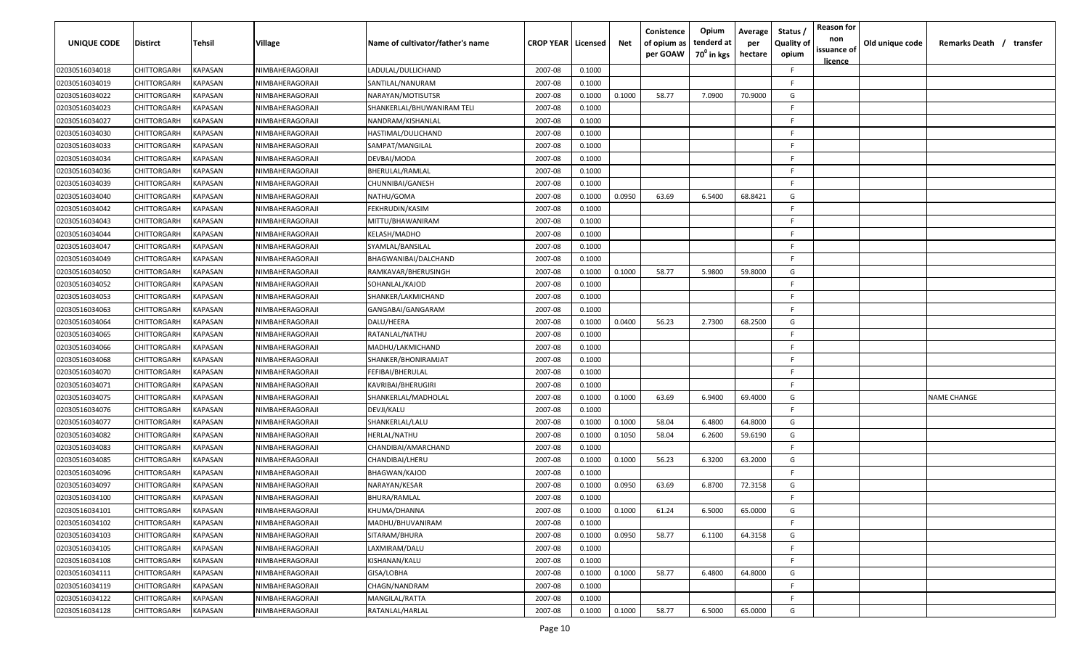| UNIQUE CODE    | Distirct           | Tehsil         | Village         | Name of cultivator/father's name | <b>CROP YEAR   Licensed</b> |        | Net    | Conistence<br>of opium as<br>per GOAW | Opium<br>tenderd at<br>70 <sup>°</sup> in kgs | Average<br>per<br>hectare | Status,<br><b>Quality of</b><br>opium | <b>Reason for</b><br>non<br>issuance of<br>licence | Old unique code | Remarks Death / transfer |
|----------------|--------------------|----------------|-----------------|----------------------------------|-----------------------------|--------|--------|---------------------------------------|-----------------------------------------------|---------------------------|---------------------------------------|----------------------------------------------------|-----------------|--------------------------|
| 02030516034018 | CHITTORGARH        | <b>KAPASAN</b> | NIMBAHERAGORAJI | LADULAL/DULLICHAND               | 2007-08                     | 0.1000 |        |                                       |                                               |                           | F.                                    |                                                    |                 |                          |
| 02030516034019 | CHITTORGARH        | KAPASAN        | NIMBAHERAGORAJI | SANTILAL/NANURAM                 | 2007-08                     | 0.1000 |        |                                       |                                               |                           | F.                                    |                                                    |                 |                          |
| 02030516034022 | CHITTORGARH        | KAPASAN        | NIMBAHERAGORAJI | NARAYAN/MOTISUTSR                | 2007-08                     | 0.1000 | 0.1000 | 58.77                                 | 7.0900                                        | 70.9000                   | G                                     |                                                    |                 |                          |
| 02030516034023 | CHITTORGARH        | KAPASAN        | NIMBAHERAGORAJI | SHANKERLAL/BHUWANIRAM TELI       | 2007-08                     | 0.1000 |        |                                       |                                               |                           | F                                     |                                                    |                 |                          |
| 02030516034027 | CHITTORGARH        | KAPASAN        | NIMBAHERAGORAJI | NANDRAM/KISHANLAL                | 2007-08                     | 0.1000 |        |                                       |                                               |                           | E                                     |                                                    |                 |                          |
| 02030516034030 | CHITTORGARH        | KAPASAN        | NIMBAHERAGORAJI | HASTIMAL/DULICHAND               | 2007-08                     | 0.1000 |        |                                       |                                               |                           | F                                     |                                                    |                 |                          |
| 02030516034033 | CHITTORGARH        | KAPASAN        | NIMBAHERAGORAJI | SAMPAT/MANGILAL                  | 2007-08                     | 0.1000 |        |                                       |                                               |                           | F                                     |                                                    |                 |                          |
| 02030516034034 | CHITTORGARH        | KAPASAN        | NIMBAHERAGORAJI | DEVBAI/MODA                      | 2007-08                     | 0.1000 |        |                                       |                                               |                           | E                                     |                                                    |                 |                          |
| 02030516034036 | CHITTORGARH        | KAPASAN        | NIMBAHERAGORAJI | BHERULAL/RAMLAL                  | 2007-08                     | 0.1000 |        |                                       |                                               |                           | E                                     |                                                    |                 |                          |
| 02030516034039 | CHITTORGARH        | KAPASAN        | NIMBAHERAGORAJI | CHUNNIBAI/GANESH                 | 2007-08                     | 0.1000 |        |                                       |                                               |                           | E                                     |                                                    |                 |                          |
| 02030516034040 | CHITTORGARH        | KAPASAN        | NIMBAHERAGORAJI | NATHU/GOMA                       | 2007-08                     | 0.1000 | 0.0950 | 63.69                                 | 6.5400                                        | 68.8421                   | G                                     |                                                    |                 |                          |
| 02030516034042 | CHITTORGARH        | KAPASAN        | NIMBAHERAGORAJI | FEKHRUDIN/KASIM                  | 2007-08                     | 0.1000 |        |                                       |                                               |                           | F                                     |                                                    |                 |                          |
| 02030516034043 | CHITTORGARH        | KAPASAN        | NIMBAHERAGORAJI | MITTU/BHAWANIRAM                 | 2007-08                     | 0.1000 |        |                                       |                                               |                           | E                                     |                                                    |                 |                          |
| 02030516034044 | CHITTORGARH        | KAPASAN        | NIMBAHERAGORAJI | KELASH/MADHO                     | 2007-08                     | 0.1000 |        |                                       |                                               |                           | E                                     |                                                    |                 |                          |
| 02030516034047 | CHITTORGARH        | KAPASAN        | NIMBAHERAGORAJI | SYAMLAL/BANSILAL                 | 2007-08                     | 0.1000 |        |                                       |                                               |                           | E                                     |                                                    |                 |                          |
| 02030516034049 | CHITTORGARH        | KAPASAN        | NIMBAHERAGORAJI | BHAGWANIBAI/DALCHAND             | 2007-08                     | 0.1000 |        |                                       |                                               |                           | E.                                    |                                                    |                 |                          |
| 02030516034050 | CHITTORGARH        | KAPASAN        | NIMBAHERAGORAJI | RAMKAVAR/BHERUSINGH              | 2007-08                     | 0.1000 | 0.1000 | 58.77                                 | 5.9800                                        | 59.8000                   | G                                     |                                                    |                 |                          |
| 02030516034052 | CHITTORGARH        | KAPASAN        | NIMBAHERAGORAJI | SOHANLAL/KAJOD                   | 2007-08                     | 0.1000 |        |                                       |                                               |                           | E                                     |                                                    |                 |                          |
| 02030516034053 | CHITTORGARH        | KAPASAN        | NIMBAHERAGORAJI | SHANKER/LAKMICHAND               | 2007-08                     | 0.1000 |        |                                       |                                               |                           | E                                     |                                                    |                 |                          |
| 02030516034063 | CHITTORGARH        | KAPASAN        | NIMBAHERAGORAJI | GANGABAI/GANGARAM                | 2007-08                     | 0.1000 |        |                                       |                                               |                           | F.                                    |                                                    |                 |                          |
| 02030516034064 | CHITTORGARH        | KAPASAN        | NIMBAHERAGORAJI | DALU/HEERA                       | 2007-08                     | 0.1000 | 0.0400 | 56.23                                 | 2.7300                                        | 68.2500                   | G                                     |                                                    |                 |                          |
| 02030516034065 | CHITTORGARH        | KAPASAN        | NIMBAHERAGORAJI | RATANLAL/NATHU                   | 2007-08                     | 0.1000 |        |                                       |                                               |                           | E                                     |                                                    |                 |                          |
| 02030516034066 | CHITTORGARH        | KAPASAN        | NIMBAHERAGORAJI | MADHU/LAKMICHAND                 | 2007-08                     | 0.1000 |        |                                       |                                               |                           |                                       |                                                    |                 |                          |
| 02030516034068 | CHITTORGARH        | KAPASAN        | NIMBAHERAGORAJI | SHANKER/BHONIRAMJAT              | 2007-08                     | 0.1000 |        |                                       |                                               |                           | F                                     |                                                    |                 |                          |
| 02030516034070 | CHITTORGARH        | KAPASAN        | NIMBAHERAGORAJI | FEFIBAI/BHERULAL                 | 2007-08                     | 0.1000 |        |                                       |                                               |                           | F                                     |                                                    |                 |                          |
| 02030516034071 | CHITTORGARH        | KAPASAN        | NIMBAHERAGORAJI | KAVRIBAI/BHERUGIRI               | 2007-08                     | 0.1000 |        |                                       |                                               |                           | F.                                    |                                                    |                 |                          |
| 02030516034075 | CHITTORGARH        | KAPASAN        | NIMBAHERAGORAJI | SHANKERLAL/MADHOLAL              | 2007-08                     | 0.1000 | 0.1000 | 63.69                                 | 6.9400                                        | 69.4000                   | G                                     |                                                    |                 | <b>NAME CHANGE</b>       |
| 02030516034076 | CHITTORGARH        | KAPASAN        | NIMBAHERAGORAJI | DEVJI/KALU                       | 2007-08                     | 0.1000 |        |                                       |                                               |                           | F.                                    |                                                    |                 |                          |
| 02030516034077 | CHITTORGARH        | KAPASAN        | NIMBAHERAGORAJI | SHANKERLAL/LALU                  | 2007-08                     | 0.1000 | 0.1000 | 58.04                                 | 6.4800                                        | 64.8000                   | G                                     |                                                    |                 |                          |
| 02030516034082 | CHITTORGARH        | KAPASAN        | NIMBAHERAGORAJI | HERLAL/NATHU                     | 2007-08                     | 0.1000 | 0.1050 | 58.04                                 | 6.2600                                        | 59.6190                   | G                                     |                                                    |                 |                          |
| 02030516034083 | CHITTORGARH        | KAPASAN        | NIMBAHERAGORAJI | CHANDIBAI/AMARCHAND              | 2007-08                     | 0.1000 |        |                                       |                                               |                           | E                                     |                                                    |                 |                          |
| 02030516034085 | CHITTORGARH        | KAPASAN        | NIMBAHERAGORAJI | CHANDIBAI/LHERU                  | 2007-08                     | 0.1000 | 0.1000 | 56.23                                 | 6.3200                                        | 63.2000                   | G                                     |                                                    |                 |                          |
| 02030516034096 | CHITTORGARH        | KAPASAN        | NIMBAHERAGORAJI | BHAGWAN/KAJOD                    | 2007-08                     | 0.1000 |        |                                       |                                               |                           | E                                     |                                                    |                 |                          |
| 02030516034097 | CHITTORGARH        | <b>KAPASAN</b> | NIMBAHERAGORAJI | NARAYAN/KESAR                    | 2007-08                     | 0.1000 | 0.0950 | 63.69                                 | 6.8700                                        | 72.3158                   | G                                     |                                                    |                 |                          |
| 02030516034100 | <b>CHITTORGARH</b> | KAPASAN        | NIMBAHERAGORAJI | BHURA/RAMLAL                     | 2007-08                     | 0.1000 |        |                                       |                                               |                           | E                                     |                                                    |                 |                          |
| 02030516034101 | CHITTORGARH        | <b>KAPASAN</b> | NIMBAHERAGORAJI | KHUMA/DHANNA                     | 2007-08                     | 0.1000 | 0.1000 | 61.24                                 | 6.5000                                        | 65.0000                   | G                                     |                                                    |                 |                          |
| 02030516034102 | <b>CHITTORGARH</b> | <b>KAPASAN</b> | NIMBAHERAGORAJI | MADHU/BHUVANIRAM                 | 2007-08                     | 0.1000 |        |                                       |                                               |                           | F.                                    |                                                    |                 |                          |
| 02030516034103 | <b>CHITTORGARH</b> | <b>KAPASAN</b> | NIMBAHERAGORAJI | SITARAM/BHURA                    | 2007-08                     | 0.1000 | 0.0950 | 58.77                                 | 6.1100                                        | 64.3158                   | G                                     |                                                    |                 |                          |
| 02030516034105 | <b>CHITTORGARH</b> | <b>KAPASAN</b> | NIMBAHERAGORAJI | LAXMIRAM/DALU                    | 2007-08                     | 0.1000 |        |                                       |                                               |                           | E                                     |                                                    |                 |                          |
| 02030516034108 | CHITTORGARH        | KAPASAN        | NIMBAHERAGORAJI | KISHANAN/KALU                    | 2007-08                     | 0.1000 |        |                                       |                                               |                           | E                                     |                                                    |                 |                          |
| 02030516034111 | CHITTORGARH        | KAPASAN        | NIMBAHERAGORAJI | GISA/LOBHA                       | 2007-08                     | 0.1000 | 0.1000 | 58.77                                 | 6.4800                                        | 64.8000                   | G                                     |                                                    |                 |                          |
| 02030516034119 | CHITTORGARH        | KAPASAN        | NIMBAHERAGORAJI | CHAGN/NANDRAM                    | 2007-08                     | 0.1000 |        |                                       |                                               |                           | F.                                    |                                                    |                 |                          |
| 02030516034122 | CHITTORGARH        | <b>KAPASAN</b> | NIMBAHERAGORAJI | MANGILAL/RATTA                   | 2007-08                     | 0.1000 |        |                                       |                                               |                           | F.                                    |                                                    |                 |                          |
| 02030516034128 | <b>CHITTORGARH</b> | <b>KAPASAN</b> | NIMBAHERAGORAJI | RATANLAL/HARLAL                  | 2007-08                     | 0.1000 | 0.1000 | 58.77                                 | 6.5000                                        | 65.0000                   | G                                     |                                                    |                 |                          |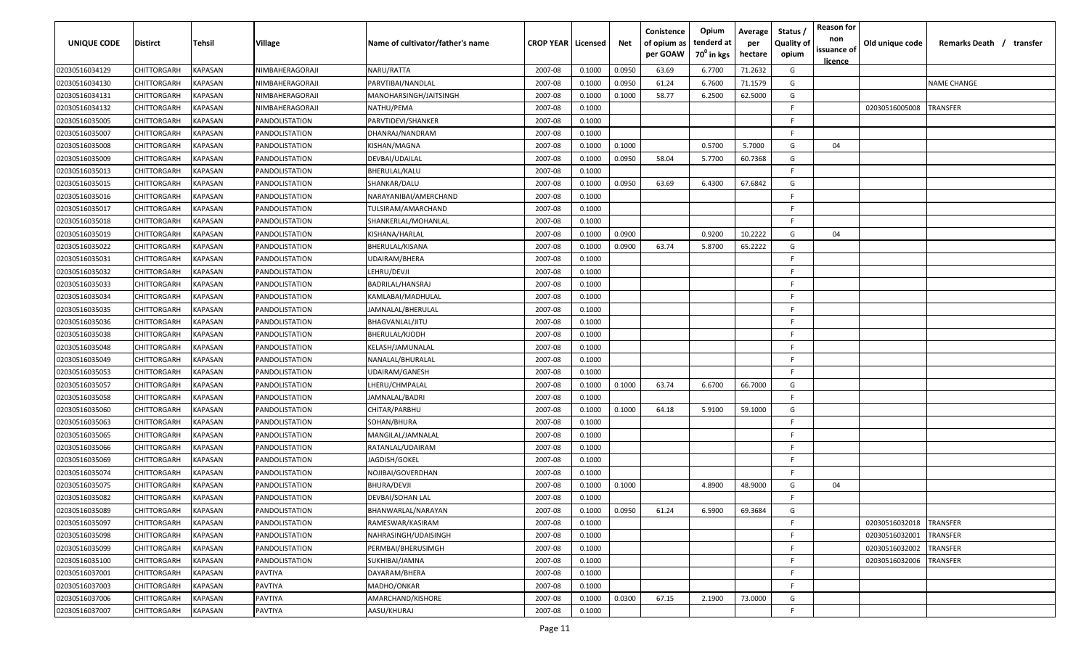| UNIQUE CODE    | <b>Distirct</b>    | Tehsil         | Village               | Name of cultivator/father's name | <b>CROP YEAR   Licensed</b> |        | Net    | Conistence<br>of opium as<br>per GOAW | Opium<br>tenderd at<br>$70^0$ in kgs | Average<br>per<br>hectare | Status<br><b>Quality of</b><br>opium | <b>Reason for</b><br>non<br>issuance of<br>licence | Old unique code | Remarks Death /<br>transfer |
|----------------|--------------------|----------------|-----------------------|----------------------------------|-----------------------------|--------|--------|---------------------------------------|--------------------------------------|---------------------------|--------------------------------------|----------------------------------------------------|-----------------|-----------------------------|
| 02030516034129 | <b>CHITTORGARH</b> | KAPASAN        | NIMBAHERAGORAJI       | NARU/RATTA                       | 2007-08                     | 0.1000 | 0.0950 | 63.69                                 | 6.7700                               | 71.2632                   | G                                    |                                                    |                 |                             |
| 02030516034130 | CHITTORGARH        | KAPASAN        | NIMBAHERAGORAJI       | PARVTIBAI/NANDLAL                | 2007-08                     | 0.1000 | 0.0950 | 61.24                                 | 6.7600                               | 71.1579                   | G                                    |                                                    |                 | <b>NAME CHANGE</b>          |
| 02030516034131 | CHITTORGARH        | KAPASAN        | NIMBAHERAGORAJI       | MANOHARSINGH/JAITSINGH           | 2007-08                     | 0.1000 | 0.1000 | 58.77                                 | 6.2500                               | 62.5000                   | G                                    |                                                    |                 |                             |
| 02030516034132 | CHITTORGARH        | KAPASAN        | NIMBAHERAGORAJI       | NATHU/PEMA                       | 2007-08                     | 0.1000 |        |                                       |                                      |                           | F                                    |                                                    | 02030516005008  | <b>TRANSFER</b>             |
| 02030516035005 | CHITTORGARH        | KAPASAN        | PANDOLISTATION        | PARVTIDEVI/SHANKER               | 2007-08                     | 0.1000 |        |                                       |                                      |                           | F                                    |                                                    |                 |                             |
| 02030516035007 | CHITTORGARH        | KAPASAN        | PANDOLISTATION        | DHANRAJ/NANDRAM                  | 2007-08                     | 0.1000 |        |                                       |                                      |                           | E                                    |                                                    |                 |                             |
| 02030516035008 | CHITTORGARH        | KAPASAN        | PANDOLISTATION        | KISHAN/MAGNA                     | 2007-08                     | 0.1000 | 0.1000 |                                       | 0.5700                               | 5.7000                    | G                                    | 04                                                 |                 |                             |
| 02030516035009 | CHITTORGARH        | KAPASAN        | PANDOLISTATION        | DEVBAI/UDAILAL                   | 2007-08                     | 0.1000 | 0.0950 | 58.04                                 | 5.7700                               | 60.7368                   | G                                    |                                                    |                 |                             |
| 02030516035013 | CHITTORGARH        | KAPASAN        | PANDOLISTATION        | BHERULAL/KALU                    | 2007-08                     | 0.1000 |        |                                       |                                      |                           | E                                    |                                                    |                 |                             |
| 02030516035015 | CHITTORGARH        | KAPASAN        | PANDOLISTATION        | SHANKAR/DALU                     | 2007-08                     | 0.1000 | 0.0950 | 63.69                                 | 6.4300                               | 67.6842                   | G                                    |                                                    |                 |                             |
| 02030516035016 | CHITTORGARH        | KAPASAN        | PANDOLISTATION        | NARAYANIBAI/AMERCHAND            | 2007-08                     | 0.1000 |        |                                       |                                      |                           | E                                    |                                                    |                 |                             |
| 02030516035017 | CHITTORGARH        | KAPASAN        | <b>PANDOLISTATION</b> | TULSIRAM/AMARCHAND               | 2007-08                     | 0.1000 |        |                                       |                                      |                           | F.                                   |                                                    |                 |                             |
| 02030516035018 | CHITTORGARH        | KAPASAN        | PANDOLISTATION        | SHANKERLAL/MOHANLAL              | 2007-08                     | 0.1000 |        |                                       |                                      |                           | F                                    |                                                    |                 |                             |
| 02030516035019 | CHITTORGARH        | KAPASAN        | PANDOLISTATION        | KISHANA/HARLAL                   | 2007-08                     | 0.1000 | 0.0900 |                                       | 0.9200                               | 10.2222                   | G                                    | 04                                                 |                 |                             |
| 02030516035022 | CHITTORGARH        | KAPASAN        | PANDOLISTATION        | BHERULAL/KISANA                  | 2007-08                     | 0.1000 | 0.0900 | 63.74                                 | 5.8700                               | 65.2222                   | G                                    |                                                    |                 |                             |
| 02030516035031 | CHITTORGARH        | KAPASAN        | PANDOLISTATION        | UDAIRAM/BHERA                    | 2007-08                     | 0.1000 |        |                                       |                                      |                           | F.                                   |                                                    |                 |                             |
| 02030516035032 | CHITTORGARH        | <b>KAPASAN</b> | PANDOLISTATION        | LEHRU/DEVJI                      | 2007-08                     | 0.1000 |        |                                       |                                      |                           | E                                    |                                                    |                 |                             |
| 02030516035033 | CHITTORGARH        | KAPASAN        | PANDOLISTATION        | BADRILAL/HANSRAJ                 | 2007-08                     | 0.1000 |        |                                       |                                      |                           |                                      |                                                    |                 |                             |
| 02030516035034 | CHITTORGARH        | <b>KAPASAN</b> | PANDOLISTATION        | KAMLABAI/MADHULAL                | 2007-08                     | 0.1000 |        |                                       |                                      |                           | E                                    |                                                    |                 |                             |
| 02030516035035 | CHITTORGARH        | KAPASAN        | PANDOLISTATION        | JAMNALAL/BHERULAL                | 2007-08                     | 0.1000 |        |                                       |                                      |                           | F                                    |                                                    |                 |                             |
| 02030516035036 | CHITTORGARH        | <b>KAPASAN</b> | PANDOLISTATION        | BHAGVANLAL/JITU                  | 2007-08                     | 0.1000 |        |                                       |                                      |                           | E                                    |                                                    |                 |                             |
| 02030516035038 | CHITTORGARH        | <b>KAPASAN</b> | PANDOLISTATION        | BHERULAL/KJODH                   | 2007-08                     | 0.1000 |        |                                       |                                      |                           |                                      |                                                    |                 |                             |
| 02030516035048 | CHITTORGARH        | <b>KAPASAN</b> | PANDOLISTATION        | KELASH/JAMUNALAL                 | 2007-08                     | 0.1000 |        |                                       |                                      |                           | E                                    |                                                    |                 |                             |
| 02030516035049 | CHITTORGARH        | KAPASAN        | PANDOLISTATION        | NANALAL/BHURALAL                 | 2007-08                     | 0.1000 |        |                                       |                                      |                           |                                      |                                                    |                 |                             |
| 02030516035053 | CHITTORGARH        | KAPASAN        | PANDOLISTATION        | UDAIRAM/GANESH                   | 2007-08                     | 0.1000 |        |                                       |                                      |                           | E                                    |                                                    |                 |                             |
| 02030516035057 | CHITTORGARH        | KAPASAN        | PANDOLISTATION        | <b>LHERU/CHMPALAL</b>            | 2007-08                     | 0.1000 | 0.1000 | 63.74                                 | 6.6700                               | 66.7000                   | G                                    |                                                    |                 |                             |
| 02030516035058 | CHITTORGARH        | KAPASAN        | PANDOLISTATION        | JAMNALAL/BADRI                   | 2007-08                     | 0.1000 |        |                                       |                                      |                           | E                                    |                                                    |                 |                             |
| 02030516035060 | CHITTORGARH        | KAPASAN        | PANDOLISTATION        | CHITAR/PARBHU                    | 2007-08                     | 0.1000 | 0.1000 | 64.18                                 | 5.9100                               | 59.1000                   | G                                    |                                                    |                 |                             |
| 02030516035063 | CHITTORGARH        | KAPASAN        | PANDOLISTATION        | SOHAN/BHURA                      | 2007-08                     | 0.1000 |        |                                       |                                      |                           | E                                    |                                                    |                 |                             |
| 02030516035065 | CHITTORGARH        | KAPASAN        | PANDOLISTATION        | MANGILAL/JAMNALAL                | 2007-08                     | 0.1000 |        |                                       |                                      |                           | F                                    |                                                    |                 |                             |
| 02030516035066 | CHITTORGARH        | KAPASAN        | PANDOLISTATION        | RATANLAL/UDAIRAM                 | 2007-08                     | 0.1000 |        |                                       |                                      |                           | E                                    |                                                    |                 |                             |
| 02030516035069 | CHITTORGARH        | KAPASAN        | PANDOLISTATION        | JAGDISH/GOKEL                    | 2007-08                     | 0.1000 |        |                                       |                                      |                           | E                                    |                                                    |                 |                             |
| 02030516035074 | CHITTORGARH        | KAPASAN        | PANDOLISTATION        | NOJIBAI/GOVERDHAN                | 2007-08                     | 0.1000 |        |                                       |                                      |                           | E                                    |                                                    |                 |                             |
| 02030516035075 | CHITTORGARH        | KAPASAN        | PANDOLISTATION        | BHURA/DEVJI                      | 2007-08                     | 0.1000 | 0.1000 |                                       | 4.8900                               | 48.9000                   | G                                    | 04                                                 |                 |                             |
| 02030516035082 | CHITTORGARH        | <b>KAPASAN</b> | PANDOLISTATION        | DEVBAI/SOHAN LAL                 | 2007-08                     | 0.1000 |        |                                       |                                      |                           | E                                    |                                                    |                 |                             |
| 02030516035089 | CHITTORGARH        | <b>KAPASAN</b> | PANDOLISTATION        | BHANWARLAL/NARAYAN               | 2007-08                     | 0.1000 | 0.0950 | 61.24                                 | 6.5900                               | 69.3684                   | G                                    |                                                    |                 |                             |
| 02030516035097 | <b>CHITTORGARH</b> | <b>KAPASAN</b> | PANDOLISTATION        | RAMESWAR/KASIRAM                 | 2007-08                     | 0.1000 |        |                                       |                                      |                           | F                                    |                                                    | 02030516032018  | <b>TRANSFER</b>             |
| 02030516035098 | <b>CHITTORGARH</b> | <b>KAPASAN</b> | PANDOLISTATION        | NAHRASINGH/UDAISINGH             | 2007-08                     | 0.1000 |        |                                       |                                      |                           | F                                    |                                                    | 02030516032001  | TRANSFER                    |
| 02030516035099 | <b>CHITTORGARH</b> | <b>KAPASAN</b> | PANDOLISTATION        | PERMBAI/BHERUSIMGH               | 2007-08                     | 0.1000 |        |                                       |                                      |                           | F                                    |                                                    | 02030516032002  | TRANSFER                    |
| 02030516035100 | CHITTORGARH        | <b>KAPASAN</b> | PANDOLISTATION        | SUKHIBAI/JAMNA                   | 2007-08                     | 0.1000 |        |                                       |                                      |                           | F                                    |                                                    | 02030516032006  | TRANSFER                    |
| 02030516037001 | CHITTORGARH        | KAPASAN        | PAVTIYA               | DAYARAM/BHERA                    | 2007-08                     | 0.1000 |        |                                       |                                      |                           | F                                    |                                                    |                 |                             |
| 02030516037003 | CHITTORGARH        | KAPASAN        | PAVTIYA               | MADHO/ONKAR                      | 2007-08                     | 0.1000 |        |                                       |                                      |                           | E                                    |                                                    |                 |                             |
| 02030516037006 | CHITTORGARH        | KAPASAN        | PAVTIYA               | AMARCHAND/KISHORE                | 2007-08                     | 0.1000 | 0.0300 | 67.15                                 | 2.1900                               | 73.0000                   | G                                    |                                                    |                 |                             |
| 02030516037007 | CHITTORGARH        | <b>KAPASAN</b> | PAVTIYA               | AASU/KHURAJ                      | 2007-08                     | 0.1000 |        |                                       |                                      |                           | F                                    |                                                    |                 |                             |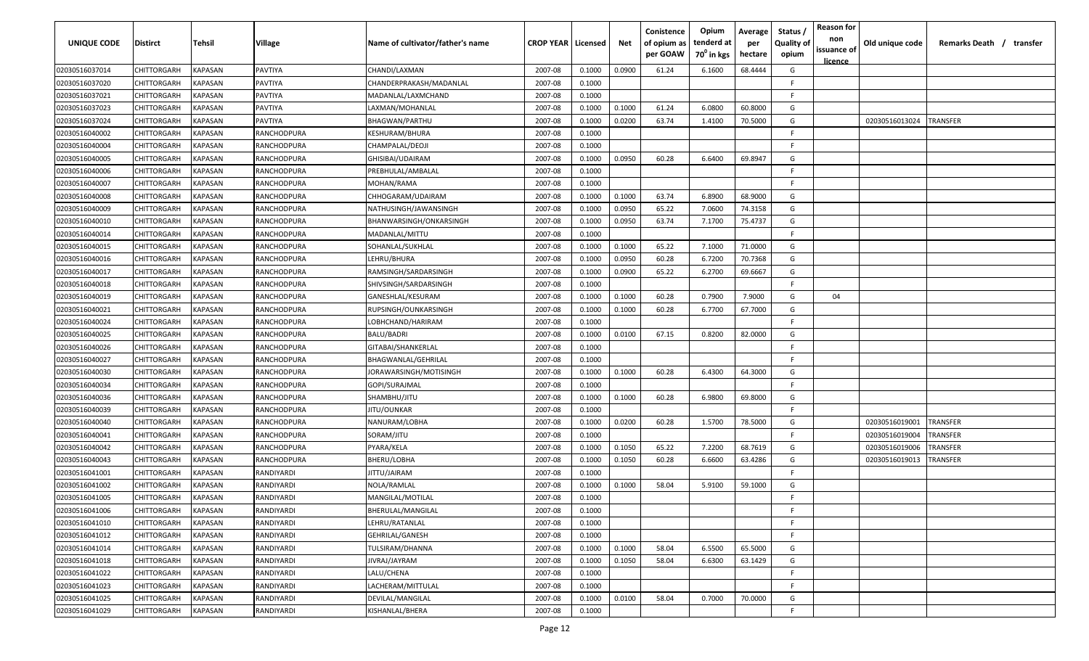| UNIQUE CODE    | Distirct           | Tehsil         | Village     | Name of cultivator/father's name | <b>CROP YEAR   Licensed</b> |        | Net    | Conistence<br>of opium as<br>per GOAW | Opium<br>tenderd at<br>70 <sup>°</sup> in kgs | Average<br>per<br>hectare | Status,<br><b>Quality of</b><br>opium | <b>Reason for</b><br>non<br>issuance of<br>licence | Old unique code | Remarks Death / transfer |
|----------------|--------------------|----------------|-------------|----------------------------------|-----------------------------|--------|--------|---------------------------------------|-----------------------------------------------|---------------------------|---------------------------------------|----------------------------------------------------|-----------------|--------------------------|
| 02030516037014 | CHITTORGARH        | KAPASAN        | PAVTIYA     | CHANDI/LAXMAN                    | 2007-08                     | 0.1000 | 0.0900 | 61.24                                 | 6.1600                                        | 68.4444                   | G                                     |                                                    |                 |                          |
| 02030516037020 | CHITTORGARH        | <b>KAPASAN</b> | PAVTIYA     | CHANDERPRAKASH/MADANLAL          | 2007-08                     | 0.1000 |        |                                       |                                               |                           | F                                     |                                                    |                 |                          |
| 02030516037021 | CHITTORGARH        | KAPASAN        | PAVTIYA     | MADANLAL/LAXMCHAND               | 2007-08                     | 0.1000 |        |                                       |                                               |                           | F.                                    |                                                    |                 |                          |
| 02030516037023 | CHITTORGARH        | KAPASAN        | PAVTIYA     | LAXMAN/MOHANLAL                  | 2007-08                     | 0.1000 | 0.1000 | 61.24                                 | 6.0800                                        | 60.8000                   | G                                     |                                                    |                 |                          |
| 02030516037024 | CHITTORGARH        | KAPASAN        | PAVTIYA     | BHAGWAN/PARTHU                   | 2007-08                     | 0.1000 | 0.0200 | 63.74                                 | 1.4100                                        | 70.5000                   | G                                     |                                                    | 02030516013024  | <b>TRANSFER</b>          |
| 02030516040002 | CHITTORGARH        | KAPASAN        | RANCHODPURA | KESHURAM/BHURA                   | 2007-08                     | 0.1000 |        |                                       |                                               |                           |                                       |                                                    |                 |                          |
| 02030516040004 | CHITTORGARH        | KAPASAN        | RANCHODPURA | CHAMPALAL/DEOJI                  | 2007-08                     | 0.1000 |        |                                       |                                               |                           | F                                     |                                                    |                 |                          |
| 02030516040005 | CHITTORGARH        | KAPASAN        | RANCHODPURA | GHISIBAI/UDAIRAM                 | 2007-08                     | 0.1000 | 0.0950 | 60.28                                 | 6.6400                                        | 69.8947                   | G                                     |                                                    |                 |                          |
| 02030516040006 | CHITTORGARH        | KAPASAN        | RANCHODPURA | PREBHULAL/AMBALAL                | 2007-08                     | 0.1000 |        |                                       |                                               |                           | E                                     |                                                    |                 |                          |
| 02030516040007 | CHITTORGARH        | KAPASAN        | RANCHODPURA | MOHAN/RAMA                       | 2007-08                     | 0.1000 |        |                                       |                                               |                           | E                                     |                                                    |                 |                          |
| 02030516040008 | CHITTORGARH        | KAPASAN        | RANCHODPURA | CHHOGARAM/UDAIRAM                | 2007-08                     | 0.1000 | 0.1000 | 63.74                                 | 6.8900                                        | 68.9000                   | G                                     |                                                    |                 |                          |
| 02030516040009 | CHITTORGARH        | KAPASAN        | RANCHODPURA | NATHUSINGH/JAWANSINGH            | 2007-08                     | 0.1000 | 0.0950 | 65.22                                 | 7.0600                                        | 74.3158                   | G                                     |                                                    |                 |                          |
| 02030516040010 | CHITTORGARH        | KAPASAN        | RANCHODPURA | BHANWARSINGH/ONKARSINGH          | 2007-08                     | 0.1000 | 0.0950 | 63.74                                 | 7.1700                                        | 75.4737                   | G                                     |                                                    |                 |                          |
| 02030516040014 | CHITTORGARH        | KAPASAN        | RANCHODPURA | MADANLAL/MITTU                   | 2007-08                     | 0.1000 |        |                                       |                                               |                           | F                                     |                                                    |                 |                          |
| 02030516040015 | CHITTORGARH        | KAPASAN        | RANCHODPURA | SOHANLAL/SUKHLAL                 | 2007-08                     | 0.1000 | 0.1000 | 65.22                                 | 7.1000                                        | 71.0000                   | G                                     |                                                    |                 |                          |
| 02030516040016 | CHITTORGARH        | KAPASAN        | RANCHODPURA | LEHRU/BHURA                      | 2007-08                     | 0.1000 | 0.0950 | 60.28                                 | 6.7200                                        | 70.7368                   | G                                     |                                                    |                 |                          |
| 02030516040017 | CHITTORGARH        | <b>KAPASAN</b> | RANCHODPURA | RAMSINGH/SARDARSINGH             | 2007-08                     | 0.1000 | 0.0900 | 65.22                                 | 6.2700                                        | 69.6667                   | G                                     |                                                    |                 |                          |
| 02030516040018 | CHITTORGARH        | KAPASAN        | RANCHODPURA | SHIVSINGH/SARDARSINGH            | 2007-08                     | 0.1000 |        |                                       |                                               |                           | F.                                    |                                                    |                 |                          |
| 02030516040019 | CHITTORGARH        | KAPASAN        | RANCHODPURA | GANESHLAL/KESURAM                | 2007-08                     | 0.1000 | 0.1000 | 60.28                                 | 0.7900                                        | 7.9000                    | G                                     | 04                                                 |                 |                          |
| 02030516040021 | CHITTORGARH        | KAPASAN        | RANCHODPURA | RUPSINGH/OUNKARSINGH             | 2007-08                     | 0.1000 | 0.1000 | 60.28                                 | 6.7700                                        | 67.7000                   | G                                     |                                                    |                 |                          |
| 02030516040024 | CHITTORGARH        | KAPASAN        | RANCHODPURA | LOBHCHAND/HARIRAM                | 2007-08                     | 0.1000 |        |                                       |                                               |                           | E                                     |                                                    |                 |                          |
| 02030516040025 | CHITTORGARH        | KAPASAN        | RANCHODPURA | <b>BALU/BADRI</b>                | 2007-08                     | 0.1000 | 0.0100 | 67.15                                 | 0.8200                                        | 82.0000                   | G                                     |                                                    |                 |                          |
| 02030516040026 | CHITTORGARH        | KAPASAN        | RANCHODPURA | GITABAI/SHANKERLAL               | 2007-08                     | 0.1000 |        |                                       |                                               |                           |                                       |                                                    |                 |                          |
| 02030516040027 | CHITTORGARH        | KAPASAN        | RANCHODPURA | BHAGWANLAL/GEHRILAL              | 2007-08                     | 0.1000 |        |                                       |                                               |                           | F                                     |                                                    |                 |                          |
| 02030516040030 | CHITTORGARH        | KAPASAN        | RANCHODPURA | JORAWARSINGH/MOTISINGH           | 2007-08                     | 0.1000 | 0.1000 | 60.28                                 | 6.4300                                        | 64.3000                   | G                                     |                                                    |                 |                          |
| 02030516040034 | CHITTORGARH        | KAPASAN        | RANCHODPURA | GOPI/SURAJMAL                    | 2007-08                     | 0.1000 |        |                                       |                                               |                           | F.                                    |                                                    |                 |                          |
| 02030516040036 | CHITTORGARH        | KAPASAN        | RANCHODPURA | SHAMBHU/JITU                     | 2007-08                     | 0.1000 | 0.1000 | 60.28                                 | 6.9800                                        | 69.8000                   | G                                     |                                                    |                 |                          |
| 02030516040039 | CHITTORGARH        | KAPASAN        | RANCHODPURA | ITU/OUNKAR                       | 2007-08                     | 0.1000 |        |                                       |                                               |                           | F.                                    |                                                    |                 |                          |
| 02030516040040 | CHITTORGARH        | KAPASAN        | RANCHODPURA | NANURAM/LOBHA                    | 2007-08                     | 0.1000 | 0.0200 | 60.28                                 | 1.5700                                        | 78.5000                   | G                                     |                                                    | 02030516019001  | TRANSFER                 |
| 02030516040041 | CHITTORGARH        | <b>KAPASAN</b> | RANCHODPURA | SORAM/JITU                       | 2007-08                     | 0.1000 |        |                                       |                                               |                           | E                                     |                                                    | 02030516019004  | TRANSFER                 |
| 02030516040042 | CHITTORGARH        | KAPASAN        | RANCHODPURA | PYARA/KELA                       | 2007-08                     | 0.1000 | 0.1050 | 65.22                                 | 7.2200                                        | 68.7619                   | G                                     |                                                    | 02030516019006  | TRANSFER                 |
| 02030516040043 | CHITTORGARH        | KAPASAN        | RANCHODPURA | BHERU/LOBHA                      | 2007-08                     | 0.1000 | 0.1050 | 60.28                                 | 6.6600                                        | 63.4286                   | G                                     |                                                    | 02030516019013  | TRANSFER                 |
| 02030516041001 | CHITTORGARH        | <b>KAPASAN</b> | RANDIYARDI  | ITTU/JAIRAM                      | 2007-08                     | 0.1000 |        |                                       |                                               |                           | E                                     |                                                    |                 |                          |
| 02030516041002 | CHITTORGARH        | <b>KAPASAN</b> | RANDIYARDI  | NOLA/RAMLAL                      | 2007-08                     | 0.1000 | 0.1000 | 58.04                                 | 5.9100                                        | 59.1000                   | G                                     |                                                    |                 |                          |
| 02030516041005 | <b>CHITTORGARH</b> | <b>KAPASAN</b> | RANDIYARDI  | MANGILAL/MOTILAL                 | 2007-08                     | 0.1000 |        |                                       |                                               |                           | E                                     |                                                    |                 |                          |
| 02030516041006 | CHITTORGARH        | <b>KAPASAN</b> | RANDIYARDI  | BHERULAL/MANGILAL                | 2007-08                     | 0.1000 |        |                                       |                                               |                           | F                                     |                                                    |                 |                          |
| 02030516041010 | <b>CHITTORGARH</b> | <b>KAPASAN</b> | RANDIYARDI  | LEHRU/RATANLAL                   | 2007-08                     | 0.1000 |        |                                       |                                               |                           | F                                     |                                                    |                 |                          |
| 02030516041012 | CHITTORGARH        | <b>KAPASAN</b> | RANDIYARDI  | GEHRILAL/GANESH                  | 2007-08                     | 0.1000 |        |                                       |                                               |                           | F                                     |                                                    |                 |                          |
| 02030516041014 | CHITTORGARH        | <b>KAPASAN</b> | RANDIYARDI  | TULSIRAM/DHANNA                  | 2007-08                     | 0.1000 | 0.1000 | 58.04                                 | 6.5500                                        | 65.5000                   | G                                     |                                                    |                 |                          |
| 02030516041018 | CHITTORGARH        | <b>KAPASAN</b> | RANDIYARDI  | JIVRAJ/JAYRAM                    | 2007-08                     | 0.1000 | 0.1050 | 58.04                                 | 6.6300                                        | 63.1429                   | G                                     |                                                    |                 |                          |
| 02030516041022 | CHITTORGARH        | KAPASAN        | RANDIYARDI  | LALU/CHENA                       | 2007-08                     | 0.1000 |        |                                       |                                               |                           | F                                     |                                                    |                 |                          |
| 02030516041023 | CHITTORGARH        | KAPASAN        | RANDIYARDI  | LACHERAM/MITTULAL                | 2007-08                     | 0.1000 |        |                                       |                                               |                           | F.                                    |                                                    |                 |                          |
| 02030516041025 | CHITTORGARH        | <b>KAPASAN</b> | RANDIYARDI  | DEVILAL/MANGILAL                 | 2007-08                     | 0.1000 | 0.0100 | 58.04                                 | 0.7000                                        | 70.0000                   | G                                     |                                                    |                 |                          |
| 02030516041029 | <b>CHITTORGARH</b> | <b>KAPASAN</b> | RANDIYARDI  | KISHANLAL/BHERA                  | 2007-08                     | 0.1000 |        |                                       |                                               |                           | F.                                    |                                                    |                 |                          |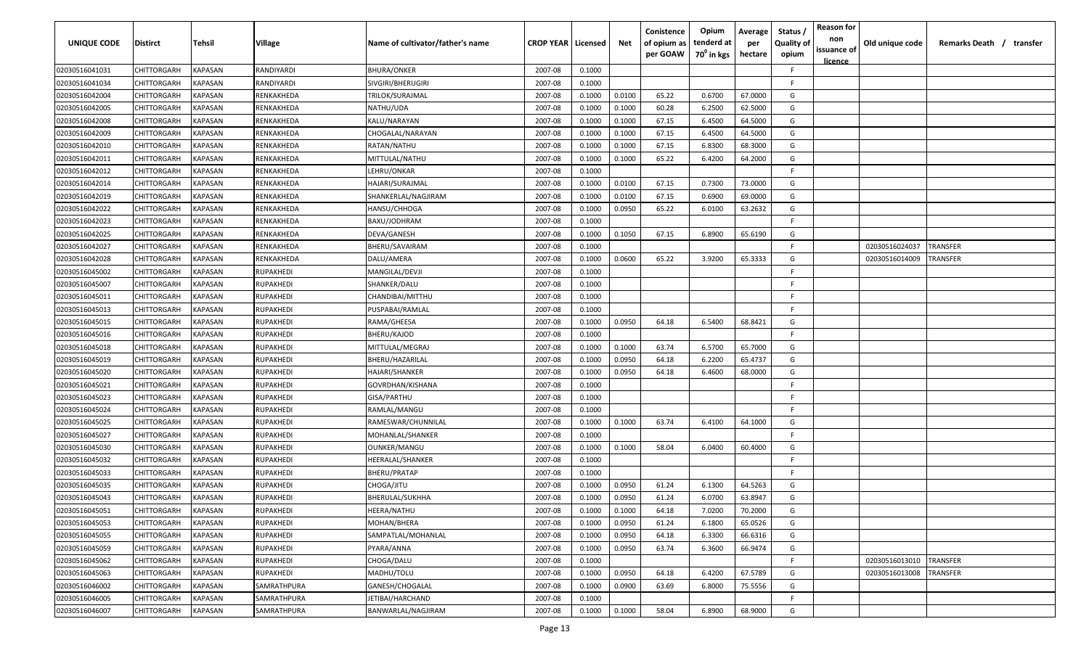| <b>UNIQUE CODE</b> | <b>Distirct</b>    | <b>Tehsil</b>  | Village     | Name of cultivator/father's name | <b>CROP YEAR</b> | Licensed | Net    | Conistence<br>of opium as | Opium<br>tenderd at | Average<br>per | Status /<br><b>Quality of</b> | <b>Reason for</b><br>non | Old unique code | Remarks Death /<br>transfer |
|--------------------|--------------------|----------------|-------------|----------------------------------|------------------|----------|--------|---------------------------|---------------------|----------------|-------------------------------|--------------------------|-----------------|-----------------------------|
|                    |                    |                |             |                                  |                  |          |        | per GOAW                  | $70^0$ in kgs       | hectare        | opium                         | issuance of              |                 |                             |
| 02030516041031     | CHITTORGARH        | KAPASAN        | RANDIYARDI  | <b>BHURA/ONKER</b>               | 2007-08          | 0.1000   |        |                           |                     |                | -F.                           | <u>licence</u>           |                 |                             |
| 02030516041034     | CHITTORGARH        | KAPASAN        | RANDIYARDI  | SIVGIRI/BHERUGIRI                | 2007-08          | 0.1000   |        |                           |                     |                | F.                            |                          |                 |                             |
| 02030516042004     | CHITTORGARH        | KAPASAN        | RENKAKHEDA  | TRILOK/SURAJMAL                  | 2007-08          | 0.1000   | 0.0100 | 65.22                     | 0.6700              | 67.0000        | G                             |                          |                 |                             |
| 02030516042005     | CHITTORGARH        | KAPASAN        | RENKAKHEDA  | NATHU/UDA                        | 2007-08          | 0.1000   | 0.1000 | 60.28                     | 6.2500              | 62.5000        | G                             |                          |                 |                             |
| 02030516042008     | CHITTORGARH        | KAPASAN        | RENKAKHEDA  | KALU/NARAYAN                     | 2007-08          | 0.1000   | 0.1000 | 67.15                     | 6.4500              | 64.5000        | G                             |                          |                 |                             |
| 02030516042009     | CHITTORGARH        | KAPASAN        | RENKAKHEDA  | CHOGALAL/NARAYAN                 | 2007-08          | 0.1000   | 0.1000 | 67.15                     | 6.4500              | 64.5000        | G                             |                          |                 |                             |
| 02030516042010     | CHITTORGARH        | KAPASAN        | RENKAKHEDA  | RATAN/NATHU                      | 2007-08          | 0.1000   | 0.1000 | 67.15                     | 6.8300              | 68.3000        | G                             |                          |                 |                             |
| 02030516042011     | CHITTORGARH        | KAPASAN        | RENKAKHEDA  | MITTULAL/NATHU                   | 2007-08          | 0.1000   | 0.1000 | 65.22                     | 6.4200              | 64.2000        | G                             |                          |                 |                             |
| 02030516042012     | CHITTORGARH        | KAPASAN        | RENKAKHEDA  | LEHRU/ONKAR                      | 2007-08          | 0.1000   |        |                           |                     |                | -F.                           |                          |                 |                             |
| 02030516042014     | CHITTORGARH        | KAPASAN        | RENKAKHEDA  | HAJARI/SURAJMAL                  | 2007-08          | 0.1000   | 0.0100 | 67.15                     | 0.7300              | 73.0000        | G                             |                          |                 |                             |
| 02030516042019     | CHITTORGARH        | KAPASAN        | RENKAKHEDA  | SHANKERLAL/NAGJIRAM              | 2007-08          | 0.1000   | 0.0100 | 67.15                     | 0.6900              | 69.0000        | G                             |                          |                 |                             |
| 02030516042022     | CHITTORGARH        | KAPASAN        | RENKAKHEDA  | HANSU/CHHOGA                     | 2007-08          | 0.1000   | 0.0950 | 65.22                     | 6.0100              | 63.2632        | G                             |                          |                 |                             |
| 02030516042023     | CHITTORGARH        | KAPASAN        | RENKAKHEDA  | BAXU/JODHRAM                     | 2007-08          | 0.1000   |        |                           |                     |                | F.                            |                          |                 |                             |
| 02030516042025     | CHITTORGARH        | KAPASAN        | RENKAKHEDA  | DEVA/GANESH                      | 2007-08          | 0.1000   | 0.1050 | 67.15                     | 6.8900              | 65.6190        | G                             |                          |                 |                             |
| 02030516042027     | CHITTORGARH        | KAPASAN        | RENKAKHEDA  | BHERU/SAVAIRAM                   | 2007-08          | 0.1000   |        |                           |                     |                | F.                            |                          | 02030516024037  | TRANSFER                    |
| 02030516042028     | CHITTORGARH        | KAPASAN        | RENKAKHEDA  | DALU/AMERA                       | 2007-08          | 0.1000   | 0.0600 | 65.22                     | 3.9200              | 65.3333        | G                             |                          | 02030516014009  | TRANSFER                    |
| 02030516045002     | CHITTORGARH        | KAPASAN        | RUPAKHEDI   | MANGILAL/DEVJI                   | 2007-08          | 0.1000   |        |                           |                     |                | -F.                           |                          |                 |                             |
| 02030516045007     | CHITTORGARH        | KAPASAN        | RUPAKHEDI   | SHANKER/DALU                     | 2007-08          | 0.1000   |        |                           |                     |                | -F.                           |                          |                 |                             |
| 02030516045011     | CHITTORGARH        | KAPASAN        | RUPAKHEDI   | CHANDIBAI/MITTHU                 | 2007-08          | 0.1000   |        |                           |                     |                | -F.                           |                          |                 |                             |
| 02030516045013     | CHITTORGARH        | KAPASAN        | RUPAKHEDI   | PUSPABAI/RAMLAL                  | 2007-08          | 0.1000   |        |                           |                     |                | -F.                           |                          |                 |                             |
| 02030516045015     | CHITTORGARH        | KAPASAN        | RUPAKHEDI   | RAMA/GHEESA                      | 2007-08          | 0.1000   | 0.0950 | 64.18                     | 6.5400              | 68.8421        | G                             |                          |                 |                             |
| 02030516045016     | CHITTORGARH        | KAPASAN        | RUPAKHEDI   | BHERU/KAJOD                      | 2007-08          | 0.1000   |        |                           |                     |                | -F.                           |                          |                 |                             |
| 02030516045018     | CHITTORGARH        | KAPASAN        | RUPAKHEDI   | MITTULAL/MEGRAJ                  | 2007-08          | 0.1000   | 0.1000 | 63.74                     | 6.5700              | 65.7000        | G                             |                          |                 |                             |
| 02030516045019     | CHITTORGARH        | KAPASAN        | RUPAKHEDI   | BHERU/HAZARILAL                  | 2007-08          | 0.1000   | 0.0950 | 64.18                     | 6.2200              | 65.4737        | G                             |                          |                 |                             |
| 02030516045020     | CHITTORGARH        | KAPASAN        | RUPAKHEDI   | HAJARI/SHANKER                   | 2007-08          | 0.1000   | 0.0950 | 64.18                     | 6.4600              | 68.0000        | G                             |                          |                 |                             |
| 02030516045021     | CHITTORGARH        | KAPASAN        | RUPAKHEDI   | GOVRDHAN/KISHANA                 | 2007-08          | 0.1000   |        |                           |                     |                | F.                            |                          |                 |                             |
| 02030516045023     | CHITTORGARH        | KAPASAN        | RUPAKHEDI   | GISA/PARTHU                      | 2007-08          | 0.1000   |        |                           |                     |                | -F.                           |                          |                 |                             |
| 02030516045024     | CHITTORGARH        | KAPASAN        | RUPAKHEDI   | RAMLAL/MANGU                     | 2007-08          | 0.1000   |        |                           |                     |                | -F.                           |                          |                 |                             |
| 02030516045025     | CHITTORGARH        | KAPASAN        | RUPAKHEDI   | RAMESWAR/CHUNNILAL               | 2007-08          | 0.1000   | 0.1000 | 63.74                     | 6.4100              | 64.1000        | G                             |                          |                 |                             |
| 02030516045027     | CHITTORGARH        | KAPASAN        | RUPAKHEDI   | MOHANLAL/SHANKER                 | 2007-08          | 0.1000   |        |                           |                     |                | F.                            |                          |                 |                             |
| 02030516045030     | CHITTORGARH        | KAPASAN        | RUPAKHEDI   | OUNKER/MANGU                     | 2007-08          | 0.1000   | 0.1000 | 58.04                     | 6.0400              | 60.4000        | G                             |                          |                 |                             |
| 02030516045032     | CHITTORGARH        | KAPASAN        | RUPAKHEDI   | HEERALAL/SHANKER                 | 2007-08          | 0.1000   |        |                           |                     |                | -F.                           |                          |                 |                             |
| 02030516045033     | CHITTORGARH        | KAPASAN        | RUPAKHEDI   | BHERU/PRATAP                     | 2007-08          | 0.1000   |        |                           |                     |                | -F.                           |                          |                 |                             |
| 02030516045035     | CHITTORGARH        | KAPASAN        | RUPAKHEDI   | CHOGA/JITU                       | 2007-08          | 0.1000   | 0.0950 | 61.24                     | 6.1300              | 64.5263        | G                             |                          |                 |                             |
| 02030516045043     | CHITTORGARH        | KAPASAN        | RUPAKHEDI   | BHERULAL/SUKHHA                  | 2007-08          | 0.1000   | 0.0950 | 61.24                     | 6.0700              | 63.8947        | G                             |                          |                 |                             |
| 02030516045051     | <b>CHITTORGARH</b> | <b>KAPASAN</b> | RUPAKHEDI   | HEERA/NATHU                      | 2007-08          | 0.1000   | 0.1000 | 64.18                     | 7.0200              | 70.2000        | G                             |                          |                 |                             |
| 02030516045053     | <b>CHITTORGARH</b> | KAPASAN        | RUPAKHEDI   | MOHAN/BHERA                      | 2007-08          | 0.1000   | 0.0950 | 61.24                     | 6.1800              | 65.0526        | G                             |                          |                 |                             |
| 02030516045055     | CHITTORGARH        | <b>KAPASAN</b> | RUPAKHEDI   | SAMPATLAL/MOHANLAL               | 2007-08          | 0.1000   | 0.0950 | 64.18                     | 6.3300              | 66.6316        | G                             |                          |                 |                             |
| 02030516045059     | CHITTORGARH        | KAPASAN        | RUPAKHEDI   | PYARA/ANNA                       | 2007-08          | 0.1000   | 0.0950 | 63.74                     | 6.3600              | 66.9474        | G                             |                          |                 |                             |
| 02030516045062     | CHITTORGARH        | KAPASAN        | RUPAKHEDI   | CHOGA/DALU                       | 2007-08          | 0.1000   |        |                           |                     |                | F.                            |                          | 02030516013010  | <b>TRANSFER</b>             |
| 02030516045063     | CHITTORGARH        | KAPASAN        | RUPAKHEDI   | MADHU/TOLU                       | 2007-08          | 0.1000   | 0.0950 | 64.18                     | 6.4200              | 67.5789        | G                             |                          | 02030516013008  | TRANSFER                    |
| 02030516046002     | CHITTORGARH        | KAPASAN        | SAMRATHPURA | GANESH/CHOGALAL                  | 2007-08          | 0.1000   | 0.0900 | 63.69                     | 6.8000              | 75.5556        | G                             |                          |                 |                             |
| 02030516046005     | CHITTORGARH        | KAPASAN        | SAMRATHPURA | JETIBAI/HARCHAND                 | 2007-08          | 0.1000   |        |                           |                     |                | F.                            |                          |                 |                             |
| 02030516046007     | CHITTORGARH        | KAPASAN        | SAMRATHPURA | BANWARLAL/NAGJIRAM               | 2007-08          | 0.1000   | 0.1000 | 58.04                     | 6.8900              | 68.9000        | G                             |                          |                 |                             |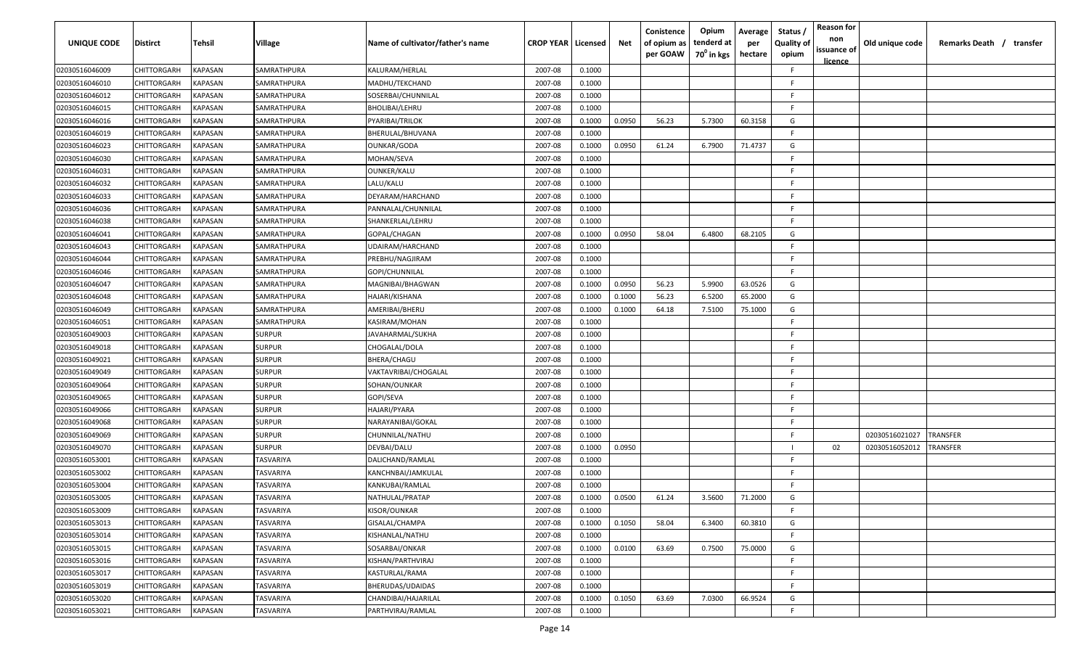| <b>UNIQUE CODE</b> | <b>Distirct</b>    | Tehsil         | <b>Village</b> | Name of cultivator/father's name | <b>CROP YEAR   Licensed</b> |        | Net    | Conistence<br>of opium as<br>per GOAW | Opium<br>tenderd at<br>70 <sup>0</sup> in kgs | Average<br>per<br>hectare | Status /<br><b>Quality of</b><br>opium | <b>Reason for</b><br>non<br>issuance of<br><u>licence</u> | Old unique code | <b>Remarks Death</b> /<br>transfer |
|--------------------|--------------------|----------------|----------------|----------------------------------|-----------------------------|--------|--------|---------------------------------------|-----------------------------------------------|---------------------------|----------------------------------------|-----------------------------------------------------------|-----------------|------------------------------------|
| 02030516046009     | CHITTORGARH        | KAPASAN        | SAMRATHPURA    | KALURAM/HERLAL                   | 2007-08                     | 0.1000 |        |                                       |                                               |                           | E                                      |                                                           |                 |                                    |
| 02030516046010     | CHITTORGARH        | KAPASAN        | SAMRATHPURA    | MADHU/TEKCHAND                   | 2007-08                     | 0.1000 |        |                                       |                                               |                           | F                                      |                                                           |                 |                                    |
| 02030516046012     | CHITTORGARH        | KAPASAN        | SAMRATHPURA    | SOSERBAI/CHUNNILAL               | 2007-08                     | 0.1000 |        |                                       |                                               |                           | F                                      |                                                           |                 |                                    |
| 02030516046015     | CHITTORGARH        | KAPASAN        | SAMRATHPURA    | BHOLIBAI/LEHRU                   | 2007-08                     | 0.1000 |        |                                       |                                               |                           | F                                      |                                                           |                 |                                    |
| 02030516046016     | CHITTORGARH        | KAPASAN        | SAMRATHPURA    | PYARIBAI/TRILOK                  | 2007-08                     | 0.1000 | 0.0950 | 56.23                                 | 5.7300                                        | 60.3158                   | G                                      |                                                           |                 |                                    |
| 02030516046019     | CHITTORGARH        | KAPASAN        | SAMRATHPURA    | BHERULAL/BHUVANA                 | 2007-08                     | 0.1000 |        |                                       |                                               |                           | F                                      |                                                           |                 |                                    |
| 02030516046023     | CHITTORGARH        | KAPASAN        | SAMRATHPURA    | OUNKAR/GODA                      | 2007-08                     | 0.1000 | 0.0950 | 61.24                                 | 6.7900                                        | 71.4737                   | G                                      |                                                           |                 |                                    |
| 02030516046030     | CHITTORGARH        | KAPASAN        | SAMRATHPURA    | MOHAN/SEVA                       | 2007-08                     | 0.1000 |        |                                       |                                               |                           | E                                      |                                                           |                 |                                    |
| 02030516046031     | CHITTORGARH        | KAPASAN        | SAMRATHPURA    | OUNKER/KALU                      | 2007-08                     | 0.1000 |        |                                       |                                               |                           | E                                      |                                                           |                 |                                    |
| 02030516046032     | CHITTORGARH        | KAPASAN        | SAMRATHPURA    | LALU/KALU                        | 2007-08                     | 0.1000 |        |                                       |                                               |                           | F.                                     |                                                           |                 |                                    |
| 02030516046033     | CHITTORGARH        | KAPASAN        | SAMRATHPURA    | DEYARAM/HARCHAND                 | 2007-08                     | 0.1000 |        |                                       |                                               |                           | E                                      |                                                           |                 |                                    |
| 02030516046036     | CHITTORGARH        | KAPASAN        | SAMRATHPURA    | PANNALAL/CHUNNILAL               | 2007-08                     | 0.1000 |        |                                       |                                               |                           | E                                      |                                                           |                 |                                    |
| 02030516046038     | CHITTORGARH        | KAPASAN        | SAMRATHPURA    | SHANKERLAL/LEHRU                 | 2007-08                     | 0.1000 |        |                                       |                                               |                           | F                                      |                                                           |                 |                                    |
| 02030516046041     | CHITTORGARH        | KAPASAN        | SAMRATHPURA    | GOPAL/CHAGAN                     | 2007-08                     | 0.1000 | 0.0950 | 58.04                                 | 6.4800                                        | 68.2105                   | G                                      |                                                           |                 |                                    |
| 02030516046043     | CHITTORGARH        | KAPASAN        | SAMRATHPURA    | UDAIRAM/HARCHAND                 | 2007-08                     | 0.1000 |        |                                       |                                               |                           | F                                      |                                                           |                 |                                    |
| 02030516046044     | CHITTORGARH        | KAPASAN        | SAMRATHPURA    | PREBHU/NAGJIRAM                  | 2007-08                     | 0.1000 |        |                                       |                                               |                           | E.                                     |                                                           |                 |                                    |
| 02030516046046     | CHITTORGARH        | KAPASAN        | SAMRATHPURA    | GOPI/CHUNNILAL                   | 2007-08                     | 0.1000 |        |                                       |                                               |                           | F                                      |                                                           |                 |                                    |
| 02030516046047     | CHITTORGARH        | KAPASAN        | SAMRATHPURA    | MAGNIBAI/BHAGWAN                 | 2007-08                     | 0.1000 | 0.0950 | 56.23                                 | 5.9900                                        | 63.0526                   | G                                      |                                                           |                 |                                    |
| 02030516046048     | CHITTORGARH        | KAPASAN        | SAMRATHPURA    | HAJARI/KISHANA                   | 2007-08                     | 0.1000 | 0.1000 | 56.23                                 | 6.5200                                        | 65.2000                   | G                                      |                                                           |                 |                                    |
| 02030516046049     | CHITTORGARH        | <b>KAPASAN</b> | SAMRATHPURA    | AMERIBAI/BHERU                   | 2007-08                     | 0.1000 | 0.1000 | 64.18                                 | 7.5100                                        | 75.1000                   | G                                      |                                                           |                 |                                    |
| 02030516046051     | CHITTORGARH        | <b>KAPASAN</b> | SAMRATHPURA    | KASIRAM/MOHAN                    | 2007-08                     | 0.1000 |        |                                       |                                               |                           | E                                      |                                                           |                 |                                    |
| 02030516049003     | CHITTORGARH        | KAPASAN        | <b>SURPUR</b>  | JAVAHARMAL/SUKHA                 | 2007-08                     | 0.1000 |        |                                       |                                               |                           |                                        |                                                           |                 |                                    |
| 02030516049018     | CHITTORGARH        | KAPASAN        | <b>SURPUR</b>  | CHOGALAL/DOLA                    | 2007-08                     | 0.1000 |        |                                       |                                               |                           |                                        |                                                           |                 |                                    |
| 02030516049021     | CHITTORGARH        | KAPASAN        | <b>SURPUR</b>  | BHERA/CHAGU                      | 2007-08                     | 0.1000 |        |                                       |                                               |                           | F                                      |                                                           |                 |                                    |
| 02030516049049     | CHITTORGARH        | KAPASAN        | <b>SURPUR</b>  | VAKTAVRIBAI/CHOGALAL             | 2007-08                     | 0.1000 |        |                                       |                                               |                           | E                                      |                                                           |                 |                                    |
| 02030516049064     | CHITTORGARH        | KAPASAN        | SURPUR         | SOHAN/OUNKAR                     | 2007-08                     | 0.1000 |        |                                       |                                               |                           | F                                      |                                                           |                 |                                    |
| 02030516049065     | CHITTORGARH        | KAPASAN        | SURPUR         | GOPI/SEVA                        | 2007-08                     | 0.1000 |        |                                       |                                               |                           | F                                      |                                                           |                 |                                    |
| 02030516049066     | CHITTORGARH        | KAPASAN        | SURPUR         | HAJARI/PYARA                     | 2007-08                     | 0.1000 |        |                                       |                                               |                           | F                                      |                                                           |                 |                                    |
| 02030516049068     | CHITTORGARH        | KAPASAN        | SURPUR         | NARAYANIBAI/GOKAL                | 2007-08                     | 0.1000 |        |                                       |                                               |                           | E                                      |                                                           |                 |                                    |
| 02030516049069     | CHITTORGARH        | KAPASAN        | SURPUR         | CHUNNILAL/NATHU                  | 2007-08                     | 0.1000 |        |                                       |                                               |                           | F                                      |                                                           | 02030516021027  | TRANSFER                           |
| 02030516049070     | CHITTORGARH        | KAPASAN        | <b>SURPUR</b>  | DEVBAI/DALU                      | 2007-08                     | 0.1000 | 0.0950 |                                       |                                               |                           |                                        | 02                                                        | 02030516052012  | TRANSFER                           |
| 02030516053001     | CHITTORGARH        | KAPASAN        | TASVARIYA      | DALICHAND/RAMLAL                 | 2007-08                     | 0.1000 |        |                                       |                                               |                           | F                                      |                                                           |                 |                                    |
| 02030516053002     | CHITTORGARH        | KAPASAN        | TASVARIYA      | KANCHNBAI/JAMKULAL               | 2007-08                     | 0.1000 |        |                                       |                                               |                           | E                                      |                                                           |                 |                                    |
| 02030516053004     | CHITTORGARH        | KAPASAN        | TASVARIYA      | KANKUBAI/RAMLAL                  | 2007-08                     | 0.1000 |        |                                       |                                               |                           | F                                      |                                                           |                 |                                    |
| 02030516053005     | CHITTORGARH        | <b>KAPASAN</b> | TASVARIYA      | NATHULAL/PRATAP                  | 2007-08                     | 0.1000 | 0.0500 | 61.24                                 | 3.5600                                        | 71.2000                   | G                                      |                                                           |                 |                                    |
| 02030516053009     | CHITTORGARH        | <b>KAPASAN</b> | TASVARIYA      | KISOR/OUNKAR                     | 2007-08                     | 0.1000 |        |                                       |                                               |                           | F.                                     |                                                           |                 |                                    |
| 02030516053013     | <b>CHITTORGARH</b> | <b>KAPASAN</b> | TASVARIYA      | GISALAL/CHAMPA                   | 2007-08                     | 0.1000 | 0.1050 | 58.04                                 | 6.3400                                        | 60.3810                   | G                                      |                                                           |                 |                                    |
| 02030516053014     | CHITTORGARH        | <b>KAPASAN</b> | TASVARIYA      | KISHANLAL/NATHU                  | 2007-08                     | 0.1000 |        |                                       |                                               |                           | F                                      |                                                           |                 |                                    |
| 02030516053015     | CHITTORGARH        | KAPASAN        | TASVARIYA      | SOSARBAI/ONKAR                   | 2007-08                     | 0.1000 | 0.0100 | 63.69                                 | 0.7500                                        | 75.0000                   | G                                      |                                                           |                 |                                    |
| 02030516053016     | CHITTORGARH        | KAPASAN        | TASVARIYA      | KISHAN/PARTHVIRAJ                | 2007-08                     | 0.1000 |        |                                       |                                               |                           | F                                      |                                                           |                 |                                    |
| 02030516053017     | CHITTORGARH        | KAPASAN        | TASVARIYA      | KASTURLAL/RAMA                   | 2007-08                     | 0.1000 |        |                                       |                                               |                           | E                                      |                                                           |                 |                                    |
| 02030516053019     | CHITTORGARH        | KAPASAN        | TASVARIYA      | BHERUDAS/UDAIDAS                 | 2007-08                     | 0.1000 |        |                                       |                                               |                           | F                                      |                                                           |                 |                                    |
| 02030516053020     | CHITTORGARH        | KAPASAN        | TASVARIYA      | CHANDIBAI/HAJARILAL              | 2007-08                     | 0.1000 | 0.1050 | 63.69                                 | 7.0300                                        | 66.9524                   | G                                      |                                                           |                 |                                    |
| 02030516053021     | <b>CHITTORGARH</b> | <b>KAPASAN</b> | TASVARIYA      | PARTHVIRAJ/RAMLAL                | 2007-08                     | 0.1000 |        |                                       |                                               |                           | F                                      |                                                           |                 |                                    |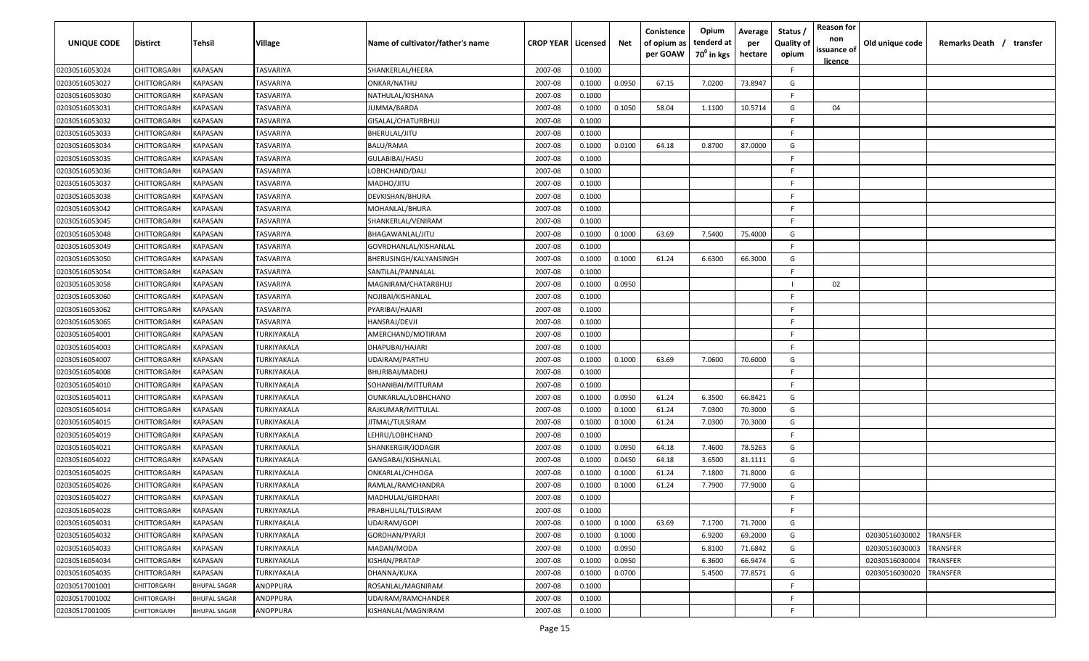| UNIQUE CODE    | <b>Distirct</b>    | Tehsil                | Village          | Name of cultivator/father's name | <b>CROP YEAR   Licensed</b> |        | Net    | Conistence<br>of opium as<br>per GOAW | Opium<br>tenderd at<br>70 <sup>0</sup> in kgs | Average<br>per<br>hectare | Status<br><b>Quality of</b><br>opium | <b>Reason for</b><br>non<br>issuance of<br><u>licence</u> | Old unique code | Remarks Death / transfer |
|----------------|--------------------|-----------------------|------------------|----------------------------------|-----------------------------|--------|--------|---------------------------------------|-----------------------------------------------|---------------------------|--------------------------------------|-----------------------------------------------------------|-----------------|--------------------------|
| 02030516053024 | CHITTORGARH        | KAPASAN               | TASVARIYA        | SHANKERLAL/HEERA                 | 2007-08                     | 0.1000 |        |                                       |                                               |                           | -F.                                  |                                                           |                 |                          |
| 02030516053027 | CHITTORGARH        | KAPASAN               | TASVARIYA        | ONKAR/NATHU                      | 2007-08                     | 0.1000 | 0.0950 | 67.15                                 | 7.0200                                        | 73.8947                   | G                                    |                                                           |                 |                          |
| 02030516053030 | CHITTORGARH        | KAPASAN               | TASVARIYA        | NATHULAL/KISHANA                 | 2007-08                     | 0.1000 |        |                                       |                                               |                           | F.                                   |                                                           |                 |                          |
| 02030516053031 | CHITTORGARH        | KAPASAN               | TASVARIYA        | IUMMA/BARDA                      | 2007-08                     | 0.1000 | 0.1050 | 58.04                                 | 1.1100                                        | 10.5714                   | G                                    | 04                                                        |                 |                          |
| 02030516053032 | CHITTORGARH        | KAPASAN               | TASVARIYA        | GISALAL/CHATURBHUJ               | 2007-08                     | 0.1000 |        |                                       |                                               |                           | -F                                   |                                                           |                 |                          |
| 02030516053033 | CHITTORGARH        | KAPASAN               | TASVARIYA        | BHERULAL/JITU                    | 2007-08                     | 0.1000 |        |                                       |                                               |                           | -F                                   |                                                           |                 |                          |
| 02030516053034 | CHITTORGARH        | KAPASAN               | TASVARIYA        | BALU/RAMA                        | 2007-08                     | 0.1000 | 0.0100 | 64.18                                 | 0.8700                                        | 87.0000                   | G                                    |                                                           |                 |                          |
| 02030516053035 | CHITTORGARH        | KAPASAN               | TASVARIYA        | GULABIBAI/HASU                   | 2007-08                     | 0.1000 |        |                                       |                                               |                           | F.                                   |                                                           |                 |                          |
| 02030516053036 | CHITTORGARH        | KAPASAN               | TASVARIYA        | LOBHCHAND/DALI                   | 2007-08                     | 0.1000 |        |                                       |                                               |                           | -F                                   |                                                           |                 |                          |
| 02030516053037 | CHITTORGARH        | KAPASAN               | TASVARIYA        | MADHO/JITU                       | 2007-08                     | 0.1000 |        |                                       |                                               |                           | -F                                   |                                                           |                 |                          |
| 02030516053038 | <b>CHITTORGARH</b> | <b><i>KAPASAN</i></b> | TASVARIYA        | DEVKISHAN/BHURA                  | 2007-08                     | 0.1000 |        |                                       |                                               |                           | -F                                   |                                                           |                 |                          |
| 02030516053042 | CHITTORGARH        | KAPASAN               | TASVARIYA        | MOHANLAL/BHURA                   | 2007-08                     | 0.1000 |        |                                       |                                               |                           | -F                                   |                                                           |                 |                          |
| 02030516053045 | CHITTORGARH        | KAPASAN               | TASVARIYA        | SHANKERLAL/VENIRAM               | 2007-08                     | 0.1000 |        |                                       |                                               |                           | E                                    |                                                           |                 |                          |
| 02030516053048 | CHITTORGARH        | KAPASAN               | TASVARIYA        | BHAGAWANLAL/JITU                 | 2007-08                     | 0.1000 | 0.1000 | 63.69                                 | 7.5400                                        | 75.4000                   | G                                    |                                                           |                 |                          |
| 02030516053049 | CHITTORGARH        | KAPASAN               | TASVARIYA        | GOVRDHANLAL/KISHANLAL            | 2007-08                     | 0.1000 |        |                                       |                                               |                           | F.                                   |                                                           |                 |                          |
| 02030516053050 | CHITTORGARH        | KAPASAN               | <b>TASVARIYA</b> | BHERUSINGH/KALYANSINGH           | 2007-08                     | 0.1000 | 0.1000 | 61.24                                 | 6.6300                                        | 66.3000                   | G                                    |                                                           |                 |                          |
| 02030516053054 | CHITTORGARH        | KAPASAN               | <b>TASVARIYA</b> | SANTILAL/PANNALAL                | 2007-08                     | 0.1000 |        |                                       |                                               |                           | F.                                   |                                                           |                 |                          |
| 02030516053058 | CHITTORGARH        | KAPASAN               | TASVARIYA        | MAGNIRAM/CHATARBHUJ              | 2007-08                     | 0.1000 | 0.0950 |                                       |                                               |                           | - 1                                  | 02                                                        |                 |                          |
| 02030516053060 | CHITTORGARH        | KAPASAN               | TASVARIYA        | NOJIBAI/KISHANLAL                | 2007-08                     | 0.1000 |        |                                       |                                               |                           | -F                                   |                                                           |                 |                          |
| 02030516053062 | CHITTORGARH        | KAPASAN               | TASVARIYA        | PYARIBAI/HAJARI                  | 2007-08                     | 0.1000 |        |                                       |                                               |                           | -F                                   |                                                           |                 |                          |
| 02030516053065 | CHITTORGARH        | KAPASAN               | <b>TASVARIYA</b> | HANSRAJ/DEVJI                    | 2007-08                     | 0.1000 |        |                                       |                                               |                           | -F                                   |                                                           |                 |                          |
| 02030516054001 | CHITTORGARH        | KAPASAN               | TURKIYAKALA      | AMERCHAND/MOTIRAM                | 2007-08                     | 0.1000 |        |                                       |                                               |                           | -F                                   |                                                           |                 |                          |
| 02030516054003 | CHITTORGARH        | KAPASAN               | TURKIYAKALA      | DHAPUBAI/HAJARI                  | 2007-08                     | 0.1000 |        |                                       |                                               |                           | -F                                   |                                                           |                 |                          |
| 02030516054007 | CHITTORGARH        | KAPASAN               | TURKIYAKALA      | UDAIRAM/PARTHU                   | 2007-08                     | 0.1000 | 0.1000 | 63.69                                 | 7.0600                                        | 70.6000                   | G                                    |                                                           |                 |                          |
| 02030516054008 | CHITTORGARH        | KAPASAN               | TURKIYAKALA      | BHURIBAI/MADHU                   | 2007-08                     | 0.1000 |        |                                       |                                               |                           | F.                                   |                                                           |                 |                          |
| 02030516054010 | CHITTORGARH        | KAPASAN               | TURKIYAKALA      | SOHANIBAI/MITTURAM               | 2007-08                     | 0.1000 |        |                                       |                                               |                           | -F.                                  |                                                           |                 |                          |
| 02030516054011 | <b>CHITTORGARH</b> | KAPASAN               | TURKIYAKALA      | OUNKARLAL/LOBHCHAND              | 2007-08                     | 0.1000 | 0.0950 | 61.24                                 | 6.3500                                        | 66.8421                   | G                                    |                                                           |                 |                          |
| 02030516054014 | <b>CHITTORGARH</b> | KAPASAN               | TURKIYAKALA      | RAJKUMAR/MITTULAL                | 2007-08                     | 0.1000 | 0.1000 | 61.24                                 | 7.0300                                        | 70.3000                   | G                                    |                                                           |                 |                          |
| 02030516054015 | CHITTORGARH        | KAPASAN               | TURKIYAKALA      | ITMAL/TULSIRAM                   | 2007-08                     | 0.1000 | 0.1000 | 61.24                                 | 7.0300                                        | 70.3000                   | G                                    |                                                           |                 |                          |
| 02030516054019 | CHITTORGARH        | KAPASAN               | TURKIYAKALA      | LEHRU/LOBHCHAND                  | 2007-08                     | 0.1000 |        |                                       |                                               |                           | F.                                   |                                                           |                 |                          |
| 02030516054021 | CHITTORGARH        | KAPASAN               | TURKIYAKALA      | SHANKERGIR/JODAGIR               | 2007-08                     | 0.1000 | 0.0950 | 64.18                                 | 7.4600                                        | 78.5263                   | G                                    |                                                           |                 |                          |
| 02030516054022 | CHITTORGARH        | KAPASAN               | TURKIYAKALA      | GANGABAI/KISHANLAL               | 2007-08                     | 0.1000 | 0.0450 | 64.18                                 | 3.6500                                        | 81.1111                   | G                                    |                                                           |                 |                          |
| 02030516054025 | CHITTORGARH        | KAPASAN               | TURKIYAKALA      | ONKARLAL/CHHOGA                  | 2007-08                     | 0.1000 | 0.1000 | 61.24                                 | 7.1800                                        | 71.8000                   | G                                    |                                                           |                 |                          |
| 02030516054026 | CHITTORGARH        | KAPASAN               | TURKIYAKALA      | RAMLAL/RAMCHANDRA                | 2007-08                     | 0.1000 | 0.1000 | 61.24                                 | 7.7900                                        | 77.9000                   | G                                    |                                                           |                 |                          |
| 02030516054027 | CHITTORGARH        | KAPASAN               | TURKIYAKALA      | MADHULAL/GIRDHARI                | 2007-08                     | 0.1000 |        |                                       |                                               |                           | F                                    |                                                           |                 |                          |
| 02030516054028 | CHITTORGARH        | <b>KAPASAN</b>        | TURKIYAKALA      | PRABHULAL/TULSIRAM               | 2007-08                     | 0.1000 |        |                                       |                                               |                           | -F                                   |                                                           |                 |                          |
| 02030516054031 | CHITTORGARH        | <b>KAPASAN</b>        | TURKIYAKALA      | <b>UDAIRAM/GOPI</b>              | 2007-08                     | 0.1000 | 0.1000 | 63.69                                 | 7.1700                                        | 71.7000                   | G                                    |                                                           |                 |                          |
| 02030516054032 | CHITTORGARH        | <b>KAPASAN</b>        | TURKIYAKALA      | GORDHAN/PYARJI                   | 2007-08                     | 0.1000 | 0.1000 |                                       | 6.9200                                        | 69.2000                   | G                                    |                                                           | 02030516030002  | TRANSFER                 |
| 02030516054033 | CHITTORGARH        | KAPASAN               | TURKIYAKALA      | MADAN/MODA                       | 2007-08                     | 0.1000 | 0.0950 |                                       | 6.8100                                        | 71.6842                   | G                                    |                                                           | 02030516030003  | TRANSFER                 |
| 02030516054034 | CHITTORGARH        | KAPASAN               | TURKIYAKALA      | KISHAN/PRATAP                    | 2007-08                     | 0.1000 | 0.0950 |                                       | 6.3600                                        | 66.9474                   | G                                    |                                                           | 02030516030004  | TRANSFER                 |
| 02030516054035 | CHITTORGARH        | KAPASAN               | TURKIYAKALA      | DHANNA/KUKA                      | 2007-08                     | 0.1000 | 0.0700 |                                       | 5.4500                                        | 77.8571                   | G                                    |                                                           | 02030516030020  | <b>RANSFER</b>           |
| 02030517001001 | CHITTORGARH        | <b>BHUPAL SAGAR</b>   | ANOPPURA         | ROSANLAL/MAGNIRAM                | 2007-08                     | 0.1000 |        |                                       |                                               |                           | F.                                   |                                                           |                 |                          |
| 02030517001002 | CHITTORGARH        | <b>BHUPAL SAGAR</b>   | ANOPPURA         | UDAIRAM/RAMCHANDER               | 2007-08                     | 0.1000 |        |                                       |                                               |                           | E                                    |                                                           |                 |                          |
| 02030517001005 | CHITTORGARH        | <b>BHUPAL SAGAR</b>   | ANOPPURA         | KISHANLAL/MAGNIRAM               | 2007-08                     | 0.1000 |        |                                       |                                               |                           | F                                    |                                                           |                 |                          |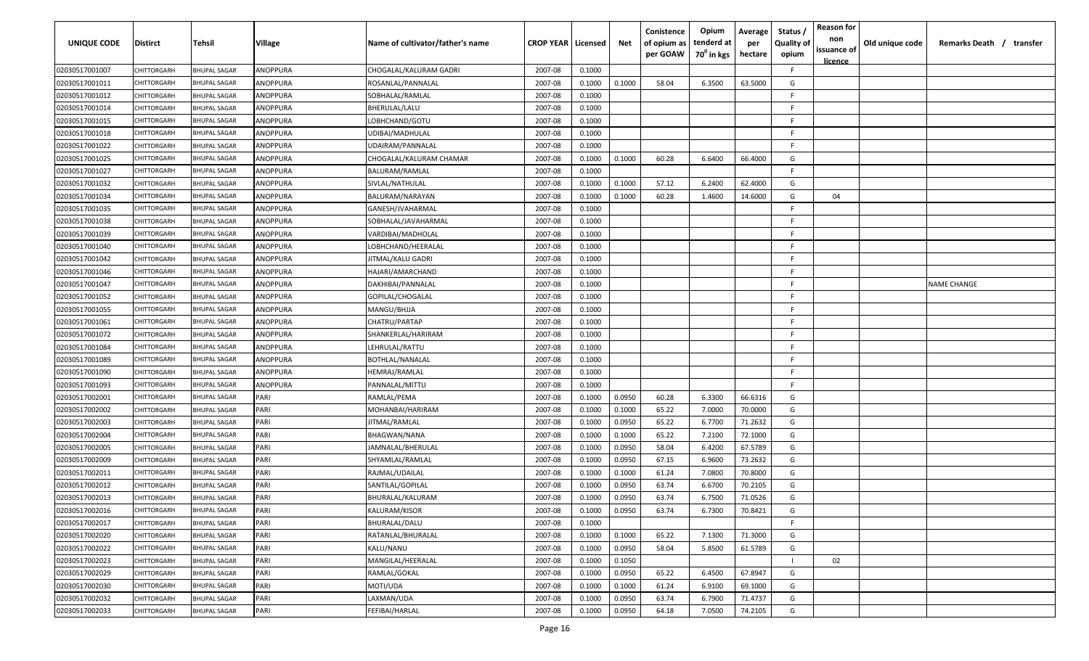| <b>UNIQUE CODE</b> | <b>Distirct</b>    | <b>Tehsil</b>       | Village  | Name of cultivator/father's name | <b>CROP YEAR Licensed</b> |        | Net    | Conistence<br>of opium as<br>per GOAW | Opium<br>tenderd at<br>70 <sup>0</sup> in kgs | Average<br>per<br>hectare | Status /<br><b>Quality of</b><br>opium | <b>Reason for</b><br>non<br>issuance of<br><u>licence</u> | Old unique code | Remarks Death /<br>transfer |
|--------------------|--------------------|---------------------|----------|----------------------------------|---------------------------|--------|--------|---------------------------------------|-----------------------------------------------|---------------------------|----------------------------------------|-----------------------------------------------------------|-----------------|-----------------------------|
| 02030517001007     | CHITTORGARH        | <b>BHUPAL SAGAR</b> | ANOPPURA | CHOGALAL/KALURAM GADRI           | 2007-08                   | 0.1000 |        |                                       |                                               |                           | F.                                     |                                                           |                 |                             |
| 02030517001011     | CHITTORGARH        | <b>BHUPAL SAGAR</b> | ANOPPURA | ROSANLAL/PANNALAL                | 2007-08                   | 0.1000 | 0.1000 | 58.04                                 | 6.3500                                        | 63.5000                   | G                                      |                                                           |                 |                             |
| 02030517001012     | <b>CHITTORGARH</b> | <b>BHUPAL SAGAR</b> | ANOPPURA | SOBHALAL/RAMLAL                  | 2007-08                   | 0.1000 |        |                                       |                                               |                           | -F.                                    |                                                           |                 |                             |
| 02030517001014     | <b>CHITTORGARH</b> | <b>BHUPAL SAGAR</b> | ANOPPURA | BHERULAL/LALU                    | 2007-08                   | 0.1000 |        |                                       |                                               |                           | -F.                                    |                                                           |                 |                             |
| 02030517001015     | CHITTORGARH        | <b>BHUPAL SAGAR</b> | ANOPPURA | LOBHCHAND/GOTU                   | 2007-08                   | 0.1000 |        |                                       |                                               |                           | -F.                                    |                                                           |                 |                             |
| 02030517001018     | <b>CHITTORGARH</b> | <b>BHUPAL SAGAR</b> | ANOPPURA | UDIBAI/MADHULAL                  | 2007-08                   | 0.1000 |        |                                       |                                               |                           | -F.                                    |                                                           |                 |                             |
| 02030517001022     | CHITTORGARH        | <b>BHUPAL SAGAR</b> | ANOPPURA | UDAIRAM/PANNALAL                 | 2007-08                   | 0.1000 |        |                                       |                                               |                           | -F                                     |                                                           |                 |                             |
| 02030517001025     | CHITTORGARH        | <b>BHUPAL SAGAR</b> | ANOPPURA | CHOGALAL/KALURAM CHAMAR          | 2007-08                   | 0.1000 | 0.1000 | 60.28                                 | 6.6400                                        | 66.4000                   | G                                      |                                                           |                 |                             |
| 02030517001027     | CHITTORGARH        | BHUPAL SAGAR        | ANOPPURA | BALURAM/RAMLAL                   | 2007-08                   | 0.1000 |        |                                       |                                               |                           | F.                                     |                                                           |                 |                             |
| 02030517001032     | CHITTORGARH        | <b>BHUPAL SAGAR</b> | ANOPPURA | SIVLAL/NATHULAL                  | 2007-08                   | 0.1000 | 0.1000 | 57.12                                 | 6.2400                                        | 62.4000                   | G                                      |                                                           |                 |                             |
| 02030517001034     | CHITTORGARH        | <b>BHUPAL SAGAR</b> | ANOPPURA | BALURAM/NARAYAN                  | 2007-08                   | 0.1000 | 0.1000 | 60.28                                 | 1.4600                                        | 14.6000                   | G                                      | 04                                                        |                 |                             |
| 02030517001035     | CHITTORGARH        | <b>BHUPAL SAGAR</b> | ANOPPURA | GANESH/JVAHARMAL                 | 2007-08                   | 0.1000 |        |                                       |                                               |                           | -F.                                    |                                                           |                 |                             |
| 02030517001038     | CHITTORGARH        | <b>BHUPAL SAGAR</b> | ANOPPURA | SOBHALAL/JAVAHARMAL              | 2007-08                   | 0.1000 |        |                                       |                                               |                           | F.                                     |                                                           |                 |                             |
| 02030517001039     | CHITTORGARH        | <b>BHUPAL SAGAR</b> | ANOPPURA | VARDIBAI/MADHOLAL                | 2007-08                   | 0.1000 |        |                                       |                                               |                           | -F.                                    |                                                           |                 |                             |
| 02030517001040     | <b>CHITTORGARH</b> | <b>BHUPAL SAGAR</b> | ANOPPURA | LOBHCHAND/HEERALAL               | 2007-08                   | 0.1000 |        |                                       |                                               |                           | -F.                                    |                                                           |                 |                             |
| 02030517001042     | CHITTORGARH        | <b>BHUPAL SAGAR</b> | ANOPPURA | JITMAL/KALU GADRI                | 2007-08                   | 0.1000 |        |                                       |                                               |                           | -F.                                    |                                                           |                 |                             |
| 02030517001046     | CHITTORGARH        | <b>BHUPAL SAGAR</b> | ANOPPURA | HAJARI/AMARCHAND                 | 2007-08                   | 0.1000 |        |                                       |                                               |                           | -F.                                    |                                                           |                 |                             |
| 02030517001047     | CHITTORGARH        | BHUPAL SAGAR        | ANOPPURA | DAKHIBAI/PANNALAL                | 2007-08                   | 0.1000 |        |                                       |                                               |                           | -F.                                    |                                                           |                 | NAME CHANGE                 |
| 02030517001052     | <b>CHITTORGARH</b> | BHUPAL SAGAR        | ANOPPURA | GOPILAL/CHOGALAL                 | 2007-08                   | 0.1000 |        |                                       |                                               |                           | F.                                     |                                                           |                 |                             |
| 02030517001055     | CHITTORGARH        | <b>BHUPAL SAGAR</b> | ANOPPURA | MANGU/BHJJA                      | 2007-08                   | 0.1000 |        |                                       |                                               |                           | -F.                                    |                                                           |                 |                             |
| 02030517001061     | CHITTORGARH        | <b>BHUPAL SAGAR</b> | ANOPPURA | CHATRU/PARTAP                    | 2007-08                   | 0.1000 |        |                                       |                                               |                           | -F                                     |                                                           |                 |                             |
| 02030517001072     | CHITTORGARH        | <b>BHUPAL SAGAR</b> | ANOPPURA | SHANKERLAL/HARIRAM               | 2007-08                   | 0.1000 |        |                                       |                                               |                           | -F.                                    |                                                           |                 |                             |
| 02030517001084     | CHITTORGARH        | <b>BHUPAL SAGAR</b> | ANOPPURA | LEHRULAL/RATTU                   | 2007-08                   | 0.1000 |        |                                       |                                               |                           | -F                                     |                                                           |                 |                             |
| 02030517001089     | CHITTORGARH        | <b>BHUPAL SAGAR</b> | ANOPPURA | BOTHLAL/NANALAL                  | 2007-08                   | 0.1000 |        |                                       |                                               |                           | -F                                     |                                                           |                 |                             |
| 02030517001090     | CHITTORGARH        | <b>BHUPAL SAGAR</b> | ANOPPURA | HEMRAJ/RAMLAL                    | 2007-08                   | 0.1000 |        |                                       |                                               |                           | -F.                                    |                                                           |                 |                             |
| 02030517001093     | CHITTORGARH        | BHUPAL SAGAR        | ANOPPURA | PANNALAL/MITTU                   | 2007-08                   | 0.1000 |        |                                       |                                               |                           | F.                                     |                                                           |                 |                             |
| 02030517002001     | CHITTORGARH        | BHUPAL SAGAR        | PARI     | RAMLAL/PEMA                      | 2007-08                   | 0.1000 | 0.0950 | 60.28                                 | 6.3300                                        | 66.6316                   | G                                      |                                                           |                 |                             |
| 02030517002002     | CHITTORGARH        | <b>BHUPAL SAGAR</b> | PARI     | MOHANBAI/HARIRAM                 | 2007-08                   | 0.1000 | 0.1000 | 65.22                                 | 7.0000                                        | 70.0000                   | G                                      |                                                           |                 |                             |
| 02030517002003     | CHITTORGARH        | <b>BHUPAL SAGAR</b> | PARI     | JITMAL/RAMLAL                    | 2007-08                   | 0.1000 | 0.0950 | 65.22                                 | 6.7700                                        | 71.2632                   | G                                      |                                                           |                 |                             |
| 02030517002004     | CHITTORGARH        | <b>BHUPAL SAGAR</b> | PARI     | BHAGWAN/NANA                     | 2007-08                   | 0.1000 | 0.1000 | 65.22                                 | 7.2100                                        | 72.1000                   | G                                      |                                                           |                 |                             |
| 02030517002005     | CHITTORGARH        | <b>BHUPAL SAGAR</b> | PARI     | JAMNALAL/BHERULAL                | 2007-08                   | 0.1000 | 0.0950 | 58.04                                 | 6.4200                                        | 67.5789                   | G                                      |                                                           |                 |                             |
| 02030517002009     | CHITTORGARH        | <b>BHUPAL SAGAR</b> | PARI     | SHYAMLAL/RAMLAL                  | 2007-08                   | 0.1000 | 0.0950 | 67.15                                 | 6.9600                                        | 73.2632                   | G                                      |                                                           |                 |                             |
| 02030517002011     | CHITTORGARH        | <b>BHUPAL SAGAR</b> | PARI     | RAJMAL/UDAILAL                   | 2007-08                   | 0.1000 | 0.1000 | 61.24                                 | 7.0800                                        | 70.8000                   | G                                      |                                                           |                 |                             |
| 02030517002012     | CHITTORGARH        | <b>BHUPAL SAGAR</b> | PARI     | SANTILAL/GOPILAL                 | 2007-08                   | 0.1000 | 0.0950 | 63.74                                 | 6.6700                                        | 70.2105                   | G                                      |                                                           |                 |                             |
| 02030517002013     | CHITTORGARH        | <b>BHUPAL SAGAR</b> | PARI     | BHURALAL/KALURAM                 | 2007-08                   | 0.1000 | 0.0950 | 63.74                                 | 6.7500                                        | 71.0526                   | G                                      |                                                           |                 |                             |
| 02030517002016     | CHITTORGARH        | <b>BHUPAL SAGAR</b> | PARI     | KALURAM/KISOR                    | 2007-08                   | 0.1000 | 0.0950 | 63.74                                 | 6.7300                                        | 70.8421                   | G                                      |                                                           |                 |                             |
| 02030517002017     | CHITTORGARH        | <b>BHUPAL SAGAR</b> | PARI     | BHURALAL/DALU                    | 2007-08                   | 0.1000 |        |                                       |                                               |                           | F.                                     |                                                           |                 |                             |
| 02030517002020     | CHITTORGARH        | <b>BHUPAL SAGAR</b> | PARI     | RATANLAL/BHURALAL                | 2007-08                   | 0.1000 | 0.1000 | 65.22                                 | 7.1300                                        | 71.3000                   | G                                      |                                                           |                 |                             |
| 02030517002022     | CHITTORGARH        | <b>BHUPAL SAGAR</b> | PARI     | KALU/NANU                        | 2007-08                   | 0.1000 | 0.0950 | 58.04                                 | 5.8500                                        | 61.5789                   | G                                      |                                                           |                 |                             |
| 02030517002023     | CHITTORGARH        | <b>BHUPAL SAGAR</b> | PARI     | MANGILAL/HEERALAL                | 2007-08                   | 0.1000 | 0.1050 |                                       |                                               |                           |                                        | 02                                                        |                 |                             |
| 02030517002029     | CHITTORGARH        | <b>BHUPAL SAGAR</b> | PARI     | RAMLAL/GOKAL                     | 2007-08                   | 0.1000 | 0.0950 | 65.22                                 | 6.4500                                        | 67.8947                   | G                                      |                                                           |                 |                             |
| 02030517002030     | CHITTORGARH        | <b>BHUPAL SAGAR</b> | PARI     | MOTI/UDA                         | 2007-08                   | 0.1000 | 0.1000 | 61.24                                 | 6.9100                                        | 69.1000                   | G                                      |                                                           |                 |                             |
| 02030517002032     | CHITTORGARH        | BHUPAL SAGAR        | PARI     | LAXMAN/UDA                       | 2007-08                   | 0.1000 | 0.0950 | 63.74                                 | 6.7900                                        | 71.4737                   | G                                      |                                                           |                 |                             |
| 02030517002033     | CHITTORGARH        | <b>BHUPAL SAGAR</b> | PARI     | FEFIBAI/HARLAL                   | 2007-08                   | 0.1000 | 0.0950 | 64.18                                 | 7.0500                                        | 74.2105                   | G                                      |                                                           |                 |                             |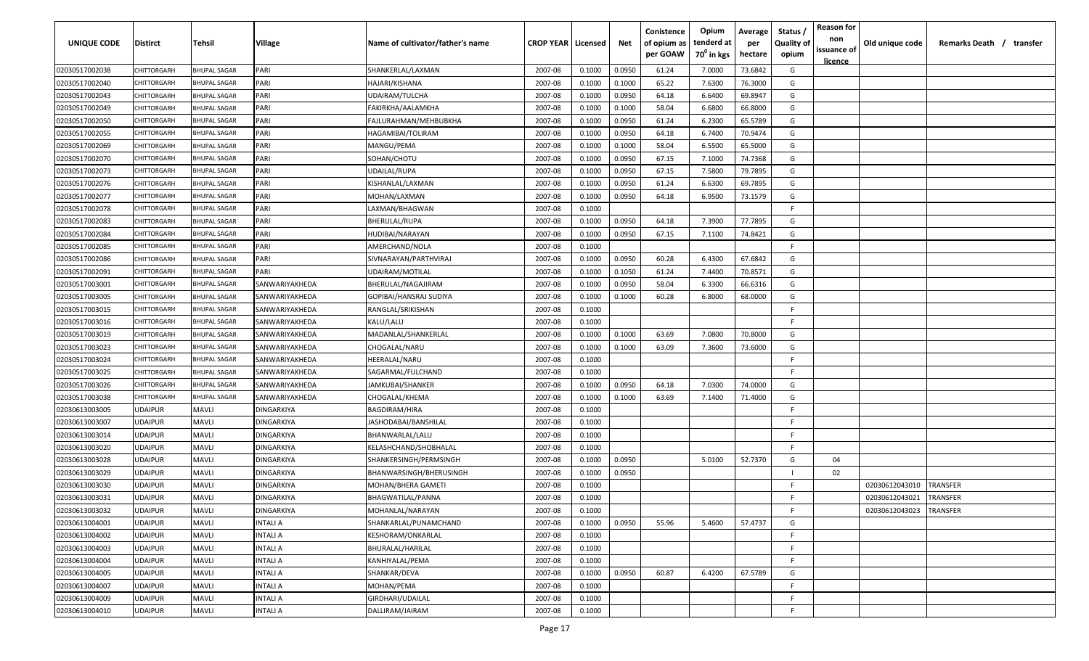| UNIQUE CODE    | <b>Distirct</b>    | Tehsil              | Village           | Name of cultivator/father's name | <b>CROP YEAR   Licensed</b> |        | Net    | Conistence<br>of opium as | Opium<br>tenderd at    | Average<br>per | Status<br><b>Quality of</b> | <b>Reason for</b><br>non      | Old unique code | Remarks Death / transfer |
|----------------|--------------------|---------------------|-------------------|----------------------------------|-----------------------------|--------|--------|---------------------------|------------------------|----------------|-----------------------------|-------------------------------|-----------------|--------------------------|
|                |                    |                     |                   |                                  |                             |        |        | per GOAW                  | 70 <sup>0</sup> in kgs | hectare        | opium                       | issuance of<br><u>licence</u> |                 |                          |
| 02030517002038 | CHITTORGARH        | <b>BHUPAL SAGAR</b> | PARI              | SHANKERLAL/LAXMAN                | 2007-08                     | 0.1000 | 0.0950 | 61.24                     | 7.0000                 | 73.6842        | G                           |                               |                 |                          |
| 02030517002040 | CHITTORGARH        | <b>BHUPAL SAGAR</b> | PARI              | HAJARI/KISHANA                   | 2007-08                     | 0.1000 | 0.1000 | 65.22                     | 7.6300                 | 76.3000        | G                           |                               |                 |                          |
| 02030517002043 | CHITTORGARH        | <b>BHUPAL SAGAR</b> | PARI              | UDAIRAM/TULCHA                   | 2007-08                     | 0.1000 | 0.0950 | 64.18                     | 6.6400                 | 69.8947        | G                           |                               |                 |                          |
| 02030517002049 | CHITTORGARH        | <b>BHUPAL SAGAR</b> | PARI              | FAKIRKHA/AALAMKHA                | 2007-08                     | 0.1000 | 0.1000 | 58.04                     | 6.6800                 | 66.8000        | G                           |                               |                 |                          |
| 02030517002050 | CHITTORGARH        | <b>BHUPAL SAGAR</b> | PARI              | FAJLURAHMAN/MEHBUBKHA            | 2007-08                     | 0.1000 | 0.0950 | 61.24                     | 6.2300                 | 65.5789        | G                           |                               |                 |                          |
| 02030517002055 | CHITTORGARH        | <b>BHUPAL SAGAR</b> | PARI              | HAGAMIBAI/TOLIRAM                | 2007-08                     | 0.1000 | 0.0950 | 64.18                     | 6.7400                 | 70.9474        | G                           |                               |                 |                          |
| 02030517002069 | <b>CHITTORGARI</b> | <b>BHUPAL SAGAR</b> | PARI              | MANGU/PEMA                       | 2007-08                     | 0.1000 | 0.1000 | 58.04                     | 6.5500                 | 65.5000        | G                           |                               |                 |                          |
| 02030517002070 | <b>CHITTORGARH</b> | <b>BHUPAL SAGAR</b> | PARI              | SOHAN/CHOTU                      | 2007-08                     | 0.1000 | 0.0950 | 67.15                     | 7.1000                 | 74.7368        | G                           |                               |                 |                          |
| 02030517002073 | CHITTORGARH        | <b>BHUPAL SAGAR</b> | PARI              | UDAILAL/RUPA                     | 2007-08                     | 0.1000 | 0.0950 | 67.15                     | 7.5800                 | 79.7895        | G                           |                               |                 |                          |
| 02030517002076 | CHITTORGARH        | <b>BHUPAL SAGAR</b> | PARI              | KISHANLAL/LAXMAN                 | 2007-08                     | 0.1000 | 0.0950 | 61.24                     | 6.6300                 | 69.7895        | G                           |                               |                 |                          |
| 02030517002077 | CHITTORGARI        | <b>BHUPAL SAGAR</b> | PARI              | MOHAN/LAXMAN                     | 2007-08                     | 0.1000 | 0.0950 | 64.18                     | 6.9500                 | 73.1579        | G                           |                               |                 |                          |
| 02030517002078 | CHITTORGARH        | <b>BHUPAL SAGAR</b> | PARI              | LAXMAN/BHAGWAN                   | 2007-08                     | 0.1000 |        |                           |                        |                | F.                          |                               |                 |                          |
| 02030517002083 | CHITTORGARH        | <b>BHUPAL SAGAR</b> | PARI              | BHERULAL/RUPA                    | 2007-08                     | 0.1000 | 0.0950 | 64.18                     | 7.3900                 | 77.7895        | G                           |                               |                 |                          |
| 02030517002084 | CHITTORGARH        | <b>BHUPAL SAGAR</b> | PARI              | HUDIBAI/NARAYAN                  | 2007-08                     | 0.1000 | 0.0950 | 67.15                     | 7.1100                 | 74.8421        | G                           |                               |                 |                          |
| 02030517002085 | CHITTORGARH        | <b>BHUPAL SAGAR</b> | PARI              | AMERCHAND/NOLA                   | 2007-08                     | 0.1000 |        |                           |                        |                | -F.                         |                               |                 |                          |
| 02030517002086 | CHITTORGARH        | <b>BHUPAL SAGAR</b> | PARI              | SIVNARAYAN/PARTHVIRAJ            | 2007-08                     | 0.1000 | 0.0950 | 60.28                     | 6.4300                 | 67.6842        | G                           |                               |                 |                          |
| 02030517002091 | CHITTORGARH        | <b>BHUPAL SAGAR</b> | PARI              | UDAIRAM/MOTILAL                  | 2007-08                     | 0.1000 | 0.1050 | 61.24                     | 7.4400                 | 70.8571        | G                           |                               |                 |                          |
| 02030517003001 | CHITTORGARH        | <b>BHUPAL SAGAR</b> | SANWARIYAKHEDA    | BHERULAL/NAGAJIRAM               | 2007-08                     | 0.1000 | 0.0950 | 58.04                     | 6.3300                 | 66.6316        | G                           |                               |                 |                          |
| 02030517003005 | CHITTORGARH        | <b>BHUPAL SAGAR</b> | SANWARIYAKHEDA    | GOPIBAI/HANSRAJ SUDIYA           | 2007-08                     | 0.1000 | 0.1000 | 60.28                     | 6.8000                 | 68.0000        | G                           |                               |                 |                          |
| 02030517003015 | <b>CHITTORGARI</b> | <b>BHUPAL SAGAR</b> | SANWARIYAKHEDA    | RANGLAL/SRIKISHAN                | 2007-08                     | 0.1000 |        |                           |                        |                | -F.                         |                               |                 |                          |
| 02030517003016 | CHITTORGARH        | <b>BHUPAL SAGAR</b> | SANWARIYAKHEDA    | KALU/LALU                        | 2007-08                     | 0.1000 |        |                           |                        |                | -F.                         |                               |                 |                          |
| 02030517003019 | <b>CHITTORGARI</b> | <b>BHUPAL SAGAR</b> | SANWARIYAKHEDA    | MADANLAL/SHANKERLAL              | 2007-08                     | 0.1000 | 0.1000 | 63.69                     | 7.0800                 | 70.8000        | G                           |                               |                 |                          |
| 02030517003023 | <b>CHITTORGARI</b> | <b>BHUPAL SAGAR</b> | SANWARIYAKHEDA    | CHOGALAL/NARU                    | 2007-08                     | 0.1000 | 0.1000 | 63.09                     | 7.3600                 | 73.6000        | G                           |                               |                 |                          |
| 02030517003024 | <b>CHITTORGARI</b> | <b>BHUPAL SAGAR</b> | SANWARIYAKHEDA    | HEERALAL/NARU                    | 2007-08                     | 0.1000 |        |                           |                        |                | -F                          |                               |                 |                          |
| 02030517003025 | CHITTORGARH        | <b>BHUPAL SAGAR</b> | SANWARIYAKHEDA    | SAGARMAL/FULCHAND                | 2007-08                     | 0.1000 |        |                           |                        |                | -F                          |                               |                 |                          |
| 02030517003026 | CHITTORGARH        | <b>BHUPAL SAGAR</b> | SANWARIYAKHEDA    | JAMKUBAI/SHANKER                 | 2007-08                     | 0.1000 | 0.0950 | 64.18                     | 7.0300                 | 74.0000        | G                           |                               |                 |                          |
| 02030517003038 | CHITTORGARI        | <b>BHUPAL SAGAR</b> | SANWARIYAKHEDA    | CHOGALAL/KHEMA                   | 2007-08                     | 0.1000 | 0.1000 | 63.69                     | 7.1400                 | 71.4000        | G                           |                               |                 |                          |
| 02030613003005 | <b>UDAIPUR</b>     | Mavli               | DINGARKIYA        | BAGDIRAM/HIRA                    | 2007-08                     | 0.1000 |        |                           |                        |                | -F.                         |                               |                 |                          |
| 02030613003007 | <b>UDAIPUR</b>     | <b>MAVLI</b>        | <b>DINGARKIYA</b> | IASHODABAI/BANSHILAL             | 2007-08                     | 0.1000 |        |                           |                        |                | -F                          |                               |                 |                          |
| 02030613003014 | <b>UDAIPUR</b>     | <b>MAVLI</b>        | <b>DINGARKIYA</b> | BHANWARLAL/LALU                  | 2007-08                     | 0.1000 |        |                           |                        |                | -F.                         |                               |                 |                          |
| 02030613003020 | <b>UDAIPUR</b>     | <b>MAVLI</b>        | <b>DINGARKIYA</b> | KELASHCHAND/SHOBHALAL            | 2007-08                     | 0.1000 |        |                           |                        |                | -F.                         |                               |                 |                          |
| 02030613003028 | <b>UDAIPUR</b>     | <b>MAVLI</b>        | <b>DINGARKIYA</b> | SHANKERSINGH/PERMSINGH           | 2007-08                     | 0.1000 | 0.0950 |                           | 5.0100                 | 52.7370        | G                           | 04                            |                 |                          |
| 02030613003029 | <b>UDAIPUR</b>     | <b>MAVLI</b>        | <b>DINGARKIYA</b> | BHANWARSINGH/BHERUSINGH          | 2007-08                     | 0.1000 | 0.0950 |                           |                        |                | $\blacksquare$              | 02                            |                 |                          |
| 02030613003030 | <b>UDAIPUR</b>     | <b>MAVLI</b>        | <b>DINGARKIYA</b> | MOHAN/BHERA GAMETI               | 2007-08                     | 0.1000 |        |                           |                        |                | -F.                         |                               | 02030612043010  | TRANSFER                 |
| 02030613003031 | <b>UDAIPUR</b>     | <b>MAVLI</b>        | <b>DINGARKIYA</b> | BHAGWATILAL/PANNA                | 2007-08                     | 0.1000 |        |                           |                        |                | F.                          |                               | 02030612043021  | TRANSFER                 |
| 02030613003032 | <b>UDAIPUR</b>     | <b>MAVLI</b>        | <b>DINGARKIYA</b> | MOHANLAL/NARAYAN                 | 2007-08                     | 0.1000 |        |                           |                        |                | F.                          |                               | 02030612043023  | <b>TRANSFER</b>          |
| 02030613004001 | <b>UDAIPUR</b>     | <b>MAVLI</b>        | <b>INTALIA</b>    | SHANKARLAL/PUNAMCHAND            | 2007-08                     | 0.1000 | 0.0950 | 55.96                     | 5.4600                 | 57.4737        | G                           |                               |                 |                          |
| 02030613004002 | <b>UDAIPUR</b>     | <b>MAVLI</b>        | <b>INTALI A</b>   | KESHORAM/ONKARLAL                | 2007-08                     | 0.1000 |        |                           |                        |                | F.                          |                               |                 |                          |
| 02030613004003 | <b>UDAIPUR</b>     | <b>MAVLI</b>        | <b>INTALI A</b>   | BHURALAL/HARILAL                 | 2007-08                     | 0.1000 |        |                           |                        |                | F.                          |                               |                 |                          |
| 02030613004004 | <b>UDAIPUR</b>     | <b>MAVLI</b>        | INTALI A          | KANHIYALAL/PEMA                  | 2007-08                     | 0.1000 |        |                           |                        |                | F.                          |                               |                 |                          |
| 02030613004005 | <b>UDAIPUR</b>     | <b>MAVLI</b>        | INTALI A          | SHANKAR/DEVA                     | 2007-08                     | 0.1000 | 0.0950 | 60.87                     | 6.4200                 | 67.5789        | G                           |                               |                 |                          |
| 02030613004007 | <b>UDAIPUR</b>     | <b>MAVLI</b>        | INTALI A          | MOHAN/PEMA                       | 2007-08                     | 0.1000 |        |                           |                        |                | F.                          |                               |                 |                          |
| 02030613004009 | <b>UDAIPUR</b>     | <b>MAVLI</b>        | INTALI A          | GIRDHARI/UDAILAL                 | 2007-08                     | 0.1000 |        |                           |                        |                | F.                          |                               |                 |                          |
| 02030613004010 | <b>UDAIPUR</b>     | <b>MAVLI</b>        | INTALI A          | DALLIRAM/JAIRAM                  | 2007-08                     | 0.1000 |        |                           |                        |                | F.                          |                               |                 |                          |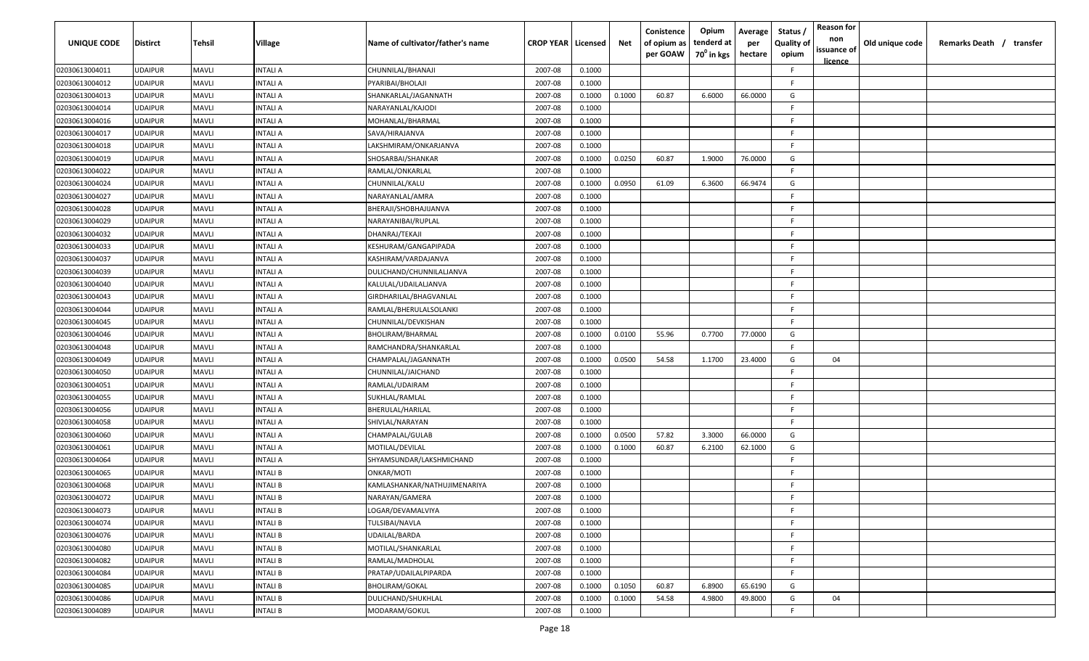| UNIQUE CODE    | Distirct       | <b>Tehsil</b> | Village         | Name of cultivator/father's name | <b>CROP YEAR   Licensed</b> |        | Net    | Conistence<br>of opium as<br>per GOAW | Opium<br>tenderd at<br>70 <sup>0</sup> in kgs | Average<br>per<br>hectare | <b>Reason for</b><br>Status,<br>non<br><b>Quality of</b><br>issuance of<br>opium<br><u>licence</u> | Old unique code | Remarks Death /<br>transfer |
|----------------|----------------|---------------|-----------------|----------------------------------|-----------------------------|--------|--------|---------------------------------------|-----------------------------------------------|---------------------------|----------------------------------------------------------------------------------------------------|-----------------|-----------------------------|
| 02030613004011 | UDAIPUR        | <b>MAVLI</b>  | INTALI A        | CHUNNILAL/BHANAJI                | 2007-08                     | 0.1000 |        |                                       |                                               |                           | F.                                                                                                 |                 |                             |
| 02030613004012 | UDAIPUR        | <b>MAVLI</b>  | INTALI A        | PYARIBAI/BHOLAJI                 | 2007-08                     | 0.1000 |        |                                       |                                               |                           | F.                                                                                                 |                 |                             |
| 02030613004013 | UDAIPUR        | <b>MAVLI</b>  | INTALI A        | SHANKARLAL/JAGANNATH             | 2007-08                     | 0.1000 | 0.1000 | 60.87                                 | 6.6000                                        | 66.0000                   | G                                                                                                  |                 |                             |
| 02030613004014 | UDAIPUR        | <b>MAVLI</b>  | INTALI A        | NARAYANLAL/KAJODI                | 2007-08                     | 0.1000 |        |                                       |                                               |                           | E                                                                                                  |                 |                             |
| 02030613004016 | UDAIPUR        | <b>MAVLI</b>  | <b>INTALI A</b> | MOHANLAL/BHARMAL                 | 2007-08                     | 0.1000 |        |                                       |                                               |                           | E                                                                                                  |                 |                             |
| 02030613004017 | UDAIPUR        | <b>MAVLI</b>  | INTALI A        | SAVA/HIRAJANVA                   | 2007-08                     | 0.1000 |        |                                       |                                               |                           | -F.                                                                                                |                 |                             |
| 02030613004018 | UDAIPUR        | <b>MAVLI</b>  | INTALI A        | LAKSHMIRAM/ONKARJANVA            | 2007-08                     | 0.1000 |        |                                       |                                               |                           | F.                                                                                                 |                 |                             |
| 02030613004019 | UDAIPUR        | <b>MAVLI</b>  | INTALI A        | SHOSARBAI/SHANKAR                | 2007-08                     | 0.1000 | 0.0250 | 60.87                                 | 1.9000                                        | 76.0000                   | G                                                                                                  |                 |                             |
| 02030613004022 | UDAIPUR        | <b>MAVLI</b>  | INTALI A        | RAMLAL/ONKARLAL                  | 2007-08                     | 0.1000 |        |                                       |                                               |                           | F.                                                                                                 |                 |                             |
| 02030613004024 | UDAIPUR        | <b>MAVLI</b>  | INTALI A        | CHUNNILAL/KALU                   | 2007-08                     | 0.1000 | 0.0950 | 61.09                                 | 6.3600                                        | 66.9474                   | G                                                                                                  |                 |                             |
| 02030613004027 | UDAIPUR        | <b>MAVLI</b>  | INTALI A        | NARAYANLAL/AMRA                  | 2007-08                     | 0.1000 |        |                                       |                                               |                           | -F.                                                                                                |                 |                             |
| 02030613004028 | UDAIPUR        | <b>MAVLI</b>  | INTALI A        | BHERAJI/SHOBHAJIJANVA            | 2007-08                     | 0.1000 |        |                                       |                                               |                           | -F.                                                                                                |                 |                             |
| 02030613004029 | UDAIPUR        | <b>MAVLI</b>  | INTALI A        | NARAYANIBAI/RUPLAL               | 2007-08                     | 0.1000 |        |                                       |                                               |                           | E                                                                                                  |                 |                             |
| 02030613004032 | UDAIPUR        | <b>MAVLI</b>  | INTALI A        | DHANRAJ/TEKAJI                   | 2007-08                     | 0.1000 |        |                                       |                                               |                           | - F                                                                                                |                 |                             |
| 02030613004033 | UDAIPUR        | <b>MAVLI</b>  | INTALI A        | KESHURAM/GANGAPIPADA             | 2007-08                     | 0.1000 |        |                                       |                                               |                           | -F.                                                                                                |                 |                             |
| 02030613004037 | UDAIPUR        | <b>MAVLI</b>  | INTALI A        | KASHIRAM/VARDAJANVA              | 2007-08                     | 0.1000 |        |                                       |                                               |                           | -F.                                                                                                |                 |                             |
| 02030613004039 | UDAIPUR        | <b>MAVLI</b>  | INTALI A        | DULICHAND/CHUNNILALJANVA         | 2007-08                     | 0.1000 |        |                                       |                                               |                           | F.                                                                                                 |                 |                             |
| 02030613004040 | UDAIPUR        | <b>MAVLI</b>  | INTALI A        | KALULAL/UDAILALJANVA             | 2007-08                     | 0.1000 |        |                                       |                                               |                           | -F.                                                                                                |                 |                             |
| 02030613004043 | UDAIPUR        | <b>MAVLI</b>  | INTALI A        | GIRDHARILAL/BHAGVANLAL           | 2007-08                     | 0.1000 |        |                                       |                                               |                           | -F                                                                                                 |                 |                             |
| 02030613004044 | UDAIPUR        | <b>MAVLI</b>  | INTALI A        | RAMLAL/BHERULALSOLANKI           | 2007-08                     | 0.1000 |        |                                       |                                               |                           | -F                                                                                                 |                 |                             |
| 02030613004045 | UDAIPUR        | <b>MAVLI</b>  | INTALI A        | CHUNNILAL/DEVKISHAN              | 2007-08                     | 0.1000 |        |                                       |                                               |                           | F.                                                                                                 |                 |                             |
| 02030613004046 | UDAIPUR        | <b>MAVLI</b>  | INTALI A        | BHOLIRAM/BHARMAL                 | 2007-08                     | 0.1000 | 0.0100 | 55.96                                 | 0.7700                                        | 77.0000                   | G                                                                                                  |                 |                             |
| 02030613004048 | UDAIPUR        | <b>MAVLI</b>  | INTALI A        | RAMCHANDRA/SHANKARLAL            | 2007-08                     | 0.1000 |        |                                       |                                               |                           | -F.                                                                                                |                 |                             |
| 02030613004049 | UDAIPUR        | <b>MAVLI</b>  | INTALI A        | CHAMPALAL/JAGANNATH              | 2007-08                     | 0.1000 | 0.0500 | 54.58                                 | 1.1700                                        | 23.4000                   | G<br>04                                                                                            |                 |                             |
| 02030613004050 | UDAIPUR        | <b>MAVLI</b>  | INTALI A        | CHUNNILAL/JAICHAND               | 2007-08                     | 0.1000 |        |                                       |                                               |                           | F.                                                                                                 |                 |                             |
| 02030613004051 | UDAIPUR        | <b>MAVLI</b>  | INTALI A        | RAMLAL/UDAIRAM                   | 2007-08                     | 0.1000 |        |                                       |                                               |                           | F.                                                                                                 |                 |                             |
| 02030613004055 | UDAIPUR        | <b>MAVLI</b>  | INTALI A        | SUKHLAL/RAMLAL                   | 2007-08                     | 0.1000 |        |                                       |                                               |                           | F                                                                                                  |                 |                             |
| 02030613004056 | <b>JDAIPUR</b> | <b>MAVLI</b>  | INTALI A        | BHERULAL/HARILAL                 | 2007-08                     | 0.1000 |        |                                       |                                               |                           | -F.                                                                                                |                 |                             |
| 02030613004058 | UDAIPUR        | <b>MAVLI</b>  | INTALI A        | SHIVLAL/NARAYAN                  | 2007-08                     | 0.1000 |        |                                       |                                               |                           | -F.                                                                                                |                 |                             |
| 02030613004060 | UDAIPUR        | <b>MAVLI</b>  | INTALI A        | CHAMPALAL/GULAB                  | 2007-08                     | 0.1000 | 0.0500 | 57.82                                 | 3.3000                                        | 66.0000                   | G                                                                                                  |                 |                             |
| 02030613004061 | UDAIPUR        | <b>MAVLI</b>  | INTALI A        | MOTILAL/DEVILAL                  | 2007-08                     | 0.1000 | 0.1000 | 60.87                                 | 6.2100                                        | 62.1000                   | G                                                                                                  |                 |                             |
| 02030613004064 | UDAIPUR        | <b>MAVLI</b>  | <b>INTALI A</b> | SHYAMSUNDAR/LAKSHMICHAND         | 2007-08                     | 0.1000 |        |                                       |                                               |                           | F.                                                                                                 |                 |                             |
| 02030613004065 | UDAIPUR        | <b>MAVLI</b>  | INTALI B        | ONKAR/MOTI                       | 2007-08                     | 0.1000 |        |                                       |                                               |                           | F.                                                                                                 |                 |                             |
| 02030613004068 | UDAIPUR        | <b>MAVLI</b>  | INTALI B        | KAMLASHANKAR/NATHUJIMENARIYA     | 2007-08                     | 0.1000 |        |                                       |                                               |                           | E                                                                                                  |                 |                             |
| 02030613004072 | UDAIPUR        | MAVLI         | INTALI B        | NARAYAN/GAMERA                   | 2007-08                     | 0.1000 |        |                                       |                                               |                           | E                                                                                                  |                 |                             |
| 02030613004073 | <b>UDAIPUR</b> | <b>MAVLI</b>  | <b>INTALI B</b> | LOGAR/DEVAMALVIYA                | 2007-08                     | 0.1000 |        |                                       |                                               |                           | F.                                                                                                 |                 |                             |
| 02030613004074 | UDAIPUR        | <b>MAVLI</b>  | INTALI B        | TULSIBAI/NAVLA                   | 2007-08                     | 0.1000 |        |                                       |                                               |                           | F.                                                                                                 |                 |                             |
| 02030613004076 | UDAIPUR        | <b>MAVLI</b>  | <b>INTALI B</b> | UDAILAL/BARDA                    | 2007-08                     | 0.1000 |        |                                       |                                               |                           | F.                                                                                                 |                 |                             |
| 02030613004080 | UDAIPUR        | <b>MAVLI</b>  | <b>INTALI B</b> | MOTILAL/SHANKARLAL               | 2007-08                     | 0.1000 |        |                                       |                                               |                           | -F.                                                                                                |                 |                             |
| 02030613004082 | UDAIPUR        | <b>MAVLI</b>  | <b>INTALI B</b> | RAMLAL/MADHOLAL                  | 2007-08                     | 0.1000 |        |                                       |                                               |                           | F.                                                                                                 |                 |                             |
| 02030613004084 | UDAIPUR        | <b>MAVLI</b>  | INTALI B        | PRATAP/UDAILALPIPARDA            | 2007-08                     | 0.1000 |        |                                       |                                               |                           | F.                                                                                                 |                 |                             |
| 02030613004085 | UDAIPUR        | <b>MAVLI</b>  | INTALI B        | <b>BHOLIRAM/GOKAL</b>            | 2007-08                     | 0.1000 | 0.1050 | 60.87                                 | 6.8900                                        | 65.6190                   | G                                                                                                  |                 |                             |
| 02030613004086 | UDAIPUR        | <b>MAVLI</b>  | INTALI B        | DULICHAND/SHUKHLAL               | 2007-08                     | 0.1000 | 0.1000 | 54.58                                 | 4.9800                                        | 49.8000                   | G<br>04                                                                                            |                 |                             |
| 02030613004089 | UDAIPUR        | <b>MAVLI</b>  | INTALI B        | MODARAM/GOKUL                    | 2007-08                     | 0.1000 |        |                                       |                                               |                           | F.                                                                                                 |                 |                             |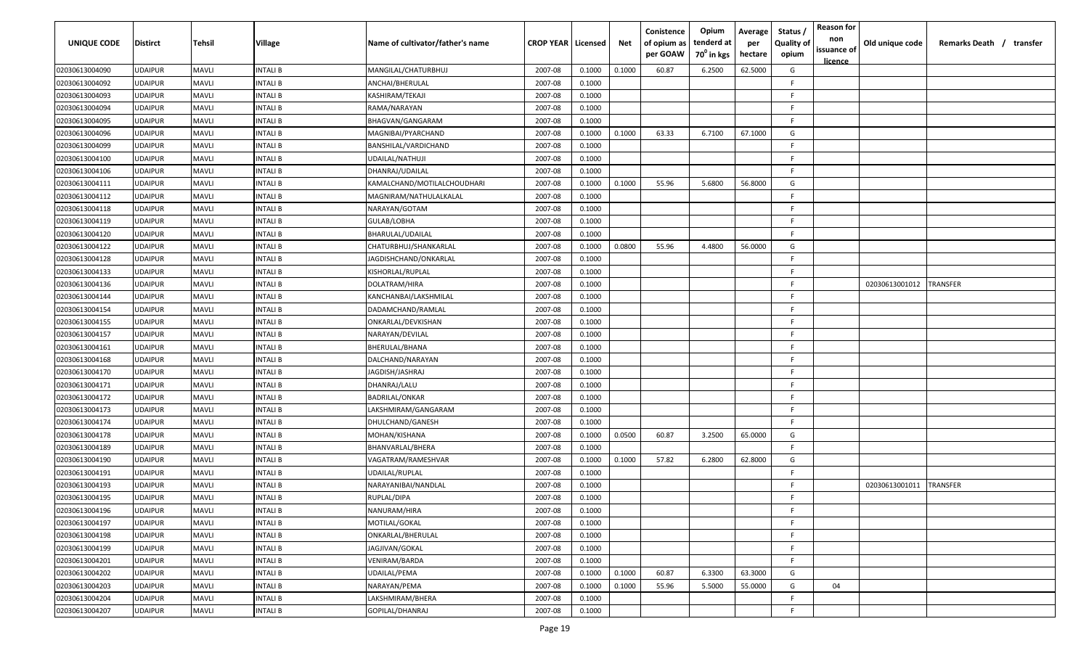| UNIQUE CODE    | Distirct       | <b>Tehsil</b> | <b>Village</b>  | Name of cultivator/father's name | <b>CROP YEAR   Licensed</b> |        | Net    | Conistence<br>of opium as<br>per GOAW | Opium<br>tenderd at<br>70 <sup>0</sup> in kgs | Average<br>per<br>hectare | <b>Reason for</b><br>Status,<br>non<br><b>Quality of</b><br>issuance of<br>opium<br><u>licence</u> | Old unique code | Remarks Death /<br>transfer |
|----------------|----------------|---------------|-----------------|----------------------------------|-----------------------------|--------|--------|---------------------------------------|-----------------------------------------------|---------------------------|----------------------------------------------------------------------------------------------------|-----------------|-----------------------------|
| 02030613004090 | UDAIPUR        | <b>MAVLI</b>  | INTALI B        | MANGILAL/CHATURBHUJ              | 2007-08                     | 0.1000 | 0.1000 | 60.87                                 | 6.2500                                        | 62.5000                   | G                                                                                                  |                 |                             |
| 02030613004092 | <b>UDAIPUR</b> | <b>MAVLI</b>  | INTALI B        | ANCHAI/BHERULAL                  | 2007-08                     | 0.1000 |        |                                       |                                               |                           | E                                                                                                  |                 |                             |
| 02030613004093 | <b>UDAIPUR</b> | <b>MAVLI</b>  | INTALI B        | KASHIRAM/TEKAJI                  | 2007-08                     | 0.1000 |        |                                       |                                               |                           | -F.                                                                                                |                 |                             |
| 02030613004094 | UDAIPUR        | <b>MAVLI</b>  | INTALI B        | RAMA/NARAYAN                     | 2007-08                     | 0.1000 |        |                                       |                                               |                           | - F                                                                                                |                 |                             |
| 02030613004095 | <b>UDAIPUR</b> | <b>MAVLI</b>  | <b>INTALI B</b> | BHAGVAN/GANGARAM                 | 2007-08                     | 0.1000 |        |                                       |                                               |                           | E                                                                                                  |                 |                             |
| 02030613004096 | UDAIPUR        | <b>MAVLI</b>  | INTALI B        | MAGNIBAI/PYARCHAND               | 2007-08                     | 0.1000 | 0.1000 | 63.33                                 | 6.7100                                        | 67.1000                   | G                                                                                                  |                 |                             |
| 02030613004099 | UDAIPUR        | <b>MAVLI</b>  | INTALI B        | BANSHILAL/VARDICHAND             | 2007-08                     | 0.1000 |        |                                       |                                               |                           | -F                                                                                                 |                 |                             |
| 02030613004100 | UDAIPUR        | <b>MAVLI</b>  | INTALI B        | UDAILAL/NATHUJI                  | 2007-08                     | 0.1000 |        |                                       |                                               |                           | F                                                                                                  |                 |                             |
| 02030613004106 | UDAIPUR        | <b>MAVLI</b>  | INTALI B        | DHANRAJ/UDAILAL                  | 2007-08                     | 0.1000 |        |                                       |                                               |                           | F                                                                                                  |                 |                             |
| 02030613004111 | UDAIPUR        | <b>MAVLI</b>  | INTALI B        | KAMALCHAND/MOTILALCHOUDHARI      | 2007-08                     | 0.1000 | 0.1000 | 55.96                                 | 5.6800                                        | 56.8000                   | G                                                                                                  |                 |                             |
| 02030613004112 | UDAIPUR        | <b>MAVLI</b>  | INTALI B        | MAGNIRAM/NATHULALKALAL           | 2007-08                     | 0.1000 |        |                                       |                                               |                           | -F.                                                                                                |                 |                             |
| 02030613004118 | UDAIPUR        | <b>MAVLI</b>  | INTALI B        | NARAYAN/GOTAM                    | 2007-08                     | 0.1000 |        |                                       |                                               |                           | -F.                                                                                                |                 |                             |
| 02030613004119 | UDAIPUR        | <b>MAVLI</b>  | INTALI B        | GULAB/LOBHA                      | 2007-08                     | 0.1000 |        |                                       |                                               |                           | -F.                                                                                                |                 |                             |
| 02030613004120 | UDAIPUR        | <b>MAVLI</b>  | INTALI B        | BHARULAL/UDAILAL                 | 2007-08                     | 0.1000 |        |                                       |                                               |                           | - F                                                                                                |                 |                             |
| 02030613004122 | UDAIPUR        | <b>MAVLI</b>  | INTALI B        | CHATURBHUJ/SHANKARLAL            | 2007-08                     | 0.1000 | 0.0800 | 55.96                                 | 4.4800                                        | 56.0000                   | G                                                                                                  |                 |                             |
| 02030613004128 | UDAIPUR        | <b>MAVLI</b>  | INTALI B        | JAGDISHCHAND/ONKARLAL            | 2007-08                     | 0.1000 |        |                                       |                                               |                           | -F.                                                                                                |                 |                             |
| 02030613004133 | UDAIPUR        | <b>MAVLI</b>  | INTALI B        | KISHORLAL/RUPLAL                 | 2007-08                     | 0.1000 |        |                                       |                                               |                           | F.                                                                                                 |                 |                             |
| 02030613004136 | UDAIPUR        | <b>MAVLI</b>  | INTALI B        | DOLATRAM/HIRA                    | 2007-08                     | 0.1000 |        |                                       |                                               |                           | -F                                                                                                 | 02030613001012  | <b>TRANSFER</b>             |
| 02030613004144 | UDAIPUR        | <b>MAVLI</b>  | INTALI B        | KANCHANBAI/LAKSHMILAL            | 2007-08                     | 0.1000 |        |                                       |                                               |                           | -F                                                                                                 |                 |                             |
| 02030613004154 | UDAIPUR        | <b>MAVLI</b>  | INTALI B        | DADAMCHAND/RAMLAL                | 2007-08                     | 0.1000 |        |                                       |                                               |                           | -F                                                                                                 |                 |                             |
| 02030613004155 | UDAIPUR        | <b>MAVLI</b>  | INTALI B        | ONKARLAL/DEVKISHAN               | 2007-08                     | 0.1000 |        |                                       |                                               |                           | -F                                                                                                 |                 |                             |
| 02030613004157 | UDAIPUR        | <b>MAVLI</b>  | INTALI B        | NARAYAN/DEVILAL                  | 2007-08                     | 0.1000 |        |                                       |                                               |                           | E                                                                                                  |                 |                             |
| 02030613004161 | UDAIPUR        | <b>MAVLI</b>  | INTALI B        | BHERULAL/BHANA                   | 2007-08                     | 0.1000 |        |                                       |                                               |                           | - F                                                                                                |                 |                             |
| 02030613004168 | UDAIPUR        | <b>MAVLI</b>  | INTALI B        | DALCHAND/NARAYAN                 | 2007-08                     | 0.1000 |        |                                       |                                               |                           | -F.                                                                                                |                 |                             |
| 02030613004170 | UDAIPUR        | <b>MAVLI</b>  | INTALI B        | JAGDISH/JASHRAJ                  | 2007-08                     | 0.1000 |        |                                       |                                               |                           | F.                                                                                                 |                 |                             |
| 02030613004171 | UDAIPUR        | <b>MAVLI</b>  | INTALI B        | DHANRAJ/LALU                     | 2007-08                     | 0.1000 |        |                                       |                                               |                           | F.                                                                                                 |                 |                             |
| 02030613004172 | UDAIPUR        | <b>MAVLI</b>  | INTALI B        | BADRILAL/ONKAR                   | 2007-08                     | 0.1000 |        |                                       |                                               |                           | -F                                                                                                 |                 |                             |
| 02030613004173 | <b>JDAIPUR</b> | <b>MAVLI</b>  | INTALI B        | LAKSHMIRAM/GANGARAM              | 2007-08                     | 0.1000 |        |                                       |                                               |                           | -F.                                                                                                |                 |                             |
| 02030613004174 | UDAIPUR        | <b>MAVLI</b>  | INTALI B        | DHULCHAND/GANESH                 | 2007-08                     | 0.1000 |        |                                       |                                               |                           | -F.                                                                                                |                 |                             |
| 02030613004178 | UDAIPUR        | <b>MAVLI</b>  | INTALI B        | MOHAN/KISHANA                    | 2007-08                     | 0.1000 | 0.0500 | 60.87                                 | 3.2500                                        | 65.0000                   | G                                                                                                  |                 |                             |
| 02030613004189 | UDAIPUR        | <b>MAVLI</b>  | INTALI B        | BHANVARLAL/BHERA                 | 2007-08                     | 0.1000 |        |                                       |                                               |                           | F.                                                                                                 |                 |                             |
| 02030613004190 | UDAIPUR        | <b>MAVLI</b>  | <b>INTALI B</b> | VAGATRAM/RAMESHVAR               | 2007-08                     | 0.1000 | 0.1000 | 57.82                                 | 6.2800                                        | 62.8000                   | G                                                                                                  |                 |                             |
| 02030613004191 | UDAIPUR        | <b>MAVLI</b>  | INTALI B        | UDAILAL/RUPLAL                   | 2007-08                     | 0.1000 |        |                                       |                                               |                           | F.                                                                                                 |                 |                             |
| 02030613004193 | <b>JDAIPUR</b> | <b>MAVLI</b>  | INTALI B        | NARAYANIBAI/NANDLAL              | 2007-08                     | 0.1000 |        |                                       |                                               |                           | E                                                                                                  | 02030613001011  | TRANSFER                    |
| 02030613004195 | UDAIPUR        | <b>MAVLI</b>  | <b>INTALI B</b> | RUPLAL/DIPA                      | 2007-08                     | 0.1000 |        |                                       |                                               |                           | F                                                                                                  |                 |                             |
| 02030613004196 | UDAIPUR        | <b>MAVLI</b>  | <b>INTALI B</b> | NANURAM/HIRA                     | 2007-08                     | 0.1000 |        |                                       |                                               |                           | F.                                                                                                 |                 |                             |
| 02030613004197 | UDAIPUR        | <b>MAVLI</b>  | <b>INTALI B</b> | MOTILAL/GOKAL                    | 2007-08                     | 0.1000 |        |                                       |                                               |                           | F.                                                                                                 |                 |                             |
| 02030613004198 | UDAIPUR        | <b>MAVLI</b>  | <b>INTALI B</b> | ONKARLAL/BHERULAL                | 2007-08                     | 0.1000 |        |                                       |                                               |                           | F                                                                                                  |                 |                             |
| 02030613004199 | UDAIPUR        | <b>MAVLI</b>  | <b>INTALI B</b> | JAGJIVAN/GOKAL                   | 2007-08                     | 0.1000 |        |                                       |                                               |                           | -F                                                                                                 |                 |                             |
| 02030613004201 | UDAIPUR        | <b>MAVLI</b>  | <b>INTALI B</b> | VENIRAM/BARDA                    | 2007-08                     | 0.1000 |        |                                       |                                               |                           | F.                                                                                                 |                 |                             |
| 02030613004202 | UDAIPUR        | <b>MAVLI</b>  | INTALI B        | UDAILAL/PEMA                     | 2007-08                     | 0.1000 | 0.1000 | 60.87                                 | 6.3300                                        | 63.3000                   | G                                                                                                  |                 |                             |
| 02030613004203 | UDAIPUR        | <b>MAVLI</b>  | INTALI B        | NARAYAN/PEMA                     | 2007-08                     | 0.1000 | 0.1000 | 55.96                                 | 5.5000                                        | 55.0000                   | G<br>04                                                                                            |                 |                             |
| 02030613004204 | UDAIPUR        | <b>MAVLI</b>  | INTALI B        | LAKSHMIRAM/BHERA                 | 2007-08                     | 0.1000 |        |                                       |                                               |                           | -F.                                                                                                |                 |                             |
| 02030613004207 | UDAIPUR        | <b>MAVLI</b>  | <b>INTALI B</b> | GOPILAL/DHANRAJ                  | 2007-08                     | 0.1000 |        |                                       |                                               |                           | $\mathsf{F}$                                                                                       |                 |                             |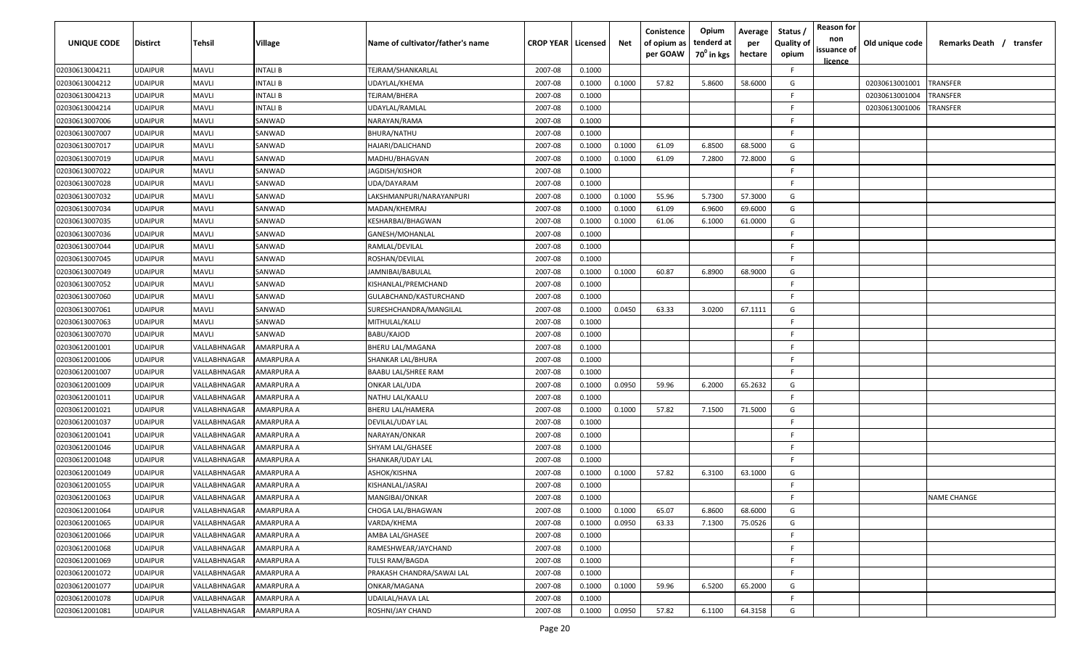| UNIQUE CODE    | <b>Distirct</b> | Tehsil       | Village    | Name of cultivator/father's name | <b>CROP YEAR   Licensed</b> |        | Net    | Conistence<br>of opium as<br>per GOAW | Opium<br>tenderd at<br>70 <sup>0</sup> in kgs | Average<br>per<br>hectare | Status,<br><b>Quality of</b><br>opium | <b>Reason for</b><br>non<br>issuance of<br><u>licence</u> | Old unique code | Remarks Death / transfer |
|----------------|-----------------|--------------|------------|----------------------------------|-----------------------------|--------|--------|---------------------------------------|-----------------------------------------------|---------------------------|---------------------------------------|-----------------------------------------------------------|-----------------|--------------------------|
| 02030613004211 | <b>UDAIPUR</b>  | <b>MAVLI</b> | INTALI B   | TEJRAM/SHANKARLAL                | 2007-08                     | 0.1000 |        |                                       |                                               |                           | F.                                    |                                                           |                 |                          |
| 02030613004212 | <b>UDAIPUR</b>  | <b>MAVLI</b> | INTALI B   | UDAYLAL/KHEMA                    | 2007-08                     | 0.1000 | 0.1000 | 57.82                                 | 5.8600                                        | 58.6000                   | G                                     |                                                           | 02030613001001  | TRANSFER                 |
| 02030613004213 | <b>UDAIPUR</b>  | <b>MAVLI</b> | INTALI B   | TEJRAM/BHERA                     | 2007-08                     | 0.1000 |        |                                       |                                               |                           | F                                     |                                                           | 02030613001004  | TRANSFER                 |
| 02030613004214 | <b>UDAIPUR</b>  | <b>MAVLI</b> | INTALI B   | UDAYLAL/RAMLAL                   | 2007-08                     | 0.1000 |        |                                       |                                               |                           | E                                     |                                                           | 02030613001006  | TRANSFER                 |
| 02030613007006 | <b>UDAIPUR</b>  | <b>MAVLI</b> | SANWAD     | NARAYAN/RAMA                     | 2007-08                     | 0.1000 |        |                                       |                                               |                           | F                                     |                                                           |                 |                          |
| 02030613007007 | <b>UDAIPUR</b>  | <b>MAVLI</b> | SANWAD     | BHURA/NATHU                      | 2007-08                     | 0.1000 |        |                                       |                                               |                           | F                                     |                                                           |                 |                          |
| 02030613007017 | <b>UDAIPUR</b>  | <b>MAVLI</b> | SANWAD     | HAJARI/DALICHAND                 | 2007-08                     | 0.1000 | 0.1000 | 61.09                                 | 6.8500                                        | 68.5000                   | G                                     |                                                           |                 |                          |
| 02030613007019 | <b>UDAIPUR</b>  | <b>MAVLI</b> | SANWAD     | MADHU/BHAGVAN                    | 2007-08                     | 0.1000 | 0.1000 | 61.09                                 | 7.2800                                        | 72.8000                   | G                                     |                                                           |                 |                          |
| 02030613007022 | <b>UDAIPUR</b>  | <b>MAVLI</b> | SANWAD     | JAGDISH/KISHOR                   | 2007-08                     | 0.1000 |        |                                       |                                               |                           | F                                     |                                                           |                 |                          |
| 02030613007028 | <b>UDAIPUR</b>  | <b>MAVLI</b> | SANWAD     | UDA/DAYARAM                      | 2007-08                     | 0.1000 |        |                                       |                                               |                           | F                                     |                                                           |                 |                          |
| 02030613007032 | <b>UDAIPUR</b>  | <b>MAVLI</b> | SANWAD     | LAKSHMANPURI/NARAYANPURI         | 2007-08                     | 0.1000 | 0.1000 | 55.96                                 | 5.7300                                        | 57.3000                   | G                                     |                                                           |                 |                          |
| 02030613007034 | <b>UDAIPUR</b>  | <b>MAVLI</b> | SANWAD     | MADAN/KHEMRAJ                    | 2007-08                     | 0.1000 | 0.1000 | 61.09                                 | 6.9600                                        | 69.6000                   | G                                     |                                                           |                 |                          |
| 02030613007035 | <b>UDAIPUR</b>  | <b>MAVLI</b> | SANWAD     | KESHARBAI/BHAGWAN                | 2007-08                     | 0.1000 | 0.1000 | 61.06                                 | 6.1000                                        | 61.0000                   | G                                     |                                                           |                 |                          |
| 02030613007036 | <b>UDAIPUR</b>  | <b>MAVLI</b> | SANWAD     | GANESH/MOHANLAL                  | 2007-08                     | 0.1000 |        |                                       |                                               |                           | F                                     |                                                           |                 |                          |
| 02030613007044 | <b>UDAIPUR</b>  | <b>MAVLI</b> | SANWAD     | RAMLAL/DEVILAL                   | 2007-08                     | 0.1000 |        |                                       |                                               |                           | F                                     |                                                           |                 |                          |
| 02030613007045 | <b>UDAIPUR</b>  | <b>MAVLI</b> | SANWAD     | ROSHAN/DEVILAL                   | 2007-08                     | 0.1000 |        |                                       |                                               |                           | E                                     |                                                           |                 |                          |
| 02030613007049 | <b>UDAIPUR</b>  | <b>MAVLI</b> | SANWAD     | JAMNIBAI/BABULAL                 | 2007-08                     | 0.1000 | 0.1000 | 60.87                                 | 6.8900                                        | 68.9000                   | G                                     |                                                           |                 |                          |
| 02030613007052 | <b>UDAIPUR</b>  | <b>MAVLI</b> | SANWAD     | KISHANLAL/PREMCHAND              | 2007-08                     | 0.1000 |        |                                       |                                               |                           | F                                     |                                                           |                 |                          |
| 02030613007060 | <b>UDAIPUR</b>  | <b>MAVLI</b> | SANWAD     | GULABCHAND/KASTURCHAND           | 2007-08                     | 0.1000 |        |                                       |                                               |                           | E                                     |                                                           |                 |                          |
| 02030613007061 | <b>UDAIPUR</b>  | <b>MAVLI</b> | SANWAD     | SURESHCHANDRA/MANGILAL           | 2007-08                     | 0.1000 | 0.0450 | 63.33                                 | 3.0200                                        | 67.1111                   | G                                     |                                                           |                 |                          |
| 02030613007063 | <b>UDAIPUR</b>  | <b>MAVLI</b> | SANWAD     | MITHULAL/KALU                    | 2007-08                     | 0.1000 |        |                                       |                                               |                           | F                                     |                                                           |                 |                          |
| 02030613007070 | <b>UDAIPUR</b>  | <b>MAVLI</b> | SANWAD     | BABU/KAJOD                       | 2007-08                     | 0.1000 |        |                                       |                                               |                           | F                                     |                                                           |                 |                          |
| 02030612001001 | <b>UDAIPUR</b>  | VALLABHNAGAR | AMARPURA A | BHERU LAL/MAGANA                 | 2007-08                     | 0.1000 |        |                                       |                                               |                           | F                                     |                                                           |                 |                          |
| 02030612001006 | <b>UDAIPUR</b>  | VALLABHNAGAR | AMARPURA A | SHANKAR LAL/BHURA                | 2007-08                     | 0.1000 |        |                                       |                                               |                           | F                                     |                                                           |                 |                          |
| 02030612001007 | <b>UDAIPUR</b>  | VALLABHNAGAR | AMARPURA A | <b>BAABU LAL/SHREE RAM</b>       | 2007-08                     | 0.1000 |        |                                       |                                               |                           | E                                     |                                                           |                 |                          |
| 02030612001009 | <b>UDAIPUR</b>  | VALLABHNAGAR | AMARPURA A | ONKAR LAL/UDA                    | 2007-08                     | 0.1000 | 0.0950 | 59.96                                 | 6.2000                                        | 65.2632                   | G                                     |                                                           |                 |                          |
| 02030612001011 | <b>UDAIPUR</b>  | VALLABHNAGAR | AMARPURA A | NATHU LAL/KAALU                  | 2007-08                     | 0.1000 |        |                                       |                                               |                           | F.                                    |                                                           |                 |                          |
| 02030612001021 | <b>UDAIPUR</b>  | VALLABHNAGAR | AMARPURA A | <b>BHERU LAL/HAMERA</b>          | 2007-08                     | 0.1000 | 0.1000 | 57.82                                 | 7.1500                                        | 71.5000                   | G                                     |                                                           |                 |                          |
| 02030612001037 | <b>UDAIPUR</b>  | VALLABHNAGAR | AMARPURA A | DEVILAL/UDAY LAL                 | 2007-08                     | 0.1000 |        |                                       |                                               |                           | E                                     |                                                           |                 |                          |
| 02030612001041 | <b>UDAIPUR</b>  | VALLABHNAGAR | AMARPURA A | NARAYAN/ONKAR                    | 2007-08                     | 0.1000 |        |                                       |                                               |                           | F                                     |                                                           |                 |                          |
| 02030612001046 | <b>UDAIPUR</b>  | VALLABHNAGAR | AMARPURA A | SHYAM LAL/GHASEE                 | 2007-08                     | 0.1000 |        |                                       |                                               |                           | F                                     |                                                           |                 |                          |
| 02030612001048 | <b>UDAIPUR</b>  | VALLABHNAGAR | AMARPURA A | SHANKAR/UDAY LAL                 | 2007-08                     | 0.1000 |        |                                       |                                               |                           | -F                                    |                                                           |                 |                          |
| 02030612001049 | <b>UDAIPUR</b>  | VALLABHNAGAR | AMARPURA A | ASHOK/KISHNA                     | 2007-08                     | 0.1000 | 0.1000 | 57.82                                 | 6.3100                                        | 63.1000                   | G                                     |                                                           |                 |                          |
| 02030612001055 | <b>UDAIPUR</b>  | VALLABHNAGAR | AMARPURA A | KISHANLAL/JASRAJ                 | 2007-08                     | 0.1000 |        |                                       |                                               |                           | F.                                    |                                                           |                 |                          |
| 02030612001063 | <b>UDAIPUR</b>  | VALLABHNAGAR | AMARPURA A | MANGIBAI/ONKAR                   | 2007-08                     | 0.1000 |        |                                       |                                               |                           | F                                     |                                                           |                 | <b>NAME CHANGE</b>       |
| 02030612001064 | <b>UDAIPUR</b>  | VALLABHNAGAR | AMARPURA A | CHOGA LAL/BHAGWAN                | 2007-08                     | 0.1000 | 0.1000 | 65.07                                 | 6.8600                                        | 68.6000                   | G                                     |                                                           |                 |                          |
| 02030612001065 | <b>UDAIPUR</b>  | VALLABHNAGAR | AMARPURA A | VARDA/KHEMA                      | 2007-08                     | 0.1000 | 0.0950 | 63.33                                 | 7.1300                                        | 75.0526                   | G                                     |                                                           |                 |                          |
| 02030612001066 | <b>UDAIPUR</b>  | VALLABHNAGAR | AMARPURA A | AMBA LAL/GHASEE                  | 2007-08                     | 0.1000 |        |                                       |                                               |                           | F.                                    |                                                           |                 |                          |
| 02030612001068 | <b>UDAIPUR</b>  | VALLABHNAGAR | AMARPURA A | RAMESHWEAR/JAYCHAND              | 2007-08                     | 0.1000 |        |                                       |                                               |                           | F.                                    |                                                           |                 |                          |
| 02030612001069 | <b>UDAIPUR</b>  | VALLABHNAGAR | AMARPURA A | TULSI RAM/BAGDA                  | 2007-08                     | 0.1000 |        |                                       |                                               |                           | F.                                    |                                                           |                 |                          |
| 02030612001072 | <b>UDAIPUR</b>  | VALLABHNAGAR | AMARPURA A | PRAKASH CHANDRA/SAWAI LAL        | 2007-08                     | 0.1000 |        |                                       |                                               |                           | F.                                    |                                                           |                 |                          |
| 02030612001077 | <b>UDAIPUR</b>  | VALLABHNAGAR | AMARPURA A | ONKAR/MAGANA                     | 2007-08                     | 0.1000 | 0.1000 | 59.96                                 | 6.5200                                        | 65.2000                   | G                                     |                                                           |                 |                          |
| 02030612001078 | <b>UDAIPUR</b>  | VALLABHNAGAR | AMARPURA A | UDAILAL/HAVA LAL                 | 2007-08                     | 0.1000 |        |                                       |                                               |                           | F.                                    |                                                           |                 |                          |
| 02030612001081 | <b>UDAIPUR</b>  | VALLABHNAGAR | AMARPURA A | ROSHNI/JAY CHAND                 | 2007-08                     | 0.1000 | 0.0950 | 57.82                                 | 6.1100                                        | 64.3158                   | G                                     |                                                           |                 |                          |
|                |                 |              |            |                                  |                             |        |        |                                       |                                               |                           |                                       |                                                           |                 |                          |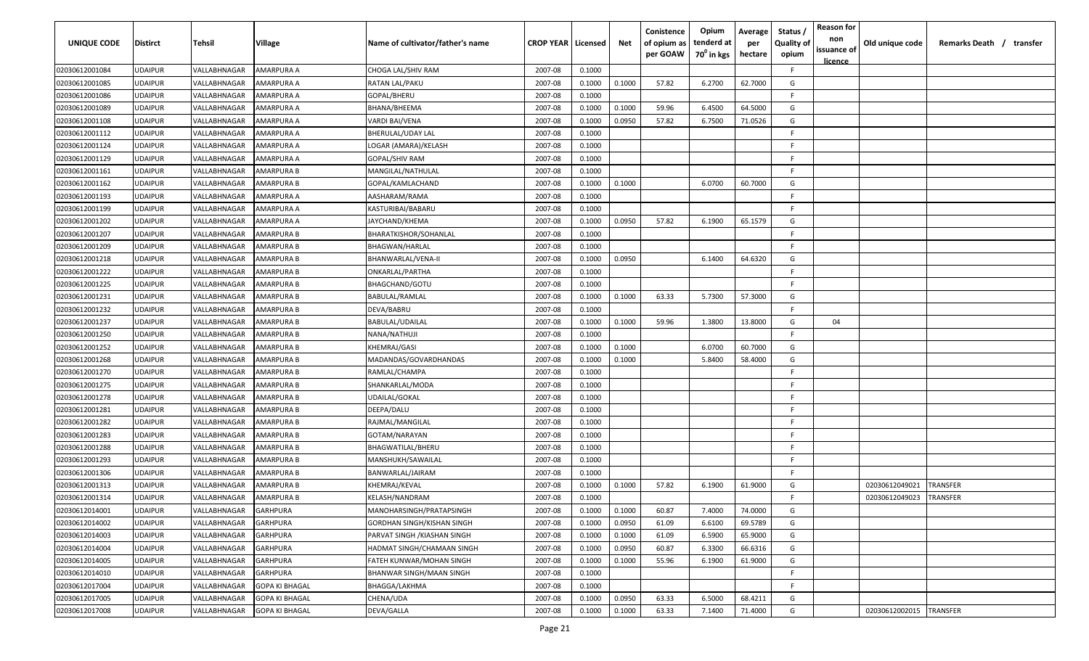| UNIQUE CODE    | <b>Distirct</b> | Tehsil       | Village               | Name of cultivator/father's name  | <b>CROP YEAR   Licensed</b> |        | Net    | Conistence<br>of opium as<br>per GOAW | Opium<br>tenderd at<br>70 <sup>0</sup> in kgs | Average<br>per<br>hectare | Status<br><b>Quality of</b><br>opium | <b>Reason for</b><br>non<br>issuance of | Old unique code | Remarks Death / transfer |
|----------------|-----------------|--------------|-----------------------|-----------------------------------|-----------------------------|--------|--------|---------------------------------------|-----------------------------------------------|---------------------------|--------------------------------------|-----------------------------------------|-----------------|--------------------------|
| 02030612001084 | <b>UDAIPUR</b>  | VALLABHNAGAR | AMARPURA A            | CHOGA LAL/SHIV RAM                | 2007-08                     | 0.1000 |        |                                       |                                               |                           | F.                                   | <u>licence</u>                          |                 |                          |
| 02030612001085 | <b>UDAIPUR</b>  | VALLABHNAGAR | AMARPURA A            | RATAN LAL/PAKU                    | 2007-08                     | 0.1000 | 0.1000 | 57.82                                 | 6.2700                                        | 62.7000                   | G                                    |                                         |                 |                          |
| 02030612001086 | <b>UDAIPUR</b>  | VALLABHNAGAR | AMARPURA A            | GOPAL/BHERU                       | 2007-08                     | 0.1000 |        |                                       |                                               |                           | -F                                   |                                         |                 |                          |
| 02030612001089 | <b>UDAIPUR</b>  | VALLABHNAGAR | AMARPURA A            | BHANA/BHEEMA                      | 2007-08                     | 0.1000 | 0.1000 | 59.96                                 | 6.4500                                        | 64.5000                   | G                                    |                                         |                 |                          |
| 02030612001108 | <b>UDAIPUR</b>  | VALLABHNAGAR | AMARPURA A            | VARDI BAI/VENA                    | 2007-08                     | 0.1000 | 0.0950 | 57.82                                 | 6.7500                                        | 71.0526                   | G                                    |                                         |                 |                          |
| 02030612001112 | <b>UDAIPUR</b>  | VALLABHNAGAR | AMARPURA A            | BHERULAL/UDAY LAL                 | 2007-08                     | 0.1000 |        |                                       |                                               |                           | -F.                                  |                                         |                 |                          |
| 02030612001124 | <b>UDAIPUR</b>  | VALLABHNAGAR | AMARPURA A            | LOGAR (AMARA)/KELASH              | 2007-08                     | 0.1000 |        |                                       |                                               |                           | -F                                   |                                         |                 |                          |
| 02030612001129 | <b>UDAIPUR</b>  | VALLABHNAGAR | AMARPURA A            | GOPAL/SHIV RAM                    | 2007-08                     | 0.1000 |        |                                       |                                               |                           | -F.                                  |                                         |                 |                          |
| 02030612001161 | <b>UDAIPUR</b>  | VALLABHNAGAR | AMARPURA B            | MANGILAL/NATHULAL                 | 2007-08                     | 0.1000 |        |                                       |                                               |                           | -F.                                  |                                         |                 |                          |
| 02030612001162 | <b>UDAIPUR</b>  | VALLABHNAGAR | AMARPURA B            | GOPAL/KAMLACHAND                  | 2007-08                     | 0.1000 | 0.1000 |                                       | 6.0700                                        | 60.7000                   | G                                    |                                         |                 |                          |
| 02030612001193 | <b>UDAIPUR</b>  | VALLABHNAGAR | AMARPURA A            | AASHARAM/RAMA                     | 2007-08                     | 0.1000 |        |                                       |                                               |                           | F.                                   |                                         |                 |                          |
| 02030612001199 | <b>UDAIPUR</b>  | VALLABHNAGAR | AMARPURA A            | KASTURIBAI/BABARU                 | 2007-08                     | 0.1000 |        |                                       |                                               |                           | F.                                   |                                         |                 |                          |
| 02030612001202 | <b>UDAIPUR</b>  | VALLABHNAGAR | AMARPURA A            | JAYCHAND/KHEMA                    | 2007-08                     | 0.1000 | 0.0950 | 57.82                                 | 6.1900                                        | 65.1579                   | G                                    |                                         |                 |                          |
| 02030612001207 | <b>UDAIPUR</b>  | VALLABHNAGAR | AMARPURA B            | BHARATKISHOR/SOHANLAL             | 2007-08                     | 0.1000 |        |                                       |                                               |                           | F.                                   |                                         |                 |                          |
| 02030612001209 | <b>UDAIPUR</b>  | VALLABHNAGAR | AMARPURA B            | BHAGWAN/HARLAL                    | 2007-08                     | 0.1000 |        |                                       |                                               |                           | -F.                                  |                                         |                 |                          |
| 02030612001218 | <b>UDAIPUR</b>  | VALLABHNAGAR | AMARPURA B            | BHANWARLAL/VENA-II                | 2007-08                     | 0.1000 | 0.0950 |                                       | 6.1400                                        | 64.6320                   | G                                    |                                         |                 |                          |
| 02030612001222 | <b>UDAIPUR</b>  | VALLABHNAGAR | AMARPURA B            | ONKARLAL/PARTHA                   | 2007-08                     | 0.1000 |        |                                       |                                               |                           | -F.                                  |                                         |                 |                          |
| 02030612001225 | <b>UDAIPUR</b>  | VALLABHNAGAR | AMARPURA B            | BHAGCHAND/GOTU                    | 2007-08                     | 0.1000 |        |                                       |                                               |                           | -F.                                  |                                         |                 |                          |
| 02030612001231 | <b>UDAIPUR</b>  | VALLABHNAGAR | AMARPURA B            | BABULAL/RAMLAL                    | 2007-08                     | 0.1000 | 0.1000 | 63.33                                 | 5.7300                                        | 57.3000                   | G                                    |                                         |                 |                          |
| 02030612001232 | <b>UDAIPUR</b>  | VALLABHNAGAR | AMARPURA B            | DEVA/BABRU                        | 2007-08                     | 0.1000 |        |                                       |                                               |                           | F.                                   |                                         |                 |                          |
| 02030612001237 | <b>UDAIPUR</b>  | VALLABHNAGAR | AMARPURA B            | BABULAL/UDAILAL                   | 2007-08                     | 0.1000 | 0.1000 | 59.96                                 | 1.3800                                        | 13.8000                   | G                                    | 04                                      |                 |                          |
| 02030612001250 | <b>UDAIPUR</b>  | VALLABHNAGAR | AMARPURA B            | NANA/NATHUJI                      | 2007-08                     | 0.1000 |        |                                       |                                               |                           | -F.                                  |                                         |                 |                          |
| 02030612001252 | <b>UDAIPUR</b>  | VALLABHNAGAR | AMARPURA B            | KHEMRAJ/GASI                      | 2007-08                     | 0.1000 | 0.1000 |                                       | 6.0700                                        | 60.7000                   | G                                    |                                         |                 |                          |
| 02030612001268 | <b>UDAIPUR</b>  | VALLABHNAGAR | AMARPURA B            | MADANDAS/GOVARDHANDAS             | 2007-08                     | 0.1000 | 0.1000 |                                       | 5.8400                                        | 58.4000                   | G                                    |                                         |                 |                          |
| 02030612001270 | <b>UDAIPUR</b>  | VALLABHNAGAR | AMARPURA B            | RAMLAL/CHAMPA                     | 2007-08                     | 0.1000 |        |                                       |                                               |                           | -F                                   |                                         |                 |                          |
| 02030612001275 | <b>UDAIPUR</b>  | VALLABHNAGAR | AMARPURA B            | SHANKARLAL/MODA                   | 2007-08                     | 0.1000 |        |                                       |                                               |                           | -F.                                  |                                         |                 |                          |
| 02030612001278 | <b>UDAIPUR</b>  | VALLABHNAGAR | AMARPURA B            | UDAILAL/GOKAL                     | 2007-08                     | 0.1000 |        |                                       |                                               |                           | -F.                                  |                                         |                 |                          |
| 02030612001281 | <b>UDAIPUR</b>  | VALLABHNAGAR | AMARPURA B            | DEEPA/DALU                        | 2007-08                     | 0.1000 |        |                                       |                                               |                           | -F.                                  |                                         |                 |                          |
| 02030612001282 | <b>UDAIPUR</b>  | VALLABHNAGAR | AMARPURA B            | RAJMAL/MANGILAL                   | 2007-08                     | 0.1000 |        |                                       |                                               |                           | -F                                   |                                         |                 |                          |
| 02030612001283 | <b>UDAIPUR</b>  | VALLABHNAGAR | AMARPURA B            | GOTAM/NARAYAN                     | 2007-08                     | 0.1000 |        |                                       |                                               |                           | -F.                                  |                                         |                 |                          |
| 02030612001288 | <b>UDAIPUR</b>  | VALLABHNAGAR | AMARPURA B            | BHAGWATILAL/BHERU                 | 2007-08                     | 0.1000 |        |                                       |                                               |                           | -F.                                  |                                         |                 |                          |
| 02030612001293 | <b>UDAIPUR</b>  | VALLABHNAGAR | AMARPURA B            | MANSHUKH/SAWAILAL                 | 2007-08                     | 0.1000 |        |                                       |                                               |                           | -F.                                  |                                         |                 |                          |
| 02030612001306 | <b>UDAIPUR</b>  | VALLABHNAGAR | AMARPURA B            | BANWARLAL/JAIRAM                  | 2007-08                     | 0.1000 |        |                                       |                                               |                           | -F                                   |                                         |                 |                          |
| 02030612001313 | <b>UDAIPUR</b>  | VALLABHNAGAR | AMARPURA B            | KHEMRAJ/KEVAL                     | 2007-08                     | 0.1000 | 0.1000 | 57.82                                 | 6.1900                                        | 61.9000                   | G                                    |                                         | 02030612049021  | TRANSFER                 |
| 02030612001314 | <b>UDAIPUR</b>  | VALLABHNAGAR | AMARPURA B            | KELASH/NANDRAM                    | 2007-08                     | 0.1000 |        |                                       |                                               |                           | F.                                   |                                         | 02030612049023  | TRANSFER                 |
| 02030612014001 | <b>UDAIPUR</b>  | VALLABHNAGAR | <b>GARHPURA</b>       | MANOHARSINGH/PRATAPSINGH          | 2007-08                     | 0.1000 | 0.1000 | 60.87                                 | 7.4000                                        | 74.0000                   | G                                    |                                         |                 |                          |
| 02030612014002 | <b>UDAIPUR</b>  | VALLABHNAGAR | <b>GARHPURA</b>       | <b>GORDHAN SINGH/KISHAN SINGH</b> | 2007-08                     | 0.1000 | 0.0950 | 61.09                                 | 6.6100                                        | 69.5789                   | G                                    |                                         |                 |                          |
| 02030612014003 | <b>UDAIPUR</b>  | VALLABHNAGAR | <b>GARHPURA</b>       | PARVAT SINGH / KIASHAN SINGH      | 2007-08                     | 0.1000 | 0.1000 | 61.09                                 | 6.5900                                        | 65.9000                   | G                                    |                                         |                 |                          |
| 02030612014004 | <b>UDAIPUR</b>  | VALLABHNAGAR | <b>GARHPURA</b>       | HADMAT SINGH/CHAMAAN SINGH        | 2007-08                     | 0.1000 | 0.0950 | 60.87                                 | 6.3300                                        | 66.6316                   | G                                    |                                         |                 |                          |
| 02030612014005 | <b>UDAIPUR</b>  | VALLABHNAGAR | <b>GARHPURA</b>       | FATEH KUNWAR/MOHAN SINGH          | 2007-08                     | 0.1000 | 0.1000 | 55.96                                 | 6.1900                                        | 61.9000                   | G                                    |                                         |                 |                          |
| 02030612014010 | <b>UDAIPUR</b>  | VALLABHNAGAR | <b>GARHPURA</b>       | BHANWAR SINGH/MAAN SINGH          | 2007-08                     | 0.1000 |        |                                       |                                               |                           | F.                                   |                                         |                 |                          |
| 02030612017004 | <b>UDAIPUR</b>  | VALLABHNAGAR | <b>GOPA KI BHAGAL</b> | BHAGGA/LAKHMA                     | 2007-08                     | 0.1000 |        |                                       |                                               |                           | F.                                   |                                         |                 |                          |
| 02030612017005 | <b>UDAIPUR</b>  | VALLABHNAGAR | <b>GOPA KI BHAGAL</b> | CHENA/UDA                         | 2007-08                     | 0.1000 | 0.0950 | 63.33                                 | 6.5000                                        | 68.4211                   | G                                    |                                         |                 |                          |
| 02030612017008 | <b>UDAIPUR</b>  | VALLABHNAGAR | <b>GOPA KI BHAGAL</b> | DEVA/GALLA                        | 2007-08                     | 0.1000 | 0.1000 | 63.33                                 | 7.1400                                        | 71.4000                   | G                                    |                                         | 02030612002015  | <b>TRANSFER</b>          |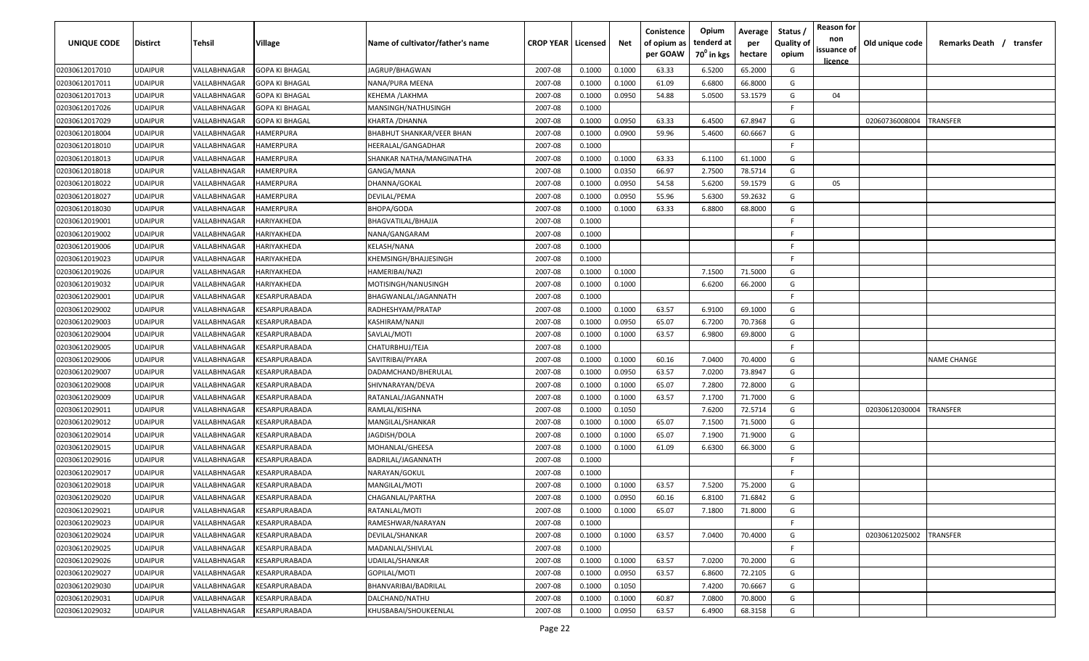| UNIQUE CODE    | <b>Distirct</b> | Tehsil       | Village                                     | Name of cultivator/father's name | <b>CROP YEAR   Licensed</b> |        | Net    | Conistence<br>of opium as<br>per GOAW | Opium<br>tenderd at<br>70 <sup>0</sup> in kgs | Average<br>per<br>hectare | Status<br><b>Quality of</b><br>opium | <b>Reason for</b><br>non<br>issuance of<br><u>licence</u> | Old unique code | Remarks Death / transfer |
|----------------|-----------------|--------------|---------------------------------------------|----------------------------------|-----------------------------|--------|--------|---------------------------------------|-----------------------------------------------|---------------------------|--------------------------------------|-----------------------------------------------------------|-----------------|--------------------------|
| 02030612017010 | <b>UDAIPUR</b>  | VALLABHNAGAR | <b>GOPA KI BHAGAL</b>                       | JAGRUP/BHAGWAN                   | 2007-08                     | 0.1000 | 0.1000 | 63.33                                 | 6.5200                                        | 65.2000                   | G                                    |                                                           |                 |                          |
| 02030612017011 | <b>UDAIPUR</b>  | VALLABHNAGAR | <b>GOPA KI BHAGAL</b>                       | NANA/PURA MEENA                  | 2007-08                     | 0.1000 | 0.1000 | 61.09                                 | 6.6800                                        | 66.8000                   | G                                    |                                                           |                 |                          |
| 02030612017013 | <b>UDAIPUR</b>  | VALLABHNAGAR | GOPA KI BHAGAL                              | KEHEMA /LAKHMA                   | 2007-08                     | 0.1000 | 0.0950 | 54.88                                 | 5.0500                                        | 53.1579                   | G                                    | 04                                                        |                 |                          |
| 02030612017026 | <b>UDAIPUR</b>  | VALLABHNAGAR | <b>GOPA KI BHAGAL</b>                       | MANSINGH/NATHUSINGH              | 2007-08                     | 0.1000 |        |                                       |                                               |                           | -F                                   |                                                           |                 |                          |
| 02030612017029 | <b>UDAIPUR</b>  | VALLABHNAGAR | <b>GOPA KI BHAGAL</b>                       | KHARTA / DHANNA                  | 2007-08                     | 0.1000 | 0.0950 | 63.33                                 | 6.4500                                        | 67.8947                   | G                                    |                                                           | 02060736008004  | TRANSFER                 |
| 02030612018004 | <b>UDAIPUR</b>  | VALLABHNAGAR | HAMERPURA                                   | <b>BHABHUT SHANKAR/VEER BHAN</b> | 2007-08                     | 0.1000 | 0.0900 | 59.96                                 | 5.4600                                        | 60.6667                   | G                                    |                                                           |                 |                          |
| 02030612018010 | <b>UDAIPUR</b>  | VALLABHNAGAR | HAMERPURA                                   | HEERALAL/GANGADHAR               | 2007-08                     | 0.1000 |        |                                       |                                               |                           | -F                                   |                                                           |                 |                          |
| 02030612018013 | <b>UDAIPUR</b>  | VALLABHNAGAR | HAMERPURA                                   | SHANKAR NATHA/MANGINATHA         | 2007-08                     | 0.1000 | 0.1000 | 63.33                                 | 6.1100                                        | 61.1000                   | G                                    |                                                           |                 |                          |
| 02030612018018 | <b>UDAIPUR</b>  | VALLABHNAGAR | HAMERPURA                                   | GANGA/MANA                       | 2007-08                     | 0.1000 | 0.0350 | 66.97                                 | 2.7500                                        | 78.5714                   | G                                    |                                                           |                 |                          |
| 02030612018022 | <b>UDAIPUR</b>  | VALLABHNAGAR | HAMERPURA                                   | DHANNA/GOKAL                     | 2007-08                     | 0.1000 | 0.0950 | 54.58                                 | 5.6200                                        | 59.1579                   | G                                    | 05                                                        |                 |                          |
| 02030612018027 | <b>UDAIPUR</b>  | VALLABHNAGAR | HAMERPURA                                   | DEVILAL/PEMA                     | 2007-08                     | 0.1000 | 0.0950 | 55.96                                 | 5.6300                                        | 59.2632                   | G                                    |                                                           |                 |                          |
| 02030612018030 | <b>UDAIPUR</b>  | VALLABHNAGAR | HAMERPURA                                   | BHOPA/GODA                       | 2007-08                     | 0.1000 | 0.1000 | 63.33                                 | 6.8800                                        | 68.8000                   | G                                    |                                                           |                 |                          |
| 02030612019001 | <b>UDAIPUR</b>  | VALLABHNAGAR | HARIYAKHEDA                                 | BHAGVATILAL/BHAJJA               | 2007-08                     | 0.1000 |        |                                       |                                               |                           | -F.                                  |                                                           |                 |                          |
| 02030612019002 | <b>UDAIPUR</b>  | VALLABHNAGAR | HARIYAKHEDA                                 | NANA/GANGARAM                    | 2007-08                     | 0.1000 |        |                                       |                                               |                           | F.                                   |                                                           |                 |                          |
| 02030612019006 | <b>UDAIPUR</b>  | VALLABHNAGAR | HARIYAKHEDA                                 | KELASH/NANA                      | 2007-08                     | 0.1000 |        |                                       |                                               |                           | -F.                                  |                                                           |                 |                          |
| 02030612019023 | <b>UDAIPUR</b>  | VALLABHNAGAR | HARIYAKHEDA                                 | KHEMSINGH/BHAJJESINGH            | 2007-08                     | 0.1000 |        |                                       |                                               |                           | -F.                                  |                                                           |                 |                          |
| 02030612019026 | <b>UDAIPUR</b>  | VALLABHNAGAR | HARIYAKHEDA                                 | HAMERIBAI/NAZI                   | 2007-08                     | 0.1000 | 0.1000 |                                       | 7.1500                                        | 71.5000                   | G                                    |                                                           |                 |                          |
| 02030612019032 | <b>UDAIPUR</b>  | VALLABHNAGAR | HARIYAKHEDA                                 | MOTISINGH/NANUSINGH              | 2007-08                     | 0.1000 | 0.1000 |                                       | 6.6200                                        | 66.2000                   | G                                    |                                                           |                 |                          |
| 02030612029001 | <b>UDAIPUR</b>  | VALLABHNAGAR | <b><esarpurabada< b=""></esarpurabada<></b> | BHAGWANLAL/JAGANNATH             | 2007-08                     | 0.1000 |        |                                       |                                               |                           | F.                                   |                                                           |                 |                          |
| 02030612029002 | <b>UDAIPUR</b>  | VALLABHNAGAR | <b><i>CESARPURABADA</i></b>                 | RADHESHYAM/PRATAP                | 2007-08                     | 0.1000 | 0.1000 | 63.57                                 | 6.9100                                        | 69.1000                   | G                                    |                                                           |                 |                          |
| 02030612029003 | <b>UDAIPUR</b>  | VALLABHNAGAR | <b><i>CESARPURABADA</i></b>                 | KASHIRAM/NANJI                   | 2007-08                     | 0.1000 | 0.0950 | 65.07                                 | 6.7200                                        | 70.7368                   | G                                    |                                                           |                 |                          |
| 02030612029004 | <b>UDAIPUR</b>  | VALLABHNAGAR | <b><i>CESARPURABADA</i></b>                 | SAVLAL/MOTI                      | 2007-08                     | 0.1000 | 0.1000 | 63.57                                 | 6.9800                                        | 69.8000                   | G                                    |                                                           |                 |                          |
| 02030612029005 | <b>UDAIPUR</b>  | VALLABHNAGAR | <b><i>CESARPURABADA</i></b>                 | CHATURBHUJ/TEJA                  | 2007-08                     | 0.1000 |        |                                       |                                               |                           | -F.                                  |                                                           |                 |                          |
| 02030612029006 | <b>UDAIPUR</b>  | VALLABHNAGAR | <b><i>CESARPURABADA</i></b>                 | SAVITRIBAI/PYARA                 | 2007-08                     | 0.1000 | 0.1000 | 60.16                                 | 7.0400                                        | 70.4000                   | G                                    |                                                           |                 | <b>NAME CHANGE</b>       |
| 02030612029007 | <b>UDAIPUR</b>  | VALLABHNAGAR | <b><i>CESARPURABADA</i></b>                 | DADAMCHAND/BHERULAL              | 2007-08                     | 0.1000 | 0.0950 | 63.57                                 | 7.0200                                        | 73.8947                   | G                                    |                                                           |                 |                          |
| 02030612029008 | <b>UDAIPUR</b>  | VALLABHNAGAR | <b><i>CESARPURABADA</i></b>                 | SHIVNARAYAN/DEVA                 | 2007-08                     | 0.1000 | 0.1000 | 65.07                                 | 7.2800                                        | 72.8000                   | G                                    |                                                           |                 |                          |
| 02030612029009 | <b>UDAIPUR</b>  | VALLABHNAGAR | <b><esarpurabada< b=""></esarpurabada<></b> | RATANLAL/JAGANNATH               | 2007-08                     | 0.1000 | 0.1000 | 63.57                                 | 7.1700                                        | 71.7000                   | G                                    |                                                           |                 |                          |
| 02030612029011 | <b>UDAIPUR</b>  | VALLABHNAGAR | <b><esarpurabada< b=""></esarpurabada<></b> | RAMLAL/KISHNA                    | 2007-08                     | 0.1000 | 0.1050 |                                       | 7.6200                                        | 72.5714                   | G                                    |                                                           | 02030612030004  | <b>RANSFER</b>           |
| 02030612029012 | <b>UDAIPUR</b>  | VALLABHNAGAR | <b><esarpurabada< b=""></esarpurabada<></b> | MANGILAL/SHANKAR                 | 2007-08                     | 0.1000 | 0.1000 | 65.07                                 | 7.1500                                        | 71.5000                   | G                                    |                                                           |                 |                          |
| 02030612029014 | <b>UDAIPUR</b>  | VALLABHNAGAR | KESARPURABADA                               | JAGDISH/DOLA                     | 2007-08                     | 0.1000 | 0.1000 | 65.07                                 | 7.1900                                        | 71.9000                   | G                                    |                                                           |                 |                          |
| 02030612029015 | <b>UDAIPUR</b>  | VALLABHNAGAR | KESARPURABADA                               | MOHANLAL/GHEESA                  | 2007-08                     | 0.1000 | 0.1000 | 61.09                                 | 6.6300                                        | 66.3000                   | G                                    |                                                           |                 |                          |
| 02030612029016 | <b>UDAIPUR</b>  | VALLABHNAGAR | <b><i>CESARPURABADA</i></b>                 | BADRILAL/JAGANNATH               | 2007-08                     | 0.1000 |        |                                       |                                               |                           | -F.                                  |                                                           |                 |                          |
| 02030612029017 | <b>UDAIPUR</b>  | VALLABHNAGAR | <b><i>CESARPURABADA</i></b>                 | NARAYAN/GOKUL                    | 2007-08                     | 0.1000 |        |                                       |                                               |                           | -F                                   |                                                           |                 |                          |
| 02030612029018 | <b>UDAIPUR</b>  | VALLABHNAGAR | <b><i>CESARPURABADA</i></b>                 | MANGILAL/MOTI                    | 2007-08                     | 0.1000 | 0.1000 | 63.57                                 | 7.5200                                        | 75.2000                   | G                                    |                                                           |                 |                          |
| 02030612029020 | <b>UDAIPUR</b>  | VALLABHNAGAR | KESARPURABADA                               | CHAGANLAL/PARTHA                 | 2007-08                     | 0.1000 | 0.0950 | 60.16                                 | 6.8100                                        | 71.6842                   | G                                    |                                                           |                 |                          |
| 02030612029021 | <b>UDAIPUR</b>  | VALLABHNAGAR | KESARPURABADA                               | RATANLAL/MOTI                    | 2007-08                     | 0.1000 | 0.1000 | 65.07                                 | 7.1800                                        | 71.8000                   | G                                    |                                                           |                 |                          |
| 02030612029023 | <b>UDAIPUR</b>  | VALLABHNAGAR | KESARPURABADA                               | RAMESHWAR/NARAYAN                | 2007-08                     | 0.1000 |        |                                       |                                               |                           | F.                                   |                                                           |                 |                          |
| 02030612029024 | <b>UDAIPUR</b>  | VALLABHNAGAR | KESARPURABADA                               | <b>DEVILAL/SHANKAR</b>           | 2007-08                     | 0.1000 | 0.1000 | 63.57                                 | 7.0400                                        | 70.4000                   | G                                    |                                                           | 02030612025002  | <b>TRANSFER</b>          |
| 02030612029025 | <b>UDAIPUR</b>  | VALLABHNAGAR | KESARPURABADA                               | MADANLAL/SHIVLAL                 | 2007-08                     | 0.1000 |        |                                       |                                               |                           | F.                                   |                                                           |                 |                          |
| 02030612029026 | <b>UDAIPUR</b>  | VALLABHNAGAR | KESARPURABADA                               | UDAILAL/SHANKAR                  | 2007-08                     | 0.1000 | 0.1000 | 63.57                                 | 7.0200                                        | 70.2000                   | G                                    |                                                           |                 |                          |
| 02030612029027 | <b>UDAIPUR</b>  | VALLABHNAGAR | <b><i>CESARPURABADA</i></b>                 | GOPILAL/MOTI                     | 2007-08                     | 0.1000 | 0.0950 | 63.57                                 | 6.8600                                        | 72.2105                   | G                                    |                                                           |                 |                          |
| 02030612029030 | <b>UDAIPUR</b>  | VALLABHNAGAR | KESARPURABADA                               | BHANVARIBAI/BADRILAL             | 2007-08                     | 0.1000 | 0.1050 |                                       | 7.4200                                        | 70.6667                   | G                                    |                                                           |                 |                          |
| 02030612029031 | <b>UDAIPUR</b>  | VALLABHNAGAR | KESARPURABADA                               | DALCHAND/NATHU                   | 2007-08                     | 0.1000 | 0.1000 | 60.87                                 | 7.0800                                        | 70.8000                   | G                                    |                                                           |                 |                          |
| 02030612029032 | <b>UDAIPUR</b>  | VALLABHNAGAR | KESARPURABADA                               | KHUSBABAI/SHOUKEENLAL            | 2007-08                     | 0.1000 | 0.0950 | 63.57                                 | 6.4900                                        | 68.3158                   | G                                    |                                                           |                 |                          |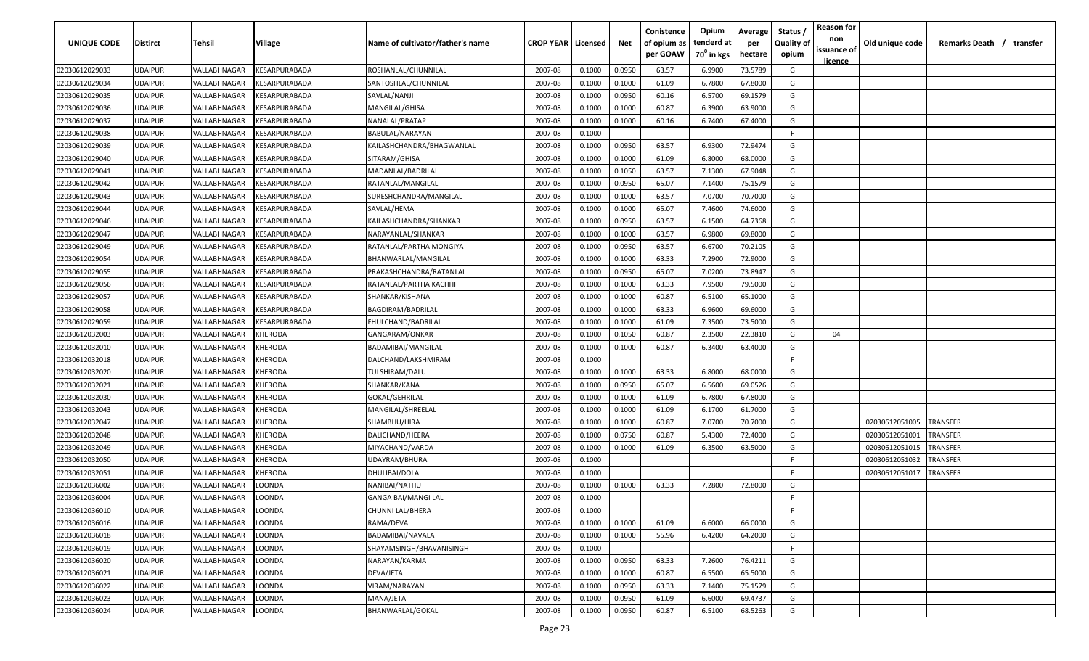| UNIQUE CODE                      | <b>Distirct</b>                  | Tehsil                       | Village                                                                     | Name of cultivator/father's name | <b>CROP YEAR   Licensed</b> |                  | Net              | Conistence<br>of opium as<br>per GOAW | Opium<br>tenderd at<br>70 <sup>°</sup> in kgs | Average<br>per<br>hectare | Status<br><b>Quality of</b><br>opium | <b>Reason for</b><br>non<br>issuance of | Old unique code | Remarks Death / transfer |
|----------------------------------|----------------------------------|------------------------------|-----------------------------------------------------------------------------|----------------------------------|-----------------------------|------------------|------------------|---------------------------------------|-----------------------------------------------|---------------------------|--------------------------------------|-----------------------------------------|-----------------|--------------------------|
|                                  |                                  |                              |                                                                             |                                  |                             |                  |                  |                                       |                                               |                           |                                      | <u>licence</u>                          |                 |                          |
| 02030612029033                   | <b>UDAIPUR</b>                   | VALLABHNAGAR                 | KESARPURABADA                                                               | ROSHANLAL/CHUNNILAL              | 2007-08                     | 0.1000           | 0.0950           | 63.57                                 | 6.9900                                        | 73.5789                   | G                                    |                                         |                 |                          |
| 02030612029034                   | <b>UDAIPUR</b>                   | VALLABHNAGAR<br>VALLABHNAGAR | <b><esarpurabada< b=""><br/><b><i>CESARPURABADA</i></b></esarpurabada<></b> | SANTOSHLAL/CHUNNILAL             | 2007-08                     | 0.1000           | 0.1000           | 61.09                                 | 6.7800                                        | 67.8000                   | G<br>G                               |                                         |                 |                          |
| 02030612029035<br>02030612029036 | <b>UDAIPUR</b><br><b>UDAIPUR</b> | VALLABHNAGAR                 | <b><i>CESARPURABADA</i></b>                                                 | SAVLAL/NANJI<br>MANGILAL/GHISA   | 2007-08<br>2007-08          | 0.1000<br>0.1000 | 0.0950<br>0.1000 | 60.16<br>60.87                        | 6.5700<br>6.3900                              | 69.1579<br>63.9000        | G                                    |                                         |                 |                          |
| 02030612029037                   | <b>UDAIPUR</b>                   | VALLABHNAGAR                 | <b><i>CESARPURABADA</i></b>                                                 | NANALAL/PRATAP                   | 2007-08                     | 0.1000           | 0.1000           | 60.16                                 | 6.7400                                        | 67.4000                   | G                                    |                                         |                 |                          |
| 02030612029038                   | <b>UDAIPUR</b>                   | VALLABHNAGAR                 | <b><i>CESARPURABADA</i></b>                                                 | BABULAL/NARAYAN                  | 2007-08                     | 0.1000           |                  |                                       |                                               |                           | -F.                                  |                                         |                 |                          |
| 02030612029039                   | <b>UDAIPUR</b>                   | VALLABHNAGAR                 | <b><i>CESARPURABADA</i></b>                                                 | KAILASHCHANDRA/BHAGWANLAL        | 2007-08                     | 0.1000           | 0.0950           | 63.57                                 | 6.9300                                        | 72.9474                   | G                                    |                                         |                 |                          |
| 02030612029040                   | <b>UDAIPUR</b>                   | VALLABHNAGAR                 | <b><i>CESARPURABADA</i></b>                                                 | SITARAM/GHISA                    | 2007-08                     | 0.1000           | 0.1000           | 61.09                                 | 6.8000                                        | 68.0000                   | G                                    |                                         |                 |                          |
| 02030612029041                   | <b>UDAIPUR</b>                   | VALLABHNAGAR                 | <b><i>CESARPURABADA</i></b>                                                 | MADANLAL/BADRILAL                | 2007-08                     | 0.1000           | 0.1050           | 63.57                                 | 7.1300                                        | 67.9048                   | G                                    |                                         |                 |                          |
| 02030612029042                   | <b>UDAIPUR</b>                   | VALLABHNAGAR                 | <b><i>CESARPURABADA</i></b>                                                 | RATANLAL/MANGILAL                | 2007-08                     | 0.1000           | 0.0950           | 65.07                                 | 7.1400                                        | 75.1579                   | G                                    |                                         |                 |                          |
| 02030612029043                   | <b>UDAIPUR</b>                   | VALLABHNAGAR                 | <b><esarpurabada< b=""></esarpurabada<></b>                                 | SURESHCHANDRA/MANGILAL           | 2007-08                     | 0.1000           | 0.1000           | 63.57                                 | 7.0700                                        | 70.7000                   | G                                    |                                         |                 |                          |
| 02030612029044                   | <b>UDAIPUR</b>                   | VALLABHNAGAR                 | <b><i>CESARPURABADA</i></b>                                                 | SAVLAL/HEMA                      | 2007-08                     | 0.1000           | 0.1000           | 65.07                                 | 7.4600                                        | 74.6000                   | G                                    |                                         |                 |                          |
| 02030612029046                   | <b>UDAIPUR</b>                   | VALLABHNAGAR                 | KESARPURABADA                                                               | KAILASHCHANDRA/SHANKAR           | 2007-08                     | 0.1000           | 0.0950           | 63.57                                 | 6.1500                                        | 64.7368                   | G                                    |                                         |                 |                          |
| 02030612029047                   | <b>UDAIPUR</b>                   | VALLABHNAGAR                 | KESARPURABADA                                                               | NARAYANLAL/SHANKAR               | 2007-08                     | 0.1000           | 0.1000           | 63.57                                 | 6.9800                                        | 69.8000                   | G                                    |                                         |                 |                          |
| 02030612029049                   | <b>UDAIPUR</b>                   | VALLABHNAGAR                 | KESARPURABADA                                                               | RATANLAL/PARTHA MONGIYA          | 2007-08                     | 0.1000           | 0.0950           | 63.57                                 | 6.6700                                        | 70.2105                   | G                                    |                                         |                 |                          |
| 02030612029054                   | <b>UDAIPUR</b>                   | VALLABHNAGAR                 | KESARPURABADA                                                               | BHANWARLAL/MANGILAL              | 2007-08                     | 0.1000           | 0.1000           | 63.33                                 | 7.2900                                        | 72.9000                   | G                                    |                                         |                 |                          |
| 02030612029055                   | <b>UDAIPUR</b>                   | VALLABHNAGAR                 | KESARPURABADA                                                               | PRAKASHCHANDRA/RATANLAL          | 2007-08                     | 0.1000           | 0.0950           | 65.07                                 | 7.0200                                        | 73.8947                   | G                                    |                                         |                 |                          |
| 02030612029056                   | <b>UDAIPUR</b>                   | VALLABHNAGAR                 | <b>KESARPURABADA</b>                                                        | RATANLAL/PARTHA KACHHI           | 2007-08                     | 0.1000           | 0.1000           | 63.33                                 | 7.9500                                        | 79.5000                   | G                                    |                                         |                 |                          |
| 02030612029057                   | <b>UDAIPUR</b>                   | VALLABHNAGAR                 | <b><i>CESARPURABADA</i></b>                                                 | SHANKAR/KISHANA                  | 2007-08                     | 0.1000           | 0.1000           | 60.87                                 | 6.5100                                        | 65.1000                   | G                                    |                                         |                 |                          |
| 02030612029058                   | <b>UDAIPUR</b>                   | VALLABHNAGAR                 | <b><i>CESARPURABADA</i></b>                                                 | BAGDIRAM/BADRILAL                | 2007-08                     | 0.1000           | 0.1000           | 63.33                                 | 6.9600                                        | 69.6000                   | G                                    |                                         |                 |                          |
| 02030612029059                   | <b>UDAIPUR</b>                   | VALLABHNAGAR                 | <b><i>CESARPURABADA</i></b>                                                 | FHULCHAND/BADRILAL               | 2007-08                     | 0.1000           | 0.1000           | 61.09                                 | 7.3500                                        | 73.5000                   | G                                    |                                         |                 |                          |
| 02030612032003                   | <b>UDAIPUR</b>                   | VALLABHNAGAR                 | KHERODA                                                                     | GANGARAM/ONKAR                   | 2007-08                     | 0.1000           | 0.1050           | 60.87                                 | 2.3500                                        | 22.3810                   | G                                    | 04                                      |                 |                          |
| 02030612032010                   | <b>UDAIPUR</b>                   | VALLABHNAGAR                 | KHERODA                                                                     | BADAMIBAI/MANGILAL               | 2007-08                     | 0.1000           | 0.1000           | 60.87                                 | 6.3400                                        | 63.4000                   | G                                    |                                         |                 |                          |
| 02030612032018                   | <b>UDAIPUR</b>                   | VALLABHNAGAR                 | <b>CHERODA</b>                                                              | DALCHAND/LAKSHMIRAM              | 2007-08                     | 0.1000           |                  |                                       |                                               |                           | -F.                                  |                                         |                 |                          |
| 02030612032020                   | <b>UDAIPUR</b>                   | VALLABHNAGAR                 | KHERODA                                                                     | TULSHIRAM/DALU                   | 2007-08                     | 0.1000           | 0.1000           | 63.33                                 | 6.8000                                        | 68.0000                   | G                                    |                                         |                 |                          |
| 02030612032021                   | <b>UDAIPUR</b>                   | VALLABHNAGAR                 | KHERODA                                                                     | SHANKAR/KANA                     | 2007-08                     | 0.1000           | 0.0950           | 65.07                                 | 6.5600                                        | 69.0526                   | G                                    |                                         |                 |                          |
| 02030612032030                   | <b>UDAIPUR</b>                   | VALLABHNAGAR                 | KHERODA                                                                     | GOKAL/GEHRILAL                   | 2007-08                     | 0.1000           | 0.1000           | 61.09                                 | 6.7800                                        | 67.8000                   | G                                    |                                         |                 |                          |
| 02030612032043                   | <b>UDAIPUR</b>                   | VALLABHNAGAR                 | KHERODA                                                                     | MANGILAL/SHREELAL                | 2007-08                     | 0.1000           | 0.1000           | 61.09                                 | 6.1700                                        | 61.7000                   | G                                    |                                         |                 |                          |
| 02030612032047                   | <b>UDAIPUR</b>                   | VALLABHNAGAR                 | KHERODA                                                                     | SHAMBHU/HIRA                     | 2007-08                     | 0.1000           | 0.1000           | 60.87                                 | 7.0700                                        | 70.7000                   | G                                    |                                         | 02030612051005  | TRANSFER                 |
| 02030612032048                   | <b>UDAIPUR</b>                   | VALLABHNAGAR                 | KHERODA                                                                     | DALICHAND/HEERA                  | 2007-08                     | 0.1000           | 0.0750           | 60.87                                 | 5.4300                                        | 72.4000                   | G                                    |                                         | 02030612051001  | TRANSFER                 |
| 02030612032049                   | <b>UDAIPUR</b>                   | VALLABHNAGAR                 | KHERODA                                                                     | MIYACHAND/VARDA                  | 2007-08                     | 0.1000           | 0.1000           | 61.09                                 | 6.3500                                        | 63.5000                   | G                                    |                                         | 02030612051015  | TRANSFER                 |
| 02030612032050                   | <b>UDAIPUR</b>                   | VALLABHNAGAR                 | <b>CHERODA</b>                                                              | UDAYRAM/BHURA                    | 2007-08                     | 0.1000           |                  |                                       |                                               |                           | -F.                                  |                                         | 02030612051032  | <b>RANSFER</b>           |
| 02030612032051                   | <b>UDAIPUR</b>                   | VALLABHNAGAR                 | <b>CHERODA</b>                                                              | DHULIBAI/DOLA                    | 2007-08                     | 0.1000           |                  |                                       |                                               |                           | -F.                                  |                                         | 02030612051017  | <b>RANSFER</b>           |
| 02030612036002                   | <b>UDAIPUR</b>                   | VALLABHNAGAR                 | LOONDA                                                                      | NANIBAI/NATHU                    | 2007-08                     | 0.1000           | 0.1000           | 63.33                                 | 7.2800                                        | 72.8000                   | G                                    |                                         |                 |                          |
| 02030612036004                   | <b>UDAIPUR</b>                   | VALLABHNAGAR                 | LOONDA                                                                      | <b>GANGA BAI/MANGI LAL</b>       | 2007-08                     | 0.1000           |                  |                                       |                                               |                           | F.                                   |                                         |                 |                          |
| 02030612036010                   | <b>UDAIPUR</b>                   | VALLABHNAGAR                 | <b>LOONDA</b>                                                               | CHUNNI LAL/BHERA                 | 2007-08                     | 0.1000           |                  |                                       |                                               |                           | F.                                   |                                         |                 |                          |
| 02030612036016                   | <b>UDAIPUR</b>                   | VALLABHNAGAR                 | LOONDA                                                                      | RAMA/DEVA                        | 2007-08                     | 0.1000           | 0.1000           | 61.09                                 | 6.6000                                        | 66.0000                   | G                                    |                                         |                 |                          |
| 02030612036018                   | <b>UDAIPUR</b>                   | VALLABHNAGAR                 | <b>LOONDA</b>                                                               | BADAMIBAI/NAVALA                 | 2007-08                     | 0.1000           | 0.1000           | 55.96                                 | 6.4200                                        | 64.2000                   | G                                    |                                         |                 |                          |
| 02030612036019                   | <b>UDAIPUR</b>                   | VALLABHNAGAR                 | LOONDA                                                                      | SHAYAMSINGH/BHAVANISINGH         | 2007-08                     | 0.1000           |                  |                                       |                                               |                           | F.                                   |                                         |                 |                          |
| 02030612036020                   | <b>UDAIPUR</b>                   | VALLABHNAGAR                 | LOONDA                                                                      | NARAYAN/KARMA                    | 2007-08                     | 0.1000           | 0.0950           | 63.33                                 | 7.2600                                        | 76.4211                   | G                                    |                                         |                 |                          |
| 02030612036021                   | <b>UDAIPUR</b>                   | VALLABHNAGAR                 | LOONDA                                                                      | DEVA/JETA                        | 2007-08                     | 0.1000           | 0.1000           | 60.87                                 | 6.5500                                        | 65.5000                   | G                                    |                                         |                 |                          |
| 02030612036022                   | <b>UDAIPUR</b>                   | VALLABHNAGAR                 | LOONDA                                                                      | VIRAM/NARAYAN                    | 2007-08                     | 0.1000           | 0.0950           | 63.33                                 | 7.1400                                        | 75.1579                   | G                                    |                                         |                 |                          |
| 02030612036023                   | <b>UDAIPUR</b>                   | VALLABHNAGAR                 | LOONDA                                                                      | MANA/JETA                        | 2007-08                     | 0.1000           | 0.0950           | 61.09                                 | 6.6000                                        | 69.4737                   | G                                    |                                         |                 |                          |
| 02030612036024                   | <b>UDAIPUR</b>                   | VALLABHNAGAR                 | LOONDA                                                                      | BHANWARLAL/GOKAL                 | 2007-08                     | 0.1000           | 0.0950           | 60.87                                 | 6.5100                                        | 68.5263                   | G                                    |                                         |                 |                          |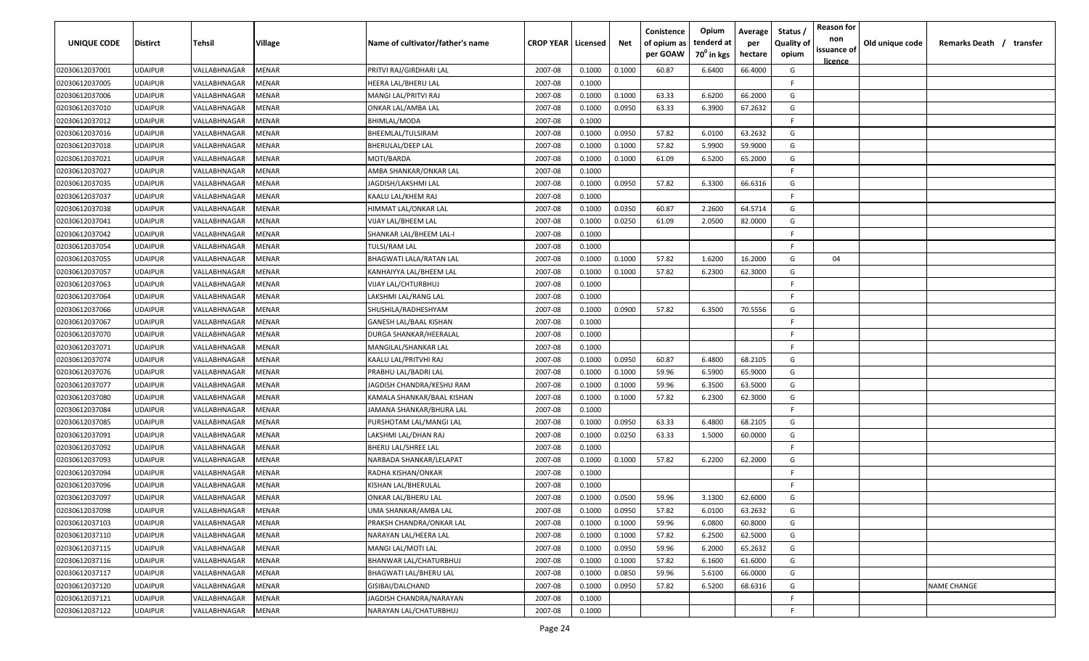| UNIQUE CODE    | <b>Distirct</b> | Tehsil       | Village      | Name of cultivator/father's name | <b>CROP YEAR   Licensed</b> |        | Net    | Conistence<br>of opium as<br>per GOAW | Opium<br>tenderd at<br>70 <sup>0</sup> in kgs | Average<br>per<br>hectare | Status<br><b>Quality of</b><br>opium | <b>Reason for</b><br>non<br>issuance of | Old unique code | Remarks Death / transfer |
|----------------|-----------------|--------------|--------------|----------------------------------|-----------------------------|--------|--------|---------------------------------------|-----------------------------------------------|---------------------------|--------------------------------------|-----------------------------------------|-----------------|--------------------------|
| 02030612037001 | <b>UDAIPUR</b>  | VALLABHNAGAR | MENAR        | PRITVI RAJ/GIRDHARI LAL          | 2007-08                     | 0.1000 | 0.1000 | 60.87                                 | 6.6400                                        | 66.4000                   | G                                    | <u>licence</u>                          |                 |                          |
| 02030612037005 | <b>UDAIPUR</b>  | VALLABHNAGAR | MENAR        | HEERA LAL/BHERU LAL              | 2007-08                     | 0.1000 |        |                                       |                                               |                           | F.                                   |                                         |                 |                          |
| 02030612037006 | <b>UDAIPUR</b>  | VALLABHNAGAR | MENAR        | MANGI LAL/PRITVI RAJ             | 2007-08                     | 0.1000 | 0.1000 | 63.33                                 | 6.6200                                        | 66.2000                   | G                                    |                                         |                 |                          |
| 02030612037010 | <b>UDAIPUR</b>  | VALLABHNAGAR | MENAR        | ONKAR LAL/AMBA LAL               | 2007-08                     | 0.1000 | 0.0950 | 63.33                                 | 6.3900                                        | 67.2632                   | G                                    |                                         |                 |                          |
| 02030612037012 | <b>UDAIPUR</b>  | VALLABHNAGAR | MENAR        | BHIMLAL/MODA                     | 2007-08                     | 0.1000 |        |                                       |                                               |                           | -F                                   |                                         |                 |                          |
| 02030612037016 | <b>UDAIPUR</b>  | VALLABHNAGAR | MENAR        | BHEEMLAL/TULSIRAM                | 2007-08                     | 0.1000 | 0.0950 | 57.82                                 | 6.0100                                        | 63.2632                   | G                                    |                                         |                 |                          |
| 02030612037018 | <b>UDAIPUR</b>  | VALLABHNAGAR | MENAR        | BHERULAL/DEEP LAL                | 2007-08                     | 0.1000 | 0.1000 | 57.82                                 | 5.9900                                        | 59.9000                   | G                                    |                                         |                 |                          |
| 02030612037021 | <b>UDAIPUR</b>  | VALLABHNAGAR | MENAR        | MOTI/BARDA                       | 2007-08                     | 0.1000 | 0.1000 | 61.09                                 | 6.5200                                        | 65.2000                   | G                                    |                                         |                 |                          |
| 02030612037027 | <b>UDAIPUR</b>  | VALLABHNAGAR | MENAR        | AMBA SHANKAR/ONKAR LAL           | 2007-08                     | 0.1000 |        |                                       |                                               |                           | F.                                   |                                         |                 |                          |
| 02030612037035 | <b>UDAIPUR</b>  | VALLABHNAGAR | MENAR        | IAGDISH/LAKSHMI LAL              | 2007-08                     | 0.1000 | 0.0950 | 57.82                                 | 6.3300                                        | 66.6316                   | G                                    |                                         |                 |                          |
| 02030612037037 | <b>UDAIPUR</b>  | VALLABHNAGAR | MENAR        | KAALU LAL/KHEM RAJ               | 2007-08                     | 0.1000 |        |                                       |                                               |                           | F.                                   |                                         |                 |                          |
| 02030612037038 | <b>UDAIPUR</b>  | VALLABHNAGAR | MENAR        | HIMMAT LAL/ONKAR LAL             | 2007-08                     | 0.1000 | 0.0350 | 60.87                                 | 2.2600                                        | 64.5714                   | G                                    |                                         |                 |                          |
| 02030612037041 | <b>UDAIPUR</b>  | VALLABHNAGAR | MENAR        | VIJAY LAL/BHEEM LAL              | 2007-08                     | 0.1000 | 0.0250 | 61.09                                 | 2.0500                                        | 82.0000                   | G                                    |                                         |                 |                          |
| 02030612037042 | <b>UDAIPUR</b>  | VALLABHNAGAR | MENAR        | SHANKAR LAL/BHEEM LAL-I          | 2007-08                     | 0.1000 |        |                                       |                                               |                           | F.                                   |                                         |                 |                          |
| 02030612037054 | <b>UDAIPUR</b>  | VALLABHNAGAR | MENAR        | TULSI/RAM LAL                    | 2007-08                     | 0.1000 |        |                                       |                                               |                           | -F.                                  |                                         |                 |                          |
| 02030612037055 | <b>UDAIPUR</b>  | VALLABHNAGAR | MENAR        | BHAGWATI LALA/RATAN LAL          | 2007-08                     | 0.1000 | 0.1000 | 57.82                                 | 1.6200                                        | 16.2000                   | G                                    | 04                                      |                 |                          |
| 02030612037057 | <b>UDAIPUR</b>  | VALLABHNAGAR | MENAR        | KANHAIYYA LAL/BHEEM LAL          | 2007-08                     | 0.1000 | 0.1000 | 57.82                                 | 6.2300                                        | 62.3000                   | G                                    |                                         |                 |                          |
| 02030612037063 | <b>UDAIPUR</b>  | VALLABHNAGAR | MENAR        | VIJAY LAL/CHTURBHUJ              | 2007-08                     | 0.1000 |        |                                       |                                               |                           | F.                                   |                                         |                 |                          |
| 02030612037064 | <b>UDAIPUR</b>  | VALLABHNAGAR | MENAR        | LAKSHMI LAL/RANG LAL             | 2007-08                     | 0.1000 |        |                                       |                                               |                           | -F.                                  |                                         |                 |                          |
| 02030612037066 | <b>UDAIPUR</b>  | VALLABHNAGAR | MENAR        | SHUSHILA/RADHESHYAM              | 2007-08                     | 0.1000 | 0.0900 | 57.82                                 | 6.3500                                        | 70.5556                   | G                                    |                                         |                 |                          |
| 02030612037067 | <b>UDAIPUR</b>  | VALLABHNAGAR | MENAR        | <b>GANESH LAL/BAAL KISHAN</b>    | 2007-08                     | 0.1000 |        |                                       |                                               |                           | -F                                   |                                         |                 |                          |
| 02030612037070 | <b>UDAIPUR</b>  | VALLABHNAGAR | MENAR        | DURGA SHANKAR/HEERALAL           | 2007-08                     | 0.1000 |        |                                       |                                               |                           | -F.                                  |                                         |                 |                          |
| 02030612037071 | <b>UDAIPUR</b>  | VALLABHNAGAR | MENAR        | MANGILAL/SHANKAR LAL             | 2007-08                     | 0.1000 |        |                                       |                                               |                           | -F.                                  |                                         |                 |                          |
| 02030612037074 | <b>UDAIPUR</b>  | VALLABHNAGAR | MENAR        | KAALU LAL/PRITVHI RAJ            | 2007-08                     | 0.1000 | 0.0950 | 60.87                                 | 6.4800                                        | 68.2105                   | G                                    |                                         |                 |                          |
| 02030612037076 | <b>UDAIPUR</b>  | VALLABHNAGAR | MENAR        | PRABHU LAL/BADRI LAL             | 2007-08                     | 0.1000 | 0.1000 | 59.96                                 | 6.5900                                        | 65.9000                   | G                                    |                                         |                 |                          |
| 02030612037077 | <b>UDAIPUR</b>  | VALLABHNAGAR | MENAR        | IAGDISH CHANDRA/KESHU RAM        | 2007-08                     | 0.1000 | 0.1000 | 59.96                                 | 6.3500                                        | 63.5000                   | G                                    |                                         |                 |                          |
| 02030612037080 | <b>UDAIPUR</b>  | VALLABHNAGAR | MENAR        | KAMALA SHANKAR/BAAL KISHAN       | 2007-08                     | 0.1000 | 0.1000 | 57.82                                 | 6.2300                                        | 62.3000                   | G                                    |                                         |                 |                          |
| 02030612037084 | <b>UDAIPUR</b>  | VALLABHNAGAR | MENAR        | IAMANA SHANKAR/BHURA LAL         | 2007-08                     | 0.1000 |        |                                       |                                               |                           | F.                                   |                                         |                 |                          |
| 02030612037085 | <b>UDAIPUR</b>  | VALLABHNAGAR | MENAR        | PURSHOTAM LAL/MANGI LAL          | 2007-08                     | 0.1000 | 0.0950 | 63.33                                 | 6.4800                                        | 68.2105                   | G                                    |                                         |                 |                          |
| 02030612037091 | <b>UDAIPUR</b>  | VALLABHNAGAR | MENAR        | LAKSHMI LAL/DHAN RAJ             | 2007-08                     | 0.1000 | 0.0250 | 63.33                                 | 1.5000                                        | 60.0000                   | G                                    |                                         |                 |                          |
| 02030612037092 | <b>UDAIPUR</b>  | VALLABHNAGAR | MENAR        | BHERU LAL/SHREE LAL              | 2007-08                     | 0.1000 |        |                                       |                                               |                           | -F                                   |                                         |                 |                          |
| 02030612037093 | <b>UDAIPUR</b>  | VALLABHNAGAR | MENAR        | NARBADA SHANKAR/LELAPAT          | 2007-08                     | 0.1000 | 0.1000 | 57.82                                 | 6.2200                                        | 62.2000                   | G                                    |                                         |                 |                          |
| 02030612037094 | <b>UDAIPUR</b>  | VALLABHNAGAR | MENAR        | RADHA KISHAN/ONKAR               | 2007-08                     | 0.1000 |        |                                       |                                               |                           | -F.                                  |                                         |                 |                          |
| 02030612037096 | <b>UDAIPUR</b>  | VALLABHNAGAR | MENAR        | KISHAN LAL/BHERULAL              | 2007-08                     | 0.1000 |        |                                       |                                               |                           | -F.                                  |                                         |                 |                          |
| 02030612037097 | <b>UDAIPUR</b>  | VALLABHNAGAR | MENAR        | ONKAR LAL/BHERU LAL              | 2007-08                     | 0.1000 | 0.0500 | 59.96                                 | 3.1300                                        | 62.6000                   | G                                    |                                         |                 |                          |
| 02030612037098 | <b>UDAIPUR</b>  | VALLABHNAGAR | <b>MENAR</b> | UMA SHANKAR/AMBA LAL             | 2007-08                     | 0.1000 | 0.0950 | 57.82                                 | 6.0100                                        | 63.2632                   | G                                    |                                         |                 |                          |
| 02030612037103 | <b>UDAIPUR</b>  | VALLABHNAGAR | MENAR        | PRAKSH CHANDRA/ONKAR LAL         | 2007-08                     | 0.1000 | 0.1000 | 59.96                                 | 6.0800                                        | 60.8000                   | G                                    |                                         |                 |                          |
| 02030612037110 | <b>UDAIPUR</b>  | VALLABHNAGAR | MENAR        | NARAYAN LAL/HEERA LAL            | 2007-08                     | 0.1000 | 0.1000 | 57.82                                 | 6.2500                                        | 62.5000                   | G                                    |                                         |                 |                          |
| 02030612037115 | <b>UDAIPUR</b>  | VALLABHNAGAR | MENAR        | MANGI LAL/MOTI LAL               | 2007-08                     | 0.1000 | 0.0950 | 59.96                                 | 6.2000                                        | 65.2632                   | G                                    |                                         |                 |                          |
| 02030612037116 | <b>UDAIPUR</b>  | VALLABHNAGAR | MENAR        | BHANWAR LAL/CHATURBHUJ           | 2007-08                     | 0.1000 | 0.1000 | 57.82                                 | 6.1600                                        | 61.6000                   | G                                    |                                         |                 |                          |
| 02030612037117 | <b>UDAIPUR</b>  | VALLABHNAGAR | MENAR        | <b>BHAGWATI LAL/BHERU LAL</b>    | 2007-08                     | 0.1000 | 0.0850 | 59.96                                 | 5.6100                                        | 66.0000                   | G                                    |                                         |                 |                          |
| 02030612037120 | <b>UDAIPUR</b>  | VALLABHNAGAR | MENAR        | GISIBAI/DALCHAND                 | 2007-08                     | 0.1000 | 0.0950 | 57.82                                 | 6.5200                                        | 68.6316                   | G                                    |                                         |                 | <b>NAME CHANGE</b>       |
| 02030612037121 | <b>UDAIPUR</b>  | VALLABHNAGAR | MENAR        | JAGDISH CHANDRA/NARAYAN          | 2007-08                     | 0.1000 |        |                                       |                                               |                           | F.                                   |                                         |                 |                          |
| 02030612037122 | <b>UDAIPUR</b>  | VALLABHNAGAR | <b>MENAR</b> | NARAYAN LAL/CHATURBHUJ           | 2007-08                     | 0.1000 |        |                                       |                                               |                           | F.                                   |                                         |                 |                          |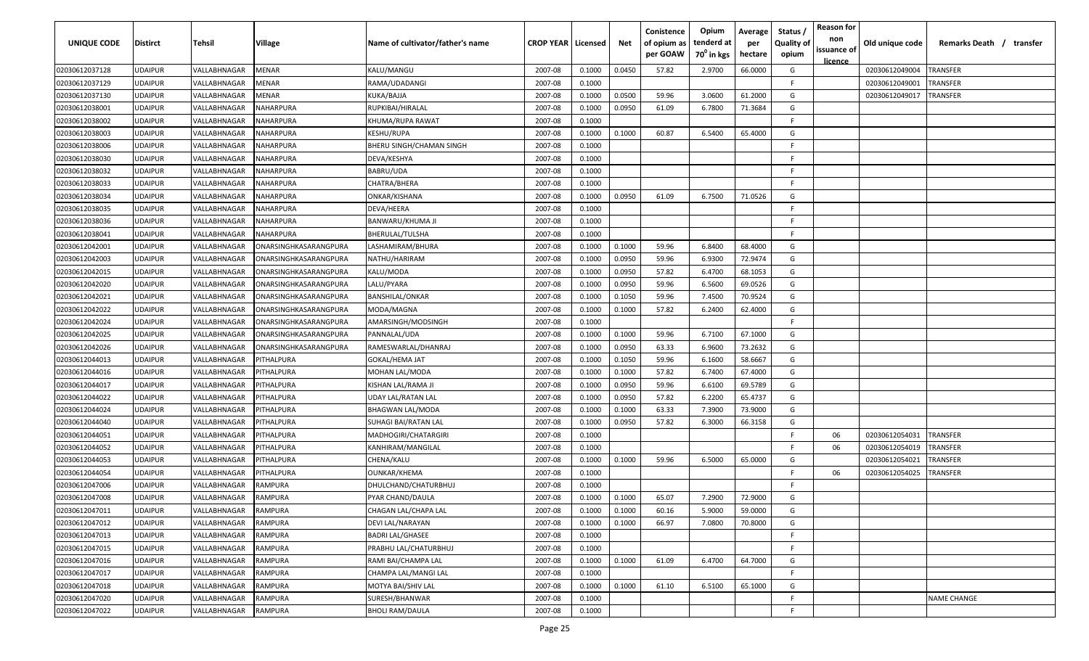| UNIQUE CODE    | <b>Distirct</b> | Tehsil       | Village               | Name of cultivator/father's name | <b>CROP YEAR   Licensed</b> |        | Net    | Conistence<br>of opium as<br>per GOAW | Opium<br>tenderd at<br>70 <sup>0</sup> in kgs | Average<br>per<br>hectare | Status<br><b>Quality of</b><br>opium | <b>Reason for</b><br>non<br>issuance of<br><u>licence</u> | Old unique code | Remarks Death / transfer |
|----------------|-----------------|--------------|-----------------------|----------------------------------|-----------------------------|--------|--------|---------------------------------------|-----------------------------------------------|---------------------------|--------------------------------------|-----------------------------------------------------------|-----------------|--------------------------|
| 02030612037128 | <b>UDAIPUR</b>  | VALLABHNAGAR | MENAR                 | KALU/MANGU                       | 2007-08                     | 0.1000 | 0.0450 | 57.82                                 | 2.9700                                        | 66.0000                   | G                                    |                                                           | 02030612049004  | TRANSFER                 |
| 02030612037129 | <b>UDAIPUR</b>  | VALLABHNAGAR | MENAR                 | RAMA/UDADANGI                    | 2007-08                     | 0.1000 |        |                                       |                                               |                           | -F.                                  |                                                           | 02030612049001  | <b>RANSFER</b>           |
| 02030612037130 | <b>UDAIPUR</b>  | VALLABHNAGAR | MENAR                 | KUKA/BAJJA                       | 2007-08                     | 0.1000 | 0.0500 | 59.96                                 | 3.0600                                        | 61.2000                   | G                                    |                                                           | 02030612049017  | TRANSFER                 |
| 02030612038001 | <b>UDAIPUR</b>  | VALLABHNAGAR | NAHARPURA             | RUPKIBAI/HIRALAL                 | 2007-08                     | 0.1000 | 0.0950 | 61.09                                 | 6.7800                                        | 71.3684                   | G                                    |                                                           |                 |                          |
| 02030612038002 | <b>UDAIPUR</b>  | VALLABHNAGAR | NAHARPURA             | KHUMA/RUPA RAWAT                 | 2007-08                     | 0.1000 |        |                                       |                                               |                           | -F.                                  |                                                           |                 |                          |
| 02030612038003 | <b>UDAIPUR</b>  | VALLABHNAGAR | NAHARPURA             | KESHU/RUPA                       | 2007-08                     | 0.1000 | 0.1000 | 60.87                                 | 6.5400                                        | 65.4000                   | G                                    |                                                           |                 |                          |
| 02030612038006 | <b>UDAIPUR</b>  | VALLABHNAGAR | NAHARPURA             | BHERU SINGH/CHAMAN SINGH         | 2007-08                     | 0.1000 |        |                                       |                                               |                           | -F.                                  |                                                           |                 |                          |
| 02030612038030 | <b>UDAIPUR</b>  | VALLABHNAGAR | NAHARPURA             | DEVA/KESHYA                      | 2007-08                     | 0.1000 |        |                                       |                                               |                           | -F.                                  |                                                           |                 |                          |
| 02030612038032 | <b>UDAIPUR</b>  | VALLABHNAGAR | NAHARPURA             | BABRU/UDA                        | 2007-08                     | 0.1000 |        |                                       |                                               |                           | -F.                                  |                                                           |                 |                          |
| 02030612038033 | <b>UDAIPUR</b>  | VALLABHNAGAR | NAHARPURA             | CHATRA/BHERA                     | 2007-08                     | 0.1000 |        |                                       |                                               |                           | F.                                   |                                                           |                 |                          |
| 02030612038034 | <b>UDAIPUR</b>  | VALLABHNAGAR | NAHARPURA             | ONKAR/KISHANA                    | 2007-08                     | 0.1000 | 0.0950 | 61.09                                 | 6.7500                                        | 71.0526                   | G                                    |                                                           |                 |                          |
| 02030612038035 | <b>UDAIPUR</b>  | VALLABHNAGAR | NAHARPURA             | DEVA/HEERA                       | 2007-08                     | 0.1000 |        |                                       |                                               |                           | F.                                   |                                                           |                 |                          |
| 02030612038036 | <b>UDAIPUR</b>  | VALLABHNAGAR | NAHARPURA             | BANWARU/KHUMA JI                 | 2007-08                     | 0.1000 |        |                                       |                                               |                           | -F.                                  |                                                           |                 |                          |
| 02030612038041 | <b>UDAIPUR</b>  | VALLABHNAGAR | NAHARPURA             | BHERULAL/TULSHA                  | 2007-08                     | 0.1000 |        |                                       |                                               |                           | F.                                   |                                                           |                 |                          |
| 02030612042001 | <b>UDAIPUR</b>  | VALLABHNAGAR | ONARSINGHKASARANGPURA | LASHAMIRAM/BHURA                 | 2007-08                     | 0.1000 | 0.1000 | 59.96                                 | 6.8400                                        | 68.4000                   | G                                    |                                                           |                 |                          |
| 02030612042003 | <b>UDAIPUR</b>  | VALLABHNAGAR | ONARSINGHKASARANGPURA | NATHU/HARIRAM                    | 2007-08                     | 0.1000 | 0.0950 | 59.96                                 | 6.9300                                        | 72.9474                   | G                                    |                                                           |                 |                          |
| 02030612042015 | <b>UDAIPUR</b>  | VALLABHNAGAR | ONARSINGHKASARANGPURA | KALU/MODA                        | 2007-08                     | 0.1000 | 0.0950 | 57.82                                 | 6.4700                                        | 68.1053                   | G                                    |                                                           |                 |                          |
| 02030612042020 | <b>UDAIPUR</b>  | VALLABHNAGAR | ONARSINGHKASARANGPURA | LALU/PYARA                       | 2007-08                     | 0.1000 | 0.0950 | 59.96                                 | 6.5600                                        | 69.0526                   | G                                    |                                                           |                 |                          |
| 02030612042021 | <b>UDAIPUR</b>  | VALLABHNAGAR | ONARSINGHKASARANGPURA | <b>BANSHILAL/ONKAR</b>           | 2007-08                     | 0.1000 | 0.1050 | 59.96                                 | 7.4500                                        | 70.9524                   | G                                    |                                                           |                 |                          |
| 02030612042022 | <b>UDAIPUR</b>  | VALLABHNAGAR | ONARSINGHKASARANGPURA | MODA/MAGNA                       | 2007-08                     | 0.1000 | 0.1000 | 57.82                                 | 6.2400                                        | 62.4000                   | G                                    |                                                           |                 |                          |
| 02030612042024 | <b>UDAIPUR</b>  | VALLABHNAGAR | ONARSINGHKASARANGPURA | AMARSINGH/MODSINGH               | 2007-08                     | 0.1000 |        |                                       |                                               |                           | -F.                                  |                                                           |                 |                          |
| 02030612042025 | <b>UDAIPUR</b>  | VALLABHNAGAR | ONARSINGHKASARANGPURA | PANNALAL/UDA                     | 2007-08                     | 0.1000 | 0.1000 | 59.96                                 | 6.7100                                        | 67.1000                   | G                                    |                                                           |                 |                          |
| 02030612042026 | <b>UDAIPUR</b>  | VALLABHNAGAR | ONARSINGHKASARANGPURA | RAMESWARLAL/DHANRAJ              | 2007-08                     | 0.1000 | 0.0950 | 63.33                                 | 6.9600                                        | 73.2632                   | G                                    |                                                           |                 |                          |
| 02030612044013 | <b>UDAIPUR</b>  | VALLABHNAGAR | <b>PITHALPURA</b>     | <b>GOKAL/HEMA JAT</b>            | 2007-08                     | 0.1000 | 0.1050 | 59.96                                 | 6.1600                                        | 58.6667                   | G                                    |                                                           |                 |                          |
| 02030612044016 | <b>UDAIPUR</b>  | VALLABHNAGAR | <b>ITHALPURA</b>      | MOHAN LAL/MODA                   | 2007-08                     | 0.1000 | 0.1000 | 57.82                                 | 6.7400                                        | 67.4000                   | G                                    |                                                           |                 |                          |
| 02030612044017 | <b>UDAIPUR</b>  | VALLABHNAGAR | <b>ITHALPURA</b>      | KISHAN LAL/RAMA JI               | 2007-08                     | 0.1000 | 0.0950 | 59.96                                 | 6.6100                                        | 69.5789                   | G                                    |                                                           |                 |                          |
| 02030612044022 | <b>UDAIPUR</b>  | VALLABHNAGAR | <b>ITHALPURA</b>      | UDAY LAL/RATAN LAL               | 2007-08                     | 0.1000 | 0.0950 | 57.82                                 | 6.2200                                        | 65.4737                   | G                                    |                                                           |                 |                          |
| 02030612044024 | <b>UDAIPUR</b>  | VALLABHNAGAR | <b>ITHALPURA</b>      | BHAGWAN LAL/MODA                 | 2007-08                     | 0.1000 | 0.1000 | 63.33                                 | 7.3900                                        | 73.9000                   | G                                    |                                                           |                 |                          |
| 02030612044040 | <b>UDAIPUR</b>  | VALLABHNAGAR | PITHALPURA            | SUHAGI BAI/RATAN LAL             | 2007-08                     | 0.1000 | 0.0950 | 57.82                                 | 6.3000                                        | 66.3158                   | G                                    |                                                           |                 |                          |
| 02030612044051 | <b>UDAIPUR</b>  | VALLABHNAGAR | PITHALPURA            | MADHOGIRI/CHATARGIRI             | 2007-08                     | 0.1000 |        |                                       |                                               |                           | -F.                                  | 06                                                        | 02030612054031  | TRANSFER                 |
| 02030612044052 | <b>UDAIPUR</b>  | VALLABHNAGAR | PITHALPURA            | KANHIRAM/MANGILAL                | 2007-08                     | 0.1000 |        |                                       |                                               |                           | -F.                                  | 06                                                        | 02030612054019  | TRANSFER                 |
| 02030612044053 | <b>UDAIPUR</b>  | VALLABHNAGAR | <b>ITHALPURA</b>      | CHENA/KALU                       | 2007-08                     | 0.1000 | 0.1000 | 59.96                                 | 6.5000                                        | 65.0000                   | G                                    |                                                           | 02030612054021  | <b>RANSFER</b>           |
| 02030612044054 | <b>UDAIPUR</b>  | VALLABHNAGAR | <b>ITHALPURA</b>      | OUNKAR/KHEMA                     | 2007-08                     | 0.1000 |        |                                       |                                               |                           | -F.                                  | 06                                                        | 02030612054025  | <b>RANSFER</b>           |
| 02030612047006 | <b>UDAIPUR</b>  | VALLABHNAGAR | RAMPURA               | DHULCHAND/CHATURBHUJ             | 2007-08                     | 0.1000 |        |                                       |                                               |                           | F.                                   |                                                           |                 |                          |
| 02030612047008 | <b>UDAIPUR</b>  | VALLABHNAGAR | RAMPURA               | PYAR CHAND/DAULA                 | 2007-08                     | 0.1000 | 0.1000 | 65.07                                 | 7.2900                                        | 72.9000                   | G                                    |                                                           |                 |                          |
| 02030612047011 | <b>UDAIPUR</b>  | VALLABHNAGAR | RAMPURA               | CHAGAN LAL/CHAPA LAL             | 2007-08                     | 0.1000 | 0.1000 | 60.16                                 | 5.9000                                        | 59.0000                   | G                                    |                                                           |                 |                          |
| 02030612047012 | <b>UDAIPUR</b>  | VALLABHNAGAR | RAMPURA               | DEVI LAL/NARAYAN                 | 2007-08                     | 0.1000 | 0.1000 | 66.97                                 | 7.0800                                        | 70.8000                   | G                                    |                                                           |                 |                          |
| 02030612047013 | <b>UDAIPUR</b>  | VALLABHNAGAR | RAMPURA               | <b>BADRI LAL/GHASEE</b>          | 2007-08                     | 0.1000 |        |                                       |                                               |                           | F.                                   |                                                           |                 |                          |
| 02030612047015 | <b>UDAIPUR</b>  | VALLABHNAGAR | RAMPURA               | PRABHU LAL/CHATURBHUJ            | 2007-08                     | 0.1000 |        |                                       |                                               |                           | F.                                   |                                                           |                 |                          |
| 02030612047016 | <b>UDAIPUR</b>  | VALLABHNAGAR | RAMPURA               | RAMI BAI/CHAMPA LAL              | 2007-08                     | 0.1000 | 0.1000 | 61.09                                 | 6.4700                                        | 64.7000                   | G                                    |                                                           |                 |                          |
| 02030612047017 | <b>UDAIPUR</b>  | VALLABHNAGAR | RAMPURA               | CHAMPA LAL/MANGI LAL             | 2007-08                     | 0.1000 |        |                                       |                                               |                           | F.                                   |                                                           |                 |                          |
| 02030612047018 | <b>UDAIPUR</b>  | VALLABHNAGAR | RAMPURA               | MOTYA BAI/SHIV LAL               | 2007-08                     | 0.1000 | 0.1000 | 61.10                                 | 6.5100                                        | 65.1000                   | G                                    |                                                           |                 |                          |
| 02030612047020 | <b>UDAIPUR</b>  | VALLABHNAGAR | RAMPURA               | SURESH/BHANWAR                   | 2007-08                     | 0.1000 |        |                                       |                                               |                           | F.                                   |                                                           |                 | NAME CHANGE              |
| 02030612047022 | <b>UDAIPUR</b>  | VALLABHNAGAR | RAMPURA               | <b>BHOLI RAM/DAULA</b>           | 2007-08                     | 0.1000 |        |                                       |                                               |                           | F.                                   |                                                           |                 |                          |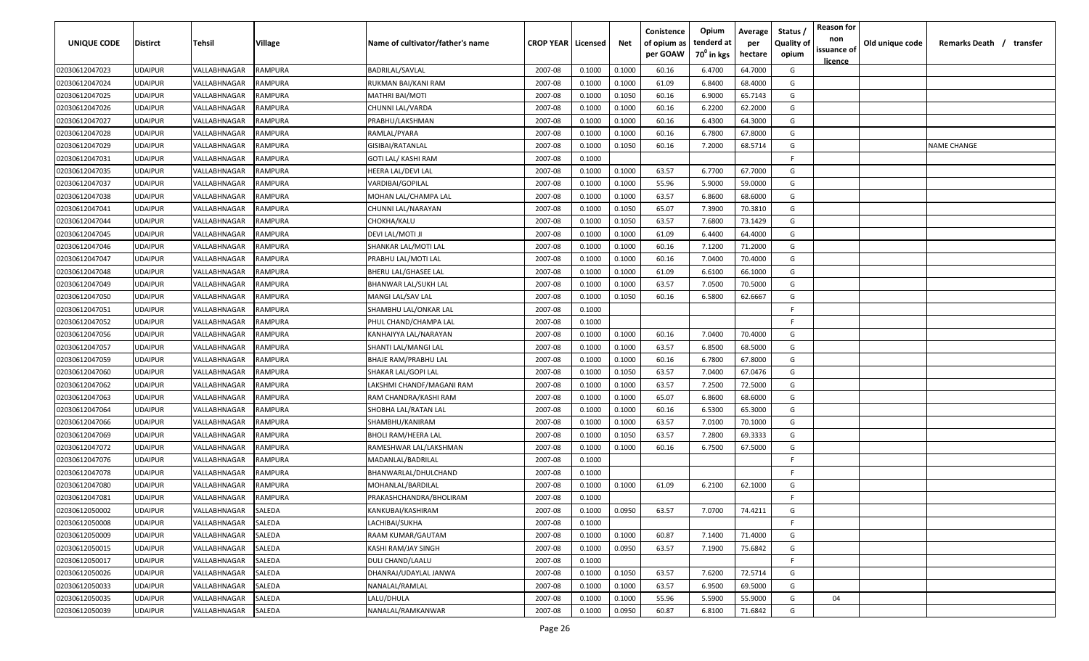| UNIQUE CODE                      | <b>Distirct</b>                  | Tehsil                       | Village            | Name of cultivator/father's name       | <b>CROP YEAR   Licensed</b> |                  | Net              | Conistence<br>of opium as<br>per GOAW | Opium<br>tenderd at<br>70 <sup>0</sup> in kgs | Average<br>per<br>hectare | Status<br><b>Quality of</b><br>opium | <b>Reason for</b><br>non<br>issuance of | Old unique code | Remarks Death / transfer |
|----------------------------------|----------------------------------|------------------------------|--------------------|----------------------------------------|-----------------------------|------------------|------------------|---------------------------------------|-----------------------------------------------|---------------------------|--------------------------------------|-----------------------------------------|-----------------|--------------------------|
|                                  |                                  |                              |                    |                                        |                             |                  |                  |                                       |                                               |                           |                                      | <u>licence</u>                          |                 |                          |
| 02030612047023<br>02030612047024 | <b>UDAIPUR</b><br><b>UDAIPUR</b> | VALLABHNAGAR<br>VALLABHNAGAR | RAMPURA<br>RAMPURA | BADRILAL/SAVLAL<br>RUKMAN BAI/KANI RAM | 2007-08<br>2007-08          | 0.1000<br>0.1000 | 0.1000<br>0.1000 | 60.16<br>61.09                        | 6.4700<br>6.8400                              | 64.7000<br>68.4000        | G<br>G                               |                                         |                 |                          |
| 02030612047025                   | <b>UDAIPUR</b>                   | VALLABHNAGAR                 | RAMPURA            | MATHRI BAI/MOTI                        | 2007-08                     | 0.1000           | 0.1050           | 60.16                                 | 6.9000                                        | 65.7143                   | G                                    |                                         |                 |                          |
| 02030612047026                   | <b>UDAIPUR</b>                   | VALLABHNAGAR                 | RAMPURA            | CHUNNI LAL/VARDA                       | 2007-08                     | 0.1000           | 0.1000           | 60.16                                 | 6.2200                                        | 62.2000                   | G                                    |                                         |                 |                          |
| 02030612047027                   | <b>UDAIPUR</b>                   | VALLABHNAGAR                 | RAMPURA            | PRABHU/LAKSHMAN                        | 2007-08                     | 0.1000           | 0.1000           | 60.16                                 | 6.4300                                        | 64.3000                   | G                                    |                                         |                 |                          |
| 02030612047028                   | <b>UDAIPUR</b>                   | VALLABHNAGAR                 | RAMPURA            | RAMLAL/PYARA                           | 2007-08                     | 0.1000           | 0.1000           | 60.16                                 | 6.7800                                        | 67.8000                   | G                                    |                                         |                 |                          |
| 02030612047029                   | <b>UDAIPUR</b>                   | VALLABHNAGAR                 | RAMPURA            | GISIBAI/RATANLAL                       | 2007-08                     | 0.1000           | 0.1050           | 60.16                                 | 7.2000                                        | 68.5714                   | G                                    |                                         |                 | <b>NAME CHANGE</b>       |
| 02030612047031                   | <b>UDAIPUR</b>                   | VALLABHNAGAR                 | RAMPURA            | GOTI LAL/ KASHI RAM                    | 2007-08                     | 0.1000           |                  |                                       |                                               |                           | F.                                   |                                         |                 |                          |
| 02030612047035                   | <b>UDAIPUR</b>                   | VALLABHNAGAR                 | RAMPURA            | HEERA LAL/DEVI LAL                     | 2007-08                     | 0.1000           | 0.1000           | 63.57                                 | 6.7700                                        | 67.7000                   | G                                    |                                         |                 |                          |
| 02030612047037                   | <b>UDAIPUR</b>                   | VALLABHNAGAR                 | RAMPURA            | VARDIBAI/GOPILAL                       | 2007-08                     | 0.1000           | 0.1000           | 55.96                                 | 5.9000                                        | 59.0000                   | G                                    |                                         |                 |                          |
| 02030612047038                   | <b>UDAIPUR</b>                   | VALLABHNAGAR                 | RAMPURA            | MOHAN LAL/CHAMPA LAL                   | 2007-08                     | 0.1000           | 0.1000           | 63.57                                 | 6.8600                                        | 68.6000                   | G                                    |                                         |                 |                          |
| 02030612047041                   | <b>UDAIPUR</b>                   | VALLABHNAGAR                 | RAMPURA            | CHUNNI LAL/NARAYAN                     | 2007-08                     | 0.1000           | 0.1050           | 65.07                                 | 7.3900                                        | 70.3810                   | G                                    |                                         |                 |                          |
| 02030612047044                   | <b>UDAIPUR</b>                   | VALLABHNAGAR                 | RAMPURA            | CHOKHA/KALU                            | 2007-08                     | 0.1000           | 0.1050           | 63.57                                 | 7.6800                                        | 73.1429                   | G                                    |                                         |                 |                          |
| 02030612047045                   | <b>UDAIPUR</b>                   | VALLABHNAGAR                 | RAMPURA            | DEVI LAL/MOTI JI                       | 2007-08                     | 0.1000           | 0.1000           | 61.09                                 | 6.4400                                        | 64.4000                   | G                                    |                                         |                 |                          |
| 02030612047046                   | <b>UDAIPUR</b>                   | VALLABHNAGAR                 | <b>RAMPURA</b>     | SHANKAR LAL/MOTI LAL                   | 2007-08                     | 0.1000           | 0.1000           | 60.16                                 | 7.1200                                        | 71.2000                   | G                                    |                                         |                 |                          |
| 02030612047047                   | <b>UDAIPUR</b>                   | VALLABHNAGAR                 | RAMPURA            | PRABHU LAL/MOTI LAL                    | 2007-08                     | 0.1000           | 0.1000           | 60.16                                 | 7.0400                                        | 70.4000                   | G                                    |                                         |                 |                          |
| 02030612047048                   | <b>UDAIPUR</b>                   | VALLABHNAGAR                 | <b>RAMPURA</b>     | BHERU LAL/GHASEE LAL                   | 2007-08                     | 0.1000           | 0.1000           | 61.09                                 | 6.6100                                        | 66.1000                   | G                                    |                                         |                 |                          |
| 02030612047049                   | <b>UDAIPUR</b>                   | VALLABHNAGAR                 | RAMPURA            | BHANWAR LAL/SUKH LAL                   | 2007-08                     | 0.1000           | 0.1000           | 63.57                                 | 7.0500                                        | 70.5000                   | G                                    |                                         |                 |                          |
| 02030612047050                   | <b>UDAIPUR</b>                   | VALLABHNAGAR                 | RAMPURA            | MANGI LAL/SAV LAL                      | 2007-08                     | 0.1000           | 0.1050           | 60.16                                 | 6.5800                                        | 62.6667                   | G                                    |                                         |                 |                          |
| 02030612047051                   | <b>UDAIPUR</b>                   | VALLABHNAGAR                 | RAMPURA            | SHAMBHU LAL/ONKAR LAL                  | 2007-08                     | 0.1000           |                  |                                       |                                               |                           | -F.                                  |                                         |                 |                          |
| 02030612047052                   | <b>UDAIPUR</b>                   | VALLABHNAGAR                 | RAMPURA            | PHUL CHAND/CHAMPA LAL                  | 2007-08                     | 0.1000           |                  |                                       |                                               |                           | -F.                                  |                                         |                 |                          |
| 02030612047056                   | <b>UDAIPUR</b>                   | VALLABHNAGAR                 | RAMPURA            | KANHAIYYA LAL/NARAYAN                  | 2007-08                     | 0.1000           | 0.1000           | 60.16                                 | 7.0400                                        | 70.4000                   | G                                    |                                         |                 |                          |
| 02030612047057                   | <b>UDAIPUR</b>                   | VALLABHNAGAR                 | RAMPURA            | SHANTI LAL/MANGI LAL                   | 2007-08                     | 0.1000           | 0.1000           | 63.57                                 | 6.8500                                        | 68.5000                   | G                                    |                                         |                 |                          |
| 02030612047059                   | <b>UDAIPUR</b>                   | VALLABHNAGAR                 | RAMPURA            | BHAJE RAM/PRABHU LAL                   | 2007-08                     | 0.1000           | 0.1000           | 60.16                                 | 6.7800                                        | 67.8000                   | G                                    |                                         |                 |                          |
| 02030612047060                   | <b>UDAIPUR</b>                   | VALLABHNAGAR                 | RAMPURA            | SHAKAR LAL/GOPI LAL                    | 2007-08                     | 0.1000           | 0.1050           | 63.57                                 | 7.0400                                        | 67.0476                   | G                                    |                                         |                 |                          |
| 02030612047062                   | <b>UDAIPUR</b>                   | VALLABHNAGAR                 | RAMPURA            | LAKSHMI CHANDF/MAGANI RAM              | 2007-08                     | 0.1000           | 0.1000           | 63.57                                 | 7.2500                                        | 72.5000                   | G                                    |                                         |                 |                          |
| 02030612047063                   | <b>UDAIPUR</b>                   | VALLABHNAGAR                 | RAMPURA            | RAM CHANDRA/KASHI RAM                  | 2007-08                     | 0.1000           | 0.1000           | 65.07                                 | 6.8600                                        | 68.6000                   | G                                    |                                         |                 |                          |
| 02030612047064                   | <b>UDAIPUR</b>                   | VALLABHNAGAR                 | RAMPURA            | SHOBHA LAL/RATAN LAL                   | 2007-08                     | 0.1000           | 0.1000           | 60.16                                 | 6.5300                                        | 65.3000                   | G                                    |                                         |                 |                          |
| 02030612047066                   | <b>UDAIPUR</b>                   | VALLABHNAGAR                 | RAMPURA            | SHAMBHU/KANIRAM                        | 2007-08                     | 0.1000           | 0.1000           | 63.57                                 | 7.0100                                        | 70.1000                   | G                                    |                                         |                 |                          |
| 02030612047069                   | <b>UDAIPUR</b>                   | VALLABHNAGAR                 | RAMPURA            | BHOLI RAM/HEERA LAL                    | 2007-08                     | 0.1000           | 0.1050           | 63.57                                 | 7.2800                                        | 69.3333                   | G                                    |                                         |                 |                          |
| 02030612047072                   | <b>UDAIPUR</b>                   | VALLABHNAGAR                 | RAMPURA            | RAMESHWAR LAL/LAKSHMAN                 | 2007-08                     | 0.1000           | 0.1000           | 60.16                                 | 6.7500                                        | 67.5000                   | G                                    |                                         |                 |                          |
| 02030612047076                   | <b>UDAIPUR</b>                   | VALLABHNAGAR                 | RAMPURA            | MADANLAL/BADRILAL                      | 2007-08                     | 0.1000           |                  |                                       |                                               |                           | -F.                                  |                                         |                 |                          |
| 02030612047078                   | <b>UDAIPUR</b>                   | VALLABHNAGAR                 | RAMPURA            | BHANWARLAL/DHULCHAND                   | 2007-08                     | 0.1000           |                  |                                       |                                               |                           | -F                                   |                                         |                 |                          |
| 02030612047080                   | <b>UDAIPUR</b>                   | VALLABHNAGAR                 | RAMPURA            | MOHANLAL/BARDILAL                      | 2007-08                     | 0.1000           | 0.1000           | 61.09                                 | 6.2100                                        | 62.1000                   | G                                    |                                         |                 |                          |
| 02030612047081                   | <b>UDAIPUR</b>                   | VALLABHNAGAR                 | RAMPURA            | PRAKASHCHANDRA/BHOLIRAM                | 2007-08                     | 0.1000           |                  |                                       |                                               |                           | F.                                   |                                         |                 |                          |
| 02030612050002                   | <b>UDAIPUR</b>                   | VALLABHNAGAR                 | SALEDA             | KANKUBAI/KASHIRAM                      | 2007-08                     | 0.1000           | 0.0950           | 63.57                                 | 7.0700                                        | 74.4211                   | G                                    |                                         |                 |                          |
| 02030612050008                   | <b>UDAIPUR</b>                   | VALLABHNAGAR                 | SALEDA             | LACHIBAI/SUKHA                         | 2007-08                     | 0.1000           |                  |                                       |                                               |                           | F.                                   |                                         |                 |                          |
| 02030612050009                   | <b>UDAIPUR</b>                   | VALLABHNAGAR                 | SALEDA             | RAAM KUMAR/GAUTAM                      | 2007-08                     | 0.1000           | 0.1000           | 60.87                                 | 7.1400                                        | 71.4000                   | G                                    |                                         |                 |                          |
| 02030612050015                   | <b>UDAIPUR</b>                   | VALLABHNAGAR                 | SALEDA             | KASHI RAM/JAY SINGH                    | 2007-08                     | 0.1000           | 0.0950           | 63.57                                 | 7.1900                                        | 75.6842                   | G                                    |                                         |                 |                          |
| 02030612050017                   | <b>UDAIPUR</b>                   | VALLABHNAGAR                 | SALEDA             | <b>DULI CHAND/LAALU</b>                | 2007-08                     | 0.1000           |                  |                                       |                                               |                           | F.                                   |                                         |                 |                          |
| 02030612050026                   | <b>UDAIPUR</b>                   | VALLABHNAGAR                 | <b>SALEDA</b>      | DHANRAJ/UDAYLAL JANWA                  | 2007-08                     | 0.1000           | 0.1050           | 63.57                                 | 7.6200                                        | 72.5714                   | G                                    |                                         |                 |                          |
| 02030612050033                   | <b>UDAIPUR</b>                   | VALLABHNAGAR                 | <b>SALEDA</b>      | NANALAL/RAMLAL                         | 2007-08                     | 0.1000           | 0.1000           | 63.57                                 | 6.9500                                        | 69.5000                   | G                                    |                                         |                 |                          |
| 02030612050035                   | <b>UDAIPUR</b>                   | VALLABHNAGAR                 | SALEDA             | LALU/DHULA                             | 2007-08                     | 0.1000           | 0.1000           | 55.96                                 | 5.5900                                        | 55.9000                   | G                                    | 04                                      |                 |                          |
| 02030612050039                   | <b>UDAIPUR</b>                   | VALLABHNAGAR                 | SALEDA             | NANALAL/RAMKANWAR                      | 2007-08                     | 0.1000           | 0.0950           | 60.87                                 | 6.8100                                        | 71.6842                   | G                                    |                                         |                 |                          |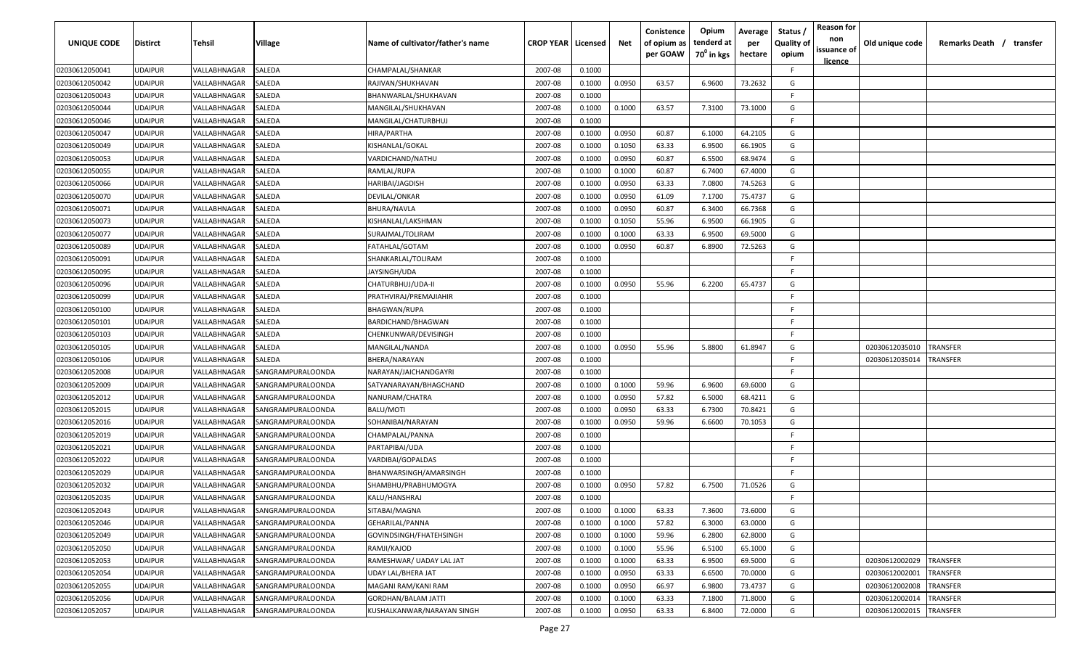| UNIQUE CODE    | <b>Distirct</b> | Tehsil       | Village                  | Name of cultivator/father's name | <b>CROP YEAR   Licensed</b> |        | Net    | Conistence<br>of opium as<br>per GOAW | Opium<br>tenderd at<br>70 <sup>0</sup> in kgs | Average<br>per<br>hectare | Status<br><b>Quality of</b><br>opium | <b>Reason for</b><br>non<br>issuance of<br><u>licence</u> | Old unique code | Remarks Death / transfer |
|----------------|-----------------|--------------|--------------------------|----------------------------------|-----------------------------|--------|--------|---------------------------------------|-----------------------------------------------|---------------------------|--------------------------------------|-----------------------------------------------------------|-----------------|--------------------------|
| 02030612050041 | <b>UDAIPUR</b>  | VALLABHNAGAR | SALEDA                   | CHAMPALAL/SHANKAR                | 2007-08                     | 0.1000 |        |                                       |                                               |                           | F.                                   |                                                           |                 |                          |
| 02030612050042 | <b>UDAIPUR</b>  | VALLABHNAGAR | SALEDA                   | RAJIVAN/SHUKHAVAN                | 2007-08                     | 0.1000 | 0.0950 | 63.57                                 | 6.9600                                        | 73.2632                   | G                                    |                                                           |                 |                          |
| 02030612050043 | <b>UDAIPUR</b>  | VALLABHNAGAR | SALEDA                   | BHANWARLAL/SHUKHAVAN             | 2007-08                     | 0.1000 |        |                                       |                                               |                           | -F                                   |                                                           |                 |                          |
| 02030612050044 | <b>UDAIPUR</b>  | VALLABHNAGAR | SALEDA                   | MANGILAL/SHUKHAVAN               | 2007-08                     | 0.1000 | 0.1000 | 63.57                                 | 7.3100                                        | 73.1000                   | G                                    |                                                           |                 |                          |
| 02030612050046 | <b>UDAIPUR</b>  | VALLABHNAGAR | SALEDA                   | MANGILAL/CHATURBHUJ              | 2007-08                     | 0.1000 |        |                                       |                                               |                           | -F.                                  |                                                           |                 |                          |
| 02030612050047 | <b>UDAIPUR</b>  | VALLABHNAGAR | SALEDA                   | HIRA/PARTHA                      | 2007-08                     | 0.1000 | 0.0950 | 60.87                                 | 6.1000                                        | 64.2105                   | G                                    |                                                           |                 |                          |
| 02030612050049 | <b>UDAIPUR</b>  | VALLABHNAGAR | SALEDA                   | KISHANLAL/GOKAL                  | 2007-08                     | 0.1000 | 0.1050 | 63.33                                 | 6.9500                                        | 66.1905                   | G                                    |                                                           |                 |                          |
| 02030612050053 | <b>UDAIPUR</b>  | VALLABHNAGAR | SALEDA                   | VARDICHAND/NATHU                 | 2007-08                     | 0.1000 | 0.0950 | 60.87                                 | 6.5500                                        | 68.9474                   | G                                    |                                                           |                 |                          |
| 02030612050055 | <b>UDAIPUR</b>  | VALLABHNAGAR | SALEDA                   | RAMLAL/RUPA                      | 2007-08                     | 0.1000 | 0.1000 | 60.87                                 | 6.7400                                        | 67.4000                   | G                                    |                                                           |                 |                          |
| 02030612050066 | <b>UDAIPUR</b>  | VALLABHNAGAR | SALEDA                   | HARIBAI/JAGDISH                  | 2007-08                     | 0.1000 | 0.0950 | 63.33                                 | 7.0800                                        | 74.5263                   | G                                    |                                                           |                 |                          |
| 02030612050070 | <b>UDAIPUR</b>  | VALLABHNAGAR | SALEDA                   | DEVILAL/ONKAR                    | 2007-08                     | 0.1000 | 0.0950 | 61.09                                 | 7.1700                                        | 75.4737                   | G                                    |                                                           |                 |                          |
| 02030612050071 | <b>UDAIPUR</b>  | VALLABHNAGAR | SALEDA                   | BHURA/NAVLA                      | 2007-08                     | 0.1000 | 0.0950 | 60.87                                 | 6.3400                                        | 66.7368                   | G                                    |                                                           |                 |                          |
| 02030612050073 | <b>UDAIPUR</b>  | VALLABHNAGAR | SALEDA                   | KISHANLAL/LAKSHMAN               | 2007-08                     | 0.1000 | 0.1050 | 55.96                                 | 6.9500                                        | 66.1905                   | G                                    |                                                           |                 |                          |
| 02030612050077 | <b>UDAIPUR</b>  | VALLABHNAGAR | SALEDA                   | SURAJMAL/TOLIRAM                 | 2007-08                     | 0.1000 | 0.1000 | 63.33                                 | 6.9500                                        | 69.5000                   | G                                    |                                                           |                 |                          |
| 02030612050089 | <b>UDAIPUR</b>  | VALLABHNAGAR | SALEDA                   | FATAHLAL/GOTAM                   | 2007-08                     | 0.1000 | 0.0950 | 60.87                                 | 6.8900                                        | 72.5263                   | G                                    |                                                           |                 |                          |
| 02030612050091 | <b>UDAIPUR</b>  | VALLABHNAGAR | SALEDA                   | SHANKARLAL/TOLIRAM               | 2007-08                     | 0.1000 |        |                                       |                                               |                           | -F.                                  |                                                           |                 |                          |
| 02030612050095 | <b>UDAIPUR</b>  | VALLABHNAGAR | SALEDA                   | JAYSINGH/UDA                     | 2007-08                     | 0.1000 |        |                                       |                                               |                           | -F.                                  |                                                           |                 |                          |
| 02030612050096 | <b>UDAIPUR</b>  | VALLABHNAGAR | SALEDA                   | CHATURBHUJ/UDA-II                | 2007-08                     | 0.1000 | 0.0950 | 55.96                                 | 6.2200                                        | 65.4737                   | G                                    |                                                           |                 |                          |
| 02030612050099 | <b>UDAIPUR</b>  | VALLABHNAGAR | SALEDA                   | PRATHVIRAJ/PREMAJIAHIR           | 2007-08                     | 0.1000 |        |                                       |                                               |                           | -F.                                  |                                                           |                 |                          |
| 02030612050100 | <b>UDAIPUR</b>  | VALLABHNAGAR | SALEDA                   | <b>BHAGWAN/RUPA</b>              | 2007-08                     | 0.1000 |        |                                       |                                               |                           | -F.                                  |                                                           |                 |                          |
| 02030612050101 | <b>UDAIPUR</b>  | VALLABHNAGAR | SALEDA                   | BARDICHAND/BHAGWAN               | 2007-08                     | 0.1000 |        |                                       |                                               |                           | -F.                                  |                                                           |                 |                          |
| 02030612050103 | <b>UDAIPUR</b>  | VALLABHNAGAR | SALEDA                   | CHENKUNWAR/DEVISINGH             | 2007-08                     | 0.1000 |        |                                       |                                               |                           | -F.                                  |                                                           |                 |                          |
| 02030612050105 | <b>UDAIPUR</b>  | VALLABHNAGAR | SALEDA                   | MANGILAL/NANDA                   | 2007-08                     | 0.1000 | 0.0950 | 55.96                                 | 5.8800                                        | 61.8947                   | G                                    |                                                           | 02030612035010  | <b>RANSFER</b>           |
| 02030612050106 | <b>UDAIPUR</b>  | VALLABHNAGAR | SALEDA                   | BHERA/NARAYAN                    | 2007-08                     | 0.1000 |        |                                       |                                               |                           | -F.                                  |                                                           | 02030612035014  | <b>RANSFER</b>           |
| 02030612052008 | <b>UDAIPUR</b>  | VALLABHNAGAR | SANGRAMPURALOONDA        | NARAYAN/JAICHANDGAYRI            | 2007-08                     | 0.1000 |        |                                       |                                               |                           | F.                                   |                                                           |                 |                          |
| 02030612052009 | <b>UDAIPUR</b>  | VALLABHNAGAR | SANGRAMPURALOONDA        | SATYANARAYAN/BHAGCHAND           | 2007-08                     | 0.1000 | 0.1000 | 59.96                                 | 6.9600                                        | 69.6000                   | G                                    |                                                           |                 |                          |
| 02030612052012 | <b>UDAIPUR</b>  | VALLABHNAGAR | SANGRAMPURALOONDA        | NANURAM/CHATRA                   | 2007-08                     | 0.1000 | 0.0950 | 57.82                                 | 6.5000                                        | 68.4211                   | G                                    |                                                           |                 |                          |
| 02030612052015 | <b>UDAIPUR</b>  | VALLABHNAGAR | SANGRAMPURALOONDA        | BALU/MOTI                        | 2007-08                     | 0.1000 | 0.0950 | 63.33                                 | 6.7300                                        | 70.8421                   | G                                    |                                                           |                 |                          |
| 02030612052016 | <b>UDAIPUR</b>  | VALLABHNAGAR | SANGRAMPURALOONDA        | SOHANIBAI/NARAYAN                | 2007-08                     | 0.1000 | 0.0950 | 59.96                                 | 6.6600                                        | 70.1053                   | G                                    |                                                           |                 |                          |
| 02030612052019 | <b>UDAIPUR</b>  | VALLABHNAGAR | SANGRAMPURALOONDA        | CHAMPALAL/PANNA                  | 2007-08                     | 0.1000 |        |                                       |                                               |                           | -F.                                  |                                                           |                 |                          |
| 02030612052021 | <b>UDAIPUR</b>  | VALLABHNAGAR | SANGRAMPURALOONDA        | PARTAPIBAI/UDA                   | 2007-08                     | 0.1000 |        |                                       |                                               |                           | -F.                                  |                                                           |                 |                          |
| 02030612052022 | <b>UDAIPUR</b>  | VALLABHNAGAR | SANGRAMPURALOONDA        | VARDIBAI/GOPALDAS                | 2007-08                     | 0.1000 |        |                                       |                                               |                           | -F.                                  |                                                           |                 |                          |
| 02030612052029 | <b>UDAIPUR</b>  | VALLABHNAGAR | SANGRAMPURALOONDA        | BHANWARSINGH/AMARSINGH           | 2007-08                     | 0.1000 |        |                                       |                                               |                           | -F                                   |                                                           |                 |                          |
| 02030612052032 | <b>UDAIPUR</b>  | VALLABHNAGAR | SANGRAMPURALOONDA        | SHAMBHU/PRABHUMOGYA              | 2007-08                     | 0.1000 | 0.0950 | 57.82                                 | 6.7500                                        | 71.0526                   | G                                    |                                                           |                 |                          |
| 02030612052035 | <b>UDAIPUR</b>  | VALLABHNAGAR | SANGRAMPURALOONDA        | KALU/HANSHRAJ                    | 2007-08                     | 0.1000 |        |                                       |                                               |                           | -F.                                  |                                                           |                 |                          |
| 02030612052043 | <b>UDAIPUR</b>  | VALLABHNAGAR | SANGRAMPURALOONDA        | SITABAI/MAGNA                    | 2007-08                     | 0.1000 | 0.1000 | 63.33                                 | 7.3600                                        | 73.6000                   | G                                    |                                                           |                 |                          |
| 02030612052046 | <b>UDAIPUR</b>  | VALLABHNAGAR | SANGRAMPURALOONDA        | <b>GEHARILAL/PANNA</b>           | 2007-08                     | 0.1000 | 0.1000 | 57.82                                 | 6.3000                                        | 63.0000                   | G                                    |                                                           |                 |                          |
| 02030612052049 | <b>UDAIPUR</b>  | VALLABHNAGAR | SANGRAMPURALOONDA        | GOVINDSINGH/FHATEHSINGH          | 2007-08                     | 0.1000 | 0.1000 | 59.96                                 | 6.2800                                        | 62.8000                   | G                                    |                                                           |                 |                          |
| 02030612052050 | <b>UDAIPUR</b>  | VALLABHNAGAR | SANGRAMPURALOONDA        | RAMJI/KAJOD                      | 2007-08                     | 0.1000 | 0.1000 | 55.96                                 | 6.5100                                        | 65.1000                   | G                                    |                                                           |                 |                          |
| 02030612052053 | <b>UDAIPUR</b>  | VALLABHNAGAR | SANGRAMPURALOONDA        | RAMESHWAR/ UADAY LAL JAT         | 2007-08                     | 0.1000 | 0.1000 | 63.33                                 | 6.9500                                        | 69.5000                   | G                                    |                                                           | 02030612002029  | TRANSFER                 |
| 02030612052054 | <b>UDAIPUR</b>  | VALLABHNAGAR | SANGRAMPURALOONDA        | UDAY LAL/BHERA JAT               | 2007-08                     | 0.1000 | 0.0950 | 63.33                                 | 6.6500                                        | 70.0000                   | G                                    |                                                           | 02030612002001  | TRANSFER                 |
| 02030612052055 | <b>UDAIPUR</b>  | VALLABHNAGAR | <b>SANGRAMPURALOONDA</b> | MAGANI RAM/KANI RAM              | 2007-08                     | 0.1000 | 0.0950 | 66.97                                 | 6.9800                                        | 73.4737                   | G                                    |                                                           | 02030612002008  | TRANSFER                 |
| 02030612052056 | <b>UDAIPUR</b>  | VALLABHNAGAR | SANGRAMPURALOONDA        | <b>GORDHAN/BALAM JATTI</b>       | 2007-08                     | 0.1000 | 0.1000 | 63.33                                 | 7.1800                                        | 71.8000                   | G                                    |                                                           | 02030612002014  | TRANSFER                 |
| 02030612052057 | <b>UDAIPUR</b>  | VALLABHNAGAR | SANGRAMPURALOONDA        | KUSHALKANWAR/NARAYAN SINGH       | 2007-08                     | 0.1000 | 0.0950 | 63.33                                 | 6.8400                                        | 72.0000                   | G                                    |                                                           | 02030612002015  | TRANSFER                 |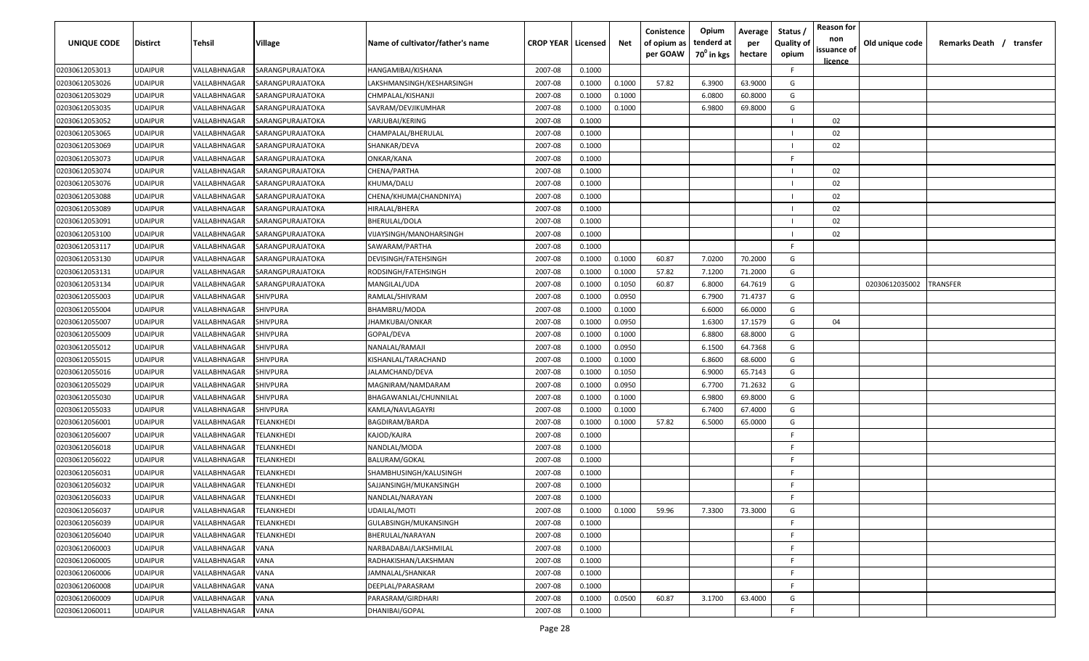| UNIQUE CODE    | <b>Distirct</b> | Tehsil       | Village                  | Name of cultivator/father's name | <b>CROP YEAR   Licensed</b> |        | Net    | Conistence<br>of opium as<br>per GOAW | Opium<br>tenderd at<br>70 <sup>0</sup> in kgs | Average<br>per<br>hectare | Status<br><b>Quality of</b><br>opium | <b>Reason for</b><br>non<br>issuance of<br><u>licence</u> | Old unique code | Remarks Death / transfer |
|----------------|-----------------|--------------|--------------------------|----------------------------------|-----------------------------|--------|--------|---------------------------------------|-----------------------------------------------|---------------------------|--------------------------------------|-----------------------------------------------------------|-----------------|--------------------------|
| 02030612053013 | <b>UDAIPUR</b>  | VALLABHNAGAR | SARANGPURAJATOKA         | HANGAMIBAI/KISHANA               | 2007-08                     | 0.1000 |        |                                       |                                               |                           | F.                                   |                                                           |                 |                          |
| 02030612053026 | <b>UDAIPUR</b>  | VALLABHNAGAR | SARANGPURAJATOKA         | LAKSHMANSINGH/KESHARSINGH        | 2007-08                     | 0.1000 | 0.1000 | 57.82                                 | 6.3900                                        | 63.9000                   | G                                    |                                                           |                 |                          |
| 02030612053029 | <b>UDAIPUR</b>  | VALLABHNAGAR | SARANGPURAJATOKA         | CHMPALAL/KISHANJI                | 2007-08                     | 0.1000 | 0.1000 |                                       | 6.0800                                        | 60.8000                   | G                                    |                                                           |                 |                          |
| 02030612053035 | <b>UDAIPUR</b>  | VALLABHNAGAR | SARANGPURAJATOKA         | SAVRAM/DEVJIKUMHAR               | 2007-08                     | 0.1000 | 0.1000 |                                       | 6.9800                                        | 69.8000                   | G                                    |                                                           |                 |                          |
| 02030612053052 | <b>UDAIPUR</b>  | VALLABHNAGAR | SARANGPURAJATOKA         | VARJUBAI/KERING                  | 2007-08                     | 0.1000 |        |                                       |                                               |                           | $\blacksquare$                       | 02                                                        |                 |                          |
| 02030612053065 | <b>UDAIPUR</b>  | VALLABHNAGAR | SARANGPURAJATOKA         | CHAMPALAL/BHERULAL               | 2007-08                     | 0.1000 |        |                                       |                                               |                           | $\blacksquare$                       | 02                                                        |                 |                          |
| 02030612053069 | <b>UDAIPUR</b>  | VALLABHNAGAR | SARANGPURAJATOKA         | SHANKAR/DEVA                     | 2007-08                     | 0.1000 |        |                                       |                                               |                           | $\blacksquare$                       | 02                                                        |                 |                          |
| 02030612053073 | <b>UDAIPUR</b>  | VALLABHNAGAR | SARANGPURAJATOKA         | ONKAR/KANA                       | 2007-08                     | 0.1000 |        |                                       |                                               |                           | -F.                                  |                                                           |                 |                          |
| 02030612053074 | <b>UDAIPUR</b>  | VALLABHNAGAR | SARANGPURAJATOKA         | CHENA/PARTHA                     | 2007-08                     | 0.1000 |        |                                       |                                               |                           | $\blacksquare$                       | 02                                                        |                 |                          |
| 02030612053076 | <b>UDAIPUR</b>  | VALLABHNAGAR | SARANGPURAJATOKA         | KHUMA/DALU                       | 2007-08                     | 0.1000 |        |                                       |                                               |                           | $\blacksquare$                       | 02                                                        |                 |                          |
| 02030612053088 | <b>UDAIPUR</b>  | VALLABHNAGAR | SARANGPURAJATOKA         | CHENA/KHUMA(CHANDNIYA)           | 2007-08                     | 0.1000 |        |                                       |                                               |                           | - 1                                  | 02                                                        |                 |                          |
| 02030612053089 | <b>UDAIPUR</b>  | VALLABHNAGAR | SARANGPURAJATOKA         | HIRALAL/BHERA                    | 2007-08                     | 0.1000 |        |                                       |                                               |                           | - 1                                  | 02                                                        |                 |                          |
| 02030612053091 | <b>UDAIPUR</b>  | VALLABHNAGAR | SARANGPURAJATOKA         | BHERULAL/DOLA                    | 2007-08                     | 0.1000 |        |                                       |                                               |                           |                                      | 02                                                        |                 |                          |
| 02030612053100 | <b>UDAIPUR</b>  | VALLABHNAGAR | SARANGPURAJATOKA         | VIJAYSINGH/MANOHARSINGH          | 2007-08                     | 0.1000 |        |                                       |                                               |                           |                                      | 02                                                        |                 |                          |
| 02030612053117 | <b>UDAIPUR</b>  | VALLABHNAGAR | SARANGPURAJATOKA         | SAWARAM/PARTHA                   | 2007-08                     | 0.1000 |        |                                       |                                               |                           | -F.                                  |                                                           |                 |                          |
| 02030612053130 | <b>UDAIPUR</b>  | VALLABHNAGAR | SARANGPURAJATOKA         | DEVISINGH/FATEHSINGH             | 2007-08                     | 0.1000 | 0.1000 | 60.87                                 | 7.0200                                        | 70.2000                   | G                                    |                                                           |                 |                          |
| 02030612053131 | <b>UDAIPUR</b>  | VALLABHNAGAR | SARANGPURAJATOKA         | RODSINGH/FATEHSINGH              | 2007-08                     | 0.1000 | 0.1000 | 57.82                                 | 7.1200                                        | 71.2000                   | G                                    |                                                           |                 |                          |
| 02030612053134 | <b>UDAIPUR</b>  | VALLABHNAGAR | SARANGPURAJATOKA         | MANGILAL/UDA                     | 2007-08                     | 0.1000 | 0.1050 | 60.87                                 | 6.8000                                        | 64.7619                   | G                                    |                                                           | 02030612035002  | TRANSFER                 |
| 02030612055003 | <b>UDAIPUR</b>  | VALLABHNAGAR | SHIVPURA                 | RAMLAL/SHIVRAM                   | 2007-08                     | 0.1000 | 0.0950 |                                       | 6.7900                                        | 71.4737                   | G                                    |                                                           |                 |                          |
| 02030612055004 | <b>UDAIPUR</b>  | VALLABHNAGAR | SHIVPURA                 | BHAMBRU/MODA                     | 2007-08                     | 0.1000 | 0.1000 |                                       | 6.6000                                        | 66.0000                   | G                                    |                                                           |                 |                          |
| 02030612055007 | <b>UDAIPUR</b>  | VALLABHNAGAR | <b>SHIVPURA</b>          | JHAMKUBAI/ONKAR                  | 2007-08                     | 0.1000 | 0.0950 |                                       | 1.6300                                        | 17.1579                   | G                                    | 04                                                        |                 |                          |
| 02030612055009 | <b>UDAIPUR</b>  | VALLABHNAGAR | SHIVPURA                 | GOPAL/DEVA                       | 2007-08                     | 0.1000 | 0.1000 |                                       | 6.8800                                        | 68.8000                   | G                                    |                                                           |                 |                          |
| 02030612055012 | <b>UDAIPUR</b>  | VALLABHNAGAR | SHIVPURA                 | NANALAL/RAMAJI                   | 2007-08                     | 0.1000 | 0.0950 |                                       | 6.1500                                        | 64.7368                   | G                                    |                                                           |                 |                          |
| 02030612055015 | <b>UDAIPUR</b>  | VALLABHNAGAR | SHIVPURA                 | KISHANLAL/TARACHAND              | 2007-08                     | 0.1000 | 0.1000 |                                       | 6.8600                                        | 68.6000                   | G                                    |                                                           |                 |                          |
| 02030612055016 | <b>UDAIPUR</b>  | VALLABHNAGAR | SHIVPURA                 | JALAMCHAND/DEVA                  | 2007-08                     | 0.1000 | 0.1050 |                                       | 6.9000                                        | 65.7143                   | G                                    |                                                           |                 |                          |
| 02030612055029 | <b>UDAIPUR</b>  | VALLABHNAGAR | SHIVPURA                 | MAGNIRAM/NAMDARAM                | 2007-08                     | 0.1000 | 0.0950 |                                       | 6.7700                                        | 71.2632                   | G                                    |                                                           |                 |                          |
| 02030612055030 | <b>UDAIPUR</b>  | VALLABHNAGAR | SHIVPURA                 | BHAGAWANLAL/CHUNNILAL            | 2007-08                     | 0.1000 | 0.1000 |                                       | 6.9800                                        | 69.8000                   | G                                    |                                                           |                 |                          |
| 02030612055033 | <b>UDAIPUR</b>  | VALLABHNAGAR | SHIVPURA                 | KAMLA/NAVLAGAYRI                 | 2007-08                     | 0.1000 | 0.1000 |                                       | 6.7400                                        | 67.4000                   | G                                    |                                                           |                 |                          |
| 02030612056001 | <b>UDAIPUR</b>  | VALLABHNAGAR | TELANKHEDI               | BAGDIRAM/BARDA                   | 2007-08                     | 0.1000 | 0.1000 | 57.82                                 | 6.5000                                        | 65.0000                   | G                                    |                                                           |                 |                          |
| 02030612056007 | <b>UDAIPUR</b>  | VALLABHNAGAR | TELANKHEDI               | KAJOD/KAJRA                      | 2007-08                     | 0.1000 |        |                                       |                                               |                           | -F.                                  |                                                           |                 |                          |
| 02030612056018 | <b>UDAIPUR</b>  | VALLABHNAGAR | TELANKHEDI               | NANDLAL/MODA                     | 2007-08                     | 0.1000 |        |                                       |                                               |                           | -F.                                  |                                                           |                 |                          |
| 02030612056022 | <b>UDAIPUR</b>  | VALLABHNAGAR | TELANKHEDI               | BALURAM/GOKAL                    | 2007-08                     | 0.1000 |        |                                       |                                               |                           | -F.                                  |                                                           |                 |                          |
| 02030612056031 | <b>UDAIPUR</b>  | VALLABHNAGAR | <b><i>FELANKHEDI</i></b> | SHAMBHUSINGH/KALUSINGH           | 2007-08                     | 0.1000 |        |                                       |                                               |                           | -F.                                  |                                                           |                 |                          |
| 02030612056032 | <b>UDAIPUR</b>  | VALLABHNAGAR | <b>FELANKHEDI</b>        | SAJJANSINGH/MUKANSINGH           | 2007-08                     | 0.1000 |        |                                       |                                               |                           | -F.                                  |                                                           |                 |                          |
| 02030612056033 | <b>UDAIPUR</b>  | VALLABHNAGAR | TELANKHEDI               | NANDLAL/NARAYAN                  | 2007-08                     | 0.1000 |        |                                       |                                               |                           | -F.                                  |                                                           |                 |                          |
| 02030612056037 | <b>UDAIPUR</b>  | VALLABHNAGAR | <b>TELANKHEDI</b>        | UDAILAL/MOTI                     | 2007-08                     | 0.1000 | 0.1000 | 59.96                                 | 7.3300                                        | 73.3000                   | G                                    |                                                           |                 |                          |
| 02030612056039 | <b>UDAIPUR</b>  | VALLABHNAGAR | TELANKHEDI               | GULABSINGH/MUKANSINGH            | 2007-08                     | 0.1000 |        |                                       |                                               |                           | F.                                   |                                                           |                 |                          |
| 02030612056040 | <b>UDAIPUR</b>  | VALLABHNAGAR | TELANKHEDI               | BHERULAL/NARAYAN                 | 2007-08                     | 0.1000 |        |                                       |                                               |                           | F.                                   |                                                           |                 |                          |
| 02030612060003 | <b>UDAIPUR</b>  | VALLABHNAGAR | VANA                     | NARBADABAI/LAKSHMILAL            | 2007-08                     | 0.1000 |        |                                       |                                               |                           | F.                                   |                                                           |                 |                          |
| 02030612060005 | <b>UDAIPUR</b>  | VALLABHNAGAR | VANA                     | RADHAKISHAN/LAKSHMAN             | 2007-08                     | 0.1000 |        |                                       |                                               |                           | F.                                   |                                                           |                 |                          |
| 02030612060006 | <b>UDAIPUR</b>  | VALLABHNAGAR | VANA                     | JAMNALAL/SHANKAR                 | 2007-08                     | 0.1000 |        |                                       |                                               |                           | F.                                   |                                                           |                 |                          |
| 02030612060008 | <b>UDAIPUR</b>  | VALLABHNAGAR | VANA                     | DEEPLAL/PARASRAM                 | 2007-08                     | 0.1000 |        |                                       |                                               |                           | F.                                   |                                                           |                 |                          |
| 02030612060009 | <b>UDAIPUR</b>  | VALLABHNAGAR | VANA                     | PARASRAM/GIRDHARI                | 2007-08                     | 0.1000 | 0.0500 | 60.87                                 | 3.1700                                        | 63.4000                   | G                                    |                                                           |                 |                          |
| 02030612060011 | <b>UDAIPUR</b>  | VALLABHNAGAR | <b>VANA</b>              | DHANIBAI/GOPAL                   | 2007-08                     | 0.1000 |        |                                       |                                               |                           | F.                                   |                                                           |                 |                          |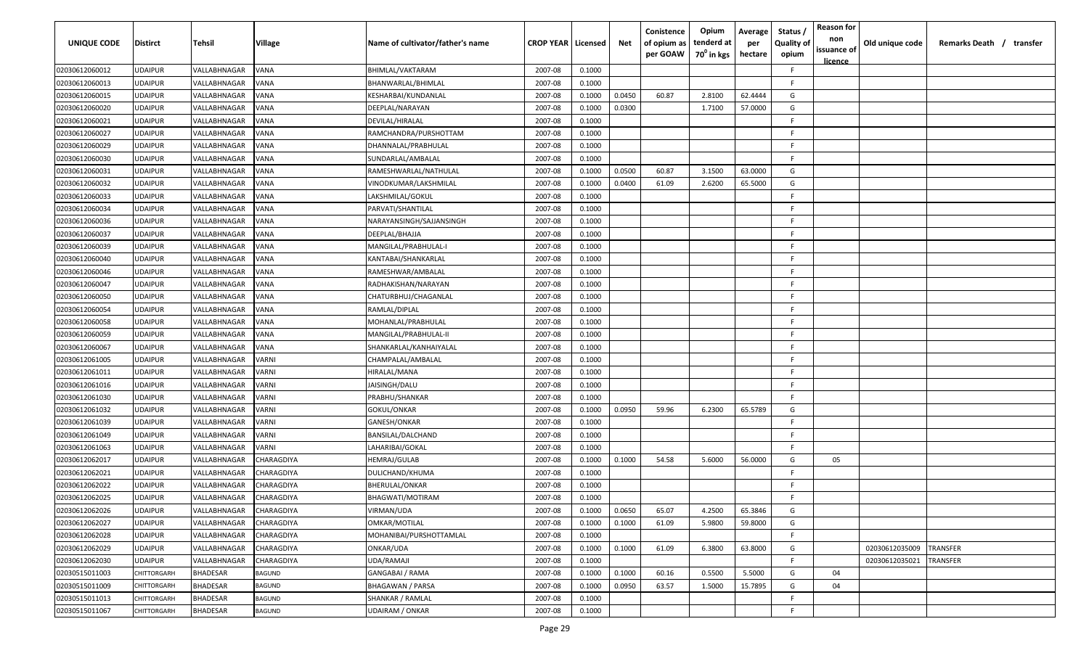| <b>UNIQUE CODE</b> | <b>Distirct</b> | Tehsil          | Village           | Name of cultivator/father's name | <b>CROP YEAR   Licensed</b> |        | Net    | Conistence<br>of opium as | Opium<br>tenderd at    | Average<br>per | Status /<br><b>Quality of</b> | <b>Reason for</b><br>non<br>issuance of | Old unique code | Remarks Death /<br>transfer |
|--------------------|-----------------|-----------------|-------------------|----------------------------------|-----------------------------|--------|--------|---------------------------|------------------------|----------------|-------------------------------|-----------------------------------------|-----------------|-----------------------------|
|                    |                 |                 |                   |                                  |                             |        |        | per GOAW                  | 70 <sup>0</sup> in kgs | hectare        | opium                         | <u>licence</u>                          |                 |                             |
| 02030612060012     | <b>UDAIPUR</b>  | VALLABHNAGAR    | VANA              | BHIMLAL/VAKTARAM                 | 2007-08                     | 0.1000 |        |                           |                        |                | F.                            |                                         |                 |                             |
| 02030612060013     | <b>UDAIPUR</b>  | VALLABHNAGAR    | VANA              | BHANWARLAL/BHIMLAL               | 2007-08                     | 0.1000 |        |                           |                        |                | F.                            |                                         |                 |                             |
| 02030612060015     | <b>UDAIPUR</b>  | VALLABHNAGAR    | VANA              | KESHARBAI/KUNDANLAL              | 2007-08                     | 0.1000 | 0.0450 | 60.87                     | 2.8100                 | 62.4444        | G                             |                                         |                 |                             |
| 02030612060020     | <b>UDAIPUR</b>  | VALLABHNAGAR    | VANA              | DEEPLAL/NARAYAN                  | 2007-08                     | 0.1000 | 0.0300 |                           | 1.7100                 | 57.0000        | G                             |                                         |                 |                             |
| 02030612060021     | <b>UDAIPUR</b>  | VALLABHNAGAR    | VANA              | DEVILAL/HIRALAL                  | 2007-08                     | 0.1000 |        |                           |                        |                | F.                            |                                         |                 |                             |
| 02030612060027     | <b>UDAIPUR</b>  | VALLABHNAGAR    | VANA              | RAMCHANDRA/PURSHOTTAM            | 2007-08                     | 0.1000 |        |                           |                        |                | -F.                           |                                         |                 |                             |
| 02030612060029     | <b>UDAIPUR</b>  | VALLABHNAGAR    | VANA              | DHANNALAL/PRABHULAL              | 2007-08                     | 0.1000 |        |                           |                        |                | -F                            |                                         |                 |                             |
| 02030612060030     | <b>UDAIPUR</b>  | VALLABHNAGAR    | VANA              | SUNDARLAL/AMBALAL                | 2007-08                     | 0.1000 |        |                           |                        |                | F.                            |                                         |                 |                             |
| 02030612060031     | <b>UDAIPUR</b>  | VALLABHNAGAR    | VANA              | RAMESHWARLAL/NATHULAL            | 2007-08                     | 0.1000 | 0.0500 | 60.87                     | 3.1500                 | 63.0000        | G                             |                                         |                 |                             |
| 02030612060032     | <b>UDAIPUR</b>  | VALLABHNAGAR    | VANA              | VINODKUMAR/LAKSHMILAL            | 2007-08                     | 0.1000 | 0.0400 | 61.09                     | 2.6200                 | 65.5000        | G                             |                                         |                 |                             |
| 02030612060033     | <b>UDAIPUR</b>  | VALLABHNAGAR    | VANA              | LAKSHMILAL/GOKUL                 | 2007-08                     | 0.1000 |        |                           |                        |                | -F                            |                                         |                 |                             |
| 02030612060034     | <b>UDAIPUR</b>  | VALLABHNAGAR    | VANA              | PARVATI/SHANTILAL                | 2007-08                     | 0.1000 |        |                           |                        |                | -F.                           |                                         |                 |                             |
| 02030612060036     | <b>UDAIPUR</b>  | VALLABHNAGAR    | VANA              | NARAYANSINGH/SAJJANSINGH         | 2007-08                     | 0.1000 |        |                           |                        |                | F.                            |                                         |                 |                             |
| 02030612060037     | <b>UDAIPUR</b>  | VALLABHNAGAR    | VANA              | DEEPLAL/BHAJJA                   | 2007-08                     | 0.1000 |        |                           |                        |                | -F.                           |                                         |                 |                             |
| 02030612060039     | <b>UDAIPUR</b>  | VALLABHNAGAR    | VANA              | MANGILAL/PRABHULAL-I             | 2007-08                     | 0.1000 |        |                           |                        |                | -F.                           |                                         |                 |                             |
| 02030612060040     | <b>UDAIPUR</b>  | VALLABHNAGAR    | VANA              | KANTABAI/SHANKARLAL              | 2007-08                     | 0.1000 |        |                           |                        |                | -F.                           |                                         |                 |                             |
| 02030612060046     | <b>UDAIPUR</b>  | VALLABHNAGAR    | VANA              | RAMESHWAR/AMBALAL                | 2007-08                     | 0.1000 |        |                           |                        |                | -F.                           |                                         |                 |                             |
| 02030612060047     | <b>UDAIPUR</b>  | VALLABHNAGAR    | VANA              | RADHAKISHAN/NARAYAN              | 2007-08                     | 0.1000 |        |                           |                        |                | -F.                           |                                         |                 |                             |
| 02030612060050     | <b>UDAIPUR</b>  | VALLABHNAGAR    | VANA              | CHATURBHUJ/CHAGANLAL             | 2007-08                     | 0.1000 |        |                           |                        |                | -F.                           |                                         |                 |                             |
| 02030612060054     | <b>UDAIPUR</b>  | VALLABHNAGAR    | VANA              | RAMLAL/DIPLAL                    | 2007-08                     | 0.1000 |        |                           |                        |                | -F.                           |                                         |                 |                             |
| 02030612060058     | <b>UDAIPUR</b>  | VALLABHNAGAR    | VANA              | MOHANLAL/PRABHULAL               | 2007-08                     | 0.1000 |        |                           |                        |                | -F.                           |                                         |                 |                             |
| 02030612060059     | <b>UDAIPUR</b>  | VALLABHNAGAR    | VANA              | MANGILAL/PRABHULAL-II            | 2007-08                     | 0.1000 |        |                           |                        |                | -F.                           |                                         |                 |                             |
| 02030612060067     | <b>UDAIPUR</b>  | VALLABHNAGAR    | <b>/ANA</b>       | SHANKARLAL/KANHAIYALAL           | 2007-08                     | 0.1000 |        |                           |                        |                | -F                            |                                         |                 |                             |
| 02030612061005     | <b>UDAIPUR</b>  | VALLABHNAGAR    | VARNI             | CHAMPALAL/AMBALAL                | 2007-08                     | 0.1000 |        |                           |                        |                | F.                            |                                         |                 |                             |
| 02030612061011     | <b>UDAIPUR</b>  | VALLABHNAGAR    | VARNI             | HIRALAL/MANA                     | 2007-08                     | 0.1000 |        |                           |                        |                | F.                            |                                         |                 |                             |
| 02030612061016     | <b>UDAIPUR</b>  | VALLABHNAGAR    | VARNI             | IAISINGH/DALU                    | 2007-08                     | 0.1000 |        |                           |                        |                | F.                            |                                         |                 |                             |
| 02030612061030     | <b>UDAIPUR</b>  | VALLABHNAGAR    | VARNI             | PRABHU/SHANKAR                   | 2007-08                     | 0.1000 |        |                           |                        |                | F                             |                                         |                 |                             |
| 02030612061032     | <b>UDAIPUR</b>  | VALLABHNAGAR    | VARNI             | GOKUL/ONKAR                      | 2007-08                     | 0.1000 | 0.0950 | 59.96                     | 6.2300                 | 65.5789        | G                             |                                         |                 |                             |
| 02030612061039     | <b>UDAIPUR</b>  | VALLABHNAGAR    | VARNI             | GANESH/ONKAR                     | 2007-08                     | 0.1000 |        |                           |                        |                | -F.                           |                                         |                 |                             |
| 02030612061049     | <b>UDAIPUR</b>  | VALLABHNAGAR    | VARNI             | BANSILAL/DALCHAND                | 2007-08                     | 0.1000 |        |                           |                        |                | F.                            |                                         |                 |                             |
| 02030612061063     | <b>UDAIPUR</b>  | VALLABHNAGAR    | VARNI             | LAHARIBAI/GOKAL                  | 2007-08                     | 0.1000 |        |                           |                        |                | -F.                           |                                         |                 |                             |
| 02030612062017     | <b>UDAIPUR</b>  | VALLABHNAGAR    | CHARAGDIYA        | HEMRAJ/GULAB                     | 2007-08                     | 0.1000 | 0.1000 | 54.58                     | 5.6000                 | 56.0000        | G                             | 05                                      |                 |                             |
| 02030612062021     | <b>UDAIPUR</b>  | VALLABHNAGAR    | CHARAGDIYA        | DULICHAND/KHUMA                  | 2007-08                     | 0.1000 |        |                           |                        |                | -F.                           |                                         |                 |                             |
| 02030612062022     | <b>UDAIPUR</b>  | VALLABHNAGAR    | CHARAGDIYA        | BHERULAL/ONKAR                   | 2007-08                     | 0.1000 |        |                           |                        |                | F.                            |                                         |                 |                             |
| 02030612062025     | <b>UDAIPUR</b>  | VALLABHNAGAR    | CHARAGDIYA        | BHAGWATI/MOTIRAM                 | 2007-08                     | 0.1000 |        |                           |                        |                | F.                            |                                         |                 |                             |
| 02030612062026     | <b>UDAIPUR</b>  | VALLABHNAGAR    | <b>CHARAGDIYA</b> | VIRMAN/UDA                       | 2007-08                     | 0.1000 | 0.0650 | 65.07                     | 4.2500                 | 65.3846        | G                             |                                         |                 |                             |
| 02030612062027     | <b>UDAIPUR</b>  | VALLABHNAGAR    | <b>CHARAGDIYA</b> | <b>OMKAR/MOTILAL</b>             | 2007-08                     | 0.1000 | 0.1000 | 61.09                     | 5.9800                 | 59.8000        | G                             |                                         |                 |                             |
| 02030612062028     | <b>UDAIPUR</b>  | VALLABHNAGAR    | CHARAGDIYA        | MOHANIBAI/PURSHOTTAMLAL          | 2007-08                     | 0.1000 |        |                           |                        |                | F                             |                                         |                 |                             |
| 02030612062029     | <b>UDAIPUR</b>  | VALLABHNAGAR    | CHARAGDIYA        | ONKAR/UDA                        | 2007-08                     | 0.1000 | 0.1000 | 61.09                     | 6.3800                 | 63.8000        | G                             |                                         | 02030612035009  | TRANSFER                    |
| 02030612062030     | <b>UDAIPUR</b>  | VALLABHNAGAR    | CHARAGDIYA        | UDA/RAMAJI                       | 2007-08                     | 0.1000 |        |                           |                        |                | F.                            |                                         | 02030612035021  | TRANSFER                    |
| 02030515011003     | CHITTORGARH     | <b>BHADESAR</b> | <b>BAGUND</b>     | GANGABAI / RAMA                  | 2007-08                     | 0.1000 | 0.1000 | 60.16                     | 0.5500                 | 5.5000         | G                             | 04                                      |                 |                             |
| 02030515011009     | CHITTORGARH     | <b>BHADESAR</b> | <b>BAGUND</b>     | <b>BHAGAWAN / PARSA</b>          | 2007-08                     | 0.1000 | 0.0950 | 63.57                     | 1.5000                 | 15.7895        | G                             | 04                                      |                 |                             |
| 02030515011013     | CHITTORGARH     | BHADESAR        | <b>BAGUND</b>     | SHANKAR / RAMLAL                 | 2007-08                     | 0.1000 |        |                           |                        |                | F.                            |                                         |                 |                             |
| 02030515011067     | CHITTORGARH     | <b>BHADESAR</b> | <b>BAGUND</b>     | <b>UDAIRAM / ONKAR</b>           | 2007-08                     | 0.1000 |        |                           |                        |                | $\mathsf{F}$                  |                                         |                 |                             |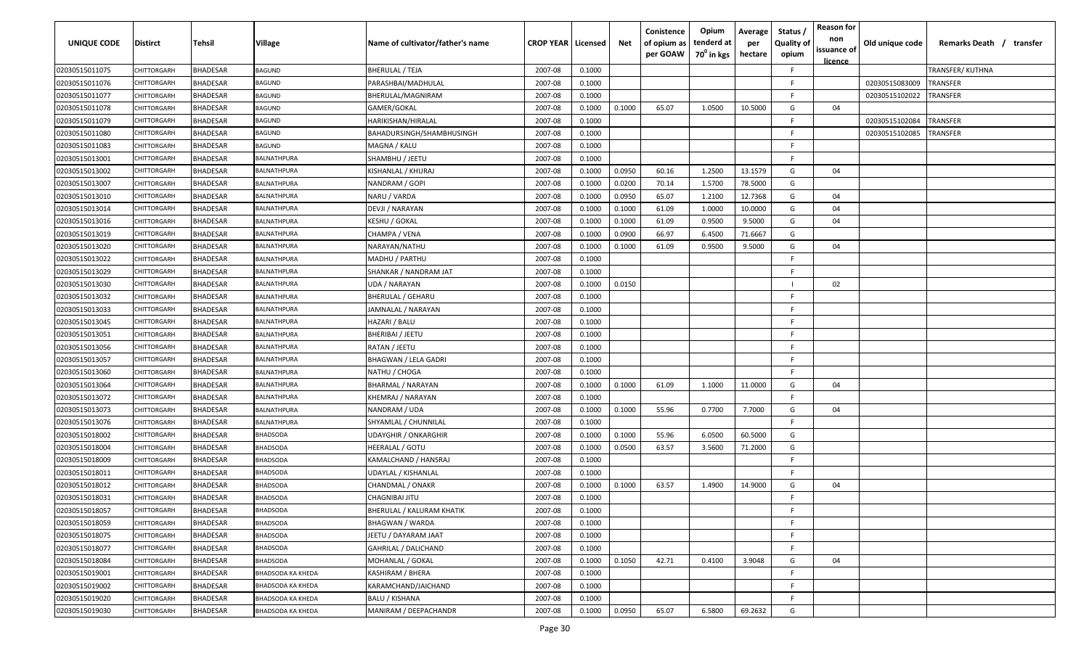| UNIQUE CODE    | Distirct           | Tehsil          | Village            | Name of cultivator/father's name | <b>CROP YEAR   Licensed</b> |        | Net    | Conistence<br>of opium as<br>per GOAW | Opium<br>tenderd at<br>70 <sup>0</sup> in kgs | Average<br>per<br>hectare | Status,<br><b>Quality of</b><br>opium | <b>Reason for</b><br>non<br>issuance of<br>licence | Old unique code | Remarks Death / transfer |
|----------------|--------------------|-----------------|--------------------|----------------------------------|-----------------------------|--------|--------|---------------------------------------|-----------------------------------------------|---------------------------|---------------------------------------|----------------------------------------------------|-----------------|--------------------------|
| 02030515011075 | CHITTORGARH        | <b>BHADESAR</b> | BAGUND             | <b>BHERULAL / TEJA</b>           | 2007-08                     | 0.1000 |        |                                       |                                               |                           | F                                     |                                                    |                 | TRANSFER/ KUTHNA         |
| 02030515011076 | CHITTORGARH        | <b>BHADESAR</b> | 3AGUND             | PARASHBAI/MADHULAL               | 2007-08                     | 0.1000 |        |                                       |                                               |                           | E                                     |                                                    | 02030515083009  | TRANSFER                 |
| 02030515011077 | CHITTORGARH        | <b>BHADESAR</b> | BAGUND             | BHERULAL/MAGNIRAM                | 2007-08                     | 0.1000 |        |                                       |                                               |                           | F.                                    |                                                    | 02030515102022  | TRANSFER                 |
| 02030515011078 | CHITTORGARH        | <b>BHADESAR</b> | BAGUND             | GAMER/GOKAL                      | 2007-08                     | 0.1000 | 0.1000 | 65.07                                 | 1.0500                                        | 10.5000                   | G                                     | 04                                                 |                 |                          |
| 02030515011079 | CHITTORGARH        | <b>BHADESAR</b> | BAGUND             | HARIKISHAN/HIRALAL               | 2007-08                     | 0.1000 |        |                                       |                                               |                           | F                                     |                                                    | 02030515102084  | TRANSFER                 |
| 02030515011080 | CHITTORGARH        | <b>BHADESAR</b> | BAGUND             | BAHADURSINGH/SHAMBHUSINGH        | 2007-08                     | 0.1000 |        |                                       |                                               |                           | E                                     |                                                    | 02030515102085  | TRANSFER                 |
| 02030515011083 | CHITTORGARH        | <b>BHADESAR</b> | <b>BAGUND</b>      | MAGNA / KALU                     | 2007-08                     | 0.1000 |        |                                       |                                               |                           | E                                     |                                                    |                 |                          |
| 02030515013001 | CHITTORGARH        | <b>BHADESAR</b> | <b>BALNATHPURA</b> | SHAMBHU / JEETU                  | 2007-08                     | 0.1000 |        |                                       |                                               |                           | F                                     |                                                    |                 |                          |
| 02030515013002 | CHITTORGARH        | <b>BHADESAR</b> | <b>BALNATHPURA</b> | KISHANLAL / KHURAJ               | 2007-08                     | 0.1000 | 0.0950 | 60.16                                 | 1.2500                                        | 13.1579                   | G                                     | 04                                                 |                 |                          |
| 02030515013007 | CHITTORGARH        | <b>BHADESAR</b> | <b>BALNATHPURA</b> | NANDRAM / GOPI                   | 2007-08                     | 0.1000 | 0.0200 | 70.14                                 | 1.5700                                        | 78.5000                   | G                                     |                                                    |                 |                          |
| 02030515013010 | CHITTORGARH        | <b>BHADESAR</b> | <b>BALNATHPURA</b> | NARU / VARDA                     | 2007-08                     | 0.1000 | 0.0950 | 65.07                                 | 1.2100                                        | 12.7368                   | G                                     | 04                                                 |                 |                          |
| 02030515013014 | CHITTORGARH        | <b>BHADESAR</b> | <b>ALNATHPURA</b>  | DEVJI / NARAYAN                  | 2007-08                     | 0.1000 | 0.1000 | 61.09                                 | 1.0000                                        | 10.0000                   | G                                     | 04                                                 |                 |                          |
| 02030515013016 | CHITTORGARH        | <b>BHADESAR</b> | <b>BALNATHPURA</b> | KESHU / GOKAL                    | 2007-08                     | 0.1000 | 0.1000 | 61.09                                 | 0.9500                                        | 9.5000                    | G                                     | 04                                                 |                 |                          |
| 02030515013019 | CHITTORGARH        | <b>BHADESAR</b> | <b>BALNATHPURA</b> | CHAMPA / VENA                    | 2007-08                     | 0.1000 | 0.0900 | 66.97                                 | 6.4500                                        | 71.6667                   | G                                     |                                                    |                 |                          |
| 02030515013020 | CHITTORGARH        | <b>BHADESAR</b> | <b>BALNATHPURA</b> | NARAYAN/NATHU                    | 2007-08                     | 0.1000 | 0.1000 | 61.09                                 | 0.9500                                        | 9.5000                    | G                                     | 04                                                 |                 |                          |
| 02030515013022 | CHITTORGARH        | <b>BHADESAR</b> | <b>BALNATHPURA</b> | MADHU / PARTHU                   | 2007-08                     | 0.1000 |        |                                       |                                               |                           | E                                     |                                                    |                 |                          |
| 02030515013029 | CHITTORGARH        | <b>BHADESAR</b> | <b>BALNATHPURA</b> | SHANKAR / NANDRAM JAT            | 2007-08                     | 0.1000 |        |                                       |                                               |                           | E                                     |                                                    |                 |                          |
| 02030515013030 | CHITTORGARH        | <b>BHADESAR</b> | BALNATHPURA        | UDA / NARAYAN                    | 2007-08                     | 0.1000 | 0.0150 |                                       |                                               |                           |                                       | 02                                                 |                 |                          |
| 02030515013032 | CHITTORGARH        | <b>BHADESAR</b> | <b>BALNATHPURA</b> | BHERULAL / GEHARU                | 2007-08                     | 0.1000 |        |                                       |                                               |                           | E                                     |                                                    |                 |                          |
| 02030515013033 | CHITTORGARH        | <b>BHADESAR</b> | <b>BALNATHPURA</b> | JAMNALAL / NARAYAN               | 2007-08                     | 0.1000 |        |                                       |                                               |                           | F.                                    |                                                    |                 |                          |
| 02030515013045 | CHITTORGARH        | <b>BHADESAR</b> | <b>BALNATHPURA</b> | HAZARI / BALU                    | 2007-08                     | 0.1000 |        |                                       |                                               |                           | E                                     |                                                    |                 |                          |
| 02030515013051 | CHITTORGARH        | <b>BHADESAR</b> | <b>BALNATHPURA</b> | BHERIBAI / JEETU                 | 2007-08                     | 0.1000 |        |                                       |                                               |                           | E                                     |                                                    |                 |                          |
| 02030515013056 | CHITTORGARH        | <b>BHADESAR</b> | <b>BALNATHPURA</b> | RATAN / JEETU                    | 2007-08                     | 0.1000 |        |                                       |                                               |                           | F                                     |                                                    |                 |                          |
| 02030515013057 | CHITTORGARH        | <b>BHADESAR</b> | <b>BALNATHPURA</b> | BHAGWAN / LELA GADRI             | 2007-08                     | 0.1000 |        |                                       |                                               |                           | F                                     |                                                    |                 |                          |
| 02030515013060 | CHITTORGARH        | <b>BHADESAR</b> | <b>BALNATHPURA</b> | NATHU / CHOGA                    | 2007-08                     | 0.1000 |        |                                       |                                               |                           | E                                     |                                                    |                 |                          |
| 02030515013064 | CHITTORGARH        | <b>BHADESAR</b> | <b>BALNATHPURA</b> | BHARMAL / NARAYAN                | 2007-08                     | 0.1000 | 0.1000 | 61.09                                 | 1.1000                                        | 11.0000                   | G                                     | 04                                                 |                 |                          |
| 02030515013072 | CHITTORGARH        | <b>BHADESAR</b> | <b>BALNATHPURA</b> | KHEMRAJ / NARAYAN                | 2007-08                     | 0.1000 |        |                                       |                                               |                           | E                                     |                                                    |                 |                          |
| 02030515013073 | CHITTORGARH        | <b>BHADESAR</b> | <b>BALNATHPURA</b> | NANDRAM / UDA                    | 2007-08                     | 0.1000 | 0.1000 | 55.96                                 | 0.7700                                        | 7.7000                    | G                                     | 04                                                 |                 |                          |
| 02030515013076 | CHITTORGARH        | <b>BHADESAR</b> | <b>BALNATHPURA</b> | SHYAMLAL / CHUNNILAL             | 2007-08                     | 0.1000 |        |                                       |                                               |                           | E                                     |                                                    |                 |                          |
| 02030515018002 | CHITTORGARH        | <b>BHADESAR</b> | <b>BHADSODA</b>    | UDAYGHIR / ONKARGHIR             | 2007-08                     | 0.1000 | 0.1000 | 55.96                                 | 6.0500                                        | 60.5000                   | G                                     |                                                    |                 |                          |
| 02030515018004 | CHITTORGARH        | <b>BHADESAR</b> | 3HADSODA           | HEERALAL / GOTU                  | 2007-08                     | 0.1000 | 0.0500 | 63.57                                 | 3.5600                                        | 71.2000                   | G                                     |                                                    |                 |                          |
| 02030515018009 | CHITTORGARH        | <b>BHADESAR</b> | <b>BHADSODA</b>    | KAMALCHAND / HANSRAJ             | 2007-08                     | 0.1000 |        |                                       |                                               |                           | F                                     |                                                    |                 |                          |
| 02030515018011 | CHITTORGARH        | <b>BHADESAR</b> | <b>BHADSODA</b>    | UDAYLAL / KISHANLAL              | 2007-08                     | 0.1000 |        |                                       |                                               |                           | E                                     |                                                    |                 |                          |
| 02030515018012 | CHITTORGARH        | <b>BHADESAR</b> | <b>BHADSODA</b>    | CHANDMAL / ONAKR                 | 2007-08                     | 0.1000 | 0.1000 | 63.57                                 | 1.4900                                        | 14.9000                   | G                                     | 04                                                 |                 |                          |
| 02030515018031 | CHITTORGARH        | <b>BHADESAR</b> | BHADSODA           | CHAGNIBAI JITU                   | 2007-08                     | 0.1000 |        |                                       |                                               |                           | E                                     |                                                    |                 |                          |
| 02030515018057 | <b>CHITTORGARH</b> | <b>BHADESAR</b> | <b>BHADSODA</b>    | BHERULAL / KALURAM KHATIK        | 2007-08                     | 0.1000 |        |                                       |                                               |                           | F.                                    |                                                    |                 |                          |
| 02030515018059 | CHITTORGARH        | <b>BHADESAR</b> | <b>BHADSODA</b>    | <b>BHAGWAN / WARDA</b>           | 2007-08                     | 0.1000 |        |                                       |                                               |                           | F                                     |                                                    |                 |                          |
| 02030515018075 | CHITTORGARH        | <b>BHADESAR</b> | BHADSODA           | JEETU / DAYARAM JAAT             | 2007-08                     | 0.1000 |        |                                       |                                               |                           | F                                     |                                                    |                 |                          |
| 02030515018077 | CHITTORGARH        | <b>BHADESAR</b> | <b>BHADSODA</b>    | GAHRILAL / DALICHAND             | 2007-08                     | 0.1000 |        |                                       |                                               |                           | F                                     |                                                    |                 |                          |
| 02030515018084 | CHITTORGARH        | <b>BHADESAR</b> | <b>BHADSODA</b>    | MOHANLAL / GOKAL                 | 2007-08                     | 0.1000 | 0.1050 | 42.71                                 | 0.4100                                        | 3.9048                    | G                                     | 04                                                 |                 |                          |
| 02030515019001 | CHITTORGARH        | <b>BHADESAR</b> | BHADSODA KA KHEDA  | KASHIRAM / BHERA                 | 2007-08                     | 0.1000 |        |                                       |                                               |                           | F.                                    |                                                    |                 |                          |
| 02030515019002 | CHITTORGARH        | <b>BHADESAR</b> | BHADSODA KA KHEDA  | KARAMCHAND/JAICHAND              | 2007-08                     | 0.1000 |        |                                       |                                               |                           | F.                                    |                                                    |                 |                          |
| 02030515019020 | CHITTORGARH        | <b>BHADESAR</b> | BHADSODA KA KHEDA  | <b>BALU / KISHANA</b>            | 2007-08                     | 0.1000 |        |                                       |                                               |                           | F.                                    |                                                    |                 |                          |
| 02030515019030 | CHITTORGARH        | <b>BHADESAR</b> | BHADSODA KA KHEDA  | MANIRAM / DEEPACHANDR            | 2007-08                     | 0.1000 | 0.0950 | 65.07                                 | 6.5800                                        | 69.2632                   | G                                     |                                                    |                 |                          |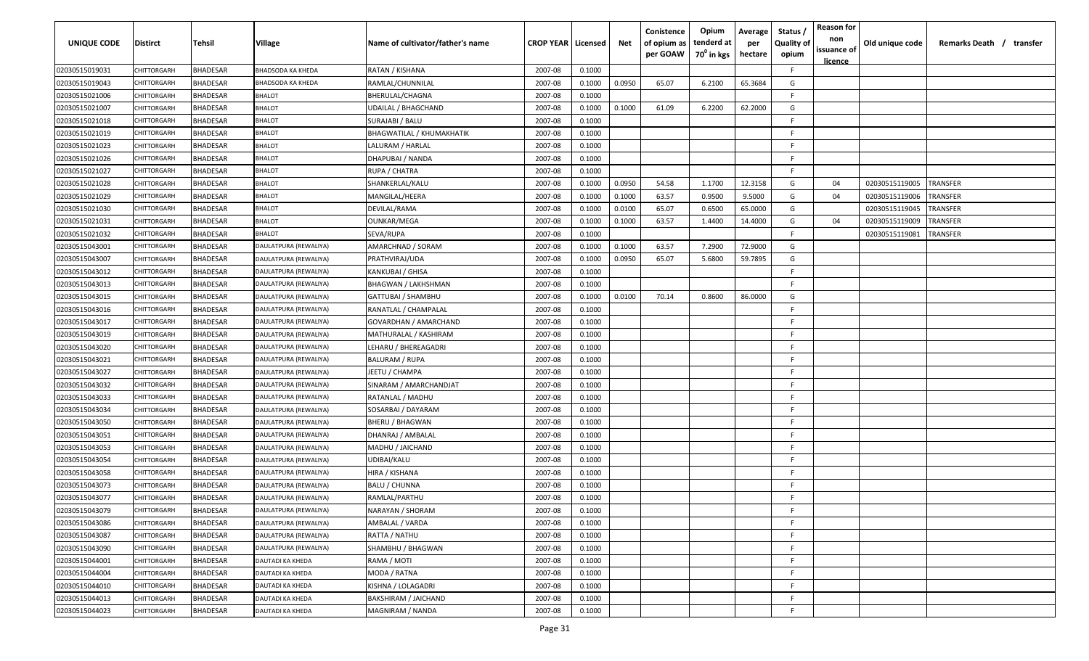| <b>UNIQUE CODE</b> | Distirct           | Tehsil          | Village               | Name of cultivator/father's name | <b>CROP YEAR Licensed</b> |        | Net    | Conistence<br>of opium as<br>per GOAW | Opium<br>tenderd at<br>70 <sup>0</sup> in kgs | Average<br>per<br>hectare | Status /<br><b>Quality of</b><br>opium | <b>Reason for</b><br>non<br>issuance of<br><u>licence</u> | Old unique code | Remarks Death / transfer |
|--------------------|--------------------|-----------------|-----------------------|----------------------------------|---------------------------|--------|--------|---------------------------------------|-----------------------------------------------|---------------------------|----------------------------------------|-----------------------------------------------------------|-----------------|--------------------------|
| 02030515019031     | CHITTORGARH        | <b>BHADESAR</b> | BHADSODA KA KHEDA     | RATAN / KISHANA                  | 2007-08                   | 0.1000 |        |                                       |                                               |                           | F.                                     |                                                           |                 |                          |
| 02030515019043     | CHITTORGARH        | BHADESAR        | BHADSODA KA KHEDA     | RAMLAL/CHUNNILAL                 | 2007-08                   | 0.1000 | 0.0950 | 65.07                                 | 6.2100                                        | 65.3684                   | G                                      |                                                           |                 |                          |
| 02030515021006     | CHITTORGARH        | BHADESAR        | <b>BHALOT</b>         | BHERULAL/CHAGNA                  | 2007-08                   | 0.1000 |        |                                       |                                               |                           | -F.                                    |                                                           |                 |                          |
| 02030515021007     | CHITTORGARH        | <b>BHADESAR</b> | <b>BHALOT</b>         | UDAILAL / BHAGCHAND              | 2007-08                   | 0.1000 | 0.1000 | 61.09                                 | 6.2200                                        | 62.2000                   | G                                      |                                                           |                 |                          |
| 02030515021018     | CHITTORGARH        | <b>BHADESAR</b> | <b>BHALOT</b>         | SURAJABI / BALU                  | 2007-08                   | 0.1000 |        |                                       |                                               |                           | -F.                                    |                                                           |                 |                          |
| 02030515021019     | <b>CHITTORGARH</b> | BHADESAR        | <b>BHALOT</b>         | <b>BHAGWATILAL / KHUMAKHATIK</b> | 2007-08                   | 0.1000 |        |                                       |                                               |                           | -F.                                    |                                                           |                 |                          |
| 02030515021023     | <b>CHITTORGARH</b> | BHADESAR        | <b>BHALOT</b>         | LALURAM / HARLAL                 | 2007-08                   | 0.1000 |        |                                       |                                               |                           | -F                                     |                                                           |                 |                          |
| 02030515021026     | <b>CHITTORGARH</b> | BHADESAR        | <b>BHALOT</b>         | DHAPUBAI / NANDA                 | 2007-08                   | 0.1000 |        |                                       |                                               |                           | -F.                                    |                                                           |                 |                          |
| 02030515021027     | CHITTORGARH        | BHADESAR        | <b>BHALOT</b>         | RUPA / CHATRA                    | 2007-08                   | 0.1000 |        |                                       |                                               |                           | -F.                                    |                                                           |                 |                          |
| 02030515021028     | CHITTORGARH        | BHADESAR        | <b>BHALOT</b>         | SHANKERLAL/KALU                  | 2007-08                   | 0.1000 | 0.0950 | 54.58                                 | 1.1700                                        | 12.3158                   | G                                      | 04                                                        | 02030515119005  | TRANSFER                 |
| 02030515021029     | CHITTORGARH        | BHADESAR        | <b>BHALOT</b>         | MANGILAL/HEERA                   | 2007-08                   | 0.1000 | 0.1000 | 63.57                                 | 0.9500                                        | 9.5000                    | G                                      | 04                                                        | 02030515119006  | TRANSFER                 |
| 02030515021030     | CHITTORGARH        | BHADESAR        | <b>BHALOT</b>         | DEVILAL/RAMA                     | 2007-08                   | 0.1000 | 0.0100 | 65.07                                 | 0.6500                                        | 65.0000                   | G                                      |                                                           | 02030515119045  | TRANSFER                 |
| 02030515021031     | CHITTORGARH        | <b>BHADESAR</b> | <b>BHALOT</b>         | OUNKAR/MEGA                      | 2007-08                   | 0.1000 | 0.1000 | 63.57                                 | 1.4400                                        | 14.4000                   | G                                      | 04                                                        | 02030515119009  | TRANSFER                 |
| 02030515021032     | CHITTORGARH        | BHADESAR        | <b>BHALOT</b>         | SEVA/RUPA                        | 2007-08                   | 0.1000 |        |                                       |                                               |                           | F                                      |                                                           | 02030515119081  | TRANSFER                 |
| 02030515043001     | CHITTORGARH        | <b>BHADESAR</b> | DAULATPURA (REWALIYA) | AMARCHNAD / SORAM                | 2007-08                   | 0.1000 | 0.1000 | 63.57                                 | 7.2900                                        | 72.9000                   | G                                      |                                                           |                 |                          |
| 02030515043007     | CHITTORGARH        | <b>BHADESAR</b> | DAULATPURA (REWALIYA) | PRATHVIRAJ/UDA                   | 2007-08                   | 0.1000 | 0.0950 | 65.07                                 | 5.6800                                        | 59.7895                   | G                                      |                                                           |                 |                          |
| 02030515043012     | CHITTORGARH        | <b>BHADESAR</b> | DAULATPURA (REWALIYA) | <b>KANKUBAI / GHISA</b>          | 2007-08                   | 0.1000 |        |                                       |                                               |                           | -F.                                    |                                                           |                 |                          |
| 02030515043013     | CHITTORGARH        | <b>BHADESAR</b> | DAULATPURA (REWALIYA) | <b>BHAGWAN / LAKHSHMAN</b>       | 2007-08                   | 0.1000 |        |                                       |                                               |                           | F.                                     |                                                           |                 |                          |
| 02030515043015     | CHITTORGARH        | BHADESAR        | DAULATPURA (REWALIYA) | GATTUBAI / SHAMBHU               | 2007-08                   | 0.1000 | 0.0100 | 70.14                                 | 0.8600                                        | 86.0000                   | G                                      |                                                           |                 |                          |
| 02030515043016     | CHITTORGARH        | <b>BHADESAR</b> | DAULATPURA (REWALIYA) | RANATLAL / CHAMPALAL             | 2007-08                   | 0.1000 |        |                                       |                                               |                           | E                                      |                                                           |                 |                          |
| 02030515043017     | <b>CHITTORGARH</b> | <b>BHADESAR</b> | DAULATPURA (REWALIYA) | GOVARDHAN / AMARCHAND            | 2007-08                   | 0.1000 |        |                                       |                                               |                           | -F.                                    |                                                           |                 |                          |
| 02030515043019     | <b>CHITTORGARH</b> | <b>BHADESAR</b> | DAULATPURA (REWALIYA) | MATHURALAL / KASHIRAM            | 2007-08                   | 0.1000 |        |                                       |                                               |                           | -F.                                    |                                                           |                 |                          |
| 02030515043020     | <b>CHITTORGARI</b> | <b>BHADESAR</b> | DAULATPURA (REWALIYA) | LEHARU / BHEREAGADRI             | 2007-08                   | 0.1000 |        |                                       |                                               |                           | -F.                                    |                                                           |                 |                          |
| 02030515043021     | CHITTORGARH        | <b>BHADESAR</b> | DAULATPURA (REWALIYA) | <b>BALURAM / RUPA</b>            | 2007-08                   | 0.1000 |        |                                       |                                               |                           | -F.                                    |                                                           |                 |                          |
| 02030515043027     | CHITTORGARH        | BHADESAR        | DAULATPURA (REWALIYA) | JEETU / CHAMPA                   | 2007-08                   | 0.1000 |        |                                       |                                               |                           | -F                                     |                                                           |                 |                          |
| 02030515043032     | CHITTORGARH        | BHADESAR        | DAULATPURA (REWALIYA) | SINARAM / AMARCHANDJAT           | 2007-08                   | 0.1000 |        |                                       |                                               |                           | -F.                                    |                                                           |                 |                          |
| 02030515043033     | CHITTORGARH        | BHADESAR        | DAULATPURA (REWALIYA) | RATANLAL / MADHU                 | 2007-08                   | 0.1000 |        |                                       |                                               |                           | -F.                                    |                                                           |                 |                          |
| 02030515043034     | CHITTORGARF        | BHADESAR        | DAULATPURA (REWALIYA) | SOSARBAI / DAYARAM               | 2007-08                   | 0.1000 |        |                                       |                                               |                           | -F.                                    |                                                           |                 |                          |
| 02030515043050     | CHITTORGARH        | BHADESAR        | DAULATPURA (REWALIYA) | <b>BHERU / BHAGWAN</b>           | 2007-08                   | 0.1000 |        |                                       |                                               |                           | -F.                                    |                                                           |                 |                          |
| 02030515043051     | CHITTORGARH        | <b>BHADESAR</b> | DAULATPURA (REWALIYA) | DHANRAJ / AMBALAL                | 2007-08                   | 0.1000 |        |                                       |                                               |                           | -F.                                    |                                                           |                 |                          |
| 02030515043053     | CHITTORGARH        | <b>BHADESAR</b> | DAULATPURA (REWALIYA) | MADHU / JAICHAND                 | 2007-08                   | 0.1000 |        |                                       |                                               |                           | -F.                                    |                                                           |                 |                          |
| 02030515043054     | CHITTORGARI        | <b>BHADESAR</b> | DAULATPURA (REWALIYA) | UDIBAI/KALU                      | 2007-08                   | 0.1000 |        |                                       |                                               |                           | -F.                                    |                                                           |                 |                          |
| 02030515043058     | CHITTORGARH        | <b>BHADESAR</b> | DAULATPURA (REWALIYA) | HIRA / KISHANA                   | 2007-08                   | 0.1000 |        |                                       |                                               |                           | -F.                                    |                                                           |                 |                          |
| 02030515043073     | CHITTORGARH        | BHADESAR        | DAULATPURA (REWALIYA) | <b>BALU / CHUNNA</b>             | 2007-08                   | 0.1000 |        |                                       |                                               |                           | -F.                                    |                                                           |                 |                          |
| 02030515043077     | CHITTORGARH        | BHADESAR        | DAULATPURA (REWALIYA) | RAMLAL/PARTHU                    | 2007-08                   | 0.1000 |        |                                       |                                               |                           | F                                      |                                                           |                 |                          |
| 02030515043079     | CHITTORGARH        | <b>BHADESAR</b> | DAULATPURA (REWALIYA) | NARAYAN / SHORAM                 | 2007-08                   | 0.1000 |        |                                       |                                               |                           | F.                                     |                                                           |                 |                          |
| 02030515043086     | CHITTORGARH        | <b>BHADESAR</b> | DAULATPURA (REWALIYA) | AMBALAL / VARDA                  | 2007-08                   | 0.1000 |        |                                       |                                               |                           | F                                      |                                                           |                 |                          |
| 02030515043087     | CHITTORGARH        | <b>BHADESAR</b> | DAULATPURA (REWALIYA) | RATTA / NATHU                    | 2007-08                   | 0.1000 |        |                                       |                                               |                           | F.                                     |                                                           |                 |                          |
| 02030515043090     | CHITTORGARH        | <b>BHADESAR</b> | DAULATPURA (REWALIYA) | SHAMBHU / BHAGWAN                | 2007-08                   | 0.1000 |        |                                       |                                               |                           | F.                                     |                                                           |                 |                          |
| 02030515044001     | CHITTORGARH        | <b>BHADESAR</b> | DAUTADI KA KHEDA      | RAMA / MOTI                      | 2007-08                   | 0.1000 |        |                                       |                                               |                           | F.                                     |                                                           |                 |                          |
| 02030515044004     | CHITTORGARH        | <b>BHADESAR</b> | DAUTADI KA KHEDA      | MODA / RATNA                     | 2007-08                   | 0.1000 |        |                                       |                                               |                           | F.                                     |                                                           |                 |                          |
| 02030515044010     | CHITTORGARH        | <b>BHADESAR</b> | DAUTADI KA KHEDA      | KISHNA / LOLAGADRI               | 2007-08                   | 0.1000 |        |                                       |                                               |                           | F.                                     |                                                           |                 |                          |
| 02030515044013     | CHITTORGARH        | <b>BHADESAR</b> | DAUTADI KA KHEDA      | <b>BAKSHIRAM / JAICHAND</b>      | 2007-08                   | 0.1000 |        |                                       |                                               |                           | F.                                     |                                                           |                 |                          |
| 02030515044023     | CHITTORGARH        | <b>BHADESAR</b> | DAUTADI KA KHEDA      | MAGNIRAM / NANDA                 | 2007-08                   | 0.1000 |        |                                       |                                               |                           | F                                      |                                                           |                 |                          |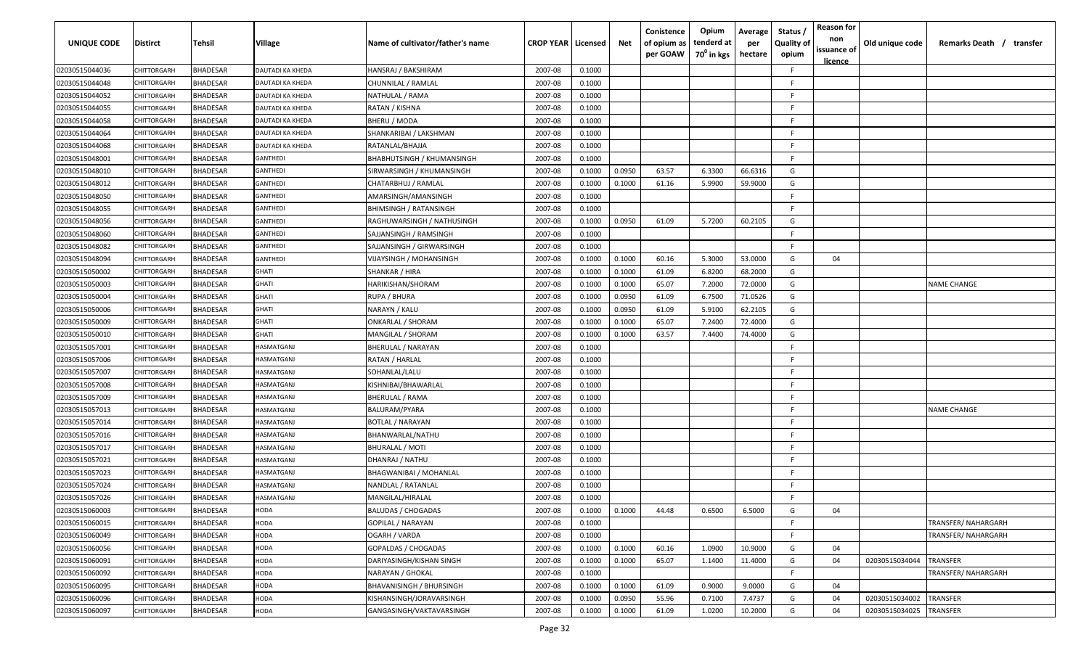| <b>UNIQUE CODE</b> | <b>Distirct</b> | Tehsil          | <b>Village</b>          | Name of cultivator/father's name | <b>CROP YEAR   Licensed</b> |        | Net    | Conistence<br>of opium as<br>per GOAW | Opium<br>tenderd at<br>70 <sup>0</sup> in kgs | Average<br>per<br>hectare | Status /<br><b>Quality of</b><br>opium | <b>Reason for</b><br>non<br>issuance of<br><u>licence</u> | Old unique code | Remarks Death / transfer |
|--------------------|-----------------|-----------------|-------------------------|----------------------------------|-----------------------------|--------|--------|---------------------------------------|-----------------------------------------------|---------------------------|----------------------------------------|-----------------------------------------------------------|-----------------|--------------------------|
| 02030515044036     | CHITTORGARH     | <b>BHADESAR</b> | <b>DAUTADI KA KHEDA</b> | HANSRAJ / BAKSHIRAM              | 2007-08                     | 0.1000 |        |                                       |                                               |                           | F                                      |                                                           |                 |                          |
| 02030515044048     | CHITTORGARH     | <b>BHADESAR</b> | <b>DAUTADI KA KHEDA</b> | CHUNNILAL / RAMLAL               | 2007-08                     | 0.1000 |        |                                       |                                               |                           | F                                      |                                                           |                 |                          |
| 02030515044052     | CHITTORGARH     | <b>BHADESAR</b> | DAUTADI KA KHEDA        | NATHULAL / RAMA                  | 2007-08                     | 0.1000 |        |                                       |                                               |                           | F                                      |                                                           |                 |                          |
| 02030515044055     | CHITTORGARH     | <b>BHADESAR</b> | DAUTADI KA KHEDA        | RATAN / KISHNA                   | 2007-08                     | 0.1000 |        |                                       |                                               |                           | E                                      |                                                           |                 |                          |
| 02030515044058     | CHITTORGARH     | <b>BHADESAR</b> | DAUTADI KA KHEDA        | BHERU / MODA                     | 2007-08                     | 0.1000 |        |                                       |                                               |                           | E                                      |                                                           |                 |                          |
| 02030515044064     | CHITTORGARH     | <b>BHADESAR</b> | DAUTADI KA KHEDA        | SHANKARIBAI / LAKSHMAN           | 2007-08                     | 0.1000 |        |                                       |                                               |                           | F                                      |                                                           |                 |                          |
| 02030515044068     | CHITTORGARH     | <b>BHADESAR</b> | DAUTADI KA KHEDA        | RATANLAL/BHAJJA                  | 2007-08                     | 0.1000 |        |                                       |                                               |                           | F                                      |                                                           |                 |                          |
| 02030515048001     | CHITTORGARH     | <b>BHADESAR</b> | GANTHEDI                | BHABHUTSINGH / KHUMANSINGH       | 2007-08                     | 0.1000 |        |                                       |                                               |                           | F                                      |                                                           |                 |                          |
| 02030515048010     | CHITTORGARH     | <b>BHADESAR</b> | GANTHEDI                | SIRWARSINGH / KHUMANSINGH        | 2007-08                     | 0.1000 | 0.0950 | 63.57                                 | 6.3300                                        | 66.6316                   | G                                      |                                                           |                 |                          |
| 02030515048012     | CHITTORGARH     | <b>BHADESAR</b> | GANTHEDI                | CHATARBHUJ / RAMLAL              | 2007-08                     | 0.1000 | 0.1000 | 61.16                                 | 5.9900                                        | 59.9000                   | G                                      |                                                           |                 |                          |
| 02030515048050     | CHITTORGARH     | <b>BHADESAR</b> | GANTHEDI                | AMARSINGH/AMANSINGH              | 2007-08                     | 0.1000 |        |                                       |                                               |                           | E                                      |                                                           |                 |                          |
| 02030515048055     | CHITTORGARH     | <b>BHADESAR</b> | GANTHEDI                | <b>BHIMSINGH / RATANSINGH</b>    | 2007-08                     | 0.1000 |        |                                       |                                               |                           | F                                      |                                                           |                 |                          |
| 02030515048056     | CHITTORGARH     | <b>BHADESAR</b> | GANTHEDI                | RAGHUWARSINGH / NATHUSINGH       | 2007-08                     | 0.1000 | 0.0950 | 61.09                                 | 5.7200                                        | 60.2105                   | G                                      |                                                           |                 |                          |
| 02030515048060     | CHITTORGARH     | <b>BHADESAR</b> | GANTHEDI                | SAJJANSINGH / RAMSINGH           | 2007-08                     | 0.1000 |        |                                       |                                               |                           | E                                      |                                                           |                 |                          |
| 02030515048082     | CHITTORGARH     | <b>BHADESAR</b> | GANTHEDI                | SAJJANSINGH / GIRWARSINGH        | 2007-08                     | 0.1000 |        |                                       |                                               |                           | F                                      |                                                           |                 |                          |
| 02030515048094     | CHITTORGARH     | <b>BHADESAR</b> | <b>GANTHEDI</b>         | VIJAYSINGH / MOHANSINGH          | 2007-08                     | 0.1000 | 0.1000 | 60.16                                 | 5.3000                                        | 53.0000                   | G                                      | 04                                                        |                 |                          |
| 02030515050002     | CHITTORGARH     | <b>BHADESAR</b> | <b>GHATI</b>            | SHANKAR / HIRA                   | 2007-08                     | 0.1000 | 0.1000 | 61.09                                 | 6.8200                                        | 68.2000                   | G                                      |                                                           |                 |                          |
| 02030515050003     | CHITTORGARH     | <b>BHADESAR</b> | GHATI                   | HARIKISHAN/SHORAM                | 2007-08                     | 0.1000 | 0.1000 | 65.07                                 | 7.2000                                        | 72.0000                   | G                                      |                                                           |                 | <b>NAME CHANGE</b>       |
| 02030515050004     | CHITTORGARH     | <b>BHADESAR</b> | <b>GHATI</b>            | RUPA / BHURA                     | 2007-08                     | 0.1000 | 0.0950 | 61.09                                 | 6.7500                                        | 71.0526                   | G                                      |                                                           |                 |                          |
| 02030515050006     | CHITTORGARH     | <b>BHADESAR</b> | <b>GHATI</b>            | NARAYN / KALU                    | 2007-08                     | 0.1000 | 0.0950 | 61.09                                 | 5.9100                                        | 62.2105                   | G                                      |                                                           |                 |                          |
| 02030515050009     | CHITTORGARH     | <b>BHADESAR</b> | <b>GHATI</b>            | ONKARLAL / SHORAM                | 2007-08                     | 0.1000 | 0.1000 | 65.07                                 | 7.2400                                        | 72.4000                   | G                                      |                                                           |                 |                          |
| 02030515050010     | CHITTORGARH     | <b>BHADESAR</b> | GHATI                   | MANGILAL / SHORAM                | 2007-08                     | 0.1000 | 0.1000 | 63.57                                 | 7.4400                                        | 74.4000                   | G                                      |                                                           |                 |                          |
| 02030515057001     | CHITTORGARH     | <b>BHADESAR</b> | <b>HASMATGANJ</b>       | BHERULAL / NARAYAN               | 2007-08                     | 0.1000 |        |                                       |                                               |                           |                                        |                                                           |                 |                          |
| 02030515057006     | CHITTORGARH     | <b>BHADESAR</b> | IASMATGANJ              | RATAN / HARLAL                   | 2007-08                     | 0.1000 |        |                                       |                                               |                           |                                        |                                                           |                 |                          |
| 02030515057007     | CHITTORGARH     | <b>BHADESAR</b> | IASMATGANJ              | SOHANLAL/LALU                    | 2007-08                     | 0.1000 |        |                                       |                                               |                           | E                                      |                                                           |                 |                          |
| 02030515057008     | CHITTORGARH     | <b>BHADESAR</b> | IASMATGANJ              | KISHNIBAI/BHAWARLAL              | 2007-08                     | 0.1000 |        |                                       |                                               |                           | F                                      |                                                           |                 |                          |
| 02030515057009     | CHITTORGARH     | <b>BHADESAR</b> | IASMATGANJ              | BHERULAL / RAMA                  | 2007-08                     | 0.1000 |        |                                       |                                               |                           | F                                      |                                                           |                 |                          |
| 02030515057013     | CHITTORGARH     | <b>BHADESAR</b> | IASMATGANJ              | BALURAM/PYARA                    | 2007-08                     | 0.1000 |        |                                       |                                               |                           | F                                      |                                                           |                 | <b>NAME CHANGE</b>       |
| 02030515057014     | CHITTORGARH     | <b>BHADESAR</b> | <b>HASMATGANJ</b>       | BOTLAL / NARAYAN                 | 2007-08                     | 0.1000 |        |                                       |                                               |                           | E                                      |                                                           |                 |                          |
| 02030515057016     | CHITTORGARH     | <b>BHADESAR</b> | IASMATGANJ              | BHANWARLAL/NATHU                 | 2007-08                     | 0.1000 |        |                                       |                                               |                           | F                                      |                                                           |                 |                          |
| 02030515057017     | CHITTORGARH     | <b>BHADESAR</b> | IASMATGANJ              | <b>BHURALAL / MOTI</b>           | 2007-08                     | 0.1000 |        |                                       |                                               |                           | E                                      |                                                           |                 |                          |
| 02030515057021     | CHITTORGARH     | <b>BHADESAR</b> | <b>HASMATGANJ</b>       | DHANRAJ / NATHU                  | 2007-08                     | 0.1000 |        |                                       |                                               |                           | F                                      |                                                           |                 |                          |
| 02030515057023     | CHITTORGARH     | <b>BHADESAR</b> | <b>HASMATGANJ</b>       | BHAGWANIBAI / MOHANLAL           | 2007-08                     | 0.1000 |        |                                       |                                               |                           | E                                      |                                                           |                 |                          |
| 02030515057024     | CHITTORGARH     | <b>BHADESAR</b> | IASMATGANJ              | NANDLAL / RATANLAL               | 2007-08                     | 0.1000 |        |                                       |                                               |                           | F                                      |                                                           |                 |                          |
| 02030515057026     | CHITTORGARH     | <b>BHADESAR</b> | IASMATGANJ              | MANGILAL/HIRALAL                 | 2007-08                     | 0.1000 |        |                                       |                                               |                           | E                                      |                                                           |                 |                          |
| 02030515060003     | CHITTORGARH     | <b>BHADESAR</b> | HODA                    | <b>BALUDAS / CHOGADAS</b>        | 2007-08                     | 0.1000 | 0.1000 | 44.48                                 | 0.6500                                        | 6.5000                    | G                                      | 04                                                        |                 |                          |
| 02030515060015     | CHITTORGARH     | <b>BHADESAR</b> | HODA                    | GOPILAL / NARAYAN                | 2007-08                     | 0.1000 |        |                                       |                                               |                           | F                                      |                                                           |                 | TRANSFER/ NAHARGARH      |
| 02030515060049     | CHITTORGARH     | <b>BHADESAR</b> | HODA                    | OGARH / VARDA                    | 2007-08                     | 0.1000 |        |                                       |                                               |                           | F                                      |                                                           |                 | TRANSFER/ NAHARGARH      |
| 02030515060056     | CHITTORGARH     | <b>BHADESAR</b> | <b>AOOH</b>             | GOPALDAS / CHOGADAS              | 2007-08                     | 0.1000 | 0.1000 | 60.16                                 | 1.0900                                        | 10.9000                   | G                                      | 04                                                        |                 |                          |
| 02030515060091     | CHITTORGARH     | <b>BHADESAR</b> | HODA                    | DARIYASINGH/KISHAN SINGH         | 2007-08                     | 0.1000 | 0.1000 | 65.07                                 | 1.1400                                        | 11.4000                   | G                                      | 04                                                        | 02030515034044  | TRANSFER                 |
| 02030515060092     | CHITTORGARH     | <b>BHADESAR</b> | HODA                    | NARAYAN / GHOKAL                 | 2007-08                     | 0.1000 |        |                                       |                                               |                           | F.                                     |                                                           |                 | TRANSFER/ NAHARGARH      |
| 02030515060095     | CHITTORGARH     | <b>BHADESAR</b> | HODA                    | <b>BHAVANISINGH / BHURSINGH</b>  | 2007-08                     | 0.1000 | 0.1000 | 61.09                                 | 0.9000                                        | 9.0000                    | G                                      | 04                                                        |                 |                          |
| 02030515060096     | CHITTORGARH     | <b>BHADESAR</b> | AOOH                    | KISHANSINGH/JORAVARSINGH         | 2007-08                     | 0.1000 | 0.0950 | 55.96                                 | 0.7100                                        | 7.4737                    | G                                      | 04                                                        | 02030515034002  | TRANSFER                 |
| 02030515060097     | CHITTORGARH     | <b>BHADESAR</b> | <b>AOOH</b>             | GANGASINGH/VAKTAVARSINGH         | 2007-08                     | 0.1000 | 0.1000 | 61.09                                 | 1.0200                                        | 10.2000                   | G                                      | 04                                                        | 02030515034025  | TRANSFER                 |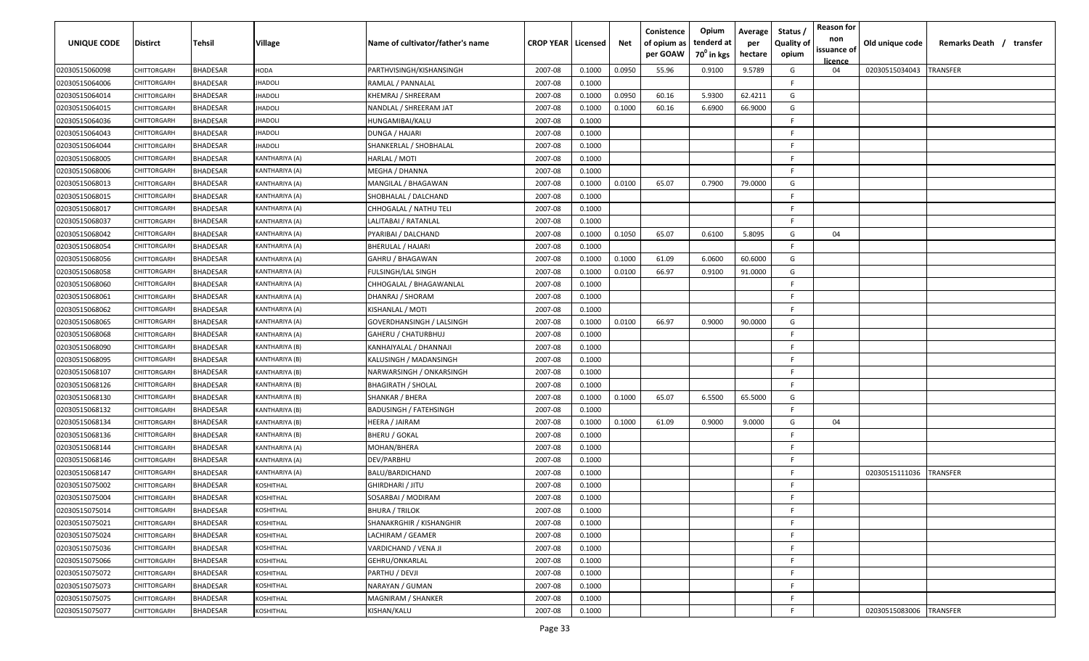| UNIQUE CODE    | Distirct    | Tehsil          | Village               | Name of cultivator/father's name | <b>CROP YEAR   Licensed</b> |        | Net    | Conistence<br>of opium as<br>per GOAW | Opium<br>tenderd at<br>70 <sup>0</sup> in kgs | Average<br>per<br>hectare | Status,<br><b>Quality of</b><br>opium | <b>Reason for</b><br>non<br>issuance of<br><u>licence</u> | Old unique code | Remarks Death / transfer |
|----------------|-------------|-----------------|-----------------------|----------------------------------|-----------------------------|--------|--------|---------------------------------------|-----------------------------------------------|---------------------------|---------------------------------------|-----------------------------------------------------------|-----------------|--------------------------|
| 02030515060098 | CHITTORGARH | <b>BHADESAR</b> | HODA                  | PARTHVISINGH/KISHANSINGH         | 2007-08                     | 0.1000 | 0.0950 | 55.96                                 | 0.9100                                        | 9.5789                    | G                                     | 04                                                        | 02030515034043  | <b>TRANSFER</b>          |
| 02030515064006 | CHITTORGARH | <b>BHADESAR</b> | <b>HADOLI</b>         | RAMLAL / PANNALAL                | 2007-08                     | 0.1000 |        |                                       |                                               |                           | E                                     |                                                           |                 |                          |
| 02030515064014 | CHITTORGARH | <b>BHADESAR</b> | <b>HADOLI</b>         | KHEMRAJ / SHREERAM               | 2007-08                     | 0.1000 | 0.0950 | 60.16                                 | 5.9300                                        | 62.4211                   | G                                     |                                                           |                 |                          |
| 02030515064015 | CHITTORGARH | <b>BHADESAR</b> | <b>HADOLI</b>         | NANDLAL / SHREERAM JAT           | 2007-08                     | 0.1000 | 0.1000 | 60.16                                 | 6.6900                                        | 66.9000                   | G                                     |                                                           |                 |                          |
| 02030515064036 | CHITTORGARH | <b>BHADESAR</b> | <b>HADOLI</b>         | HUNGAMIBAI/KALU                  | 2007-08                     | 0.1000 |        |                                       |                                               |                           | E                                     |                                                           |                 |                          |
| 02030515064043 | CHITTORGARH | <b>BHADESAR</b> | <b>HADOLI</b>         | DUNGA / HAJARI                   | 2007-08                     | 0.1000 |        |                                       |                                               |                           | F                                     |                                                           |                 |                          |
| 02030515064044 | CHITTORGARH | <b>BHADESAR</b> | <b>HADOLI</b>         | SHANKERLAL / SHOBHALAL           | 2007-08                     | 0.1000 |        |                                       |                                               |                           | F                                     |                                                           |                 |                          |
| 02030515068005 | CHITTORGARH | <b>BHADESAR</b> | (ANTHARIYA (A)        | HARLAL / MOTI                    | 2007-08                     | 0.1000 |        |                                       |                                               |                           | E                                     |                                                           |                 |                          |
| 02030515068006 | CHITTORGARH | <b>BHADESAR</b> | (ANTHARIYA (A)        | MEGHA / DHANNA                   | 2007-08                     | 0.1000 |        |                                       |                                               |                           | E                                     |                                                           |                 |                          |
| 02030515068013 | CHITTORGARH | <b>BHADESAR</b> | (ANTHARIYA (A)        | MANGILAL / BHAGAWAN              | 2007-08                     | 0.1000 | 0.0100 | 65.07                                 | 0.7900                                        | 79.0000                   | G                                     |                                                           |                 |                          |
| 02030515068015 | CHITTORGARH | <b>BHADESAR</b> | (ANTHARIYA (A)        | SHOBHALAL / DALCHAND             | 2007-08                     | 0.1000 |        |                                       |                                               |                           | E                                     |                                                           |                 |                          |
| 02030515068017 | CHITTORGARH | <b>BHADESAR</b> | <b>KANTHARIYA (A)</b> | CHHOGALAL / NATHU TELI           | 2007-08                     | 0.1000 |        |                                       |                                               |                           | F                                     |                                                           |                 |                          |
| 02030515068037 | CHITTORGARH | <b>BHADESAR</b> | <b>KANTHARIYA (A)</b> | LALITABAI / RATANLAL             | 2007-08                     | 0.1000 |        |                                       |                                               |                           | F                                     |                                                           |                 |                          |
| 02030515068042 | CHITTORGARH | <b>BHADESAR</b> | (ANTHARIYA (A)        | PYARIBAI / DALCHAND              | 2007-08                     | 0.1000 | 0.1050 | 65.07                                 | 0.6100                                        | 5.8095                    | G                                     | 04                                                        |                 |                          |
| 02030515068054 | CHITTORGARH | <b>BHADESAR</b> | (ANTHARIYA (A)        | BHERULAL / HAJARI                | 2007-08                     | 0.1000 |        |                                       |                                               |                           | E                                     |                                                           |                 |                          |
| 02030515068056 | CHITTORGARH | <b>BHADESAR</b> | (ANTHARIYA (A)        | GAHRU / BHAGAWAN                 | 2007-08                     | 0.1000 | 0.1000 | 61.09                                 | 6.0600                                        | 60.6000                   | G                                     |                                                           |                 |                          |
| 02030515068058 | CHITTORGARH | <b>BHADESAR</b> | KANTHARIYA (A)        | FULSINGH/LAL SINGH               | 2007-08                     | 0.1000 | 0.0100 | 66.97                                 | 0.9100                                        | 91.0000                   | G                                     |                                                           |                 |                          |
| 02030515068060 | CHITTORGARH | <b>BHADESAR</b> | KANTHARIYA (A)        | CHHOGALAL / BHAGAWANLAL          | 2007-08                     | 0.1000 |        |                                       |                                               |                           | E                                     |                                                           |                 |                          |
| 02030515068061 | CHITTORGARH | <b>BHADESAR</b> | (ANTHARIYA (A)        | DHANRAJ / SHORAM                 | 2007-08                     | 0.1000 |        |                                       |                                               |                           | F.                                    |                                                           |                 |                          |
| 02030515068062 | CHITTORGARH | <b>BHADESAR</b> | (ANTHARIYA (A)        | KISHANLAL / MOTI                 | 2007-08                     | 0.1000 |        |                                       |                                               |                           | F.                                    |                                                           |                 |                          |
| 02030515068065 | CHITTORGARH | <b>BHADESAR</b> | KANTHARIYA (A)        | GOVERDHANSINGH / LALSINGH        | 2007-08                     | 0.1000 | 0.0100 | 66.97                                 | 0.9000                                        | 90.0000                   | G                                     |                                                           |                 |                          |
| 02030515068068 | CHITTORGARH | <b>BHADESAR</b> | (ANTHARIYA (A)        | GAHERU / CHATURBHUJ              | 2007-08                     | 0.1000 |        |                                       |                                               |                           | F                                     |                                                           |                 |                          |
| 02030515068090 | CHITTORGARH | <b>BHADESAR</b> | (ANTHARIYA (B)        | KANHAIYALAL / DHANNAJI           | 2007-08                     | 0.1000 |        |                                       |                                               |                           | F                                     |                                                           |                 |                          |
| 02030515068095 | CHITTORGARH | <b>BHADESAR</b> | (ANTHARIYA (B)        | KALUSINGH / MADANSINGH           | 2007-08                     | 0.1000 |        |                                       |                                               |                           | F                                     |                                                           |                 |                          |
| 02030515068107 | CHITTORGARH | <b>BHADESAR</b> | (ANTHARIYA (B)        | NARWARSINGH / ONKARSINGH         | 2007-08                     | 0.1000 |        |                                       |                                               |                           | E                                     |                                                           |                 |                          |
| 02030515068126 | CHITTORGARH | <b>BHADESAR</b> | (ANTHARIYA (B)        | <b>BHAGIRATH / SHOLAL</b>        | 2007-08                     | 0.1000 |        |                                       |                                               |                           | F.                                    |                                                           |                 |                          |
| 02030515068130 | CHITTORGARH | <b>BHADESAR</b> | (ANTHARIYA (B)        | SHANKAR / BHERA                  | 2007-08                     | 0.1000 | 0.1000 | 65.07                                 | 6.5500                                        | 65.5000                   | G                                     |                                                           |                 |                          |
| 02030515068132 | CHITTORGARH | <b>BHADESAR</b> | (ANTHARIYA (B)        | BADUSINGH / FATEHSINGH           | 2007-08                     | 0.1000 |        |                                       |                                               |                           | F.                                    |                                                           |                 |                          |
| 02030515068134 | CHITTORGARH | <b>BHADESAR</b> | <b>KANTHARIYA (B)</b> | HEERA / JAIRAM                   | 2007-08                     | 0.1000 | 0.1000 | 61.09                                 | 0.9000                                        | 9.0000                    | G                                     | 04                                                        |                 |                          |
| 02030515068136 | CHITTORGARH | <b>BHADESAR</b> | (ANTHARIYA (B)        | BHERU / GOKAL                    | 2007-08                     | 0.1000 |        |                                       |                                               |                           | F                                     |                                                           |                 |                          |
| 02030515068144 | CHITTORGARH | <b>BHADESAR</b> | (ANTHARIYA (A)        | MOHAN/BHERA                      | 2007-08                     | 0.1000 |        |                                       |                                               |                           | E                                     |                                                           |                 |                          |
| 02030515068146 | CHITTORGARH | <b>BHADESAR</b> | <b>KANTHARIYA (A)</b> | DEV/PARBHU                       | 2007-08                     | 0.1000 |        |                                       |                                               |                           | F                                     |                                                           |                 |                          |
| 02030515068147 | CHITTORGARH | <b>BHADESAR</b> | (ANTHARIYA (A)        | BALU/BARDICHAND                  | 2007-08                     | 0.1000 |        |                                       |                                               |                           | E                                     |                                                           | 02030515111036  | TRANSFER                 |
| 02030515075002 | CHITTORGARH | <b>BHADESAR</b> | <b>COSHITHAL</b>      | GHIRDHARI / JITU                 | 2007-08                     | 0.1000 |        |                                       |                                               |                           | E                                     |                                                           |                 |                          |
| 02030515075004 | CHITTORGARH | <b>BHADESAR</b> | KOSHITHAL             | SOSARBAI / MODIRAM               | 2007-08                     | 0.1000 |        |                                       |                                               |                           | E                                     |                                                           |                 |                          |
| 02030515075014 | CHITTORGARH | <b>BHADESAR</b> | KOSHITHAL             | <b>BHURA / TRILOK</b>            | 2007-08                     | 0.1000 |        |                                       |                                               |                           | F                                     |                                                           |                 |                          |
| 02030515075021 | CHITTORGARH | <b>BHADESAR</b> | KOSHITHAL             | SHANAKRGHIR / KISHANGHIR         | 2007-08                     | 0.1000 |        |                                       |                                               |                           | F                                     |                                                           |                 |                          |
| 02030515075024 | CHITTORGARH | <b>BHADESAR</b> | KOSHITHAL             | LACHIRAM / GEAMER                | 2007-08                     | 0.1000 |        |                                       |                                               |                           | F                                     |                                                           |                 |                          |
| 02030515075036 | CHITTORGARH | <b>BHADESAR</b> | KOSHITHAL             | VARDICHAND / VENA JI             | 2007-08                     | 0.1000 |        |                                       |                                               |                           | F                                     |                                                           |                 |                          |
| 02030515075066 | CHITTORGARH | <b>BHADESAR</b> | <b>COSHITHAL</b>      | GEHRU/ONKARLAL                   | 2007-08                     | 0.1000 |        |                                       |                                               |                           | E                                     |                                                           |                 |                          |
| 02030515075072 | CHITTORGARH | <b>BHADESAR</b> | KOSHITHAL             | PARTHU / DEVJI                   | 2007-08                     | 0.1000 |        |                                       |                                               |                           | F                                     |                                                           |                 |                          |
| 02030515075073 | CHITTORGARH | <b>BHADESAR</b> | KOSHITHAL             | NARAYAN / GUMAN                  | 2007-08                     | 0.1000 |        |                                       |                                               |                           | F.                                    |                                                           |                 |                          |
| 02030515075075 | CHITTORGARH | <b>BHADESAR</b> | KOSHITHAL             | MAGNIRAM / SHANKER               | 2007-08                     | 0.1000 |        |                                       |                                               |                           | F.                                    |                                                           |                 |                          |
| 02030515075077 | CHITTORGARH | <b>BHADESAR</b> | KOSHITHAL             | KISHAN/KALU                      | 2007-08                     | 0.1000 |        |                                       |                                               |                           | E                                     |                                                           | 02030515083006  | <b>TRANSFER</b>          |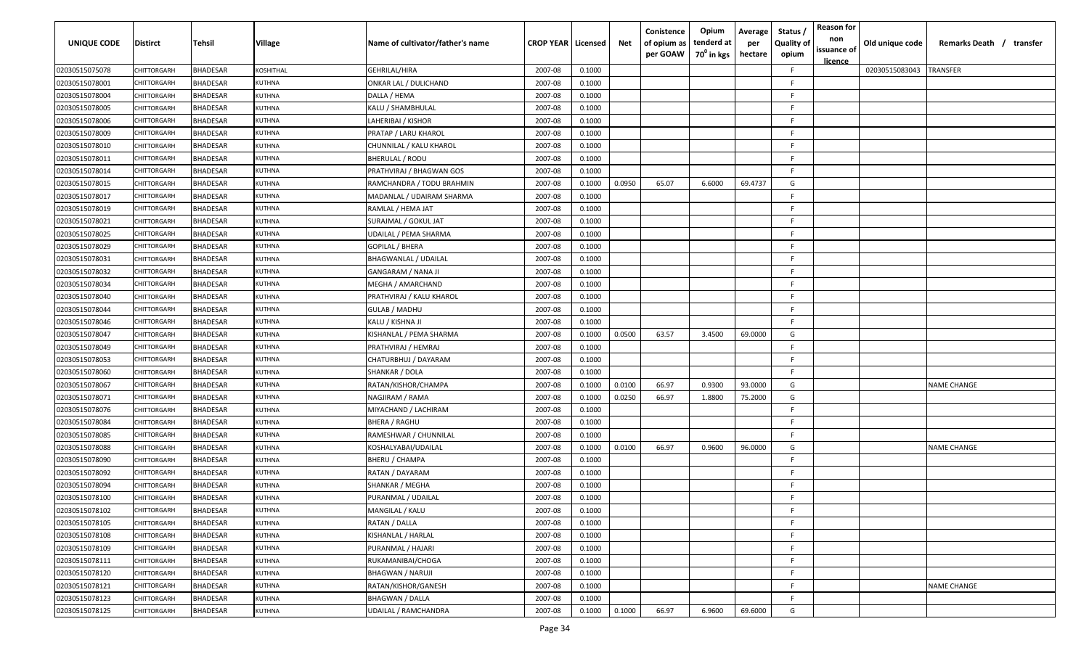| <b>UNIQUE CODE</b> | <b>Distirct</b> | Tehsil          | <b>Village</b>   | Name of cultivator/father's name | <b>CROP YEAR   Licensed</b> |        | Net    | Conistence<br>of opium as<br>per GOAW | Opium<br>tenderd at<br>70 <sup>0</sup> in kgs | Average<br>per<br>hectare | Status /<br><b>Quality of</b><br>opium | <b>Reason for</b><br>non<br>issuance of<br><u>licence</u> | Old unique code | Remarks Death / transfer |
|--------------------|-----------------|-----------------|------------------|----------------------------------|-----------------------------|--------|--------|---------------------------------------|-----------------------------------------------|---------------------------|----------------------------------------|-----------------------------------------------------------|-----------------|--------------------------|
| 02030515075078     | CHITTORGARH     | <b>BHADESAR</b> | <b>COSHITHAL</b> | GEHRILAL/HIRA                    | 2007-08                     | 0.1000 |        |                                       |                                               |                           | F                                      |                                                           | 02030515083043  | TRANSFER                 |
| 02030515078001     | CHITTORGARH     | <b>BHADESAR</b> | KUTHNA           | ONKAR LAL / DULICHAND            | 2007-08                     | 0.1000 |        |                                       |                                               |                           | F                                      |                                                           |                 |                          |
| 02030515078004     | CHITTORGARH     | <b>BHADESAR</b> | KUTHNA           | DALLA / HEMA                     | 2007-08                     | 0.1000 |        |                                       |                                               |                           | F                                      |                                                           |                 |                          |
| 02030515078005     | CHITTORGARH     | <b>BHADESAR</b> | KUTHNA           | KALU / SHAMBHULAL                | 2007-08                     | 0.1000 |        |                                       |                                               |                           | E                                      |                                                           |                 |                          |
| 02030515078006     | CHITTORGARH     | <b>BHADESAR</b> | KUTHNA           | LAHERIBAI / KISHOR               | 2007-08                     | 0.1000 |        |                                       |                                               |                           | E                                      |                                                           |                 |                          |
| 02030515078009     | CHITTORGARH     | <b>BHADESAR</b> | KUTHNA           | PRATAP / LARU KHAROL             | 2007-08                     | 0.1000 |        |                                       |                                               |                           | F                                      |                                                           |                 |                          |
| 02030515078010     | CHITTORGARH     | <b>BHADESAR</b> | KUTHNA           | CHUNNILAL / KALU KHAROL          | 2007-08                     | 0.1000 |        |                                       |                                               |                           | F                                      |                                                           |                 |                          |
| 02030515078011     | CHITTORGARH     | <b>BHADESAR</b> | KUTHNA           | BHERULAL / RODU                  | 2007-08                     | 0.1000 |        |                                       |                                               |                           | F                                      |                                                           |                 |                          |
| 02030515078014     | CHITTORGARH     | <b>BHADESAR</b> | KUTHNA           | PRATHVIRAJ / BHAGWAN GOS         | 2007-08                     | 0.1000 |        |                                       |                                               |                           | F                                      |                                                           |                 |                          |
| 02030515078015     | CHITTORGARH     | <b>BHADESAR</b> | <b>KUTHNA</b>    | RAMCHANDRA / TODU BRAHMIN        | 2007-08                     | 0.1000 | 0.0950 | 65.07                                 | 6.6000                                        | 69.4737                   | G                                      |                                                           |                 |                          |
| 02030515078017     | CHITTORGARH     | <b>BHADESAR</b> | <b>KUTHNA</b>    | MADANLAL / UDAIRAM SHARMA        | 2007-08                     | 0.1000 |        |                                       |                                               |                           | F                                      |                                                           |                 |                          |
| 02030515078019     | CHITTORGARH     | <b>BHADESAR</b> | <b>KUTHNA</b>    | RAMLAL / HEMA JAT                | 2007-08                     | 0.1000 |        |                                       |                                               |                           | F                                      |                                                           |                 |                          |
| 02030515078021     | CHITTORGARH     | <b>BHADESAR</b> | <b>KUTHNA</b>    | SURAJMAL / GOKUL JAT             | 2007-08                     | 0.1000 |        |                                       |                                               |                           | F                                      |                                                           |                 |                          |
| 02030515078025     | CHITTORGARH     | <b>BHADESAR</b> | KUTHNA           | UDAILAL / PEMA SHARMA            | 2007-08                     | 0.1000 |        |                                       |                                               |                           | F                                      |                                                           |                 |                          |
| 02030515078029     | CHITTORGARH     | <b>BHADESAR</b> | KUTHNA           | GOPILAL / BHERA                  | 2007-08                     | 0.1000 |        |                                       |                                               |                           | F                                      |                                                           |                 |                          |
| 02030515078031     | CHITTORGARH     | <b>BHADESAR</b> | KUTHNA           | <b>BHAGWANLAL / UDAILAL</b>      | 2007-08                     | 0.1000 |        |                                       |                                               |                           | E.                                     |                                                           |                 |                          |
| 02030515078032     | CHITTORGARH     | <b>BHADESAR</b> | KUTHNA           | GANGARAM / NANA JI               | 2007-08                     | 0.1000 |        |                                       |                                               |                           | F.                                     |                                                           |                 |                          |
| 02030515078034     | CHITTORGARH     | <b>BHADESAR</b> | KUTHNA           | MEGHA / AMARCHAND                | 2007-08                     | 0.1000 |        |                                       |                                               |                           | E                                      |                                                           |                 |                          |
| 02030515078040     | CHITTORGARH     | <b>BHADESAR</b> | KUTHNA           | PRATHVIRAJ / KALU KHAROL         | 2007-08                     | 0.1000 |        |                                       |                                               |                           | F                                      |                                                           |                 |                          |
| 02030515078044     | CHITTORGARH     | <b>BHADESAR</b> | KUTHNA           | <b>GULAB / MADHU</b>             | 2007-08                     | 0.1000 |        |                                       |                                               |                           | F                                      |                                                           |                 |                          |
| 02030515078046     | CHITTORGARH     | <b>BHADESAR</b> | KUTHNA           | KALU / KISHNA JI                 | 2007-08                     | 0.1000 |        |                                       |                                               |                           | F.                                     |                                                           |                 |                          |
| 02030515078047     | CHITTORGARH     | <b>BHADESAR</b> | KUTHNA           | KISHANLAL / PEMA SHARMA          | 2007-08                     | 0.1000 | 0.0500 | 63.57                                 | 3.4500                                        | 69.0000                   | G                                      |                                                           |                 |                          |
| 02030515078049     | CHITTORGARH     | <b>BHADESAR</b> | KUTHNA           | PRATHVIRAJ / HEMRAJ              | 2007-08                     | 0.1000 |        |                                       |                                               |                           |                                        |                                                           |                 |                          |
| 02030515078053     | CHITTORGARH     | <b>BHADESAR</b> | KUTHNA           | CHATURBHUJ / DAYARAM             | 2007-08                     | 0.1000 |        |                                       |                                               |                           | E.                                     |                                                           |                 |                          |
| 02030515078060     | CHITTORGARH     | <b>BHADESAR</b> | KUTHNA           | SHANKAR / DOLA                   | 2007-08                     | 0.1000 |        |                                       |                                               |                           | F.                                     |                                                           |                 |                          |
| 02030515078067     | CHITTORGARH     | <b>BHADESAR</b> | KUTHNA           | RATAN/KISHOR/CHAMPA              | 2007-08                     | 0.1000 | 0.0100 | 66.97                                 | 0.9300                                        | 93.0000                   | G                                      |                                                           |                 | <b>NAME CHANGE</b>       |
| 02030515078071     | CHITTORGARH     | <b>BHADESAR</b> | <b>KUTHNA</b>    | NAGJIRAM / RAMA                  | 2007-08                     | 0.1000 | 0.0250 | 66.97                                 | 1.8800                                        | 75.2000                   | G                                      |                                                           |                 |                          |
| 02030515078076     | CHITTORGARH     | <b>BHADESAR</b> | <b>KUTHNA</b>    | MIYACHAND / LACHIRAM             | 2007-08                     | 0.1000 |        |                                       |                                               |                           | F                                      |                                                           |                 |                          |
| 02030515078084     | CHITTORGARH     | <b>BHADESAR</b> | <b>KUTHNA</b>    | <b>BHERA / RAGHU</b>             | 2007-08                     | 0.1000 |        |                                       |                                               |                           | F                                      |                                                           |                 |                          |
| 02030515078085     | CHITTORGARH     | <b>BHADESAR</b> | <b>CUTHNA</b>    | RAMESHWAR / CHUNNILAL            | 2007-08                     | 0.1000 |        |                                       |                                               |                           | F                                      |                                                           |                 |                          |
| 02030515078088     | CHITTORGARH     | <b>BHADESAR</b> | KUTHNA           | KOSHALYABAI/UDAILAL              | 2007-08                     | 0.1000 | 0.0100 | 66.97                                 | 0.9600                                        | 96.0000                   | G                                      |                                                           |                 | <b>NAME CHANGE</b>       |
| 02030515078090     | CHITTORGARH     | <b>BHADESAR</b> | KUTHNA           | BHERU / CHAMPA                   | 2007-08                     | 0.1000 |        |                                       |                                               |                           | F                                      |                                                           |                 |                          |
| 02030515078092     | CHITTORGARH     | <b>BHADESAR</b> | KUTHNA           | RATAN / DAYARAM                  | 2007-08                     | 0.1000 |        |                                       |                                               |                           | F                                      |                                                           |                 |                          |
| 02030515078094     | CHITTORGARH     | <b>BHADESAR</b> | KUTHNA           | SHANKAR / MEGHA                  | 2007-08                     | 0.1000 |        |                                       |                                               |                           | F                                      |                                                           |                 |                          |
| 02030515078100     | CHITTORGARH     | <b>BHADESAR</b> | KUTHNA           | PURANMAL / UDAILAL               | 2007-08                     | 0.1000 |        |                                       |                                               |                           | F                                      |                                                           |                 |                          |
| 02030515078102     | CHITTORGARH     | <b>BHADESAR</b> | KUTHNA           | MANGILAL / KALU                  | 2007-08                     | 0.1000 |        |                                       |                                               |                           | F                                      |                                                           |                 |                          |
| 02030515078105     | CHITTORGARH     | <b>BHADESAR</b> | KUTHNA           | RATAN / DALLA                    | 2007-08                     | 0.1000 |        |                                       |                                               |                           | F                                      |                                                           |                 |                          |
| 02030515078108     | CHITTORGARH     | <b>BHADESAR</b> | KUTHNA           | KISHANLAL / HARLAL               | 2007-08                     | 0.1000 |        |                                       |                                               |                           | F                                      |                                                           |                 |                          |
| 02030515078109     | CHITTORGARH     | <b>BHADESAR</b> | KUTHNA           | PURANMAL / HAJARI                | 2007-08                     | 0.1000 |        |                                       |                                               |                           | F                                      |                                                           |                 |                          |
| 02030515078111     | CHITTORGARH     | <b>BHADESAR</b> | KUTHNA           | RUKAMANIBAI/CHOGA                | 2007-08                     | 0.1000 |        |                                       |                                               |                           | F                                      |                                                           |                 |                          |
| 02030515078120     | CHITTORGARH     | <b>BHADESAR</b> | KUTHNA           | <b>BHAGWAN / NARUJI</b>          | 2007-08                     | 0.1000 |        |                                       |                                               |                           | F                                      |                                                           |                 |                          |
| 02030515078121     | CHITTORGARH     | <b>BHADESAR</b> | KUTHNA           | RATAN/KISHOR/GANESH              | 2007-08                     | 0.1000 |        |                                       |                                               |                           | F                                      |                                                           |                 | <b>NAME CHANGE</b>       |
| 02030515078123     | CHITTORGARH     | <b>BHADESAR</b> | KUTHNA           | BHAGWAN / DALLA                  | 2007-08                     | 0.1000 |        |                                       |                                               |                           | E                                      |                                                           |                 |                          |
| 02030515078125     | CHITTORGARH     | <b>BHADESAR</b> | KUTHNA           | UDAILAL / RAMCHANDRA             | 2007-08                     | 0.1000 | 0.1000 | 66.97                                 | 6.9600                                        | 69.6000                   | G                                      |                                                           |                 |                          |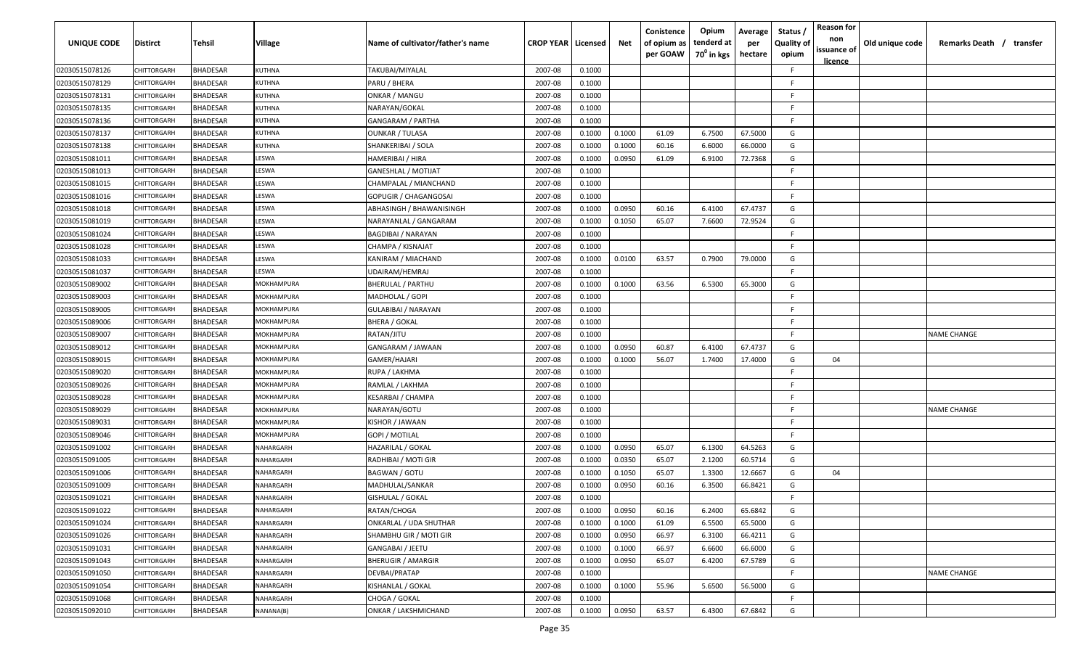| UNIQUE CODE    | <b>Distirct</b>    | Tehsil          | <b>Village</b> | Name of cultivator/father's name | <b>CROP YEAR   Licensed</b> |        | Net    | Conistence<br>of opium as<br>per GOAW | Opium<br>tenderd at<br>70 <sup>0</sup> in kgs | Average<br>per<br>hectare | Status /<br><b>Quality of</b><br>opium | <b>Reason for</b><br>non<br>issuance of<br><u>licence</u> | Old unique code | Remarks Death / transfer |
|----------------|--------------------|-----------------|----------------|----------------------------------|-----------------------------|--------|--------|---------------------------------------|-----------------------------------------------|---------------------------|----------------------------------------|-----------------------------------------------------------|-----------------|--------------------------|
| 02030515078126 | CHITTORGARH        | <b>BHADESAR</b> | <b>KUTHNA</b>  | TAKUBAI/MIYALAL                  | 2007-08                     | 0.1000 |        |                                       |                                               |                           | -F                                     |                                                           |                 |                          |
| 02030515078129 | CHITTORGARH        | <b>BHADESAR</b> | KUTHNA         | PARU / BHERA                     | 2007-08                     | 0.1000 |        |                                       |                                               |                           | F.                                     |                                                           |                 |                          |
| 02030515078131 | CHITTORGARH        | <b>BHADESAR</b> | KUTHNA         | <b>ONKAR / MANGU</b>             | 2007-08                     | 0.1000 |        |                                       |                                               |                           | F.                                     |                                                           |                 |                          |
| 02030515078135 | CHITTORGARH        | <b>BHADESAR</b> | <b>KUTHNA</b>  | NARAYAN/GOKAL                    | 2007-08                     | 0.1000 |        |                                       |                                               |                           | -F                                     |                                                           |                 |                          |
| 02030515078136 | CHITTORGARH        | <b>BHADESAR</b> | KUTHNA         | GANGARAM / PARTHA                | 2007-08                     | 0.1000 |        |                                       |                                               |                           | -F                                     |                                                           |                 |                          |
| 02030515078137 | <b>CHITTORGARI</b> | BHADESAR        | KUTHNA         | <b>OUNKAR / TULASA</b>           | 2007-08                     | 0.1000 | 0.1000 | 61.09                                 | 6.7500                                        | 67.5000                   | G                                      |                                                           |                 |                          |
| 02030515078138 | CHITTORGARH        | <b>BHADESAR</b> | KUTHNA         | SHANKERIBAI / SOLA               | 2007-08                     | 0.1000 | 0.1000 | 60.16                                 | 6.6000                                        | 66.0000                   | G                                      |                                                           |                 |                          |
| 02030515081011 | CHITTORGARH        | BHADESAR        | LESWA          | HAMERIBAI / HIRA                 | 2007-08                     | 0.1000 | 0.0950 | 61.09                                 | 6.9100                                        | 72.7368                   | G                                      |                                                           |                 |                          |
| 02030515081013 | CHITTORGARH        | BHADESAR        | LESWA          | GANESHLAL / MOTIJAT              | 2007-08                     | 0.1000 |        |                                       |                                               |                           | E                                      |                                                           |                 |                          |
| 02030515081015 | <b>HITTORGARH</b>  | <b>BHADESAR</b> | LESWA          | CHAMPALAL / MIANCHAND            | 2007-08                     | 0.1000 |        |                                       |                                               |                           | -F                                     |                                                           |                 |                          |
| 02030515081016 | <b>HITTORGARH</b>  | <b>BHADESAR</b> | LESWA          | GOPUGIR / CHAGANGOSAI            | 2007-08                     | 0.1000 |        |                                       |                                               |                           | -F                                     |                                                           |                 |                          |
| 02030515081018 | CHITTORGARH        | <b>BHADESAR</b> | LESWA          | ABHASINGH / BHAWANISINGH         | 2007-08                     | 0.1000 | 0.0950 | 60.16                                 | 6.4100                                        | 67.4737                   | G                                      |                                                           |                 |                          |
| 02030515081019 | CHITTORGARH        | <b>BHADESAR</b> | LESWA          | NARAYANLAL / GANGARAM            | 2007-08                     | 0.1000 | 0.1050 | 65.07                                 | 7.6600                                        | 72.9524                   | G                                      |                                                           |                 |                          |
| 02030515081024 | CHITTORGARH        | <b>BHADESAR</b> | LESWA          | BAGDIBAI / NARAYAN               | 2007-08                     | 0.1000 |        |                                       |                                               |                           | E                                      |                                                           |                 |                          |
| 02030515081028 | CHITTORGARH        | <b>BHADESAR</b> | LESWA          | CHAMPA / KISNAJAT                | 2007-08                     | 0.1000 |        |                                       |                                               |                           | F.                                     |                                                           |                 |                          |
| 02030515081033 | CHITTORGARH        | <b>BHADESAR</b> | LESWA          | KANIRAM / MIACHAND               | 2007-08                     | 0.1000 | 0.0100 | 63.57                                 | 0.7900                                        | 79.0000                   | G                                      |                                                           |                 |                          |
| 02030515081037 | CHITTORGARH        | <b>BHADESAR</b> | LESWA          | UDAIRAM/HEMRAJ                   | 2007-08                     | 0.1000 |        |                                       |                                               |                           | -F.                                    |                                                           |                 |                          |
| 02030515089002 | CHITTORGARH        | BHADESAR        | MOKHAMPURA     | BHERULAL / PARTHU                | 2007-08                     | 0.1000 | 0.1000 | 63.56                                 | 6.5300                                        | 65.3000                   | G                                      |                                                           |                 |                          |
| 02030515089003 | CHITTORGARH        | <b>BHADESAR</b> | MOKHAMPURA     | MADHOLAL / GOPI                  | 2007-08                     | 0.1000 |        |                                       |                                               |                           | -F                                     |                                                           |                 |                          |
| 02030515089005 | CHITTORGARH        | <b>BHADESAR</b> | MOKHAMPURA     | GULABIBAI / NARAYAN              | 2007-08                     | 0.1000 |        |                                       |                                               |                           | -F                                     |                                                           |                 |                          |
| 02030515089006 | CHITTORGARH        | <b>BHADESAR</b> | MOKHAMPURA     | <b>BHERA / GOKAL</b>             | 2007-08                     | 0.1000 |        |                                       |                                               |                           | - F                                    |                                                           |                 |                          |
| 02030515089007 | CHITTORGARH        | BHADESAR        | MOKHAMPURA     | RATAN/JITU                       | 2007-08                     | 0.1000 |        |                                       |                                               |                           | -F                                     |                                                           |                 | NAME CHANGE              |
| 02030515089012 | CHITTORGARH        | <b>BHADESAR</b> | MOKHAMPURA     | GANGARAM / JAWAAN                | 2007-08                     | 0.1000 | 0.0950 | 60.87                                 | 6.4100                                        | 67.4737                   | G                                      |                                                           |                 |                          |
| 02030515089015 | CHITTORGARH        | BHADESAR        | MOKHAMPURA     | GAMER/HAJARI                     | 2007-08                     | 0.1000 | 0.1000 | 56.07                                 | 1.7400                                        | 17.4000                   | G                                      | 04                                                        |                 |                          |
| 02030515089020 | CHITTORGARH        | BHADESAR        | MOKHAMPURA     | RUPA / LAKHMA                    | 2007-08                     | 0.1000 |        |                                       |                                               |                           | F.                                     |                                                           |                 |                          |
| 02030515089026 | CHITTORGARH        | BHADESAR        | MOKHAMPURA     | RAMLAL / LAKHMA                  | 2007-08                     | 0.1000 |        |                                       |                                               |                           | -F.                                    |                                                           |                 |                          |
| 02030515089028 | <b>HITTORGARH</b>  | <b>BHADESAR</b> | MOKHAMPURA     | KESARBAI / CHAMPA                | 2007-08                     | 0.1000 |        |                                       |                                               |                           | F.                                     |                                                           |                 |                          |
| 02030515089029 | <b>HITTORGARH</b>  | BHADESAR        | MOKHAMPURA     | NARAYAN/GOTU                     | 2007-08                     | 0.1000 |        |                                       |                                               |                           | E                                      |                                                           |                 | NAME CHANGE              |
| 02030515089031 | CHITTORGARH        | BHADESAR        | MOKHAMPURA     | KISHOR / JAWAAN                  | 2007-08                     | 0.1000 |        |                                       |                                               |                           | F.                                     |                                                           |                 |                          |
| 02030515089046 | CHITTORGARH        | <b>BHADESAR</b> | MOKHAMPURA     | GOPI / MOTILAL                   | 2007-08                     | 0.1000 |        |                                       |                                               |                           | F.                                     |                                                           |                 |                          |
| 02030515091002 | CHITTORGARH        | <b>BHADESAR</b> | NAHARGARH      | HAZARILAL / GOKAL                | 2007-08                     | 0.1000 | 0.0950 | 65.07                                 | 6.1300                                        | 64.5263                   | G                                      |                                                           |                 |                          |
| 02030515091005 | CHITTORGARH        | <b>BHADESAR</b> | NAHARGARH      | RADHIBAI / MOTI GIR              | 2007-08                     | 0.1000 | 0.0350 | 65.07                                 | 2.1200                                        | 60.5714                   | G                                      |                                                           |                 |                          |
| 02030515091006 | CHITTORGARH        | BHADESAR        | NAHARGARH      | <b>BAGWAN / GOTU</b>             | 2007-08                     | 0.1000 | 0.1050 | 65.07                                 | 1.3300                                        | 12.6667                   | G                                      | 04                                                        |                 |                          |
| 02030515091009 | CHITTORGARH        | BHADESAR        | NAHARGARH      | MADHULAL/SANKAR                  | 2007-08                     | 0.1000 | 0.0950 | 60.16                                 | 6.3500                                        | 66.8421                   | G                                      |                                                           |                 |                          |
| 02030515091021 | CHITTORGARH        | BHADESAR        | NAHARGARH      | GISHULAL / GOKAL                 | 2007-08                     | 0.1000 |        |                                       |                                               |                           | F                                      |                                                           |                 |                          |
| 02030515091022 | CHITTORGARH        | <b>BHADESAR</b> | NAHARGARH      | RATAN/CHOGA                      | 2007-08                     | 0.1000 | 0.0950 | 60.16                                 | 6.2400                                        | 65.6842                   | G                                      |                                                           |                 |                          |
| 02030515091024 | CHITTORGARH        | <b>BHADESAR</b> | NAHARGARH      | ONKARLAL / UDA SHUTHAR           | 2007-08                     | 0.1000 | 0.1000 | 61.09                                 | 6.5500                                        | 65.5000                   | G                                      |                                                           |                 |                          |
| 02030515091026 | CHITTORGARH        | BHADESAR        | NAHARGARH      | SHAMBHU GIR / MOTI GIR           | 2007-08                     | 0.1000 | 0.0950 | 66.97                                 | 6.3100                                        | 66.4211                   | G                                      |                                                           |                 |                          |
| 02030515091031 | CHITTORGARH        | <b>BHADESAR</b> | NAHARGARH      | GANGABAI / JEETU                 | 2007-08                     | 0.1000 | 0.1000 | 66.97                                 | 6.6600                                        | 66.6000                   | G                                      |                                                           |                 |                          |
| 02030515091043 | CHITTORGARH        | BHADESAR        | NAHARGARH      | BHERUGIR / AMARGIR               | 2007-08                     | 0.1000 | 0.0950 | 65.07                                 | 6.4200                                        | 67.5789                   | G                                      |                                                           |                 |                          |
| 02030515091050 | CHITTORGARH        | BHADESAR        | NAHARGARH      | DEVBAI/PRATAP                    | 2007-08                     | 0.1000 |        |                                       |                                               |                           | F.                                     |                                                           |                 | <b>NAME CHANGE</b>       |
| 02030515091054 | CHITTORGARH        | BHADESAR        | NAHARGARH      | KISHANLAL / GOKAL                | 2007-08                     | 0.1000 | 0.1000 | 55.96                                 | 5.6500                                        | 56.5000                   | G                                      |                                                           |                 |                          |
| 02030515091068 | CHITTORGARH        | BHADESAR        | NAHARGARH      | CHOGA / GOKAL                    | 2007-08                     | 0.1000 |        |                                       |                                               |                           | E                                      |                                                           |                 |                          |
| 02030515092010 | CHITTORGARH        | <b>BHADESAR</b> | NANANA(B)      | ONKAR / LAKSHMICHAND             | 2007-08                     | 0.1000 | 0.0950 | 63.57                                 | 6.4300                                        | 67.6842                   | G                                      |                                                           |                 |                          |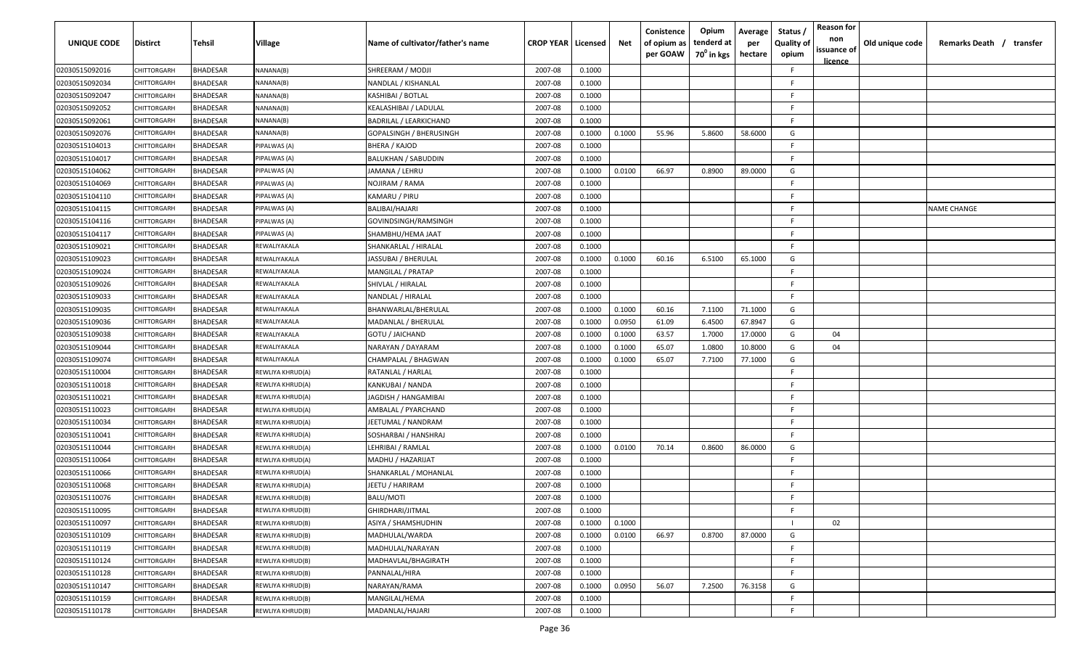| UNIQUE CODE    | <b>Distirct</b>   | Tehsil          | Village          | Name of cultivator/father's name | <b>CROP YEAR   Licensed</b> |        | Net    | Conistence<br>of opium as<br>per GOAW | Opium<br>tenderd at<br>70 <sup>0</sup> in kgs | Average<br>per<br>hectare | Status<br><b>Quality of</b><br>opium | <b>Reason for</b><br>non<br>issuance of<br><u>licence</u> | Old unique code | Remarks Death / transfer |
|----------------|-------------------|-----------------|------------------|----------------------------------|-----------------------------|--------|--------|---------------------------------------|-----------------------------------------------|---------------------------|--------------------------------------|-----------------------------------------------------------|-----------------|--------------------------|
| 02030515092016 | CHITTORGARH       | <b>BHADESAR</b> | NANANA(B)        | SHREERAM / MODJI                 | 2007-08                     | 0.1000 |        |                                       |                                               |                           | -F                                   |                                                           |                 |                          |
| 02030515092034 | CHITTORGARH       | <b>BHADESAR</b> | NANANA(B)        | NANDLAL / KISHANLAL              | 2007-08                     | 0.1000 |        |                                       |                                               |                           | F.                                   |                                                           |                 |                          |
| 02030515092047 | CHITTORGARH       | <b>BHADESAR</b> | NANANA(B)        | KASHIBAI / BOTLAL                | 2007-08                     | 0.1000 |        |                                       |                                               |                           | F.                                   |                                                           |                 |                          |
| 02030515092052 | CHITTORGARH       | <b>BHADESAR</b> | NANANA(B)        | KEALASHIBAI / LADULAL            | 2007-08                     | 0.1000 |        |                                       |                                               |                           | -F                                   |                                                           |                 |                          |
| 02030515092061 | CHITTORGARH       | <b>BHADESAR</b> | NANANA(B)        | BADRILAL / LEARKICHAND           | 2007-08                     | 0.1000 |        |                                       |                                               |                           | -F                                   |                                                           |                 |                          |
| 02030515092076 | CHITTORGARI       | BHADESAR        | NANANA(B)        | GOPALSINGH / BHERUSINGH          | 2007-08                     | 0.1000 | 0.1000 | 55.96                                 | 5.8600                                        | 58.6000                   | G                                    |                                                           |                 |                          |
| 02030515104013 | CHITTORGARH       | <b>BHADESAR</b> | PIPALWAS (A)     | BHERA / KAJOD                    | 2007-08                     | 0.1000 |        |                                       |                                               |                           | E                                    |                                                           |                 |                          |
| 02030515104017 | CHITTORGARH       | BHADESAR        | PIPALWAS (A)     | BALUKHAN / SABUDDIN              | 2007-08                     | 0.1000 |        |                                       |                                               |                           | -F.                                  |                                                           |                 |                          |
| 02030515104062 | CHITTORGARH       | BHADESAR        | PIPALWAS (A)     | JAMANA / LEHRU                   | 2007-08                     | 0.1000 | 0.0100 | 66.97                                 | 0.8900                                        | 89.0000                   | G                                    |                                                           |                 |                          |
| 02030515104069 | <b>HITTORGARH</b> | <b>BHADESAR</b> | PIPALWAS (A)     | NOJIRAM / RAMA                   | 2007-08                     | 0.1000 |        |                                       |                                               |                           | -F                                   |                                                           |                 |                          |
| 02030515104110 | <b>HITTORGARH</b> | <b>BHADESAR</b> | PIPALWAS (A)     | KAMARU / PIRU                    | 2007-08                     | 0.1000 |        |                                       |                                               |                           | -F                                   |                                                           |                 |                          |
| 02030515104115 | CHITTORGARH       | <b>BHADESAR</b> | PIPALWAS (A)     | BALIBAI/HAJARI                   | 2007-08                     | 0.1000 |        |                                       |                                               |                           | -F                                   |                                                           |                 | <b>NAME CHANGE</b>       |
| 02030515104116 | CHITTORGARH       | <b>BHADESAR</b> | PIPALWAS (A)     | GOVINDSINGH/RAMSINGH             | 2007-08                     | 0.1000 |        |                                       |                                               |                           | E                                    |                                                           |                 |                          |
| 02030515104117 | CHITTORGARH       | <b>BHADESAR</b> | PIPALWAS (A)     | SHAMBHU/HEMA JAAT                | 2007-08                     | 0.1000 |        |                                       |                                               |                           | E                                    |                                                           |                 |                          |
| 02030515109021 | CHITTORGARH       | <b>BHADESAR</b> | REWALIYAKALA     | SHANKARLAL / HIRALAL             | 2007-08                     | 0.1000 |        |                                       |                                               |                           | F.                                   |                                                           |                 |                          |
| 02030515109023 | CHITTORGARH       | <b>BHADESAR</b> | REWALIYAKALA     | JASSUBAI / BHERULAL              | 2007-08                     | 0.1000 | 0.1000 | 60.16                                 | 6.5100                                        | 65.1000                   | G                                    |                                                           |                 |                          |
| 02030515109024 | CHITTORGARH       | <b>BHADESAR</b> | REWALIYAKALA     | MANGILAL / PRATAP                | 2007-08                     | 0.1000 |        |                                       |                                               |                           | F.                                   |                                                           |                 |                          |
| 02030515109026 | CHITTORGARH       | BHADESAR        | REWALIYAKALA     | SHIVLAL / HIRALAL                | 2007-08                     | 0.1000 |        |                                       |                                               |                           | -F                                   |                                                           |                 |                          |
| 02030515109033 | CHITTORGARH       | <b>BHADESAR</b> | REWALIYAKALA     | NANDLAL / HIRALAL                | 2007-08                     | 0.1000 |        |                                       |                                               |                           | -F                                   |                                                           |                 |                          |
| 02030515109035 | CHITTORGARH       | <b>BHADESAR</b> | REWALIYAKALA     | BHANWARLAL/BHERULAL              | 2007-08                     | 0.1000 | 0.1000 | 60.16                                 | 7.1100                                        | 71.1000                   | G                                    |                                                           |                 |                          |
| 02030515109036 | CHITTORGARH       | <b>BHADESAR</b> | REWALIYAKALA     | MADANLAL / BHERULAL              | 2007-08                     | 0.1000 | 0.0950 | 61.09                                 | 6.4500                                        | 67.8947                   | G                                    |                                                           |                 |                          |
| 02030515109038 | CHITTORGARH       | BHADESAR        | REWALIYAKALA     | GOTU / JAICHAND                  | 2007-08                     | 0.1000 | 0.1000 | 63.57                                 | 1.7000                                        | 17.0000                   | G                                    | 04                                                        |                 |                          |
| 02030515109044 | CHITTORGARH       | <b>BHADESAR</b> | REWALIYAKALA     | NARAYAN / DAYARAM                | 2007-08                     | 0.1000 | 0.1000 | 65.07                                 | 1.0800                                        | 10.8000                   | G                                    | 04                                                        |                 |                          |
| 02030515109074 | CHITTORGARH       | BHADESAR        | REWALIYAKALA     | CHAMPALAL / BHAGWAN              | 2007-08                     | 0.1000 | 0.1000 | 65.07                                 | 7.7100                                        | 77.1000                   | G                                    |                                                           |                 |                          |
| 02030515110004 | CHITTORGARH       | BHADESAR        | REWLIYA KHRUD(A) | RATANLAL / HARLAL                | 2007-08                     | 0.1000 |        |                                       |                                               |                           | F.                                   |                                                           |                 |                          |
| 02030515110018 | CHITTORGARH       | BHADESAR        | REWLIYA KHRUD(A) | KANKUBAI / NANDA                 | 2007-08                     | 0.1000 |        |                                       |                                               |                           | -F.                                  |                                                           |                 |                          |
| 02030515110021 | <b>HITTORGARH</b> | <b>BHADESAR</b> | REWLIYA KHRUD(A) | IAGDISH / HANGAMIBAI             | 2007-08                     | 0.1000 |        |                                       |                                               |                           | -F                                   |                                                           |                 |                          |
| 02030515110023 | <b>HITTORGARH</b> | BHADESAR        | REWLIYA KHRUD(A) | AMBALAL / PYARCHAND              | 2007-08                     | 0.1000 |        |                                       |                                               |                           | E                                    |                                                           |                 |                          |
| 02030515110034 | CHITTORGARH       | <b>BHADESAR</b> | REWLIYA KHRUD(A) | EETUMAL / NANDRAM                | 2007-08                     | 0.1000 |        |                                       |                                               |                           | F.                                   |                                                           |                 |                          |
| 02030515110041 | CHITTORGARH       | <b>BHADESAR</b> | REWLIYA KHRUD(A) | SOSHARBAI / HANSHRAJ             | 2007-08                     | 0.1000 |        |                                       |                                               |                           | F.                                   |                                                           |                 |                          |
| 02030515110044 | CHITTORGARH       | <b>BHADESAR</b> | REWLIYA KHRUD(A) | LEHRIBAI / RAMLAL                | 2007-08                     | 0.1000 | 0.0100 | 70.14                                 | 0.8600                                        | 86.0000                   | G                                    |                                                           |                 |                          |
| 02030515110064 | CHITTORGARH       | <b>BHADESAR</b> | REWLIYA KHRUD(A) | MADHU / HAZARIJAT                | 2007-08                     | 0.1000 |        |                                       |                                               |                           | F.                                   |                                                           |                 |                          |
| 02030515110066 | CHITTORGARH       | <b>BHADESAR</b> | REWLIYA KHRUD(A) | SHANKARLAL / MOHANLAL            | 2007-08                     | 0.1000 |        |                                       |                                               |                           | F.                                   |                                                           |                 |                          |
| 02030515110068 | CHITTORGARH       | BHADESAR        | REWLIYA KHRUD(A) | EETU / HARIRAM                   | 2007-08                     | 0.1000 |        |                                       |                                               |                           | F                                    |                                                           |                 |                          |
| 02030515110076 | CHITTORGARH       | BHADESAR        | REWLIYA KHRUD(B) | BALU/MOTI                        | 2007-08                     | 0.1000 |        |                                       |                                               |                           | F                                    |                                                           |                 |                          |
| 02030515110095 | CHITTORGARH       | <b>BHADESAR</b> | REWLIYA KHRUD(B) | GHIRDHARI/JITMAL                 | 2007-08                     | 0.1000 |        |                                       |                                               |                           | -F                                   |                                                           |                 |                          |
| 02030515110097 | CHITTORGARH       | <b>BHADESAR</b> | REWLIYA KHRUD(B) | ASIYA / SHAMSHUDHIN              | 2007-08                     | 0.1000 | 0.1000 |                                       |                                               |                           |                                      | 02                                                        |                 |                          |
| 02030515110109 | CHITTORGARH       | BHADESAR        | REWLIYA KHRUD(B) | MADHULAL/WARDA                   | 2007-08                     | 0.1000 | 0.0100 | 66.97                                 | 0.8700                                        | 87.0000                   | G                                    |                                                           |                 |                          |
| 02030515110119 | CHITTORGARH       | BHADESAR        | REWLIYA KHRUD(B) | MADHULAL/NARAYAN                 | 2007-08                     | 0.1000 |        |                                       |                                               |                           | -F                                   |                                                           |                 |                          |
| 02030515110124 | CHITTORGARH       | BHADESAR        | REWLIYA KHRUD(B) | MADHAVLAL/BHAGIRATH              | 2007-08                     | 0.1000 |        |                                       |                                               |                           | E                                    |                                                           |                 |                          |
| 02030515110128 | CHITTORGARH       | BHADESAR        | REWLIYA KHRUD(B) | PANNALAL/HIRA                    | 2007-08                     | 0.1000 |        |                                       |                                               |                           | F.                                   |                                                           |                 |                          |
| 02030515110147 | CHITTORGARH       | BHADESAR        | REWLIYA KHRUD(B) | NARAYAN/RAMA                     | 2007-08                     | 0.1000 | 0.0950 | 56.07                                 | 7.2500                                        | 76.3158                   | G                                    |                                                           |                 |                          |
| 02030515110159 | CHITTORGARH       | BHADESAR        | REWLIYA KHRUD(B) | MANGILAL/HEMA                    | 2007-08                     | 0.1000 |        |                                       |                                               |                           | E                                    |                                                           |                 |                          |
| 02030515110178 | CHITTORGARH       | BHADESAR        | REWLIYA KHRUD(B) | MADANLAL/HAJARI                  | 2007-08                     | 0.1000 |        |                                       |                                               |                           | F                                    |                                                           |                 |                          |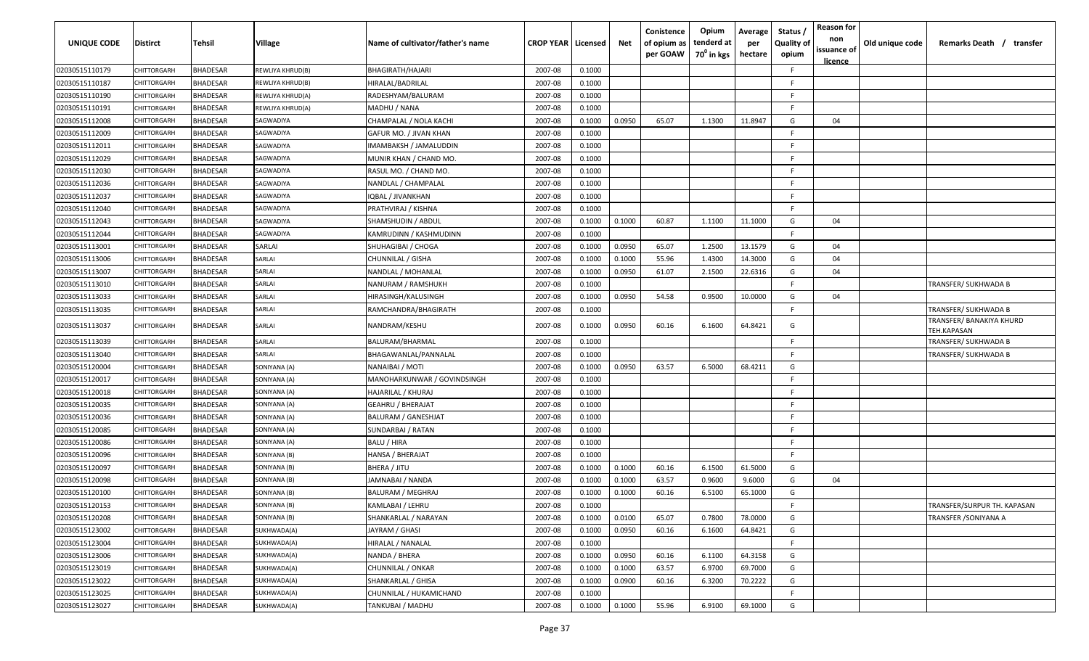| UNIQUE CODE    | <b>Distirct</b>    | Tehsil          | <b>Village</b>   | Name of cultivator/father's name | <b>CROP YEAR   Licensed</b> |        | Net    | Conistence<br>of opium as<br>per GOAW | Opium<br>tenderd at<br>70 <sup>0</sup> in kgs | Average<br>per<br>hectare | Status /<br><b>Quality of</b><br>opium | <b>Reason for</b><br>non<br>issuance of<br><u>licence</u> | Old unique code | Remarks Death / transfer                              |
|----------------|--------------------|-----------------|------------------|----------------------------------|-----------------------------|--------|--------|---------------------------------------|-----------------------------------------------|---------------------------|----------------------------------------|-----------------------------------------------------------|-----------------|-------------------------------------------------------|
| 02030515110179 | CHITTORGARH        | <b>BHADESAR</b> | REWLIYA KHRUD(B) | BHAGIRATH/HAJARI                 | 2007-08                     | 0.1000 |        |                                       |                                               |                           | -F                                     |                                                           |                 |                                                       |
| 02030515110187 | CHITTORGARH        | <b>BHADESAR</b> | REWLIYA KHRUD(B) | HIRALAL/BADRILAL                 | 2007-08                     | 0.1000 |        |                                       |                                               |                           | F.                                     |                                                           |                 |                                                       |
| 02030515110190 | CHITTORGARH        | <b>BHADESAR</b> | REWLIYA KHRUD(A) | RADESHYAM/BALURAM                | 2007-08                     | 0.1000 |        |                                       |                                               |                           | F.                                     |                                                           |                 |                                                       |
| 02030515110191 | CHITTORGARH        | <b>BHADESAR</b> | REWLIYA KHRUD(A) | MADHU / NANA                     | 2007-08                     | 0.1000 |        |                                       |                                               |                           | -F                                     |                                                           |                 |                                                       |
| 02030515112008 | CHITTORGARH        | <b>BHADESAR</b> | SAGWADIYA        | CHAMPALAL / NOLA KACHI           | 2007-08                     | 0.1000 | 0.0950 | 65.07                                 | 1.1300                                        | 11.8947                   | G                                      | 04                                                        |                 |                                                       |
| 02030515112009 | CHITTORGARI        | <b>BHADESAR</b> | SAGWADIYA        | GAFUR MO. / JIVAN KHAN           | 2007-08                     | 0.1000 |        |                                       |                                               |                           | -F                                     |                                                           |                 |                                                       |
| 02030515112011 | CHITTORGARH        | BHADESAR        | SAGWADIYA        | IMAMBAKSH / JAMALUDDIN           | 2007-08                     | 0.1000 |        |                                       |                                               |                           | -F                                     |                                                           |                 |                                                       |
| 02030515112029 | CHITTORGARH        | BHADESAR        | SAGWADIYA        | MUNIR KHAN / CHAND MO.           | 2007-08                     | 0.1000 |        |                                       |                                               |                           | -F.                                    |                                                           |                 |                                                       |
| 02030515112030 | CHITTORGARH        | BHADESAR        | SAGWADIYA        | RASUL MO. / CHAND MO.            | 2007-08                     | 0.1000 |        |                                       |                                               |                           | -F                                     |                                                           |                 |                                                       |
| 02030515112036 | CHITTORGARH        | <b>BHADESAR</b> | SAGWADIYA        | VANDLAL / CHAMPALAL              | 2007-08                     | 0.1000 |        |                                       |                                               |                           | -F                                     |                                                           |                 |                                                       |
| 02030515112037 | <b>HITTORGARH</b>  | <b>BHADESAR</b> | SAGWADIYA        | QBAL / JIVANKHAN                 | 2007-08                     | 0.1000 |        |                                       |                                               |                           | -F                                     |                                                           |                 |                                                       |
| 02030515112040 | CHITTORGARH        | <b>BHADESAR</b> | SAGWADIYA        | PRATHVIRAJ / KISHNA              | 2007-08                     | 0.1000 |        |                                       |                                               |                           | -F                                     |                                                           |                 |                                                       |
| 02030515112043 | CHITTORGARH        | <b>BHADESAR</b> | SAGWADIYA        | SHAMSHUDIN / ABDUL               | 2007-08                     | 0.1000 | 0.1000 | 60.87                                 | 1.1100                                        | 11.1000                   | G                                      | 04                                                        |                 |                                                       |
| 02030515112044 | CHITTORGARH        | <b>BHADESAR</b> | SAGWADIYA        | KAMRUDINN / KASHMUDINN           | 2007-08                     | 0.1000 |        |                                       |                                               |                           | E                                      |                                                           |                 |                                                       |
| 02030515113001 | CHITTORGARH        | <b>BHADESAR</b> | SARLAI           | SHUHAGIBAI / CHOGA               | 2007-08                     | 0.1000 | 0.0950 | 65.07                                 | 1.2500                                        | 13.1579                   | G                                      | 04                                                        |                 |                                                       |
| 02030515113006 | CHITTORGARH        | <b>BHADESAR</b> | SARLAI           | CHUNNILAL / GISHA                | 2007-08                     | 0.1000 | 0.1000 | 55.96                                 | 1.4300                                        | 14.3000                   | G                                      | 04                                                        |                 |                                                       |
| 02030515113007 | CHITTORGARH        | <b>BHADESAR</b> | SARLAI           | NANDLAL / MOHANLAL               | 2007-08                     | 0.1000 | 0.0950 | 61.07                                 | 2.1500                                        | 22.6316                   | G                                      | 04                                                        |                 |                                                       |
| 02030515113010 | CHITTORGARH        | <b>BHADESAR</b> | SARLAI           | NANURAM / RAMSHUKH               | 2007-08                     | 0.1000 |        |                                       |                                               |                           | -F                                     |                                                           |                 | TRANSFER/ SUKHWADA B                                  |
| 02030515113033 | CHITTORGARH        | <b>BHADESAR</b> | SARLAI           | HIRASINGH/KALUSINGH              | 2007-08                     | 0.1000 | 0.0950 | 54.58                                 | 0.9500                                        | 10.0000                   | G                                      | 04                                                        |                 |                                                       |
| 02030515113035 | CHITTORGARH        | <b>BHADESAR</b> | SARLAI           | RAMCHANDRA/BHAGIRATH             | 2007-08                     | 0.1000 |        |                                       |                                               |                           | -F                                     |                                                           |                 | TRANSFER/ SUKHWADA B                                  |
| 02030515113037 | CHITTORGARH        | <b>BHADESAR</b> | SARLAI           | NANDRAM/KESHU                    | 2007-08                     | 0.1000 | 0.0950 | 60.16                                 | 6.1600                                        | 64.8421                   | G                                      |                                                           |                 | TRANSFER/ BANAKIYA KHURD<br><b><i>TEH.KAPASAN</i></b> |
| 02030515113039 | CHITTORGARH        | <b>BHADESAR</b> | SARLAI           | BALURAM/BHARMAL                  | 2007-08                     | 0.1000 |        |                                       |                                               |                           | F.                                     |                                                           |                 | TRANSFER/ SUKHWADA B                                  |
| 02030515113040 | CHITTORGARH        | <b>BHADESAR</b> | SARLAI           | BHAGAWANLAL/PANNALAL             | 2007-08                     | 0.1000 |        |                                       |                                               |                           | F.                                     |                                                           |                 | TRANSFER/ SUKHWADA B                                  |
| 02030515120004 | CHITTORGARH        | <b>BHADESAR</b> | SONIYANA (A)     | NANAIBAI / MOTI                  | 2007-08                     | 0.1000 | 0.0950 | 63.57                                 | 6.5000                                        | 68.4211                   | G                                      |                                                           |                 |                                                       |
| 02030515120017 | <b>CHITTORGARI</b> | <b>BHADESAR</b> | SONIYANA (A)     | MANOHARKUNWAR / GOVINDSINGH      | 2007-08                     | 0.1000 |        |                                       |                                               |                           | F.                                     |                                                           |                 |                                                       |
| 02030515120018 | CHITTORGARH        | BHADESAR        | SONIYANA (A)     | HAJARILAL / KHURAJ               | 2007-08                     | 0.1000 |        |                                       |                                               |                           | F.                                     |                                                           |                 |                                                       |
| 02030515120035 | CHITTORGARH        | BHADESAR        | SONIYANA (A)     | GEAHRU / BHERAJAT                | 2007-08                     | 0.1000 |        |                                       |                                               |                           | F.                                     |                                                           |                 |                                                       |
| 02030515120036 | CHITTORGARH        | BHADESAR        | SONIYANA (A)     | BALURAM / GANESHJAT              | 2007-08                     | 0.1000 |        |                                       |                                               |                           | E                                      |                                                           |                 |                                                       |
| 02030515120085 | CHITTORGARH        | BHADESAR        | SONIYANA (A)     | SUNDARBAI / RATAN                | 2007-08                     | 0.1000 |        |                                       |                                               |                           | -F                                     |                                                           |                 |                                                       |
| 02030515120086 | CHITTORGARH        | <b>BHADESAR</b> | SONIYANA (A)     | BALU / HIRA                      | 2007-08                     | 0.1000 |        |                                       |                                               |                           | F.                                     |                                                           |                 |                                                       |
| 02030515120096 | CHITTORGARH        | <b>BHADESAR</b> | SONIYANA (B)     | HANSA / BHERAJAT                 | 2007-08                     | 0.1000 |        |                                       |                                               |                           | F.                                     |                                                           |                 |                                                       |
| 02030515120097 | CHITTORGARH        | <b>BHADESAR</b> | SONIYANA (B)     | BHERA / JITU                     | 2007-08                     | 0.1000 | 0.1000 | 60.16                                 | 6.1500                                        | 61.5000                   | G                                      |                                                           |                 |                                                       |
| 02030515120098 | CHITTORGARH        | BHADESAR        | SONIYANA (B)     | <b>JAMNABAI / NANDA</b>          | 2007-08                     | 0.1000 | 0.1000 | 63.57                                 | 0.9600                                        | 9.6000                    | G                                      | 04                                                        |                 |                                                       |
| 02030515120100 | CHITTORGARH        | <b>BHADESAR</b> | SONIYANA (B)     | BALURAM / MEGHRAJ                | 2007-08                     | 0.1000 | 0.1000 | 60.16                                 | 6.5100                                        | 65.1000                   | G                                      |                                                           |                 |                                                       |
| 02030515120153 | CHITTORGARH        | BHADESAR        | SONIYANA (B)     | KAMLABAI / LEHRU                 | 2007-08                     | 0.1000 |        |                                       |                                               |                           | c.                                     |                                                           |                 | TRANSFER/SURPUR TH. KAPASAN                           |
| 02030515120208 | CHITTORGARH        | <b>BHADESAR</b> | SONIYANA (B)     | SHANKARLAL / NARAYAN             | 2007-08                     | 0.1000 | 0.0100 | 65.07                                 | 0.7800                                        | 78.0000                   | G                                      |                                                           |                 | TRANSFER /SONIYANA A                                  |
| 02030515123002 | CHITTORGARH        | BHADESAR        | SUKHWADA(A)      | JAYRAM / GHASI                   | 2007-08                     | 0.1000 | 0.0950 | 60.16                                 | 6.1600                                        | 64.8421                   | G                                      |                                                           |                 |                                                       |
| 02030515123004 | CHITTORGARH        | BHADESAR        | SUKHWADA(A)      | HIRALAL / NANALAL                | 2007-08                     | 0.1000 |        |                                       |                                               |                           | F.                                     |                                                           |                 |                                                       |
| 02030515123006 | CHITTORGARH        | <b>BHADESAR</b> | SUKHWADA(A)      | NANDA / BHERA                    | 2007-08                     | 0.1000 | 0.0950 | 60.16                                 | 6.1100                                        | 64.3158                   | G                                      |                                                           |                 |                                                       |
| 02030515123019 | CHITTORGARH        | <b>BHADESAR</b> | SUKHWADA(A)      | CHUNNILAL / ONKAR                | 2007-08                     | 0.1000 | 0.1000 | 63.57                                 | 6.9700                                        | 69.7000                   | G                                      |                                                           |                 |                                                       |
| 02030515123022 | CHITTORGARH        | BHADESAR        | SUKHWADA(A)      | SHANKARLAL / GHISA               | 2007-08                     | 0.1000 | 0.0900 | 60.16                                 | 6.3200                                        | 70.2222                   | G                                      |                                                           |                 |                                                       |
| 02030515123025 | CHITTORGARH        | <b>BHADESAR</b> | SUKHWADA(A)      | CHUNNILAL / HUKAMICHAND          | 2007-08                     | 0.1000 |        |                                       |                                               |                           | F.                                     |                                                           |                 |                                                       |
| 02030515123027 | CHITTORGARH        | <b>BHADESAR</b> | SUKHWADA(A)      | TANKUBAI / MADHU                 | 2007-08                     | 0.1000 | 0.1000 | 55.96                                 | 6.9100                                        | 69.1000                   | G                                      |                                                           |                 |                                                       |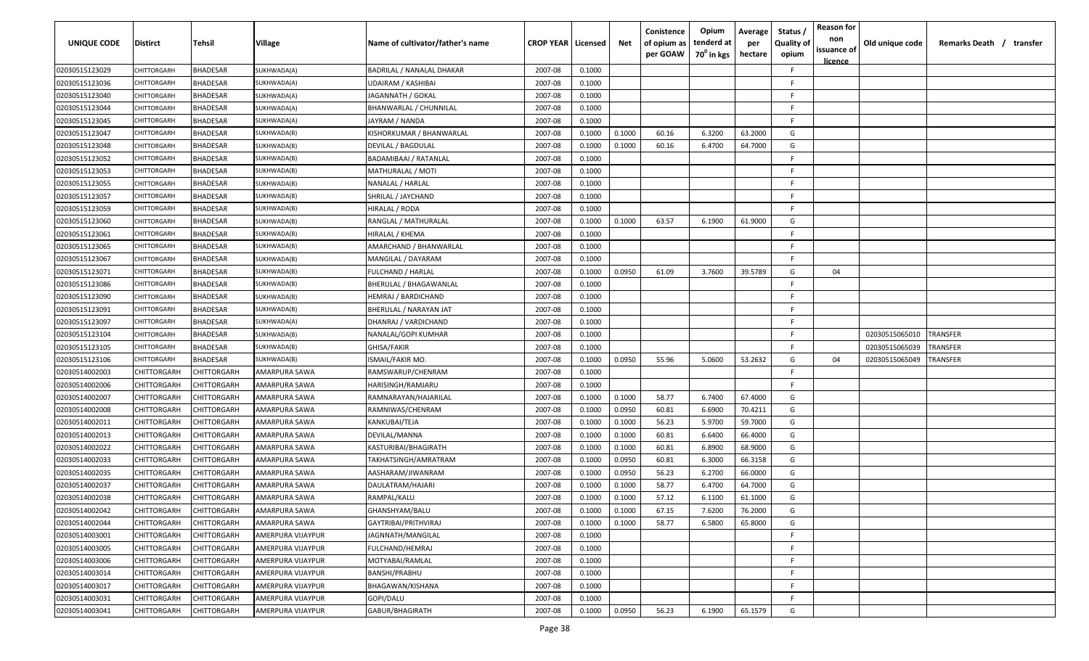| UNIQUE CODE    | <b>Distirct</b> | Tehsil             | Village                  | Name of cultivator/father's name | <b>CROP YEAR   Licensed</b> |        | Net    | Conistence<br>of opium as<br>per GOAW | Opium<br>tenderd at<br>70 <sup>0</sup> in kgs | Average<br>per<br>hectare | Status<br><b>Quality of</b><br>opium | <b>Reason for</b><br>non<br>issuance of<br><u>licence</u> | Old unique code | Remarks Death / transfer |
|----------------|-----------------|--------------------|--------------------------|----------------------------------|-----------------------------|--------|--------|---------------------------------------|-----------------------------------------------|---------------------------|--------------------------------------|-----------------------------------------------------------|-----------------|--------------------------|
| 02030515123029 | CHITTORGARH     | <b>BHADESAR</b>    | SUKHWADA(A)              | BADRILAL / NANALAL DHAKAR        | 2007-08                     | 0.1000 |        |                                       |                                               |                           | F.                                   |                                                           |                 |                          |
| 02030515123036 | CHITTORGARH     | BHADESAR           | SUKHWADA(A)              | UDAIRAM / KASHIBAI               | 2007-08                     | 0.1000 |        |                                       |                                               |                           | -F                                   |                                                           |                 |                          |
| 02030515123040 | CHITTORGARH     | BHADESAR           | SUKHWADA(A)              | JAGANNATH / GOKAL                | 2007-08                     | 0.1000 |        |                                       |                                               |                           | -F                                   |                                                           |                 |                          |
| 02030515123044 | CHITTORGARH     | <b>BHADESAR</b>    | SUKHWADA(A)              | BHANWARLAL / CHUNNILAL           | 2007-08                     | 0.1000 |        |                                       |                                               |                           | F.                                   |                                                           |                 |                          |
| 02030515123045 | CHITTORGARH     | <b>BHADESAR</b>    | SUKHWADA(A)              | JAYRAM / NANDA                   | 2007-08                     | 0.1000 |        |                                       |                                               |                           | -F                                   |                                                           |                 |                          |
| 02030515123047 | CHITTORGARH     | <b>BHADESAR</b>    | SUKHWADA(B)              | KISHORKUMAR / BHANWARLAL         | 2007-08                     | 0.1000 | 0.1000 | 60.16                                 | 6.3200                                        | 63.2000                   | G                                    |                                                           |                 |                          |
| 02030515123048 | CHITTORGARI     | <b>BHADESAR</b>    | SUKHWADA(B)              | DEVILAL / BAGDULAL               | 2007-08                     | 0.1000 | 0.1000 | 60.16                                 | 6.4700                                        | 64.7000                   | G                                    |                                                           |                 |                          |
| 02030515123052 | CHITTORGARH     | <b>BHADESAR</b>    | SUKHWADA(B)              | BADAMIBAAI / RATANLAL            | 2007-08                     | 0.1000 |        |                                       |                                               |                           | E.                                   |                                                           |                 |                          |
| 02030515123053 | CHITTORGARH     | BHADESAR           | SUKHWADA(B)              | MATHURALAL / MOTI                | 2007-08                     | 0.1000 |        |                                       |                                               |                           | F.                                   |                                                           |                 |                          |
| 02030515123055 | CHITTORGARH     | BHADESAR           | SUKHWADA(B)              | NANALAL / HARLAL                 | 2007-08                     | 0.1000 |        |                                       |                                               |                           | F.                                   |                                                           |                 |                          |
| 02030515123057 | CHITTORGARH     | <b>BHADESAR</b>    | SUKHWADA(B)              | SHRILAL / JAYCHAND               | 2007-08                     | 0.1000 |        |                                       |                                               |                           | E                                    |                                                           |                 |                          |
| 02030515123059 | CHITTORGARH     | BHADESAR           | SUKHWADA(B)              | HIRALAL / RODA                   | 2007-08                     | 0.1000 |        |                                       |                                               |                           | F.                                   |                                                           |                 |                          |
| 02030515123060 | CHITTORGARH     | <b>BHADESAR</b>    | SUKHWADA(B)              | RANGLAL / MATHURALAL             | 2007-08                     | 0.1000 | 0.1000 | 63.57                                 | 6.1900                                        | 61.9000                   | G                                    |                                                           |                 |                          |
| 02030515123061 | CHITTORGARH     | <b>BHADESAR</b>    | SUKHWADA(B)              | HIRALAL / KHEMA                  | 2007-08                     | 0.1000 |        |                                       |                                               |                           | F                                    |                                                           |                 |                          |
| 02030515123065 | CHITTORGARH     | <b>BHADESAR</b>    | SUKHWADA(B)              | AMARCHAND / BHANWARLAL           | 2007-08                     | 0.1000 |        |                                       |                                               |                           | -F                                   |                                                           |                 |                          |
| 02030515123067 | CHITTORGARH     | <b>BHADESAR</b>    | SUKHWADA(B)              | MANGILAL / DAYARAM               | 2007-08                     | 0.1000 |        |                                       |                                               |                           | F                                    |                                                           |                 |                          |
| 02030515123071 | CHITTORGARH     | BHADESAR           | SUKHWADA(B)              | FULCHAND / HARLAL                | 2007-08                     | 0.1000 | 0.0950 | 61.09                                 | 3.7600                                        | 39.5789                   | G                                    | 04                                                        |                 |                          |
| 02030515123086 | CHITTORGARH     | <b>BHADESAR</b>    | SUKHWADA(B)              | BHERULAL / BHAGAWANLAL           | 2007-08                     | 0.1000 |        |                                       |                                               |                           | F                                    |                                                           |                 |                          |
| 02030515123090 | CHITTORGARH     | BHADESAR           | SUKHWADA(B)              | HEMRAJ / BARDICHAND              | 2007-08                     | 0.1000 |        |                                       |                                               |                           | F.                                   |                                                           |                 |                          |
| 02030515123091 | CHITTORGARH     | <b>BHADESAR</b>    | SUKHWADA(B)              | BHERULAL / NARAYAN JAT           | 2007-08                     | 0.1000 |        |                                       |                                               |                           | F                                    |                                                           |                 |                          |
| 02030515123097 | CHITTORGARH     | <b>BHADESAR</b>    | SUKHWADA(A)              | DHANRAJ / VARDICHAND             | 2007-08                     | 0.1000 |        |                                       |                                               |                           | E                                    |                                                           |                 |                          |
| 02030515123104 | CHITTORGARI     | <b>BHADESAR</b>    | SUKHWADA(B)              | NANALAL/GOPI KUMHAR              | 2007-08                     | 0.1000 |        |                                       |                                               |                           | F                                    |                                                           | 02030515065010  | TRANSFER                 |
| 02030515123105 | CHITTORGARI     | <b>BHADESAR</b>    | SUKHWADA(B)              | GHISA/FAKIR                      | 2007-08                     | 0.1000 |        |                                       |                                               |                           | F                                    |                                                           | 02030515065039  | <b>RANSFER</b>           |
| 02030515123106 | CHITTORGARH     | <b>BHADESAR</b>    | SUKHWADA(B)              | ISMAIL/FAKIR MO.                 | 2007-08                     | 0.1000 | 0.0950 | 55.96                                 | 5.0600                                        | 53.2632                   | G                                    | 04                                                        | 02030515065049  | <b>RANSFER</b>           |
| 02030514002003 | CHITTORGARH     | CHITTORGARH        | AMARPURA SAWA            | RAMSWARUP/CHENRAM                | 2007-08                     | 0.1000 |        |                                       |                                               |                           | F.                                   |                                                           |                 |                          |
| 02030514002006 | CHITTORGARH     | CHITTORGARH        | AMARPURA SAWA            | HARISINGH/RAMJARU                | 2007-08                     | 0.1000 |        |                                       |                                               |                           | F.                                   |                                                           |                 |                          |
| 02030514002007 | CHITTORGARH     | CHITTORGARH        | AMARPURA SAWA            | RAMNARAYAN/HAJARILAL             | 2007-08                     | 0.1000 | 0.1000 | 58.77                                 | 6.7400                                        | 67.4000                   | G                                    |                                                           |                 |                          |
| 02030514002008 | CHITTORGARH     | CHITTORGARH        | AMARPURA SAWA            | RAMNIWAS/CHENRAM                 | 2007-08                     | 0.1000 | 0.0950 | 60.81                                 | 6.6900                                        | 70.4211                   | G                                    |                                                           |                 |                          |
| 02030514002011 | CHITTORGARH     | CHITTORGARH        | AMARPURA SAWA            | KANKUBAI/TEJA                    | 2007-08                     | 0.1000 | 0.1000 | 56.23                                 | 5.9700                                        | 59.7000                   | G                                    |                                                           |                 |                          |
| 02030514002013 | CHITTORGARH     | CHITTORGARH        | AMARPURA SAWA            | DEVILAL/MANNA                    | 2007-08                     | 0.1000 | 0.1000 | 60.81                                 | 6.6400                                        | 66.4000                   | G                                    |                                                           |                 |                          |
| 02030514002022 | CHITTORGARH     | CHITTORGARH        | AMARPURA SAWA            | KASTURIBAI/BHAGIRATH             | 2007-08                     | 0.1000 | 0.1000 | 60.81                                 | 6.8900                                        | 68.9000                   | G                                    |                                                           |                 |                          |
| 02030514002033 | CHITTORGARH     | <b>CHITTORGARH</b> | AMARPURA SAWA            | TAKHATSINGH/AMRATRAM             | 2007-08                     | 0.1000 | 0.0950 | 60.81                                 | 6.3000                                        | 66.3158                   | G                                    |                                                           |                 |                          |
| 02030514002035 | CHITTORGARH     | CHITTORGARH        | AMARPURA SAWA            | AASHARAM/JIWANRAM                | 2007-08                     | 0.1000 | 0.0950 | 56.23                                 | 6.2700                                        | 66.0000                   | G                                    |                                                           |                 |                          |
| 02030514002037 | CHITTORGARH     | CHITTORGARH        | AMARPURA SAWA            | DAULATRAM/HAJARI                 | 2007-08                     | 0.1000 | 0.1000 | 58.77                                 | 6.4700                                        | 64.7000                   | G                                    |                                                           |                 |                          |
| 02030514002038 | CHITTORGARH     | CHITTORGARH        | AMARPURA SAWA            | RAMPAL/KALU                      | 2007-08                     | 0.1000 | 0.1000 | 57.12                                 | 6.1100                                        | 61.1000                   | G                                    |                                                           |                 |                          |
| 02030514002042 | CHITTORGARH     | <b>CHITTORGARH</b> | <b>AMARPURA SAWA</b>     | GHANSHYAM/BALU                   | 2007-08                     | 0.1000 | 0.1000 | 67.15                                 | 7.6200                                        | 76.2000                   | G                                    |                                                           |                 |                          |
| 02030514002044 | CHITTORGARH     | CHITTORGARH        | AMARPURA SAWA            | GAYTRIBAI/PRITHVIRAJ             | 2007-08                     | 0.1000 | 0.1000 | 58.77                                 | 6.5800                                        | 65.8000                   | G                                    |                                                           |                 |                          |
| 02030514003001 | CHITTORGARH     | CHITTORGARH        | AMERPURA VIJAYPUR        | JAGNNATH/MANGILAL                | 2007-08                     | 0.1000 |        |                                       |                                               |                           | -F                                   |                                                           |                 |                          |
| 02030514003005 | CHITTORGARH     | CHITTORGARH        | AMERPURA VIJAYPUR        | FULCHAND/HEMRAJ                  | 2007-08                     | 0.1000 |        |                                       |                                               |                           | F.                                   |                                                           |                 |                          |
| 02030514003006 | CHITTORGARH     | CHITTORGARH        | AMERPURA VIJAYPUR        | MOTYABAI/RAMLAL                  | 2007-08                     | 0.1000 |        |                                       |                                               |                           | -F                                   |                                                           |                 |                          |
| 02030514003014 | CHITTORGARH     | CHITTORGARH        | <b>AMERPURA VIJAYPUR</b> | BANSHI/PRABHU                    | 2007-08                     | 0.1000 |        |                                       |                                               |                           | F.                                   |                                                           |                 |                          |
| 02030514003017 | CHITTORGARH     | CHITTORGARH        | AMERPURA VIJAYPUR        | BHAGAWAN/KISHANA                 | 2007-08                     | 0.1000 |        |                                       |                                               |                           | -F.                                  |                                                           |                 |                          |
| 02030514003031 | CHITTORGARH     | CHITTORGARH        | AMERPURA VIJAYPUR        | GOPI/DALU                        | 2007-08                     | 0.1000 |        |                                       |                                               |                           | -F.                                  |                                                           |                 |                          |
| 02030514003041 | CHITTORGARH     | CHITTORGARH        | AMERPURA VIJAYPUR        | GABUR/BHAGIRATH                  | 2007-08                     | 0.1000 | 0.0950 | 56.23                                 | 6.1900                                        | 65.1579                   | G                                    |                                                           |                 |                          |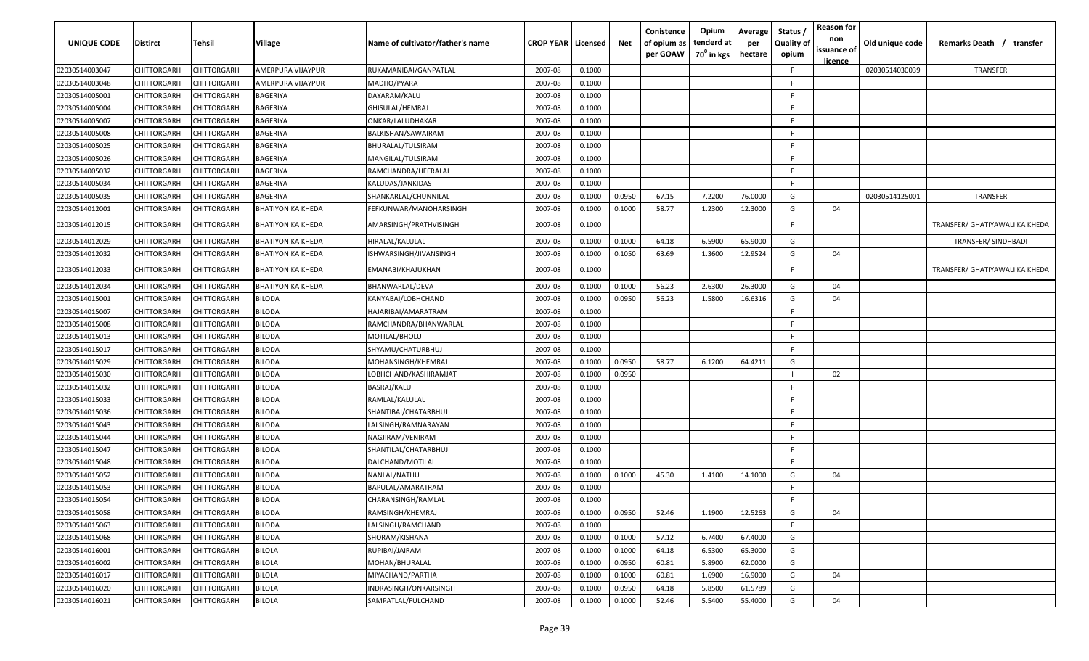| UNIQUE CODE    | <b>Distirct</b> | Tehsil             | Village                  | Name of cultivator/father's name | <b>CROP YEAR   Licensed</b> |        | Net    | Conistence<br>of opium as<br>per GOAW | Opium<br>tenderd at<br>70 <sup>0</sup> in kgs | Average<br>per<br>hectare | Status /<br><b>Quality of</b><br>opium | <b>Reason for</b><br>non<br>issuance of<br>licence | Old unique code | Remarks Death / transfer       |
|----------------|-----------------|--------------------|--------------------------|----------------------------------|-----------------------------|--------|--------|---------------------------------------|-----------------------------------------------|---------------------------|----------------------------------------|----------------------------------------------------|-----------------|--------------------------------|
| 02030514003047 | CHITTORGARH     | CHITTORGARH        | AMERPURA VIJAYPUR        | RUKAMANIBAI/GANPATLAL            | 2007-08                     | 0.1000 |        |                                       |                                               |                           | F.                                     |                                                    | 02030514030039  | TRANSFER                       |
| 02030514003048 | CHITTORGARH     | CHITTORGARH        | AMERPURA VIJAYPUR        | MADHO/PYARA                      | 2007-08                     | 0.1000 |        |                                       |                                               |                           | F.                                     |                                                    |                 |                                |
| 02030514005001 | CHITTORGARH     | CHITTORGARH        | BAGERIYA                 | DAYARAM/KALU                     | 2007-08                     | 0.1000 |        |                                       |                                               |                           | F.                                     |                                                    |                 |                                |
| 02030514005004 | CHITTORGARH     | CHITTORGARH        | BAGERIYA                 | GHISULAL/HEMRAJ                  | 2007-08                     | 0.1000 |        |                                       |                                               |                           | -F                                     |                                                    |                 |                                |
| 02030514005007 | CHITTORGARH     | CHITTORGARH        | BAGERIYA                 | ONKAR/LALUDHAKAR                 | 2007-08                     | 0.1000 |        |                                       |                                               |                           | E                                      |                                                    |                 |                                |
| 02030514005008 | CHITTORGARH     | CHITTORGARH        | BAGERIYA                 | BALKISHAN/SAWAIRAM               | 2007-08                     | 0.1000 |        |                                       |                                               |                           | F.                                     |                                                    |                 |                                |
| 02030514005025 | CHITTORGARH     | CHITTORGARH        | BAGERIYA                 | BHURALAL/TULSIRAM                | 2007-08                     | 0.1000 |        |                                       |                                               |                           | -F.                                    |                                                    |                 |                                |
| 02030514005026 | CHITTORGARH     | CHITTORGARH        | BAGERIYA                 | MANGILAL/TULSIRAM                | 2007-08                     | 0.1000 |        |                                       |                                               |                           | F                                      |                                                    |                 |                                |
| 02030514005032 | CHITTORGARH     | CHITTORGARH        | BAGERIYA                 | RAMCHANDRA/HEERALAL              | 2007-08                     | 0.1000 |        |                                       |                                               |                           | F.                                     |                                                    |                 |                                |
| 02030514005034 | CHITTORGARH     | CHITTORGARH        | BAGERIYA                 | KALUDAS/JANKIDAS                 | 2007-08                     | 0.1000 |        |                                       |                                               |                           | F.                                     |                                                    |                 |                                |
| 02030514005035 | CHITTORGARH     | CHITTORGARH        | BAGERIYA                 | SHANKARLAL/CHUNNILAL             | 2007-08                     | 0.1000 | 0.0950 | 67.15                                 | 7.2200                                        | 76.0000                   | G                                      |                                                    | 02030514125001  | TRANSFER                       |
| 02030514012001 | CHITTORGARH     | CHITTORGARH        | <b>BHATIYON KA KHEDA</b> | FEFKUNWAR/MANOHARSINGH           | 2007-08                     | 0.1000 | 0.1000 | 58.77                                 | 1.2300                                        | 12.3000                   | G                                      | 04                                                 |                 |                                |
| 02030514012015 | CHITTORGARH     | CHITTORGARH        | <b>BHATIYON KA KHEDA</b> | AMARSINGH/PRATHVISINGH           | 2007-08                     | 0.1000 |        |                                       |                                               |                           | F.                                     |                                                    |                 | TRANSFER/ GHATIYAWALI KA KHEDA |
| 02030514012029 | CHITTORGARH     | CHITTORGARH        | <b>BHATIYON KA KHEDA</b> | HIRALAL/KALULAL                  | 2007-08                     | 0.1000 | 0.1000 | 64.18                                 | 6.5900                                        | 65.9000                   | G                                      |                                                    |                 | TRANSFER/ SINDHBADI            |
| 02030514012032 | CHITTORGARH     | CHITTORGARH        | <b>BHATIYON KA KHEDA</b> | ISHWARSINGH/JIVANSINGH           | 2007-08                     | 0.1000 | 0.1050 | 63.69                                 | 1.3600                                        | 12.9524                   | G                                      | 04                                                 |                 |                                |
| 02030514012033 | CHITTORGARH     | CHITTORGARH        | <b>BHATIYON KA KHEDA</b> | EMANABI/KHAJUKHAN                | 2007-08                     | 0.1000 |        |                                       |                                               |                           | F.                                     |                                                    |                 | TRANSFER/ GHATIYAWALI KA KHEDA |
| 02030514012034 | CHITTORGARH     | CHITTORGARH        | <b>BHATIYON KA KHEDA</b> | BHANWARLAL/DEVA                  | 2007-08                     | 0.1000 | 0.1000 | 56.23                                 | 2.6300                                        | 26.3000                   | G                                      | 04                                                 |                 |                                |
| 02030514015001 | CHITTORGARH     | CHITTORGARH        | <b>BILODA</b>            | KANYABAI/LOBHCHAND               | 2007-08                     | 0.1000 | 0.0950 | 56.23                                 | 1.5800                                        | 16.6316                   | G                                      | 04                                                 |                 |                                |
| 02030514015007 | CHITTORGARH     | CHITTORGARH        | <b>BILODA</b>            | HAJARIBAI/AMARATRAM              | 2007-08                     | 0.1000 |        |                                       |                                               |                           | F.                                     |                                                    |                 |                                |
| 02030514015008 | CHITTORGARH     | CHITTORGARH        | <b>BILODA</b>            | RAMCHANDRA/BHANWARLAL            | 2007-08                     | 0.1000 |        |                                       |                                               |                           | F.                                     |                                                    |                 |                                |
| 02030514015013 | CHITTORGARH     | CHITTORGARH        | <b>BILODA</b>            | MOTILAL/BHOLU                    | 2007-08                     | 0.1000 |        |                                       |                                               |                           | E                                      |                                                    |                 |                                |
| 02030514015017 | CHITTORGARH     | CHITTORGARH        | <b>BILODA</b>            | SHYAMU/CHATURBHUJ                | 2007-08                     | 0.1000 |        |                                       |                                               |                           | F.                                     |                                                    |                 |                                |
| 02030514015029 | CHITTORGARH     | CHITTORGARH        | <b>BILODA</b>            | MOHANSINGH/KHEMRAJ               | 2007-08                     | 0.1000 | 0.0950 | 58.77                                 | 6.1200                                        | 64.4211                   | G                                      |                                                    |                 |                                |
| 02030514015030 | CHITTORGARH     | CHITTORGARH        | <b>BILODA</b>            | LOBHCHAND/KASHIRAMJAT            | 2007-08                     | 0.1000 | 0.0950 |                                       |                                               |                           |                                        | 02                                                 |                 |                                |
| 02030514015032 | CHITTORGARH     | CHITTORGARH        | <b>BILODA</b>            | BASRAJ/KALU                      | 2007-08                     | 0.1000 |        |                                       |                                               |                           | -F                                     |                                                    |                 |                                |
| 02030514015033 | CHITTORGARH     | CHITTORGARH        | <b>BILODA</b>            | RAMLAL/KALULAL                   | 2007-08                     | 0.1000 |        |                                       |                                               |                           | E                                      |                                                    |                 |                                |
| 02030514015036 | CHITTORGARH     | CHITTORGARH        | <b>BILODA</b>            | SHANTIBAI/CHATARBHUJ             | 2007-08                     | 0.1000 |        |                                       |                                               |                           | -F.                                    |                                                    |                 |                                |
| 02030514015043 | CHITTORGARH     | CHITTORGARH        | <b>BILODA</b>            | LALSINGH/RAMNARAYAN              | 2007-08                     | 0.1000 |        |                                       |                                               |                           | F.                                     |                                                    |                 |                                |
| 02030514015044 | CHITTORGARH     | <b>CHITTORGARH</b> | <b>BILODA</b>            | NAGJIRAM/VENIRAM                 | 2007-08                     | 0.1000 |        |                                       |                                               |                           | -F.                                    |                                                    |                 |                                |
| 02030514015047 | CHITTORGARH     | CHITTORGARH        | <b>BILODA</b>            | SHANTILAL/CHATARBHUJ             | 2007-08                     | 0.1000 |        |                                       |                                               |                           | F.                                     |                                                    |                 |                                |
| 02030514015048 | CHITTORGARH     | CHITTORGARH        | <b>BILODA</b>            | DALCHAND/MOTILAL                 | 2007-08                     | 0.1000 |        |                                       |                                               |                           | F.                                     |                                                    |                 |                                |
| 02030514015052 | CHITTORGARH     | CHITTORGARH        | <b>BILODA</b>            | NANLAL/NATHU                     | 2007-08                     | 0.1000 | 0.1000 | 45.30                                 | 1.4100                                        | 14.1000                   | G                                      | 04                                                 |                 |                                |
| 02030514015053 | CHITTORGARH     | CHITTORGARH        | BILODA                   | BAPULAL/AMARATRAM                | 2007-08                     | 0.1000 |        |                                       |                                               |                           | F.                                     |                                                    |                 |                                |
| 02030514015054 | CHITTORGARH     | CHITTORGARH        | <b>BILODA</b>            | CHARANSINGH/RAMLAL               | 2007-08                     | 0.1000 |        |                                       |                                               |                           | F.                                     |                                                    |                 |                                |
| 02030514015058 | CHITTORGARH     | CHITTORGARH        | <b>BILODA</b>            | RAMSINGH/KHEMRAJ                 | 2007-08                     | 0.1000 | 0.0950 | 52.46                                 | 1.1900                                        | 12.5263                   | G                                      | 04                                                 |                 |                                |
| 02030514015063 | CHITTORGARH     | CHITTORGARH        | <b>BILODA</b>            | LALSINGH/RAMCHAND                | 2007-08                     | 0.1000 |        |                                       |                                               |                           | E                                      |                                                    |                 |                                |
| 02030514015068 | CHITTORGARH     | CHITTORGARH        | <b>BILODA</b>            | SHORAM/KISHANA                   | 2007-08                     | 0.1000 | 0.1000 | 57.12                                 | 6.7400                                        | 67.4000                   | G                                      |                                                    |                 |                                |
| 02030514016001 | CHITTORGARH     | CHITTORGARH        | <b>BILOLA</b>            | RUPIBAI/JAIRAM                   | 2007-08                     | 0.1000 | 0.1000 | 64.18                                 | 6.5300                                        | 65.3000                   | G                                      |                                                    |                 |                                |
| 02030514016002 | CHITTORGARH     | CHITTORGARH        | <b>BILOLA</b>            | MOHAN/BHURALAL                   | 2007-08                     | 0.1000 | 0.0950 | 60.81                                 | 5.8900                                        | 62.0000                   | G                                      |                                                    |                 |                                |
| 02030514016017 | CHITTORGARH     | CHITTORGARH        | <b>BILOLA</b>            | MIYACHAND/PARTHA                 | 2007-08                     | 0.1000 | 0.1000 | 60.81                                 | 1.6900                                        | 16.9000                   | G                                      | 04                                                 |                 |                                |
| 02030514016020 | CHITTORGARH     | CHITTORGARH        | <b>BILOLA</b>            | INDRASINGH/ONKARSINGH            | 2007-08                     | 0.1000 | 0.0950 | 64.18                                 | 5.8500                                        | 61.5789                   | G                                      |                                                    |                 |                                |
| 02030514016021 | CHITTORGARH     | CHITTORGARH        | <b>BILOLA</b>            | SAMPATLAL/FULCHAND               | 2007-08                     | 0.1000 | 0.1000 | 52.46                                 | 5.5400                                        | 55.4000                   | G                                      | 04                                                 |                 |                                |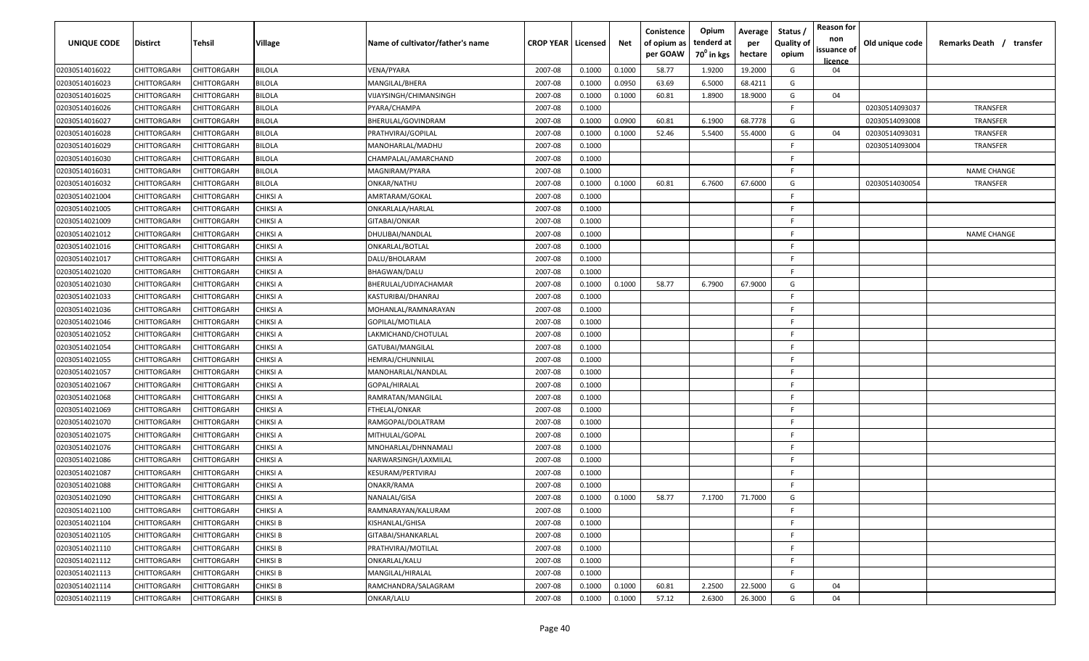| UNIQUE CODE    | <b>Distirct</b> | Tehsil             | Village         | Name of cultivator/father's name | <b>CROP YEAR   Licensed</b> |        | Net    | Conistence<br>of opium as<br>per GOAW | Opium<br>tenderd at<br>70 <sup>°</sup> in kgs | Average<br>per<br>hectare | Status<br><b>Quality of</b><br>opium | <b>Reason for</b><br>non<br>issuance of<br>licence | Old unique code | Remarks Death / transfer |
|----------------|-----------------|--------------------|-----------------|----------------------------------|-----------------------------|--------|--------|---------------------------------------|-----------------------------------------------|---------------------------|--------------------------------------|----------------------------------------------------|-----------------|--------------------------|
| 02030514016022 | CHITTORGARH     | CHITTORGARH        | <b>BILOLA</b>   | VENA/PYARA                       | 2007-08                     | 0.1000 | 0.1000 | 58.77                                 | 1.9200                                        | 19.2000                   | G                                    | 04                                                 |                 |                          |
| 02030514016023 | CHITTORGARH     | CHITTORGARH        | <b>BILOLA</b>   | MANGILAL/BHERA                   | 2007-08                     | 0.1000 | 0.0950 | 63.69                                 | 6.5000                                        | 68.4211                   | G                                    |                                                    |                 |                          |
| 02030514016025 | CHITTORGARH     | CHITTORGARH        | <b>BILOLA</b>   | VIJAYSINGH/CHIMANSINGH           | 2007-08                     | 0.1000 | 0.1000 | 60.81                                 | 1.8900                                        | 18.9000                   | G                                    | 04                                                 |                 |                          |
| 02030514016026 | CHITTORGARH     | CHITTORGARH        | <b>BILOLA</b>   | PYARA/CHAMPA                     | 2007-08                     | 0.1000 |        |                                       |                                               |                           | F.                                   |                                                    | 02030514093037  | TRANSFER                 |
| 02030514016027 | CHITTORGARH     | CHITTORGARH        | <b>BILOLA</b>   | BHERULAL/GOVINDRAM               | 2007-08                     | 0.1000 | 0.0900 | 60.81                                 | 6.1900                                        | 68.7778                   | G                                    |                                                    | 02030514093008  | TRANSFER                 |
| 02030514016028 | CHITTORGARH     | CHITTORGARH        | <b>BILOLA</b>   | PRATHVIRAJ/GOPILAL               | 2007-08                     | 0.1000 | 0.1000 | 52.46                                 | 5.5400                                        | 55.4000                   | G                                    | 04                                                 | 02030514093031  | <b>TRANSFER</b>          |
| 02030514016029 | CHITTORGARH     | <b>CHITTORGARH</b> | <b>BILOLA</b>   | MANOHARLAL/MADHU                 | 2007-08                     | 0.1000 |        |                                       |                                               |                           | F.                                   |                                                    | 02030514093004  | <b>TRANSFER</b>          |
| 02030514016030 | CHITTORGARH     | <b>CHITTORGARH</b> | <b>BILOLA</b>   | CHAMPALAL/AMARCHAND              | 2007-08                     | 0.1000 |        |                                       |                                               |                           | E.                                   |                                                    |                 |                          |
| 02030514016031 | CHITTORGARH     | CHITTORGARH        | <b>BILOLA</b>   | MAGNIRAM/PYARA                   | 2007-08                     | 0.1000 |        |                                       |                                               |                           | F.                                   |                                                    |                 | <b>NAME CHANGE</b>       |
| 02030514016032 | CHITTORGARH     | CHITTORGARH        | <b>BILOLA</b>   | ONKAR/NATHU                      | 2007-08                     | 0.1000 | 0.1000 | 60.81                                 | 6.7600                                        | 67.6000                   | G                                    |                                                    | 02030514030054  | TRANSFER                 |
| 02030514021004 | CHITTORGARH     | CHITTORGARH        | CHIKSI A        | AMRTARAM/GOKAL                   | 2007-08                     | 0.1000 |        |                                       |                                               |                           | F.                                   |                                                    |                 |                          |
| 02030514021005 | CHITTORGARH     | CHITTORGARH        | <b>CHIKSI A</b> | ONKARLALA/HARLAL                 | 2007-08                     | 0.1000 |        |                                       |                                               |                           | F.                                   |                                                    |                 |                          |
| 02030514021009 | CHITTORGARH     | CHITTORGARH        | <b>CHIKSI A</b> | GITABAI/ONKAR                    | 2007-08                     | 0.1000 |        |                                       |                                               |                           | F.                                   |                                                    |                 |                          |
| 02030514021012 | CHITTORGARH     | CHITTORGARH        | <b>CHIKSI A</b> | DHULIBAI/NANDLAL                 | 2007-08                     | 0.1000 |        |                                       |                                               |                           | F                                    |                                                    |                 | <b>NAME CHANGE</b>       |
| 02030514021016 | CHITTORGARH     | CHITTORGARH        | <b>CHIKSI A</b> | ONKARLAL/BOTLAL                  | 2007-08                     | 0.1000 |        |                                       |                                               |                           | -F                                   |                                                    |                 |                          |
| 02030514021017 | CHITTORGARH     | CHITTORGARH        | <b>CHIKSI A</b> | DALU/BHOLARAM                    | 2007-08                     | 0.1000 |        |                                       |                                               |                           | F                                    |                                                    |                 |                          |
| 02030514021020 | CHITTORGARH     | CHITTORGARH        | <b>CHIKSI A</b> | BHAGWAN/DALU                     | 2007-08                     | 0.1000 |        |                                       |                                               |                           | E.                                   |                                                    |                 |                          |
| 02030514021030 | CHITTORGARH     | CHITTORGARH        | <b>CHIKSI A</b> | BHERULAL/UDIYACHAMAR             | 2007-08                     | 0.1000 | 0.1000 | 58.77                                 | 6.7900                                        | 67.9000                   | G                                    |                                                    |                 |                          |
| 02030514021033 | CHITTORGARH     | CHITTORGARH        | <b>CHIKSI A</b> | KASTURIBAI/DHANRAJ               | 2007-08                     | 0.1000 |        |                                       |                                               |                           | -F                                   |                                                    |                 |                          |
| 02030514021036 | CHITTORGARH     | CHITTORGARH        | <b>CHIKSI A</b> | MOHANLAL/RAMNARAYAN              | 2007-08                     | 0.1000 |        |                                       |                                               |                           | F                                    |                                                    |                 |                          |
| 02030514021046 | CHITTORGARH     | CHITTORGARH        | <b>CHIKSI A</b> | GOPILAL/MOTILALA                 | 2007-08                     | 0.1000 |        |                                       |                                               |                           | -F                                   |                                                    |                 |                          |
| 02030514021052 | CHITTORGARH     | CHITTORGARH        | <b>CHIKSI A</b> | LAKMICHAND/CHOTULAL              | 2007-08                     | 0.1000 |        |                                       |                                               |                           | E                                    |                                                    |                 |                          |
| 02030514021054 | CHITTORGARH     | CHITTORGARH        | CHIKSI A        | GATUBAI/MANGILAI                 | 2007-08                     | 0.1000 |        |                                       |                                               |                           | F                                    |                                                    |                 |                          |
| 02030514021055 | CHITTORGARH     | CHITTORGARH        | <b>CHIKSI A</b> | HEMRAJ/CHUNNILAL                 | 2007-08                     | 0.1000 |        |                                       |                                               |                           | F                                    |                                                    |                 |                          |
| 02030514021057 | CHITTORGARH     | CHITTORGARH        | <b>CHIKSI A</b> | MANOHARLAL/NANDLAL               | 2007-08                     | 0.1000 |        |                                       |                                               |                           | E.                                   |                                                    |                 |                          |
| 02030514021067 | CHITTORGARH     | CHITTORGARH        | <b>CHIKSI A</b> | GOPAL/HIRALAL                    | 2007-08                     | 0.1000 |        |                                       |                                               |                           | F.                                   |                                                    |                 |                          |
| 02030514021068 | CHITTORGARH     | CHITTORGARH        | CHIKSI A        | RAMRATAN/MANGILAL                | 2007-08                     | 0.1000 |        |                                       |                                               |                           | F.                                   |                                                    |                 |                          |
| 02030514021069 | CHITTORGARH     | CHITTORGARH        | CHIKSI A        | FTHELAL/ONKAR                    | 2007-08                     | 0.1000 |        |                                       |                                               |                           | -F                                   |                                                    |                 |                          |
| 02030514021070 | CHITTORGARH     | CHITTORGARH        | <b>CHIKSI A</b> | RAMGOPAL/DOLATRAM                | 2007-08                     | 0.1000 |        |                                       |                                               |                           | -F                                   |                                                    |                 |                          |
| 02030514021075 | CHITTORGARH     | CHITTORGARH        | <b>CHIKSI A</b> | MITHULAL/GOPAL                   | 2007-08                     | 0.1000 |        |                                       |                                               |                           | - F                                  |                                                    |                 |                          |
| 02030514021076 | CHITTORGARH     | CHITTORGARH        | <b>CHIKSI A</b> | MNOHARLAL/DHNNAMALI              | 2007-08                     | 0.1000 |        |                                       |                                               |                           | E                                    |                                                    |                 |                          |
| 02030514021086 | CHITTORGARH     | <b>CHITTORGARH</b> | <b>CHIKSI A</b> | VARWARSINGH/LAXMILAL             | 2007-08                     | 0.1000 |        |                                       |                                               |                           | -F                                   |                                                    |                 |                          |
| 02030514021087 | CHITTORGARH     | CHITTORGARH        | <b>CHIKSI A</b> | KESURAM/PERTVIRAJ                | 2007-08                     | 0.1000 |        |                                       |                                               |                           | -F                                   |                                                    |                 |                          |
| 02030514021088 | CHITTORGARH     | CHITTORGARH        | <b>CHIKSI A</b> | ONAKR/RAMA                       | 2007-08                     | 0.1000 |        |                                       |                                               |                           | -F                                   |                                                    |                 |                          |
| 02030514021090 | CHITTORGARH     | CHITTORGARH        | <b>CHIKSI A</b> | NANALAL/GISA                     | 2007-08                     | 0.1000 | 0.1000 | 58.77                                 | 7.1700                                        | 71.7000                   | G                                    |                                                    |                 |                          |
| 02030514021100 | CHITTORGARH     | CHITTORGARH        | <b>CHIKSI A</b> | RAMNARAYAN/KALURAM               | 2007-08                     | 0.1000 |        |                                       |                                               |                           | -F                                   |                                                    |                 |                          |
| 02030514021104 | CHITTORGARH     | CHITTORGARH        | <b>CHIKSI B</b> | KISHANLAL/GHISA                  | 2007-08                     | 0.1000 |        |                                       |                                               |                           | F.                                   |                                                    |                 |                          |
| 02030514021105 | CHITTORGARH     | CHITTORGARH        | <b>CHIKSI B</b> | GITABAI/SHANKARLAL               | 2007-08                     | 0.1000 |        |                                       |                                               |                           | -F                                   |                                                    |                 |                          |
| 02030514021110 | CHITTORGARH     | CHITTORGARH        | <b>CHIKSI B</b> | PRATHVIRAJ/MOTILAL               | 2007-08                     | 0.1000 |        |                                       |                                               |                           | F.                                   |                                                    |                 |                          |
| 02030514021112 | CHITTORGARH     | CHITTORGARH        | <b>CHIKSI B</b> | ONKARLAL/KALU                    | 2007-08                     | 0.1000 |        |                                       |                                               |                           | -F                                   |                                                    |                 |                          |
| 02030514021113 | CHITTORGARH     | CHITTORGARH        | <b>CHIKSI B</b> | MANGILAL/HIRALAL                 | 2007-08                     | 0.1000 |        |                                       |                                               |                           | F.                                   |                                                    |                 |                          |
| 02030514021114 | CHITTORGARH     | CHITTORGARH        | <b>CHIKSI B</b> | RAMCHANDRA/SALAGRAM              | 2007-08                     | 0.1000 | 0.1000 | 60.81                                 | 2.2500                                        | 22.5000                   | G                                    | 04                                                 |                 |                          |
| 02030514021119 | CHITTORGARH     | CHITTORGARH        | <b>CHIKSI B</b> | ONKAR/LALU                       | 2007-08                     | 0.1000 | 0.1000 | 57.12                                 | 2.6300                                        | 26.3000                   | G                                    | 04                                                 |                 |                          |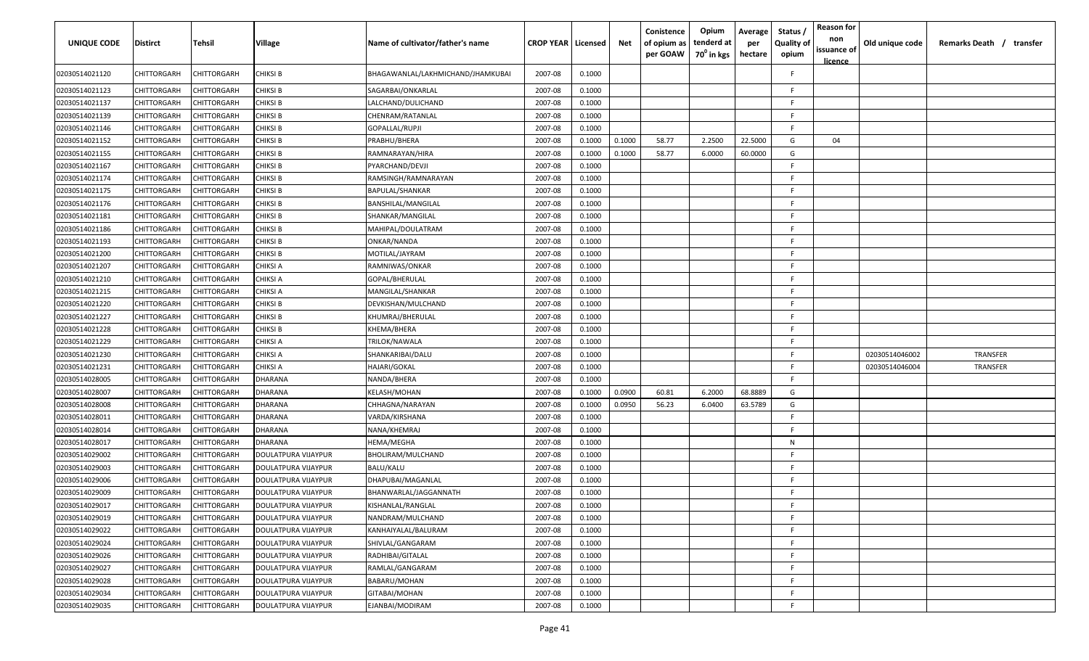| UNIQUE CODE    | <b>Distirct</b>    | <b>Tehsil</b> | Village             | Name of cultivator/father's name  | <b>CROP YEAR Licensed</b> |        | Net    | Conistence<br>of opium as<br>per GOAW | Opium<br>tenderd at<br>70 <sup>0</sup> in kgs | Average<br>per<br>hectare | Status /<br><b>Quality of</b><br>opium | <b>Reason for</b><br>non<br>issuance of<br><u>licence</u> | Old unique code | Remarks Death / transfer |
|----------------|--------------------|---------------|---------------------|-----------------------------------|---------------------------|--------|--------|---------------------------------------|-----------------------------------------------|---------------------------|----------------------------------------|-----------------------------------------------------------|-----------------|--------------------------|
| 02030514021120 | CHITTORGARH        | CHITTORGARH   | CHIKSI B            | BHAGAWANLAL/LAKHMICHAND/JHAMKUBAI | 2007-08                   | 0.1000 |        |                                       |                                               |                           | E                                      |                                                           |                 |                          |
| 02030514021123 | <b>CHITTORGARH</b> | CHITTORGARH   | <b>CHIKSI B</b>     | SAGARBAI/ONKARLAL                 | 2007-08                   | 0.1000 |        |                                       |                                               |                           | -F.                                    |                                                           |                 |                          |
| 02030514021137 | CHITTORGARH        | CHITTORGARH   | <b>CHIKSI B</b>     | LALCHAND/DULICHAND                | 2007-08                   | 0.1000 |        |                                       |                                               |                           | -F.                                    |                                                           |                 |                          |
| 02030514021139 | CHITTORGARH        | CHITTORGARH   | <b>CHIKSI B</b>     | CHENRAM/RATANLAL                  | 2007-08                   | 0.1000 |        |                                       |                                               |                           | -F.                                    |                                                           |                 |                          |
| 02030514021146 | CHITTORGARH        | CHITTORGARH   | <b>CHIKSI B</b>     | GOPALLAL/RUPJI                    | 2007-08                   | 0.1000 |        |                                       |                                               |                           | -F.                                    |                                                           |                 |                          |
| 02030514021152 | CHITTORGARH        | CHITTORGARH   | <b>CHIKSI B</b>     | PRABHU/BHERA                      | 2007-08                   | 0.1000 | 0.1000 | 58.77                                 | 2.2500                                        | 22.5000                   | G                                      | 04                                                        |                 |                          |
| 02030514021155 | CHITTORGARH        | CHITTORGARH   | CHIKSI B            | RAMNARAYAN/HIRA                   | 2007-08                   | 0.1000 | 0.1000 | 58.77                                 | 6.0000                                        | 60.0000                   | G                                      |                                                           |                 |                          |
| 02030514021167 | CHITTORGARH        | CHITTORGARH   | CHIKSI B            | PYARCHAND/DEVJI                   | 2007-08                   | 0.1000 |        |                                       |                                               |                           | -F                                     |                                                           |                 |                          |
| 02030514021174 | CHITTORGARH        | CHITTORGARH   | CHIKSI B            | RAMSINGH/RAMNARAYAN               | 2007-08                   | 0.1000 |        |                                       |                                               |                           | -F.                                    |                                                           |                 |                          |
| 02030514021175 | CHITTORGARH        | CHITTORGARH   | CHIKSI B            | BAPULAL/SHANKAR                   | 2007-08                   | 0.1000 |        |                                       |                                               |                           | -F.                                    |                                                           |                 |                          |
| 02030514021176 | CHITTORGARH        | CHITTORGARH   | CHIKSI B            | BANSHILAL/MANGILAL                | 2007-08                   | 0.1000 |        |                                       |                                               |                           | -F.                                    |                                                           |                 |                          |
| 02030514021181 | CHITTORGARH        | CHITTORGARH   | CHIKSI B            | SHANKAR/MANGILAL                  | 2007-08                   | 0.1000 |        |                                       |                                               |                           | -F.                                    |                                                           |                 |                          |
| 02030514021186 | CHITTORGARH        | CHITTORGARH   | CHIKSI B            | MAHIPAL/DOULATRAM                 | 2007-08                   | 0.1000 |        |                                       |                                               |                           | -F.                                    |                                                           |                 |                          |
| 02030514021193 | CHITTORGARH        | CHITTORGARH   | CHIKSI B            | ONKAR/NANDA                       | 2007-08                   | 0.1000 |        |                                       |                                               |                           | -F.                                    |                                                           |                 |                          |
| 02030514021200 | CHITTORGARH        | CHITTORGARH   | CHIKSI B            | MOTILAL/JAYRAM                    | 2007-08                   | 0.1000 |        |                                       |                                               |                           | -F.                                    |                                                           |                 |                          |
| 02030514021207 | CHITTORGARH        | CHITTORGARH   | CHIKSI A            | RAMNIWAS/ONKAR                    | 2007-08                   | 0.1000 |        |                                       |                                               |                           | -F.                                    |                                                           |                 |                          |
| 02030514021210 | CHITTORGARH        | CHITTORGARH   | CHIKSI A            | GOPAL/BHERULAL                    | 2007-08                   | 0.1000 |        |                                       |                                               |                           | -F.                                    |                                                           |                 |                          |
| 02030514021215 | CHITTORGARH        | CHITTORGARH   | CHIKSI A            | MANGILAL/SHANKAR                  | 2007-08                   | 0.1000 |        |                                       |                                               |                           | -F.                                    |                                                           |                 |                          |
| 02030514021220 | CHITTORGARH        | CHITTORGARH   | <b>CHIKSI B</b>     | DEVKISHAN/MULCHAND                | 2007-08                   | 0.1000 |        |                                       |                                               |                           | F.                                     |                                                           |                 |                          |
| 02030514021227 | CHITTORGARH        | CHITTORGARH   | <b>CHIKSI B</b>     | KHUMRAJ/BHERULAL                  | 2007-08                   | 0.1000 |        |                                       |                                               |                           | F.                                     |                                                           |                 |                          |
| 02030514021228 | CHITTORGARH        | CHITTORGARH   | <b>CHIKSI B</b>     | KHEMA/BHERA                       | 2007-08                   | 0.1000 |        |                                       |                                               |                           | -F.                                    |                                                           |                 |                          |
| 02030514021229 | CHITTORGARH        | CHITTORGARH   | CHIKSI A            | TRILOK/NAWALA                     | 2007-08                   | 0.1000 |        |                                       |                                               |                           | -F.                                    |                                                           |                 |                          |
| 02030514021230 | CHITTORGARH        | CHITTORGARH   | CHIKSI A            | SHANKARIBAI/DALU                  | 2007-08                   | 0.1000 |        |                                       |                                               |                           | -F.                                    |                                                           | 02030514046002  | TRANSFER                 |
| 02030514021231 | CHITTORGARH        | CHITTORGARH   | CHIKSI A            | HAJARI/GOKAL                      | 2007-08                   | 0.1000 |        |                                       |                                               |                           | -F.                                    |                                                           | 02030514046004  | TRANSFER                 |
| 02030514028005 | CHITTORGARH        | CHITTORGARH   | DHARANA             | NANDA/BHERA                       | 2007-08                   | 0.1000 |        |                                       |                                               |                           | -F.                                    |                                                           |                 |                          |
| 02030514028007 | CHITTORGARH        | CHITTORGARH   | DHARANA             | KELASH/MOHAN                      | 2007-08                   | 0.1000 | 0.0900 | 60.81                                 | 6.2000                                        | 68.8889                   | G                                      |                                                           |                 |                          |
| 02030514028008 | CHITTORGARH        | CHITTORGARH   | DHARANA             | CHHAGNA/NARAYAN                   | 2007-08                   | 0.1000 | 0.0950 | 56.23                                 | 6.0400                                        | 63.5789                   | G                                      |                                                           |                 |                          |
| 02030514028011 | CHITTORGARH        | CHITTORGARH   | DHARANA             | VARDA/KIRSHANA                    | 2007-08                   | 0.1000 |        |                                       |                                               |                           | F                                      |                                                           |                 |                          |
| 02030514028014 | CHITTORGARH        | CHITTORGARH   | DHARANA             | NANA/KHEMRAJ                      | 2007-08                   | 0.1000 |        |                                       |                                               |                           | -F.                                    |                                                           |                 |                          |
| 02030514028017 | CHITTORGARH        | CHITTORGARH   | DHARANA             | HEMA/MEGHA                        | 2007-08                   | 0.1000 |        |                                       |                                               |                           | N                                      |                                                           |                 |                          |
| 02030514029002 | CHITTORGARH        | CHITTORGARH   | DOULATPURA VIJAYPUR | BHOLIRAM/MULCHAND                 | 2007-08                   | 0.1000 |        |                                       |                                               |                           | F.                                     |                                                           |                 |                          |
| 02030514029003 | CHITTORGARH        | CHITTORGARH   | DOULATPURA VIJAYPUR | BALU/KALU                         | 2007-08                   | 0.1000 |        |                                       |                                               |                           | F.                                     |                                                           |                 |                          |
| 02030514029006 | CHITTORGARH        | CHITTORGARH   | DOULATPURA VIJAYPUR | DHAPUBAI/MAGANLAL                 | 2007-08                   | 0.1000 |        |                                       |                                               |                           | E                                      |                                                           |                 |                          |
| 02030514029009 | CHITTORGARH        | CHITTORGARH   | DOULATPURA VIJAYPUR | BHANWARLAL/JAGGANNATH             | 2007-08                   | 0.1000 |        |                                       |                                               |                           | E                                      |                                                           |                 |                          |
| 02030514029017 | <b>CHITTORGARH</b> | CHITTORGARH   | DOULATPURA VIJAYPUR | KISHANLAL/RANGLAL                 | 2007-08                   | 0.1000 |        |                                       |                                               |                           |                                        |                                                           |                 |                          |
| 02030514029019 | <b>CHITTORGARH</b> | CHITTORGARH   | DOULATPURA VIJAYPUR | NANDRAM/MULCHAND                  | 2007-08                   | 0.1000 |        |                                       |                                               |                           | F                                      |                                                           |                 |                          |
| 02030514029022 | <b>CHITTORGARH</b> | CHITTORGARH   | DOULATPURA VIJAYPUR | KANHAIYALAL/BALURAM               | 2007-08                   | 0.1000 |        |                                       |                                               |                           | F.                                     |                                                           |                 |                          |
| 02030514029024 | <b>CHITTORGARH</b> | CHITTORGARH   | DOULATPURA VIJAYPUR | SHIVLAL/GANGARAM                  | 2007-08                   | 0.1000 |        |                                       |                                               |                           | F                                      |                                                           |                 |                          |
| 02030514029026 | CHITTORGARH        | CHITTORGARH   | DOULATPURA VIJAYPUR | RADHIBAI/GITALAL                  | 2007-08                   | 0.1000 |        |                                       |                                               |                           | F                                      |                                                           |                 |                          |
| 02030514029027 | CHITTORGARH        | CHITTORGARH   | DOULATPURA VIJAYPUR | RAMLAL/GANGARAM                   | 2007-08                   | 0.1000 |        |                                       |                                               |                           | F.                                     |                                                           |                 |                          |
| 02030514029028 | CHITTORGARH        | CHITTORGARH   | DOULATPURA VIJAYPUR | BABARU/MOHAN                      | 2007-08                   | 0.1000 |        |                                       |                                               |                           | -F                                     |                                                           |                 |                          |
| 02030514029034 | CHITTORGARH        | CHITTORGARH   | DOULATPURA VIJAYPUR | GITABAI/MOHAN                     | 2007-08                   | 0.1000 |        |                                       |                                               |                           | -F                                     |                                                           |                 |                          |
| 02030514029035 | CHITTORGARH        | CHITTORGARH   | DOULATPURA VIJAYPUR | EJANBAI/MODIRAM                   | 2007-08                   | 0.1000 |        |                                       |                                               |                           | F                                      |                                                           |                 |                          |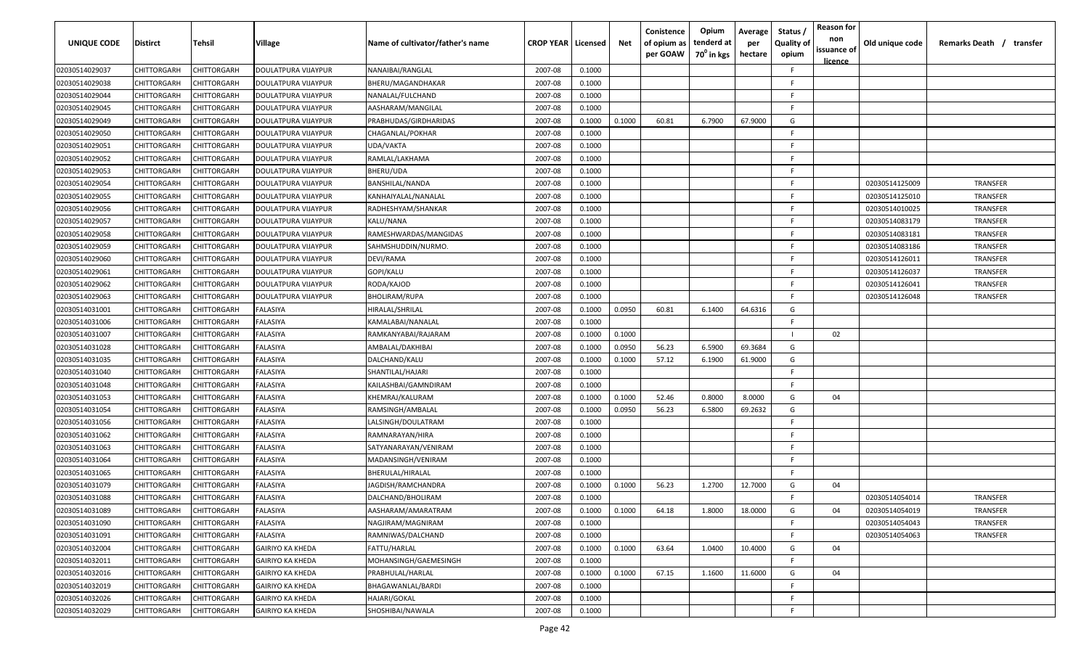| UNIQUE CODE    | <b>Distirct</b>    | Tehsil             | Village                    | Name of cultivator/father's name | <b>CROP YEAR   Licensed</b> |        | Net    | Conistence<br>of opium as<br>per GOAW | Opium<br>tenderd at<br>70 <sup>0</sup> in kgs | Average<br>per<br>hectare | Status /<br><b>Quality of</b><br>opium | <b>Reason for</b><br>non<br>issuance of<br><u>licence</u> | Old unique code | Remarks Death /<br>transfer |
|----------------|--------------------|--------------------|----------------------------|----------------------------------|-----------------------------|--------|--------|---------------------------------------|-----------------------------------------------|---------------------------|----------------------------------------|-----------------------------------------------------------|-----------------|-----------------------------|
| 02030514029037 | CHITTORGARH        | CHITTORGARH        | <b>DOULATPURA VIJAYPUR</b> | NANAIBAI/RANGLAL                 | 2007-08                     | 0.1000 |        |                                       |                                               |                           | F.                                     |                                                           |                 |                             |
| 02030514029038 | CHITTORGARH        | CHITTORGARH        | <b>DOULATPURA VIJAYPUR</b> | BHERU/MAGANDHAKAR                | 2007-08                     | 0.1000 |        |                                       |                                               |                           | F.                                     |                                                           |                 |                             |
| 02030514029044 | CHITTORGARH        | CHITTORGARH        | DOULATPURA VIJAYPUR        | NANALAL/FULCHAND                 | 2007-08                     | 0.1000 |        |                                       |                                               |                           | <b>F</b>                               |                                                           |                 |                             |
| 02030514029045 | CHITTORGARH        | CHITTORGARH        | DOULATPURA VIJAYPUR        | AASHARAM/MANGILAL                | 2007-08                     | 0.1000 |        |                                       |                                               |                           | -F                                     |                                                           |                 |                             |
| 02030514029049 | CHITTORGARH        | CHITTORGARH        | DOULATPURA VIJAYPUR        | PRABHUDAS/GIRDHARIDAS            | 2007-08                     | 0.1000 | 0.1000 | 60.81                                 | 6.7900                                        | 67.9000                   | G                                      |                                                           |                 |                             |
| 02030514029050 | CHITTORGARH        | CHITTORGARH        | DOULATPURA VIJAYPUR        | CHAGANLAL/POKHAR                 | 2007-08                     | 0.1000 |        |                                       |                                               |                           | -F                                     |                                                           |                 |                             |
| 02030514029051 | CHITTORGARH        | CHITTORGARH        | DOULATPURA VIJAYPUR        | UDA/VAKTA                        | 2007-08                     | 0.1000 |        |                                       |                                               |                           | -F                                     |                                                           |                 |                             |
| 02030514029052 | CHITTORGARH        | <b>CHITTORGARH</b> | DOULATPURA VIJAYPUR        | RAMLAL/LAKHAMA                   | 2007-08                     | 0.1000 |        |                                       |                                               |                           | -F                                     |                                                           |                 |                             |
| 02030514029053 | CHITTORGARH        | <b>CHITTORGARH</b> | DOULATPURA VIJAYPUR        | BHERU/UDA                        | 2007-08                     | 0.1000 |        |                                       |                                               |                           | -F                                     |                                                           |                 |                             |
| 02030514029054 | CHITTORGARH        | CHITTORGARH        | DOULATPURA VIJAYPUR        | BANSHILAL/NANDA                  | 2007-08                     | 0.1000 |        |                                       |                                               |                           | -F                                     |                                                           | 02030514125009  | TRANSFER                    |
| 02030514029055 | CHITTORGARH        | CHITTORGARH        | DOULATPURA VIJAYPUR        | KANHAIYALAL/NANALAL              | 2007-08                     | 0.1000 |        |                                       |                                               |                           | F.                                     |                                                           | 02030514125010  | TRANSFER                    |
| 02030514029056 | CHITTORGARH        | CHITTORGARH        | DOULATPURA VIJAYPUR        | RADHESHYAM/SHANKAR               | 2007-08                     | 0.1000 |        |                                       |                                               |                           | -F                                     |                                                           | 02030514010025  | <b>TRANSFER</b>             |
| 02030514029057 | <b>CHITTORGARH</b> | CHITTORGARH        | DOULATPURA VIJAYPUR        | KALU/NANA                        | 2007-08                     | 0.1000 |        |                                       |                                               |                           | -F                                     |                                                           | 02030514083179  | TRANSFER                    |
| 02030514029058 | CHITTORGARH        | CHITTORGARH        | DOULATPURA VIJAYPUR        | RAMESHWARDAS/MANGIDAS            | 2007-08                     | 0.1000 |        |                                       |                                               |                           | -F                                     |                                                           | 02030514083181  | TRANSFER                    |
| 02030514029059 | CHITTORGARH        | CHITTORGARH        | DOULATPURA VIJAYPUR        | SAHMSHUDDIN/NURMO                | 2007-08                     | 0.1000 |        |                                       |                                               |                           | -F                                     |                                                           | 02030514083186  | TRANSFER                    |
| 02030514029060 | CHITTORGARH        | CHITTORGARH        | DOULATPURA VIJAYPUR        | DEVI/RAMA                        | 2007-08                     | 0.1000 |        |                                       |                                               |                           | -F                                     |                                                           | 02030514126011  | <b>TRANSFER</b>             |
| 02030514029061 | CHITTORGARH        | <b>CHITTORGARH</b> | DOULATPURA VIJAYPUR        | GOPI/KALU                        | 2007-08                     | 0.1000 |        |                                       |                                               |                           | <b>F</b>                               |                                                           | 02030514126037  | <b>TRANSFER</b>             |
| 02030514029062 | CHITTORGARH        | CHITTORGARH        | DOULATPURA VIJAYPUR        | RODA/KAJOD                       | 2007-08                     | 0.1000 |        |                                       |                                               |                           | E.                                     |                                                           | 02030514126041  | <b>TRANSFER</b>             |
| 02030514029063 | CHITTORGARH        | CHITTORGARH        | <b>DOULATPURA VIJAYPUR</b> | <b>BHOLIRAM/RUPA</b>             | 2007-08                     | 0.1000 |        |                                       |                                               |                           | F.                                     |                                                           | 02030514126048  | <b>TRANSFER</b>             |
| 02030514031001 | CHITTORGARH        | CHITTORGARH        | FALASIYA                   | HIRALAL/SHRILAL                  | 2007-08                     | 0.1000 | 0.0950 | 60.81                                 | 6.1400                                        | 64.6316                   | G                                      |                                                           |                 |                             |
| 02030514031006 | CHITTORGARH        | CHITTORGARH        | FALASIYA                   | KAMALABAI/NANALAL                | 2007-08                     | 0.1000 |        |                                       |                                               |                           | -F                                     |                                                           |                 |                             |
| 02030514031007 | CHITTORGARH        | CHITTORGARH        | FALASIYA                   | RAMKANYABAI/RAJARAM              | 2007-08                     | 0.1000 | 0.1000 |                                       |                                               |                           | - 1                                    | 02                                                        |                 |                             |
| 02030514031028 | CHITTORGARH        | CHITTORGARH        | FALASIYA                   | AMBALAL/DAKHIBAI                 | 2007-08                     | 0.1000 | 0.0950 | 56.23                                 | 6.5900                                        | 69.3684                   | G                                      |                                                           |                 |                             |
| 02030514031035 | CHITTORGARH        | CHITTORGARH        | FALASIYA                   | DALCHAND/KALU                    | 2007-08                     | 0.1000 | 0.1000 | 57.12                                 | 6.1900                                        | 61.9000                   | G                                      |                                                           |                 |                             |
| 02030514031040 | CHITTORGARH        | <b>CHITTORGARH</b> | FALASIYA                   | SHANTILAL/HAJARI                 | 2007-08                     | 0.1000 |        |                                       |                                               |                           | -F                                     |                                                           |                 |                             |
| 02030514031048 | CHITTORGARH        | <b>CHITTORGARH</b> | FALASIYA                   | KAILASHBAI/GAMNDIRAM             | 2007-08                     | 0.1000 |        |                                       |                                               |                           | <b>F</b>                               |                                                           |                 |                             |
| 02030514031053 | CHITTORGARH        | CHITTORGARH        | FALASIYA                   | KHEMRAJ/KALURAM                  | 2007-08                     | 0.1000 | 0.1000 | 52.46                                 | 0.8000                                        | 8.0000                    | G                                      | 04                                                        |                 |                             |
| 02030514031054 | CHITTORGARH        | CHITTORGARH        | FALASIYA                   | RAMSINGH/AMBALAL                 | 2007-08                     | 0.1000 | 0.0950 | 56.23                                 | 6.5800                                        | 69.2632                   | G                                      |                                                           |                 |                             |
| 02030514031056 | CHITTORGARH        | CHITTORGARH        | ALASIYA                    | LALSINGH/DOULATRAM               | 2007-08                     | 0.1000 |        |                                       |                                               |                           | -F                                     |                                                           |                 |                             |
| 02030514031062 | CHITTORGARH        | CHITTORGARH        | ALASIYA                    | RAMNARAYAN/HIRA                  | 2007-08                     | 0.1000 |        |                                       |                                               |                           | F.                                     |                                                           |                 |                             |
| 02030514031063 | CHITTORGARH        | CHITTORGARH        | FALASIYA                   | SATYANARAYAN/VENIRAM             | 2007-08                     | 0.1000 |        |                                       |                                               |                           | -F                                     |                                                           |                 |                             |
| 02030514031064 | CHITTORGARH        | CHITTORGARH        | FALASIYA                   | MADANSINGH/VENIRAM               | 2007-08                     | 0.1000 |        |                                       |                                               |                           | -F                                     |                                                           |                 |                             |
| 02030514031065 | CHITTORGARH        | CHITTORGARH        | FALASIYA                   | BHERULAL/HIRALAL                 | 2007-08                     | 0.1000 |        |                                       |                                               |                           | -F                                     |                                                           |                 |                             |
| 02030514031079 | CHITTORGARH        | <b>CHITTORGARH</b> | FALASIYA                   | JAGDISH/RAMCHANDRA               | 2007-08                     | 0.1000 | 0.1000 | 56.23                                 | 1.2700                                        | 12.7000                   | G                                      | 04                                                        |                 |                             |
| 02030514031088 | CHITTORGARH        | CHITTORGARH        | FALASIYA                   | DALCHAND/BHOLIRAM                | 2007-08                     | 0.1000 |        |                                       |                                               |                           | -F                                     |                                                           | 02030514054014  | TRANSFER                    |
| 02030514031089 | <b>CHITTORGARH</b> | <b>CHITTORGARH</b> | FALASIYA                   | AASHARAM/AMARATRAM               | 2007-08                     | 0.1000 | 0.1000 | 64.18                                 | 1.8000                                        | 18.0000                   | G                                      | 04                                                        | 02030514054019  | TRANSFER                    |
| 02030514031090 | CHITTORGARH        | <b>CHITTORGARH</b> | FALASIYA                   | NAGJIRAM/MAGNIRAM                | 2007-08                     | 0.1000 |        |                                       |                                               |                           | F.                                     |                                                           | 02030514054043  | TRANSFER                    |
| 02030514031091 | CHITTORGARH        | CHITTORGARH        | FALASIYA                   | RAMNIWAS/DALCHAND                | 2007-08                     | 0.1000 |        |                                       |                                               |                           | E                                      |                                                           | 02030514054063  | TRANSFER                    |
| 02030514032004 | CHITTORGARH        | CHITTORGARH        | <b>GAIRIYO KA KHEDA</b>    | FATTU/HARLAL                     | 2007-08                     | 0.1000 | 0.1000 | 63.64                                 | 1.0400                                        | 10.4000                   | G                                      | 04                                                        |                 |                             |
| 02030514032011 | CHITTORGARH        | CHITTORGARH        | <b>GAIRIYO KA KHEDA</b>    | MOHANSINGH/GAEMESINGH            | 2007-08                     | 0.1000 |        |                                       |                                               |                           | E                                      |                                                           |                 |                             |
| 02030514032016 | CHITTORGARH        | CHITTORGARH        | <b>GAIRIYO KA KHEDA</b>    | PRABHULAL/HARLAL                 | 2007-08                     | 0.1000 | 0.1000 | 67.15                                 | 1.1600                                        | 11.6000                   | G                                      | 04                                                        |                 |                             |
| 02030514032019 | CHITTORGARH        | CHITTORGARH        | <b>GAIRIYO KA KHEDA</b>    | BHAGAWANLAL/BARDI                | 2007-08                     | 0.1000 |        |                                       |                                               |                           | -F                                     |                                                           |                 |                             |
| 02030514032026 | CHITTORGARH        | CHITTORGARH        | <b>GAIRIYO KA KHEDA</b>    | HAJARI/GOKAL                     | 2007-08                     | 0.1000 |        |                                       |                                               |                           | F.                                     |                                                           |                 |                             |
| 02030514032029 | CHITTORGARH        | CHITTORGARH        | <b>GAIRIYO KA KHEDA</b>    | SHOSHIBAI/NAWALA                 | 2007-08                     | 0.1000 |        |                                       |                                               |                           | F                                      |                                                           |                 |                             |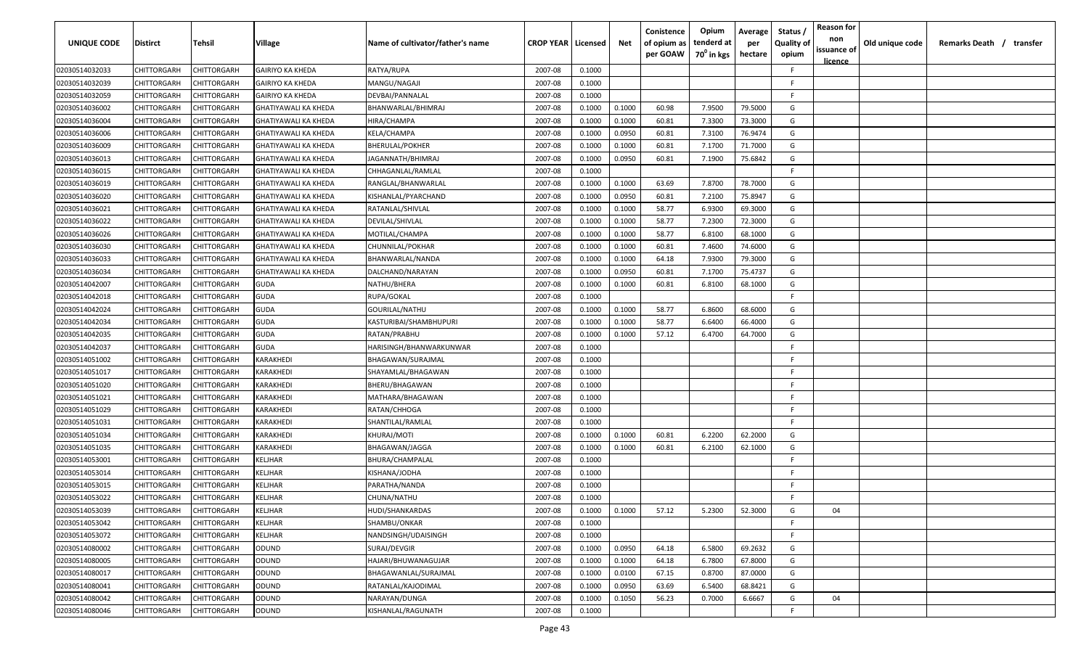| <b>UNIQUE CODE</b> | Distirct           | Tehsil      | Village                     | Name of cultivator/father's name | <b>CROP YEAR   Licensed</b> |        | Net    | Conistence<br>of opium as<br>per GOAW | Opium<br>tenderd at<br>70 <sup>0</sup> in kgs | Average<br>per<br>hectare | Status /<br><b>Quality of</b><br>opium | <b>Reason for</b><br>non<br>issuance of | Old unique code | Remarks Death / transfer |
|--------------------|--------------------|-------------|-----------------------------|----------------------------------|-----------------------------|--------|--------|---------------------------------------|-----------------------------------------------|---------------------------|----------------------------------------|-----------------------------------------|-----------------|--------------------------|
| 02030514032033     | CHITTORGARH        | CHITTORGARH | <b>GAIRIYO KA KHEDA</b>     | RATYA/RUPA                       | 2007-08                     | 0.1000 |        |                                       |                                               |                           | F.                                     | <u>licence</u>                          |                 |                          |
| 02030514032039     | CHITTORGARH        | CHITTORGARH | <b>GAIRIYO KA KHEDA</b>     | MANGU/NAGAJI                     | 2007-08                     | 0.1000 |        |                                       |                                               |                           | -F.                                    |                                         |                 |                          |
| 02030514032059     | CHITTORGARH        | CHITTORGARH | <b>GAIRIYO KA KHEDA</b>     | DEVBAI/PANNALAL                  | 2007-08                     | 0.1000 |        |                                       |                                               |                           | -F.                                    |                                         |                 |                          |
| 02030514036002     | CHITTORGARH        | CHITTORGARH | GHATIYAWALI KA KHEDA        | BHANWARLAL/BHIMRAJ               | 2007-08                     | 0.1000 | 0.1000 | 60.98                                 | 7.9500                                        | 79.5000                   | G                                      |                                         |                 |                          |
| 02030514036004     | CHITTORGARH        | CHITTORGARH | GHATIYAWALI KA KHEDA        | HIRA/CHAMPA                      | 2007-08                     | 0.1000 | 0.1000 | 60.81                                 | 7.3300                                        | 73.3000                   | G                                      |                                         |                 |                          |
| 02030514036006     | CHITTORGARH        | CHITTORGARH | <b>GHATIYAWALI KA KHEDA</b> | KELA/CHAMPA                      | 2007-08                     | 0.1000 | 0.0950 | 60.81                                 | 7.3100                                        | 76.9474                   | G                                      |                                         |                 |                          |
| 02030514036009     | CHITTORGARH        | CHITTORGARH | <b>GHATIYAWALI KA KHEDA</b> | <b>BHERULAL/POKHER</b>           | 2007-08                     | 0.1000 | 0.1000 | 60.81                                 | 7.1700                                        | 71.7000                   | G                                      |                                         |                 |                          |
| 02030514036013     | <b>CHITTORGARH</b> | CHITTORGARH | <b>GHATIYAWALI KA KHEDA</b> | JAGANNATH/BHIMRAJ                | 2007-08                     | 0.1000 | 0.0950 | 60.81                                 | 7.1900                                        | 75.6842                   | G                                      |                                         |                 |                          |
| 02030514036015     | CHITTORGARH        | CHITTORGARH | GHATIYAWALI KA KHEDA        | CHHAGANLAL/RAMLAL                | 2007-08                     | 0.1000 |        |                                       |                                               |                           | -F.                                    |                                         |                 |                          |
| 02030514036019     | CHITTORGARH        | CHITTORGARH | GHATIYAWALI KA KHEDA        | RANGLAL/BHANWARLAL               | 2007-08                     | 0.1000 | 0.1000 | 63.69                                 | 7.8700                                        | 78.7000                   | G                                      |                                         |                 |                          |
| 02030514036020     | CHITTORGARH        | CHITTORGARH | GHATIYAWALI KA KHEDA        | KISHANLAL/PYARCHAND              | 2007-08                     | 0.1000 | 0.0950 | 60.81                                 | 7.2100                                        | 75.8947                   | G                                      |                                         |                 |                          |
| 02030514036021     | CHITTORGARH        | CHITTORGARH | <b>GHATIYAWALI KA KHEDA</b> | RATANLAL/SHIVLAL                 | 2007-08                     | 0.1000 | 0.1000 | 58.77                                 | 6.9300                                        | 69.3000                   | G                                      |                                         |                 |                          |
| 02030514036022     | CHITTORGARH        | CHITTORGARH | GHATIYAWALI KA KHEDA        | DEVILAL/SHIVLAL                  | 2007-08                     | 0.1000 | 0.1000 | 58.77                                 | 7.2300                                        | 72.3000                   | G                                      |                                         |                 |                          |
| 02030514036026     | CHITTORGARH        | CHITTORGARH | <b>GHATIYAWALI KA KHEDA</b> | MOTILAL/CHAMPA                   | 2007-08                     | 0.1000 | 0.1000 | 58.77                                 | 6.8100                                        | 68.1000                   | G                                      |                                         |                 |                          |
| 02030514036030     | CHITTORGARH        | CHITTORGARH | <b>GHATIYAWALI KA KHEDA</b> | CHUNNILAL/POKHAR                 | 2007-08                     | 0.1000 | 0.1000 | 60.81                                 | 7.4600                                        | 74.6000                   | G                                      |                                         |                 |                          |
| 02030514036033     | CHITTORGARH        | CHITTORGARH | <b>GHATIYAWALI KA KHEDA</b> | BHANWARLAL/NANDA                 | 2007-08                     | 0.1000 | 0.1000 | 64.18                                 | 7.9300                                        | 79.3000                   | G                                      |                                         |                 |                          |
| 02030514036034     | CHITTORGARH        | CHITTORGARH | <b>GHATIYAWALI KA KHEDA</b> | DALCHAND/NARAYAN                 | 2007-08                     | 0.1000 | 0.0950 | 60.81                                 | 7.1700                                        | 75.4737                   | G                                      |                                         |                 |                          |
| 02030514042007     | CHITTORGARH        | CHITTORGARH | <b>GUDA</b>                 | NATHU/BHERA                      | 2007-08                     | 0.1000 | 0.1000 | 60.81                                 | 6.8100                                        | 68.1000                   | G                                      |                                         |                 |                          |
| 02030514042018     | CHITTORGARH        | CHITTORGARH | <b>GUDA</b>                 | RUPA/GOKAL                       | 2007-08                     | 0.1000 |        |                                       |                                               |                           | F.                                     |                                         |                 |                          |
| 02030514042024     | CHITTORGARH        | CHITTORGARH | <b>GUDA</b>                 | GOURILAL/NATHU                   | 2007-08                     | 0.1000 | 0.1000 | 58.77                                 | 6.8600                                        | 68.6000                   | G                                      |                                         |                 |                          |
| 02030514042034     | CHITTORGARH        | CHITTORGARH | <b>GUDA</b>                 | KASTURIBAI/SHAMBHUPURI           | 2007-08                     | 0.1000 | 0.1000 | 58.77                                 | 6.6400                                        | 66.4000                   | G                                      |                                         |                 |                          |
| 02030514042035     | CHITTORGARH        | CHITTORGARH | <b>GUDA</b>                 | RATAN/PRABHU                     | 2007-08                     | 0.1000 | 0.1000 | 57.12                                 | 6.4700                                        | 64.7000                   | G                                      |                                         |                 |                          |
| 02030514042037     | CHITTORGARH        | CHITTORGARH | GUDA                        | HARISINGH/BHANWARKUNWAR          | 2007-08                     | 0.1000 |        |                                       |                                               |                           | -F.                                    |                                         |                 |                          |
| 02030514051002     | CHITTORGARH        | CHITTORGARH | KARAKHEDI                   | BHAGAWAN/SURAJMAL                | 2007-08                     | 0.1000 |        |                                       |                                               |                           | -F.                                    |                                         |                 |                          |
| 02030514051017     | CHITTORGARH        | CHITTORGARH | KARAKHEDI                   | SHAYAMLAL/BHAGAWAN               | 2007-08                     | 0.1000 |        |                                       |                                               |                           | -F                                     |                                         |                 |                          |
| 02030514051020     | CHITTORGARH        | CHITTORGARH | KARAKHEDI                   | BHERU/BHAGAWAN                   | 2007-08                     | 0.1000 |        |                                       |                                               |                           | -F.                                    |                                         |                 |                          |
| 02030514051021     | CHITTORGARH        | CHITTORGARH | KARAKHEDI                   | MATHARA/BHAGAWAN                 | 2007-08                     | 0.1000 |        |                                       |                                               |                           | -F.                                    |                                         |                 |                          |
| 02030514051029     | CHITTORGARH        | CHITTORGARH | KARAKHEDI                   | RATAN/CHHOGA                     | 2007-08                     | 0.1000 |        |                                       |                                               |                           | -F.                                    |                                         |                 |                          |
| 02030514051031     | CHITTORGARH        | CHITTORGARH | KARAKHEDI                   | SHANTILAL/RAMLAL                 | 2007-08                     | 0.1000 |        |                                       |                                               |                           | -F.                                    |                                         |                 |                          |
| 02030514051034     | CHITTORGARH        | CHITTORGARH | KARAKHEDI                   | <b>KHURAJ/MOTI</b>               | 2007-08                     | 0.1000 | 0.1000 | 60.81                                 | 6.2200                                        | 62.2000                   | G                                      |                                         |                 |                          |
| 02030514051035     | CHITTORGARH        | CHITTORGARH | KARAKHEDI                   | BHAGAWAN/JAGGA                   | 2007-08                     | 0.1000 | 0.1000 | 60.81                                 | 6.2100                                        | 62.1000                   | G                                      |                                         |                 |                          |
| 02030514053001     | CHITTORGARH        | CHITTORGARH | KELJHAR                     | BHURA/CHAMPALAL                  | 2007-08                     | 0.1000 |        |                                       |                                               |                           | -F.                                    |                                         |                 |                          |
| 02030514053014     | CHITTORGARH        | CHITTORGARH | KELJHAR                     | KISHANA/JODHA                    | 2007-08                     | 0.1000 |        |                                       |                                               |                           | -F.                                    |                                         |                 |                          |
| 02030514053015     | CHITTORGARH        | CHITTORGARH | KELJHAR                     | PARATHA/NANDA                    | 2007-08                     | 0.1000 |        |                                       |                                               |                           | -F.                                    |                                         |                 |                          |
| 02030514053022     | <b>CHITTORGARH</b> | CHITTORGARH | KELJHAR                     | CHUNA/NATHU                      | 2007-08                     | 0.1000 |        |                                       |                                               |                           | E                                      |                                         |                 |                          |
| 02030514053039     | <b>CHITTORGARH</b> | CHITTORGARH | KELJHAR                     | <b>HUDI/SHANKARDAS</b>           | 2007-08                     | 0.1000 | 0.1000 | 57.12                                 | 5.2300                                        | 52.3000                   | G                                      | 04                                      |                 |                          |
| 02030514053042     | CHITTORGARH        | CHITTORGARH | KELJHAR                     | SHAMBU/ONKAR                     | 2007-08                     | 0.1000 |        |                                       |                                               |                           | F.                                     |                                         |                 |                          |
| 02030514053072     | <b>CHITTORGARH</b> | CHITTORGARH | KELJHAR                     | NANDSINGH/UDAISINGH              | 2007-08                     | 0.1000 |        |                                       |                                               |                           | F.                                     |                                         |                 |                          |
| 02030514080002     | <b>CHITTORGARH</b> | CHITTORGARH | ODUND                       | SURAJ/DEVGIR                     | 2007-08                     | 0.1000 | 0.0950 | 64.18                                 | 6.5800                                        | 69.2632                   | G                                      |                                         |                 |                          |
| 02030514080005     | CHITTORGARH        | CHITTORGARH | ODUND                       | HAJARI/BHUWANAGUJAR              | 2007-08                     | 0.1000 | 0.1000 | 64.18                                 | 6.7800                                        | 67.8000                   | G                                      |                                         |                 |                          |
| 02030514080017     | CHITTORGARH        | CHITTORGARH | ODUND                       | BHAGAWANLAL/SURAJMAL             | 2007-08                     | 0.1000 | 0.0100 | 67.15                                 | 0.8700                                        | 87.0000                   | G                                      |                                         |                 |                          |
| 02030514080041     | CHITTORGARH        | CHITTORGARH | ODUND                       | RATANLAL/KAJODIMAL               | 2007-08                     | 0.1000 | 0.0950 | 63.69                                 | 6.5400                                        | 68.8421                   | G                                      |                                         |                 |                          |
| 02030514080042     | CHITTORGARH        | CHITTORGARH | ODUND                       | NARAYAN/DUNGA                    | 2007-08                     | 0.1000 | 0.1050 | 56.23                                 | 0.7000                                        | 6.6667                    | G                                      | 04                                      |                 |                          |
| 02030514080046     | CHITTORGARH        | CHITTORGARH | <b>ODUND</b>                | KISHANLAL/RAGUNATH               | 2007-08                     | 0.1000 |        |                                       |                                               |                           | F.                                     |                                         |                 |                          |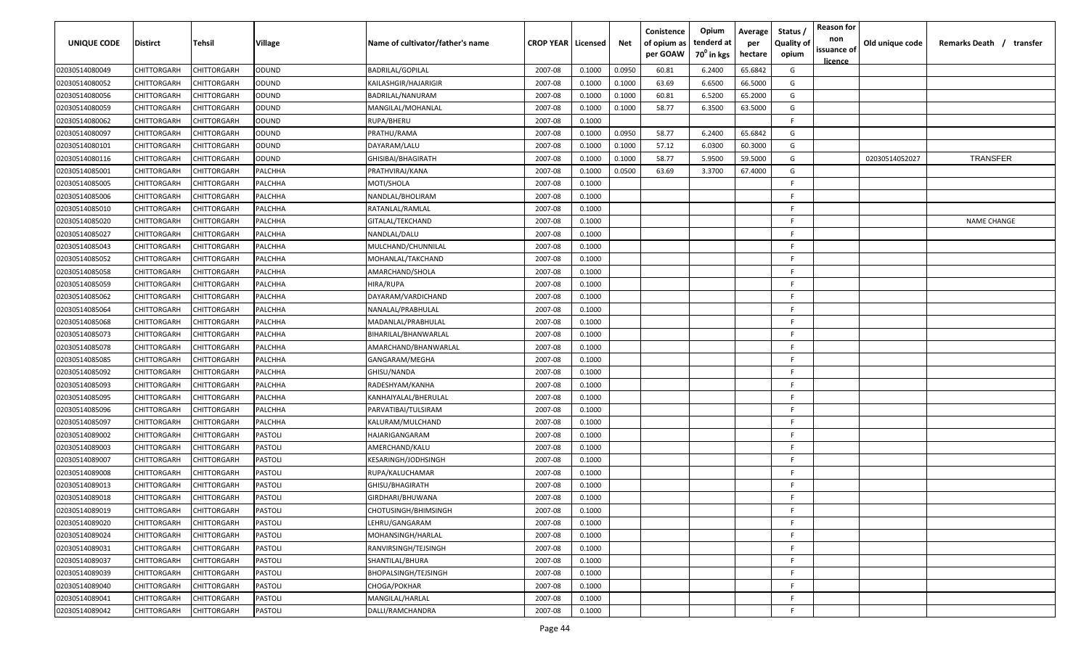| <b>UNIQUE CODE</b> | Distirct           | Tehsil      | Village        | Name of cultivator/father's name | <b>CROP YEAR   Licensed</b> |        | Net    | Conistence<br>of opium as<br>per GOAW | Opium<br>tenderd at<br>$70^0$ in kgs | Average<br>per<br>hectare | Status /<br><b>Quality of</b><br>opium | <b>Reason for</b><br>non<br>issuance of | Old unique code | Remarks Death / transfer |
|--------------------|--------------------|-------------|----------------|----------------------------------|-----------------------------|--------|--------|---------------------------------------|--------------------------------------|---------------------------|----------------------------------------|-----------------------------------------|-----------------|--------------------------|
| 02030514080049     | CHITTORGARH        | CHITTORGARH | ODUND          | <b>BADRILAL/GOPILAL</b>          | 2007-08                     | 0.1000 | 0.0950 | 60.81                                 | 6.2400                               | 65.6842                   | G                                      | <u>licence</u>                          |                 |                          |
| 02030514080052     | CHITTORGARH        | CHITTORGARH | ODUND          | KAILASHGIR/HAJARIGIR             | 2007-08                     | 0.1000 | 0.1000 | 63.69                                 | 6.6500                               | 66.5000                   | G                                      |                                         |                 |                          |
| 02030514080056     | CHITTORGARH        | CHITTORGARH | ODUND          | BADRILAL/NANURAM                 | 2007-08                     | 0.1000 | 0.1000 | 60.81                                 | 6.5200                               | 65.2000                   | G                                      |                                         |                 |                          |
| 02030514080059     | CHITTORGARH        | CHITTORGARH | ODUND          | MANGILAL/MOHANLAL                | 2007-08                     | 0.1000 | 0.1000 | 58.77                                 | 6.3500                               | 63.5000                   | G                                      |                                         |                 |                          |
| 02030514080062     | CHITTORGARH        | CHITTORGARH | ODUND          | RUPA/BHERU                       | 2007-08                     | 0.1000 |        |                                       |                                      |                           | -F.                                    |                                         |                 |                          |
| 02030514080097     | CHITTORGARH        | CHITTORGARH | ODUND          | PRATHU/RAMA                      | 2007-08                     | 0.1000 | 0.0950 | 58.77                                 | 6.2400                               | 65.6842                   | G                                      |                                         |                 |                          |
| 02030514080101     | CHITTORGARH        | CHITTORGARH | ODUND          | DAYARAM/LALU                     | 2007-08                     | 0.1000 | 0.1000 | 57.12                                 | 6.0300                               | 60.3000                   | G                                      |                                         |                 |                          |
| 02030514080116     | CHITTORGARH        | CHITTORGARH | ODUND          | GHISIBAI/BHAGIRATH               | 2007-08                     | 0.1000 | 0.1000 | 58.77                                 | 5.9500                               | 59.5000                   | G                                      |                                         | 02030514052027  | <b>TRANSFER</b>          |
| 02030514085001     | CHITTORGARH        | CHITTORGARH | PALCHHA        | PRATHVIRAJ/KANA                  | 2007-08                     | 0.1000 | 0.0500 | 63.69                                 | 3.3700                               | 67.4000                   | G                                      |                                         |                 |                          |
| 02030514085005     | CHITTORGARH        | CHITTORGARH | PALCHHA        | MOTI/SHOLA                       | 2007-08                     | 0.1000 |        |                                       |                                      |                           | F                                      |                                         |                 |                          |
| 02030514085006     | CHITTORGARH        | CHITTORGARH | PALCHHA        | NANDLAL/BHOLIRAM                 | 2007-08                     | 0.1000 |        |                                       |                                      |                           | -F.                                    |                                         |                 |                          |
| 02030514085010     | CHITTORGARH        | CHITTORGARH | PALCHHA        | RATANLAL/RAMLAL                  | 2007-08                     | 0.1000 |        |                                       |                                      |                           | F.                                     |                                         |                 |                          |
| 02030514085020     | CHITTORGARH        | CHITTORGARH | PALCHHA        | GITALAL/TEKCHAND                 | 2007-08                     | 0.1000 |        |                                       |                                      |                           | F.                                     |                                         |                 | <b>NAME CHANGE</b>       |
| 02030514085027     | CHITTORGARH        | CHITTORGARH | PALCHHA        | NANDLAL/DALU                     | 2007-08                     | 0.1000 |        |                                       |                                      |                           | F.                                     |                                         |                 |                          |
| 02030514085043     | CHITTORGARH        | CHITTORGARH | PALCHHA        | MULCHAND/CHUNNILAL               | 2007-08                     | 0.1000 |        |                                       |                                      |                           | -F.                                    |                                         |                 |                          |
| 02030514085052     | CHITTORGARH        | CHITTORGARH | PALCHHA        | MOHANLAL/TAKCHAND                | 2007-08                     | 0.1000 |        |                                       |                                      |                           | E                                      |                                         |                 |                          |
| 02030514085058     | CHITTORGARH        | CHITTORGARH | PALCHHA        | AMARCHAND/SHOLA                  | 2007-08                     | 0.1000 |        |                                       |                                      |                           | -F.                                    |                                         |                 |                          |
| 02030514085059     | CHITTORGARH        | CHITTORGARH | PALCHHA        | HIRA/RUPA                        | 2007-08                     | 0.1000 |        |                                       |                                      |                           | E                                      |                                         |                 |                          |
| 02030514085062     | CHITTORGARH        | CHITTORGARH | PALCHHA        | DAYARAM/VARDICHAND               | 2007-08                     | 0.1000 |        |                                       |                                      |                           | F.                                     |                                         |                 |                          |
| 02030514085064     | CHITTORGARH        | CHITTORGARH | PALCHHA        | NANALAL/PRABHULAL                | 2007-08                     | 0.1000 |        |                                       |                                      |                           | F.                                     |                                         |                 |                          |
| 02030514085068     | CHITTORGARH        | CHITTORGARH | PALCHHA        | MADANLAL/PRABHULAL               | 2007-08                     | 0.1000 |        |                                       |                                      |                           | -F.                                    |                                         |                 |                          |
| 02030514085073     | CHITTORGARH        | CHITTORGARH | PALCHHA        | BIHARILAL/BHANWARLAL             | 2007-08                     | 0.1000 |        |                                       |                                      |                           | -F.                                    |                                         |                 |                          |
| 02030514085078     | CHITTORGARH        | CHITTORGARH | PALCHHA        | AMARCHAND/BHANWARLAL             | 2007-08                     | 0.1000 |        |                                       |                                      |                           | -F.                                    |                                         |                 |                          |
| 02030514085085     | CHITTORGARH        | CHITTORGARH | PALCHHA        | GANGARAM/MEGHA                   | 2007-08                     | 0.1000 |        |                                       |                                      |                           | -F.                                    |                                         |                 |                          |
| 02030514085092     | CHITTORGARH        | CHITTORGARH | PALCHHA        | GHISU/NANDA                      | 2007-08                     | 0.1000 |        |                                       |                                      |                           | -F                                     |                                         |                 |                          |
| 02030514085093     | CHITTORGARH        | CHITTORGARH | PALCHHA        | RADESHYAM/KANHA                  | 2007-08                     | 0.1000 |        |                                       |                                      |                           | -F.                                    |                                         |                 |                          |
| 02030514085095     | CHITTORGARH        | CHITTORGARH | PALCHHA        | KANHAIYALAL/BHERULAL             | 2007-08                     | 0.1000 |        |                                       |                                      |                           | -F.                                    |                                         |                 |                          |
| 02030514085096     | CHITTORGARH        | CHITTORGARH | PALCHHA        | PARVATIBAI/TULSIRAM              | 2007-08                     | 0.1000 |        |                                       |                                      |                           | -F.                                    |                                         |                 |                          |
| 02030514085097     | CHITTORGARH        | CHITTORGARH | PALCHHA        | KALURAM/MULCHAND                 | 2007-08                     | 0.1000 |        |                                       |                                      |                           | F.                                     |                                         |                 |                          |
| 02030514089002     | CHITTORGARH        | CHITTORGARH | PASTOLI        | HAJARIGANGARAM                   | 2007-08                     | 0.1000 |        |                                       |                                      |                           | -F.                                    |                                         |                 |                          |
| 02030514089003     | CHITTORGARH        | CHITTORGARH | PASTOLI        | AMERCHAND/KALU                   | 2007-08                     | 0.1000 |        |                                       |                                      |                           | -F.                                    |                                         |                 |                          |
| 02030514089007     | CHITTORGARH        | CHITTORGARH | PASTOLI        | KESARINGH/JODHSINGH              | 2007-08                     | 0.1000 |        |                                       |                                      |                           | -F.                                    |                                         |                 |                          |
| 02030514089008     | CHITTORGARH        | CHITTORGARH | PASTOLI        | RUPA/KALUCHAMAR                  | 2007-08                     | 0.1000 |        |                                       |                                      |                           | -F.                                    |                                         |                 |                          |
| 02030514089013     | CHITTORGARH        | CHITTORGARH | PASTOLI        | GHISU/BHAGIRATH                  | 2007-08                     | 0.1000 |        |                                       |                                      |                           | -F.                                    |                                         |                 |                          |
| 02030514089018     | <b>CHITTORGARH</b> | CHITTORGARH | PASTOLI        | GIRDHARI/BHUWANA                 | 2007-08                     | 0.1000 |        |                                       |                                      |                           | F                                      |                                         |                 |                          |
| 02030514089019     | CHITTORGARH        | CHITTORGARH | PASTOLI        | CHOTUSINGH/BHIMSINGH             | 2007-08                     | 0.1000 |        |                                       |                                      |                           | -F                                     |                                         |                 |                          |
| 02030514089020     | CHITTORGARH        | CHITTORGARH | <b>PASTOLI</b> | LEHRU/GANGARAM                   | 2007-08                     | 0.1000 |        |                                       |                                      |                           | F                                      |                                         |                 |                          |
| 02030514089024     | CHITTORGARH        | CHITTORGARH | <b>PASTOLI</b> | MOHANSINGH/HARLAL                | 2007-08                     | 0.1000 |        |                                       |                                      |                           | F.                                     |                                         |                 |                          |
| 02030514089031     | <b>CHITTORGARH</b> | CHITTORGARH | <b>PASTOLI</b> | RANVIRSINGH/TEJSINGH             | 2007-08                     | 0.1000 |        |                                       |                                      |                           | F.                                     |                                         |                 |                          |
| 02030514089037     | CHITTORGARH        | CHITTORGARH | PASTOLI        | SHANTILAL/BHURA                  | 2007-08                     | 0.1000 |        |                                       |                                      |                           | F.                                     |                                         |                 |                          |
| 02030514089039     | CHITTORGARH        | CHITTORGARH | <b>PASTOLI</b> | BHOPALSINGH/TEJSINGH             | 2007-08                     | 0.1000 |        |                                       |                                      |                           | F.                                     |                                         |                 |                          |
| 02030514089040     | CHITTORGARH        | CHITTORGARH | PASTOLI        | CHOGA/POKHAR                     | 2007-08                     | 0.1000 |        |                                       |                                      |                           | F.                                     |                                         |                 |                          |
| 02030514089041     | CHITTORGARH        | CHITTORGARH | PASTOLI        | MANGILAL/HARLAL                  | 2007-08                     | 0.1000 |        |                                       |                                      |                           | -F                                     |                                         |                 |                          |
| 02030514089042     | CHITTORGARH        | CHITTORGARH | PASTOLI        | DALLI/RAMCHANDRA                 | 2007-08                     | 0.1000 |        |                                       |                                      |                           | F                                      |                                         |                 |                          |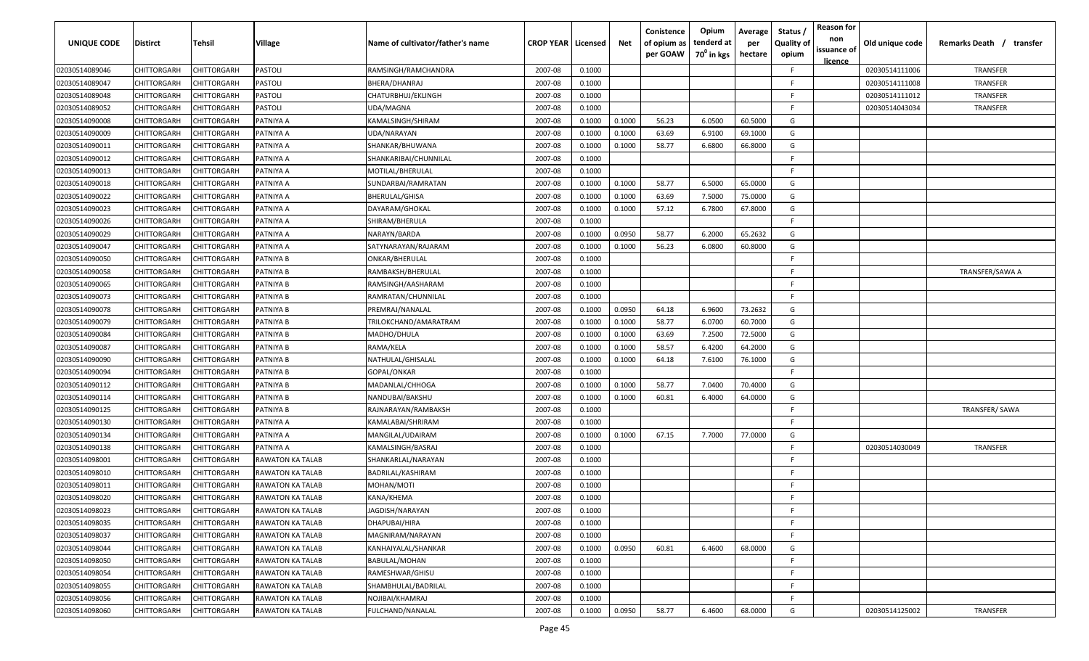| <b>UNIQUE CODE</b> | Distirct           | Tehsil             | Village                 | Name of cultivator/father's name | <b>CROP YEAR   Licensed</b> |        | Net    | Conistence<br>of opium as<br>per GOAW | Opium<br>tenderd at<br>70 <sup>0</sup> in kgs | Average<br>per<br>hectare | Status /<br><b>Quality of</b><br>opium | <b>Reason for</b><br>non<br>issuance of<br><u>licence</u> | Old unique code | Remarks Death /<br>transfer |
|--------------------|--------------------|--------------------|-------------------------|----------------------------------|-----------------------------|--------|--------|---------------------------------------|-----------------------------------------------|---------------------------|----------------------------------------|-----------------------------------------------------------|-----------------|-----------------------------|
| 02030514089046     | CHITTORGARH        | CHITTORGARH        | PASTOLI                 | RAMSINGH/RAMCHANDRA              | 2007-08                     | 0.1000 |        |                                       |                                               |                           | F.                                     |                                                           | 02030514111006  | TRANSFER                    |
| 02030514089047     | CHITTORGARH        | CHITTORGARH        | PASTOLI                 | BHERA/DHANRAJ                    | 2007-08                     | 0.1000 |        |                                       |                                               |                           | -F.                                    |                                                           | 02030514111008  | TRANSFER                    |
| 02030514089048     | CHITTORGARH        | CHITTORGARH        | PASTOLI                 | CHATURBHUJ/EKLINGH               | 2007-08                     | 0.1000 |        |                                       |                                               |                           | -F.                                    |                                                           | 02030514111012  | TRANSFER                    |
| 02030514089052     | CHITTORGARH        | CHITTORGARH        | PASTOLI                 | UDA/MAGNA                        | 2007-08                     | 0.1000 |        |                                       |                                               |                           | -F.                                    |                                                           | 02030514043034  | TRANSFER                    |
| 02030514090008     | CHITTORGARH        | CHITTORGARH        | PATNIYA A               | KAMALSINGH/SHIRAM                | 2007-08                     | 0.1000 | 0.1000 | 56.23                                 | 6.0500                                        | 60.5000                   | G                                      |                                                           |                 |                             |
| 02030514090009     | CHITTORGARH        | CHITTORGARH        | PATNIYA A               | UDA/NARAYAN                      | 2007-08                     | 0.1000 | 0.1000 | 63.69                                 | 6.9100                                        | 69.1000                   | G                                      |                                                           |                 |                             |
| 02030514090011     | <b>CHITTORGARH</b> | CHITTORGARH        | PATNIYA A               | SHANKAR/BHUWANA                  | 2007-08                     | 0.1000 | 0.1000 | 58.77                                 | 6.6800                                        | 66.8000                   | G                                      |                                                           |                 |                             |
| 02030514090012     | CHITTORGARH        | CHITTORGARH        | PATNIYA A               | SHANKARIBAI/CHUNNILAL            | 2007-08                     | 0.1000 |        |                                       |                                               |                           | -F.                                    |                                                           |                 |                             |
| 02030514090013     | CHITTORGARH        | CHITTORGARH        | PATNIYA A               | MOTILAL/BHERULAL                 | 2007-08                     | 0.1000 |        |                                       |                                               |                           | F.                                     |                                                           |                 |                             |
| 02030514090018     | CHITTORGARH        | CHITTORGARH        | PATNIYA A               | SUNDARBAI/RAMRATAN               | 2007-08                     | 0.1000 | 0.1000 | 58.77                                 | 6.5000                                        | 65.0000                   | G                                      |                                                           |                 |                             |
| 02030514090022     | CHITTORGARH        | CHITTORGARH        | PATNIYA A               | BHERULAL/GHISA                   | 2007-08                     | 0.1000 | 0.1000 | 63.69                                 | 7.5000                                        | 75.0000                   | G                                      |                                                           |                 |                             |
| 02030514090023     | CHITTORGARH        | CHITTORGARH        | PATNIYA A               | DAYARAM/GHOKAL                   | 2007-08                     | 0.1000 | 0.1000 | 57.12                                 | 6.7800                                        | 67.8000                   | G                                      |                                                           |                 |                             |
| 02030514090026     | CHITTORGARH        | CHITTORGARH        | PATNIYA A               | SHIRAM/BHERULA                   | 2007-08                     | 0.1000 |        |                                       |                                               |                           | F.                                     |                                                           |                 |                             |
| 02030514090029     | CHITTORGARH        | CHITTORGARH        | PATNIYA A               | NARAYN/BARDA                     | 2007-08                     | 0.1000 | 0.0950 | 58.77                                 | 6.2000                                        | 65.2632                   | G                                      |                                                           |                 |                             |
| 02030514090047     | CHITTORGARH        | CHITTORGARH        | PATNIYA A               | SATYNARAYAN/RAJARAM              | 2007-08                     | 0.1000 | 0.1000 | 56.23                                 | 6.0800                                        | 60.8000                   | G                                      |                                                           |                 |                             |
| 02030514090050     | CHITTORGARH        | CHITTORGARH        | PATNIYA B               | ONKAR/BHERULAL                   | 2007-08                     | 0.1000 |        |                                       |                                               |                           | E                                      |                                                           |                 |                             |
| 02030514090058     | CHITTORGARH        | CHITTORGARH        | PATNIYA B               | RAMBAKSH/BHERULAL                | 2007-08                     | 0.1000 |        |                                       |                                               |                           | F.                                     |                                                           |                 | TRANSFER/SAWA A             |
| 02030514090065     | CHITTORGARH        | CHITTORGARH        | PATNIYA B               | RAMSINGH/AASHARAM                | 2007-08                     | 0.1000 |        |                                       |                                               |                           | F.                                     |                                                           |                 |                             |
| 02030514090073     | CHITTORGARH        | CHITTORGARH        | PATNIYA B               | RAMRATAN/CHUNNILAL               | 2007-08                     | 0.1000 |        |                                       |                                               |                           | F.                                     |                                                           |                 |                             |
| 02030514090078     | CHITTORGARH        | CHITTORGARH        | PATNIYA B               | PREMRAJ/NANALAL                  | 2007-08                     | 0.1000 | 0.0950 | 64.18                                 | 6.9600                                        | 73.2632                   | G                                      |                                                           |                 |                             |
| 02030514090079     | CHITTORGARH        | CHITTORGARH        | PATNIYA B               | TRILOKCHAND/AMARATRAM            | 2007-08                     | 0.1000 | 0.1000 | 58.77                                 | 6.0700                                        | 60.7000                   | G                                      |                                                           |                 |                             |
| 02030514090084     | CHITTORGARH        | CHITTORGARH        | PATNIYA B               | MADHO/DHULA                      | 2007-08                     | 0.1000 | 0.1000 | 63.69                                 | 7.2500                                        | 72.5000                   | G                                      |                                                           |                 |                             |
| 02030514090087     | CHITTORGARH        | CHITTORGARH        | PATNIYA B               | RAMA/KELA                        | 2007-08                     | 0.1000 | 0.1000 | 58.57                                 | 6.4200                                        | 64.2000                   | G                                      |                                                           |                 |                             |
| 02030514090090     | CHITTORGARH        | CHITTORGARH        | PATNIYA B               | NATHULAL/GHISALAL                | 2007-08                     | 0.1000 | 0.1000 | 64.18                                 | 7.6100                                        | 76.1000                   | G                                      |                                                           |                 |                             |
| 02030514090094     | CHITTORGARH        | CHITTORGARH        | PATNIYA B               | GOPAL/ONKAR                      | 2007-08                     | 0.1000 |        |                                       |                                               |                           | -F.                                    |                                                           |                 |                             |
| 02030514090112     | CHITTORGARH        | CHITTORGARH        | PATNIYA B               | MADANLAL/CHHOGA                  | 2007-08                     | 0.1000 | 0.1000 | 58.77                                 | 7.0400                                        | 70.4000                   | G                                      |                                                           |                 |                             |
| 02030514090114     | CHITTORGARH        | CHITTORGARH        | PATNIYA B               | NANDUBAI/BAKSHU                  | 2007-08                     | 0.1000 | 0.1000 | 60.81                                 | 6.4000                                        | 64.0000                   | G                                      |                                                           |                 |                             |
| 02030514090125     | CHITTORGARH        | CHITTORGARH        | PATNIYA B               | RAJNARAYAN/RAMBAKSH              | 2007-08                     | 0.1000 |        |                                       |                                               |                           | -F.                                    |                                                           |                 | TRANSFER/SAWA               |
| 02030514090130     | CHITTORGARH        | CHITTORGARH        | PATNIYA A               | KAMALABAI/SHRIRAM                | 2007-08                     | 0.1000 |        |                                       |                                               |                           | -F.                                    |                                                           |                 |                             |
| 02030514090134     | CHITTORGARH        | CHITTORGARH        | PATNIYA A               | MANGILAL/UDAIRAM                 | 2007-08                     | 0.1000 | 0.1000 | 67.15                                 | 7.7000                                        | 77.0000                   | G                                      |                                                           |                 |                             |
| 02030514090138     | CHITTORGARH        | CHITTORGARH        | PATNIYA A               | KAMALSINGH/BASRAJ                | 2007-08                     | 0.1000 |        |                                       |                                               |                           | -F.                                    |                                                           | 02030514030049  | <b>TRANSFER</b>             |
| 02030514098001     | CHITTORGARH        | CHITTORGARF        | RAWATON KA TALAB        | SHANKARLAL/NARAYAN               | 2007-08                     | 0.1000 |        |                                       |                                               |                           | -F.                                    |                                                           |                 |                             |
| 02030514098010     | CHITTORGARH        | CHITTORGARH        | RAWATON KA TALAB        | BADRILAL/KASHIRAM                | 2007-08                     | 0.1000 |        |                                       |                                               |                           | -F.                                    |                                                           |                 |                             |
| 02030514098011     | CHITTORGARH        | CHITTORGARH        | RAWATON KA TALAB        | MOHAN/MOTI                       | 2007-08                     | 0.1000 |        |                                       |                                               |                           | -F.                                    |                                                           |                 |                             |
| 02030514098020     | CHITTORGARH        | CHITTORGARH        | RAWATON KA TALAB        | KANA/KHEMA                       | 2007-08                     | 0.1000 |        |                                       |                                               |                           | F                                      |                                                           |                 |                             |
| 02030514098023     | <b>CHITTORGARH</b> | <b>CHITTORGARH</b> | RAWATON KA TALAB        | JAGDISH/NARAYAN                  | 2007-08                     | 0.1000 |        |                                       |                                               |                           | -F.                                    |                                                           |                 |                             |
| 02030514098035     | CHITTORGARH        | CHITTORGARH        | <b>RAWATON KA TALAB</b> | DHAPUBAI/HIRA                    | 2007-08                     | 0.1000 |        |                                       |                                               |                           | F.                                     |                                                           |                 |                             |
| 02030514098037     | <b>CHITTORGARH</b> | CHITTORGARH        | RAWATON KA TALAB        | MAGNIRAM/NARAYAN                 | 2007-08                     | 0.1000 |        |                                       |                                               |                           | F.                                     |                                                           |                 |                             |
| 02030514098044     | <b>CHITTORGARH</b> | CHITTORGARH        | <b>RAWATON KA TALAB</b> | KANHAIYALAL/SHANKAR              | 2007-08                     | 0.1000 | 0.0950 | 60.81                                 | 6.4600                                        | 68.0000                   | G                                      |                                                           |                 |                             |
| 02030514098050     | CHITTORGARH        | CHITTORGARH        | <b>RAWATON KA TALAB</b> | BABULAL/MOHAN                    | 2007-08                     | 0.1000 |        |                                       |                                               |                           | F.                                     |                                                           |                 |                             |
| 02030514098054     | CHITTORGARH        | CHITTORGARH        | <b>RAWATON KA TALAB</b> | RAMESHWAR/GHISU                  | 2007-08                     | 0.1000 |        |                                       |                                               |                           | F.                                     |                                                           |                 |                             |
| 02030514098055     | CHITTORGARH        | CHITTORGARH        | <b>RAWATON KA TALAB</b> | SHAMBHULAL/BADRILAL              | 2007-08                     | 0.1000 |        |                                       |                                               |                           | -F                                     |                                                           |                 |                             |
| 02030514098056     | CHITTORGARH        | CHITTORGARH        | <b>RAWATON KA TALAB</b> | NOJIBAI/KHAMRAJ                  | 2007-08                     | 0.1000 |        |                                       |                                               |                           | -F.                                    |                                                           |                 |                             |
| 02030514098060     | CHITTORGARH        | CHITTORGARH        | <b>RAWATON KA TALAB</b> | FULCHAND/NANALAL                 | 2007-08                     | 0.1000 | 0.0950 | 58.77                                 | 6.4600                                        | 68.0000                   | G                                      |                                                           | 02030514125002  | TRANSFER                    |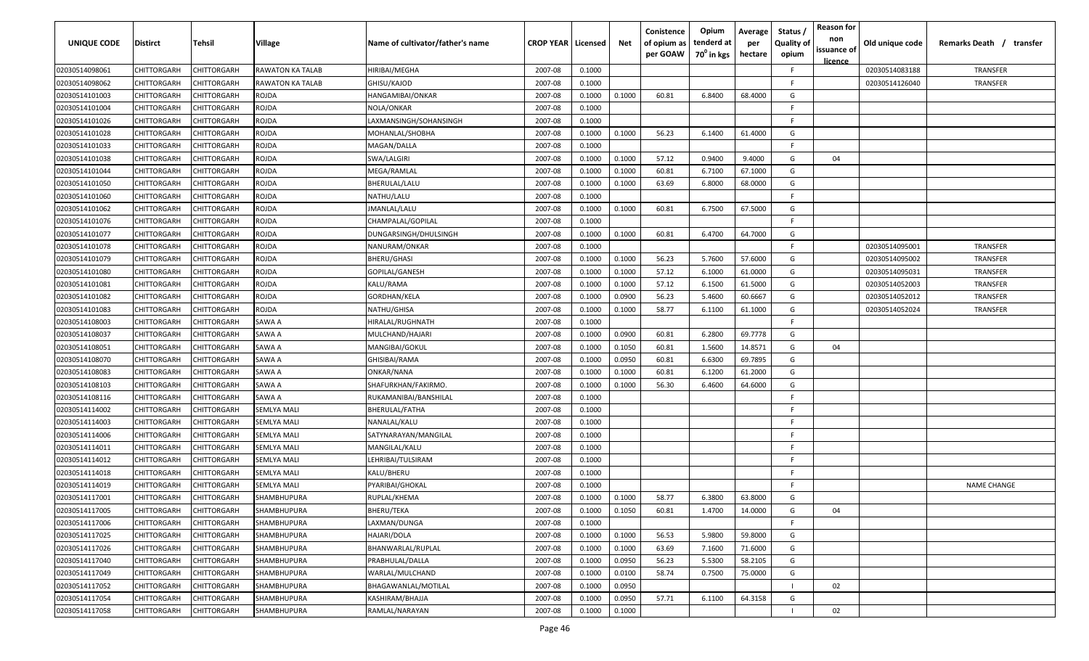| UNIQUE CODE    | Distirct           | Tehsil             | Village                 | Name of cultivator/father's name | <b>CROP YEAR   Licensed</b> |        | Net    | Conistence<br>of opium as<br>per GOAW | Opium<br>tenderd at<br>70 <sup>0</sup> in kgs | Average<br>per<br>hectare | Status /<br><b>Quality of</b><br>opium | <b>Reason for</b><br>non<br>issuance of<br><u>licence</u> | Old unique code | Remarks Death / transfer |
|----------------|--------------------|--------------------|-------------------------|----------------------------------|-----------------------------|--------|--------|---------------------------------------|-----------------------------------------------|---------------------------|----------------------------------------|-----------------------------------------------------------|-----------------|--------------------------|
| 02030514098061 | CHITTORGARH        | CHITTORGARH        | <b>RAWATON KA TALAB</b> | HIRIBAI/MEGHA                    | 2007-08                     | 0.1000 |        |                                       |                                               |                           | F.                                     |                                                           | 02030514083188  | TRANSFER                 |
| 02030514098062 | CHITTORGARH        | CHITTORGARH        | RAWATON KA TALAB        | GHISU/KAJOD                      | 2007-08                     | 0.1000 |        |                                       |                                               |                           | -F.                                    |                                                           | 02030514126040  | TRANSFER                 |
| 02030514101003 | CHITTORGARH        | CHITTORGARH        | ROJDA                   | HANGAMIBAI/ONKAR                 | 2007-08                     | 0.1000 | 0.1000 | 60.81                                 | 6.8400                                        | 68.4000                   | G                                      |                                                           |                 |                          |
| 02030514101004 | CHITTORGARH        | CHITTORGARH        | ROJDA                   | NOLA/ONKAR                       | 2007-08                     | 0.1000 |        |                                       |                                               |                           | -F.                                    |                                                           |                 |                          |
| 02030514101026 | CHITTORGARH        | CHITTORGARH        | ROJDA                   | LAXMANSINGH/SOHANSINGH           | 2007-08                     | 0.1000 |        |                                       |                                               |                           | -F.                                    |                                                           |                 |                          |
| 02030514101028 | CHITTORGARH        | CHITTORGARH        | ROJDA                   | MOHANLAL/SHOBHA                  | 2007-08                     | 0.1000 | 0.1000 | 56.23                                 | 6.1400                                        | 61.4000                   | G                                      |                                                           |                 |                          |
| 02030514101033 | <b>CHITTORGARH</b> | <b>CHITTORGARH</b> | ROJDA                   | MAGAN/DALLA                      | 2007-08                     | 0.1000 |        |                                       |                                               |                           | -F.                                    |                                                           |                 |                          |
| 02030514101038 | CHITTORGARH        | CHITTORGARH        | ROJDA                   | SWA/LALGIRI                      | 2007-08                     | 0.1000 | 0.1000 | 57.12                                 | 0.9400                                        | 9.4000                    | G                                      | 04                                                        |                 |                          |
| 02030514101044 | CHITTORGARH        | CHITTORGARH        | ROJDA                   | MEGA/RAMLAL                      | 2007-08                     | 0.1000 | 0.1000 | 60.81                                 | 6.7100                                        | 67.1000                   | G                                      |                                                           |                 |                          |
| 02030514101050 | CHITTORGARH        | CHITTORGARH        | ROJDA                   | BHERULAL/LALU                    | 2007-08                     | 0.1000 | 0.1000 | 63.69                                 | 6.8000                                        | 68.0000                   | G                                      |                                                           |                 |                          |
| 02030514101060 | CHITTORGARH        | CHITTORGARH        | ROJDA                   | NATHU/LALU                       | 2007-08                     | 0.1000 |        |                                       |                                               |                           | -F.                                    |                                                           |                 |                          |
| 02030514101062 | CHITTORGARH        | CHITTORGARH        | rojda                   | JMANLAL/LALU                     | 2007-08                     | 0.1000 | 0.1000 | 60.81                                 | 6.7500                                        | 67.5000                   | G                                      |                                                           |                 |                          |
| 02030514101076 | CHITTORGARH        | CHITTORGARH        | ROJDA                   | CHAMPALAL/GOPILAL                | 2007-08                     | 0.1000 |        |                                       |                                               |                           | F.                                     |                                                           |                 |                          |
| 02030514101077 | CHITTORGARH        | CHITTORGARH        | ROJDA                   | DUNGARSINGH/DHULSINGH            | 2007-08                     | 0.1000 | 0.1000 | 60.81                                 | 6.4700                                        | 64.7000                   | G                                      |                                                           |                 |                          |
| 02030514101078 | CHITTORGARH        | CHITTORGARH        | ROJDA                   | NANURAM/ONKAR                    | 2007-08                     | 0.1000 |        |                                       |                                               |                           | -F.                                    |                                                           | 02030514095001  | TRANSFER                 |
| 02030514101079 | CHITTORGARH        | CHITTORGARH        | ROJDA                   | BHERU/GHASI                      | 2007-08                     | 0.1000 | 0.1000 | 56.23                                 | 5.7600                                        | 57.6000                   | G                                      |                                                           | 02030514095002  | <b>TRANSFER</b>          |
| 02030514101080 | CHITTORGARH        | CHITTORGARH        | ROJDA                   | GOPILAL/GANESH                   | 2007-08                     | 0.1000 | 0.1000 | 57.12                                 | 6.1000                                        | 61.0000                   | G                                      |                                                           | 02030514095031  | TRANSFER                 |
| 02030514101081 | CHITTORGARH        | CHITTORGARH        | ROJDA                   | KALU/RAMA                        | 2007-08                     | 0.1000 | 0.1000 | 57.12                                 | 6.1500                                        | 61.5000                   | G                                      |                                                           | 02030514052003  | TRANSFER                 |
| 02030514101082 | CHITTORGARH        | CHITTORGARH        | ROJDA                   | GORDHAN/KELA                     | 2007-08                     | 0.1000 | 0.0900 | 56.23                                 | 5.4600                                        | 60.6667                   | G                                      |                                                           | 02030514052012  | TRANSFER                 |
| 02030514101083 | CHITTORGARH        | CHITTORGARH        | ROJDA                   | NATHU/GHISA                      | 2007-08                     | 0.1000 | 0.1000 | 58.77                                 | 6.1100                                        | 61.1000                   | G                                      |                                                           | 02030514052024  | TRANSFER                 |
| 02030514108003 | CHITTORGARH        | CHITTORGARH        | SAWA A                  | HIRALAL/RUGHNATH                 | 2007-08                     | 0.1000 |        |                                       |                                               |                           | -F.                                    |                                                           |                 |                          |
| 02030514108037 | CHITTORGARH        | CHITTORGARH        | SAWA A                  | MULCHAND/HAJARI                  | 2007-08                     | 0.1000 | 0.0900 | 60.81                                 | 6.2800                                        | 69.7778                   | G                                      |                                                           |                 |                          |
| 02030514108051 | CHITTORGARH        | CHITTORGARH        | SAWA A                  | MANGIBAI/GOKUL                   | 2007-08                     | 0.1000 | 0.1050 | 60.81                                 | 1.5600                                        | 14.8571                   | G                                      | 04                                                        |                 |                          |
| 02030514108070 | CHITTORGARH        | CHITTORGARH        | SAWA A                  | GHISIBAI/RAMA                    | 2007-08                     | 0.1000 | 0.0950 | 60.81                                 | 6.6300                                        | 69.7895                   | G                                      |                                                           |                 |                          |
| 02030514108083 | CHITTORGARH        | CHITTORGARH        | SAWA A                  | ONKAR/NANA                       | 2007-08                     | 0.1000 | 0.1000 | 60.81                                 | 6.1200                                        | 61.2000                   | G                                      |                                                           |                 |                          |
| 02030514108103 | CHITTORGARH        | CHITTORGARH        | SAWA A                  | SHAFURKHAN/FAKIRMO.              | 2007-08                     | 0.1000 | 0.1000 | 56.30                                 | 6.4600                                        | 64.6000                   | G                                      |                                                           |                 |                          |
| 02030514108116 | CHITTORGARH        | CHITTORGARH        | SAWA A                  | RUKAMANIBAI/BANSHILAL            | 2007-08                     | 0.1000 |        |                                       |                                               |                           | -F.                                    |                                                           |                 |                          |
| 02030514114002 | CHITTORGARH        | CHITTORGARH        | SEMLYA MALI             | BHERULAL/FATHA                   | 2007-08                     | 0.1000 |        |                                       |                                               |                           | -F.                                    |                                                           |                 |                          |
| 02030514114003 | CHITTORGARH        | CHITTORGARH        | SEMLYA MALI             | NANALAL/KALU                     | 2007-08                     | 0.1000 |        |                                       |                                               |                           | -F.                                    |                                                           |                 |                          |
| 02030514114006 | CHITTORGARH        | CHITTORGARH        | <b>SEMLYA MALI</b>      | SATYNARAYAN/MANGILAL             | 2007-08                     | 0.1000 |        |                                       |                                               |                           | -F.                                    |                                                           |                 |                          |
| 02030514114011 | CHITTORGARH        | CHITTORGARH        | <b>SEMLYA MALI</b>      | MANGILAL/KALU                    | 2007-08                     | 0.1000 |        |                                       |                                               |                           | -F.                                    |                                                           |                 |                          |
| 02030514114012 | CHITTORGARH        | CHITTORGARH        | <b>SEMLYA MALI</b>      | LEHRIBAI/TULSIRAM                | 2007-08                     | 0.1000 |        |                                       |                                               |                           | -F.                                    |                                                           |                 |                          |
| 02030514114018 | CHITTORGARH        | CHITTORGARH        | <b>SEMLYA MALI</b>      | KALU/BHERU                       | 2007-08                     | 0.1000 |        |                                       |                                               |                           | -F.                                    |                                                           |                 |                          |
| 02030514114019 | CHITTORGARH        | CHITTORGARH        | <b>SEMLYA MALI</b>      | PYARIBAI/GHOKAL                  | 2007-08                     | 0.1000 |        |                                       |                                               |                           | -F.                                    |                                                           |                 | <b>NAME CHANGE</b>       |
| 02030514117001 | <b>CHITTORGARH</b> | CHITTORGARH        | SHAMBHUPURA             | RUPLAL/KHEMA                     | 2007-08                     | 0.1000 | 0.1000 | 58.77                                 | 6.3800                                        | 63.8000                   | G                                      |                                                           |                 |                          |
| 02030514117005 | <b>CHITTORGARH</b> | <b>CHITTORGARH</b> | SHAMBHUPURA             | BHERU/TEKA                       | 2007-08                     | 0.1000 | 0.1050 | 60.81                                 | 1.4700                                        | 14.0000                   | G                                      | 04                                                        |                 |                          |
| 02030514117006 | <b>CHITTORGARH</b> | CHITTORGARH        | SHAMBHUPURA             | LAXMAN/DUNGA                     | 2007-08                     | 0.1000 |        |                                       |                                               |                           | F.                                     |                                                           |                 |                          |
| 02030514117025 | <b>CHITTORGARH</b> | CHITTORGARH        | <b>SHAMBHUPURA</b>      | HAJARI/DOLA                      | 2007-08                     | 0.1000 | 0.1000 | 56.53                                 | 5.9800                                        | 59.8000                   | G                                      |                                                           |                 |                          |
| 02030514117026 | <b>CHITTORGARH</b> | CHITTORGARH        | SHAMBHUPURA             | BHANWARLAL/RUPLAL                | 2007-08                     | 0.1000 | 0.1000 | 63.69                                 | 7.1600                                        | 71.6000                   | G                                      |                                                           |                 |                          |
| 02030514117040 | CHITTORGARH        | CHITTORGARH        | SHAMBHUPURA             | PRABHULAL/DALLA                  | 2007-08                     | 0.1000 | 0.0950 | 56.23                                 | 5.5300                                        | 58.2105                   | G                                      |                                                           |                 |                          |
| 02030514117049 | CHITTORGARH        | CHITTORGARH        | SHAMBHUPURA             | WARLAL/MULCHAND                  | 2007-08                     | 0.1000 | 0.0100 | 58.74                                 | 0.7500                                        | 75.0000                   | G                                      |                                                           |                 |                          |
| 02030514117052 | CHITTORGARH        | CHITTORGARH        | SHAMBHUPURA             | BHAGAWANLAL/MOTILAL              | 2007-08                     | 0.1000 | 0.0950 |                                       |                                               |                           |                                        | 02                                                        |                 |                          |
| 02030514117054 | CHITTORGARH        | CHITTORGARH        | SHAMBHUPURA             | KASHIRAM/BHAJJA                  | 2007-08                     | 0.1000 | 0.0950 | 57.71                                 | 6.1100                                        | 64.3158                   | G                                      |                                                           |                 |                          |
| 02030514117058 | <b>CHITTORGARH</b> | CHITTORGARH        | SHAMBHUPURA             | RAMLAL/NARAYAN                   | 2007-08                     | 0.1000 | 0.1000 |                                       |                                               |                           |                                        | 02                                                        |                 |                          |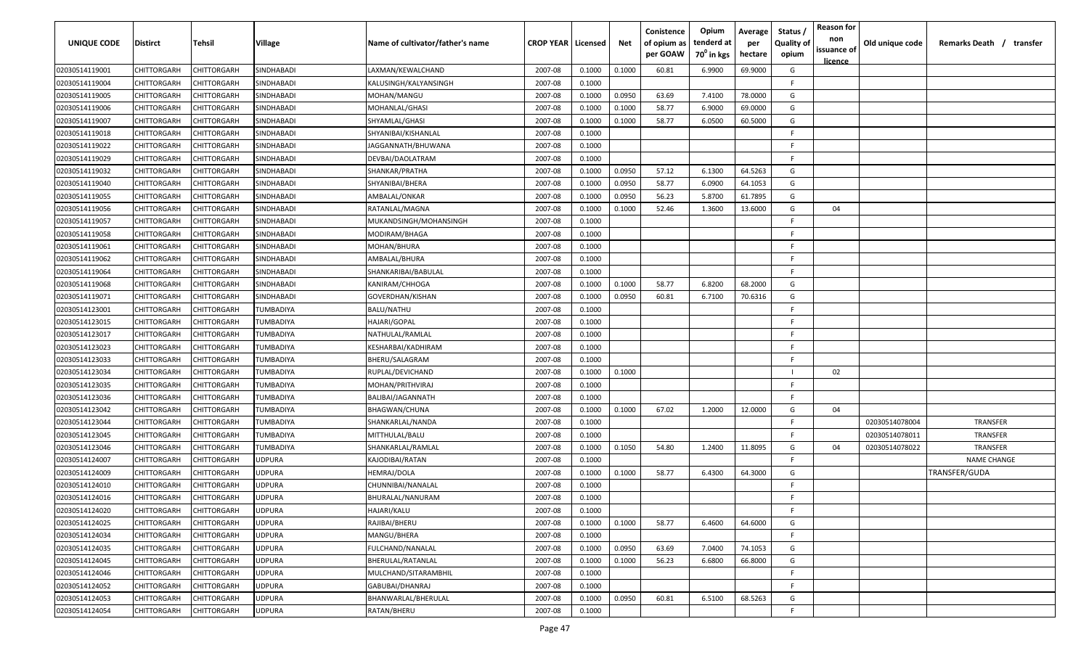| <b>UNIQUE CODE</b> | Distirct           | Tehsil      | Village           | Name of cultivator/father's name | <b>CROP YEAR   Licensed</b> |        | Net    | Conistence<br>of opium as<br>per GOAW | Opium<br>tenderd at<br>70 <sup>0</sup> in kgs | Average<br>per<br>hectare | Status,<br><b>Quality of</b><br>opium | <b>Reason for</b><br>non<br>issuance of | Old unique code | Remarks Death /<br>transfer |
|--------------------|--------------------|-------------|-------------------|----------------------------------|-----------------------------|--------|--------|---------------------------------------|-----------------------------------------------|---------------------------|---------------------------------------|-----------------------------------------|-----------------|-----------------------------|
|                    |                    |             |                   |                                  |                             |        |        |                                       |                                               |                           |                                       | licence                                 |                 |                             |
| 02030514119001     | CHITTORGARH        | CHITTORGARH | SINDHABADI        | LAXMAN/KEWALCHAND                | 2007-08                     | 0.1000 | 0.1000 | 60.81                                 | 6.9900                                        | 69.9000                   | G                                     |                                         |                 |                             |
| 02030514119004     | CHITTORGARH        | CHITTORGARH | SINDHABADI        | KALUSINGH/KALYANSINGH            | 2007-08                     | 0.1000 |        |                                       |                                               |                           | -F.                                   |                                         |                 |                             |
| 02030514119005     | CHITTORGARH        | CHITTORGARH | SINDHABADI        | MOHAN/MANGU                      | 2007-08                     | 0.1000 | 0.0950 | 63.69                                 | 7.4100                                        | 78.0000                   | G                                     |                                         |                 |                             |
| 02030514119006     | CHITTORGARH        | CHITTORGARH | SINDHABADI        | MOHANLAL/GHASI                   | 2007-08                     | 0.1000 | 0.1000 | 58.77                                 | 6.9000                                        | 69.0000                   | G                                     |                                         |                 |                             |
| 02030514119007     | CHITTORGARH        | CHITTORGARH | SINDHABADI        | SHYAMLAL/GHASI                   | 2007-08                     | 0.1000 | 0.1000 | 58.77                                 | 6.0500                                        | 60.5000                   | G                                     |                                         |                 |                             |
| 02030514119018     | CHITTORGARH        | CHITTORGARH | SINDHABADI        | SHYANIBAI/KISHANLAL              | 2007-08                     | 0.1000 |        |                                       |                                               |                           | E                                     |                                         |                 |                             |
| 02030514119022     | <b>CHITTORGARH</b> | CHITTORGARH | SINDHABADI        | JAGGANNATH/BHUWANA               | 2007-08                     | 0.1000 |        |                                       |                                               |                           | -F.                                   |                                         |                 |                             |
| 02030514119029     | CHITTORGARH        | CHITTORGARH | SINDHABADI        | DEVBAI/DAOLATRAM                 | 2007-08                     | 0.1000 |        |                                       |                                               |                           | -F.                                   |                                         |                 |                             |
| 02030514119032     | CHITTORGARH        | CHITTORGARH | SINDHABADI        | SHANKAR/PRATHA                   | 2007-08                     | 0.1000 | 0.0950 | 57.12                                 | 6.1300                                        | 64.5263                   | G                                     |                                         |                 |                             |
| 02030514119040     | CHITTORGARH        | CHITTORGARH | SINDHABADI        | SHYANIBAI/BHERA                  | 2007-08                     | 0.1000 | 0.0950 | 58.77                                 | 6.0900                                        | 64.1053                   | G                                     |                                         |                 |                             |
| 02030514119055     | CHITTORGARH        | CHITTORGARH | SINDHABADI        | AMBALAL/ONKAR                    | 2007-08                     | 0.1000 | 0.0950 | 56.23                                 | 5.8700                                        | 61.7895                   | G                                     |                                         |                 |                             |
| 02030514119056     | CHITTORGARH        | CHITTORGARH | SINDHABADI        | RATANLAL/MAGNA                   | 2007-08                     | 0.1000 | 0.1000 | 52.46                                 | 1.3600                                        | 13.6000                   | G                                     | 04                                      |                 |                             |
| 02030514119057     | CHITTORGARH        | CHITTORGARH | SINDHABADI        | MUKANDSINGH/MOHANSINGH           | 2007-08                     | 0.1000 |        |                                       |                                               |                           | F.                                    |                                         |                 |                             |
| 02030514119058     | CHITTORGARH        | CHITTORGARH | SINDHABADI        | MODIRAM/BHAGA                    | 2007-08                     | 0.1000 |        |                                       |                                               |                           | F.                                    |                                         |                 |                             |
| 02030514119061     | CHITTORGARH        | CHITTORGARH | SINDHABADI        | MOHAN/BHURA                      | 2007-08                     | 0.1000 |        |                                       |                                               |                           | -F.                                   |                                         |                 |                             |
| 02030514119062     | CHITTORGARH        | CHITTORGARH | SINDHABADI        | AMBALAL/BHURA                    | 2007-08                     | 0.1000 |        |                                       |                                               |                           | -F.                                   |                                         |                 |                             |
| 02030514119064     | CHITTORGARH        | CHITTORGARH | <b>SINDHABADI</b> | SHANKARIBAI/BABULAL              | 2007-08                     | 0.1000 |        |                                       |                                               |                           | -F.                                   |                                         |                 |                             |
| 02030514119068     | CHITTORGARH        | CHITTORGARH | SINDHABADI        | <b>KANIRAM/CHHOGA</b>            | 2007-08                     | 0.1000 | 0.1000 | 58.77                                 | 6.8200                                        | 68.2000                   | G                                     |                                         |                 |                             |
| 02030514119071     | CHITTORGARH        | CHITTORGARH | SINDHABADI        | GOVERDHAN/KISHAN                 | 2007-08                     | 0.1000 | 0.0950 | 60.81                                 | 6.7100                                        | 70.6316                   | G                                     |                                         |                 |                             |
| 02030514123001     | CHITTORGARH        | CHITTORGARH | TUMBADIYA         | <b>BALU/NATHU</b>                | 2007-08                     | 0.1000 |        |                                       |                                               |                           | F.                                    |                                         |                 |                             |
| 02030514123015     | CHITTORGARH        | CHITTORGARH | TUMBADIYA         | HAJARI/GOPAL                     | 2007-08                     | 0.1000 |        |                                       |                                               |                           | -F.                                   |                                         |                 |                             |
| 02030514123017     | CHITTORGARH        | CHITTORGARH | TUMBADIYA         | NATHULAL/RAMLAL                  | 2007-08                     | 0.1000 |        |                                       |                                               |                           | -F.                                   |                                         |                 |                             |
| 02030514123023     | CHITTORGARH        | CHITTORGARH | TUMBADIYA         | KESHARBAI/KADHIRAM               | 2007-08                     | 0.1000 |        |                                       |                                               |                           | -F.                                   |                                         |                 |                             |
| 02030514123033     | CHITTORGARH        | CHITTORGARH | TUMBADIYA         | BHERU/SALAGRAM                   | 2007-08                     | 0.1000 |        |                                       |                                               |                           | -F.                                   |                                         |                 |                             |
| 02030514123034     | CHITTORGARH        | CHITTORGARH | TUMBADIYA         | RUPLAL/DEVICHAND                 | 2007-08                     | 0.1000 | 0.1000 |                                       |                                               |                           |                                       | 02                                      |                 |                             |
| 02030514123035     | CHITTORGARH        | CHITTORGARH | TUMBADIYA         | MOHAN/PRITHVIRAJ                 | 2007-08                     | 0.1000 |        |                                       |                                               |                           | -F.                                   |                                         |                 |                             |
| 02030514123036     | CHITTORGARH        | CHITTORGARH | TUMBADIYA         | BALIBAI/JAGANNATH                | 2007-08                     | 0.1000 |        |                                       |                                               |                           | F.                                    |                                         |                 |                             |
| 02030514123042     | CHITTORGARH        | CHITTORGARH | TUMBADIYA         | BHAGWAN/CHUNA                    | 2007-08                     | 0.1000 | 0.1000 | 67.02                                 | 1.2000                                        | 12.0000                   | G                                     | 04                                      |                 |                             |
| 02030514123044     | CHITTORGARH        | CHITTORGARH | TUMBADIYA         | SHANKARLAL/NANDA                 | 2007-08                     | 0.1000 |        |                                       |                                               |                           | -F.                                   |                                         | 02030514078004  | TRANSFER                    |
| 02030514123045     | CHITTORGARH        | CHITTORGARH | TUMBADIYA         | MITTHULAL/BALU                   | 2007-08                     | 0.1000 |        |                                       |                                               |                           | F.                                    |                                         | 02030514078011  | TRANSFER                    |
| 02030514123046     | CHITTORGARH        | CHITTORGARH | TUMBADIYA         | SHANKARLAL/RAMLAL                | 2007-08                     | 0.1000 | 0.1050 | 54.80                                 | 1.2400                                        | 11.8095                   | G                                     | 04                                      | 02030514078022  | <b>TRANSFER</b>             |
| 02030514124007     | CHITTORGARH        | CHITTORGARH | <b>JDPURA</b>     | KAJODIBAI/RATAN                  | 2007-08                     | 0.1000 |        |                                       |                                               |                           | -F.                                   |                                         |                 | <b>NAME CHANGE</b>          |
| 02030514124009     | CHITTORGARH        | CHITTORGARH | <b>JDPURA</b>     | HEMRAJ/DOLA                      | 2007-08                     | 0.1000 | 0.1000 | 58.77                                 | 6.4300                                        | 64.3000                   | G                                     |                                         |                 | <b>TRANSFER/GUDA</b>        |
| 02030514124010     | CHITTORGARH        | CHITTORGARH | <b>JDPURA</b>     | CHUNNIBAI/NANALAL                | 2007-08                     | 0.1000 |        |                                       |                                               |                           | -F.                                   |                                         |                 |                             |
| 02030514124016     | <b>CHITTORGARH</b> | CHITTORGARH | JDPURA            | BHURALAL/NANURAM                 | 2007-08                     | 0.1000 |        |                                       |                                               |                           | E                                     |                                         |                 |                             |
| 02030514124020     | <b>CHITTORGARH</b> | CHITTORGARH | <b>UDPURA</b>     | HAJARI/KALU                      | 2007-08                     | 0.1000 |        |                                       |                                               |                           | -F.                                   |                                         |                 |                             |
| 02030514124025     | CHITTORGARH        | CHITTORGARH | JDPURA            | RAJIBAI/BHERU                    | 2007-08                     | 0.1000 | 0.1000 | 58.77                                 | 6.4600                                        | 64.6000                   | G                                     |                                         |                 |                             |
| 02030514124034     | CHITTORGARH        | CHITTORGARH | JDPURA            | MANGU/BHERA                      | 2007-08                     | 0.1000 |        |                                       |                                               |                           | F.                                    |                                         |                 |                             |
| 02030514124035     | <b>CHITTORGARH</b> | CHITTORGARH | JDPURA            | FULCHAND/NANALAL                 | 2007-08                     | 0.1000 | 0.0950 | 63.69                                 | 7.0400                                        | 74.1053                   | G                                     |                                         |                 |                             |
| 02030514124045     | CHITTORGARH        | CHITTORGARH | JDPURA            | BHERULAL/RATANLAL                | 2007-08                     | 0.1000 | 0.1000 | 56.23                                 | 6.6800                                        | 66.8000                   | G                                     |                                         |                 |                             |
| 02030514124046     | CHITTORGARH        | CHITTORGARH | JDPURA            | MULCHAND/SITARAMBHIL             | 2007-08                     | 0.1000 |        |                                       |                                               |                           | F.                                    |                                         |                 |                             |
|                    |                    |             |                   | GABUBAI/DHANRAJ                  |                             |        |        |                                       |                                               |                           | -F.                                   |                                         |                 |                             |
| 02030514124052     | CHITTORGARH        | CHITTORGARH | JDPURA            |                                  | 2007-08                     | 0.1000 |        |                                       |                                               |                           |                                       |                                         |                 |                             |
| 02030514124053     | CHITTORGARH        | CHITTORGARH | JDPURA            | BHANWARLAL/BHERULAL              | 2007-08                     | 0.1000 | 0.0950 | 60.81                                 | 6.5100                                        | 68.5263                   | G                                     |                                         |                 |                             |
| 02030514124054     | CHITTORGARH        | CHITTORGARH | JDPURA            | RATAN/BHERU                      | 2007-08                     | 0.1000 |        |                                       |                                               |                           | F.                                    |                                         |                 |                             |